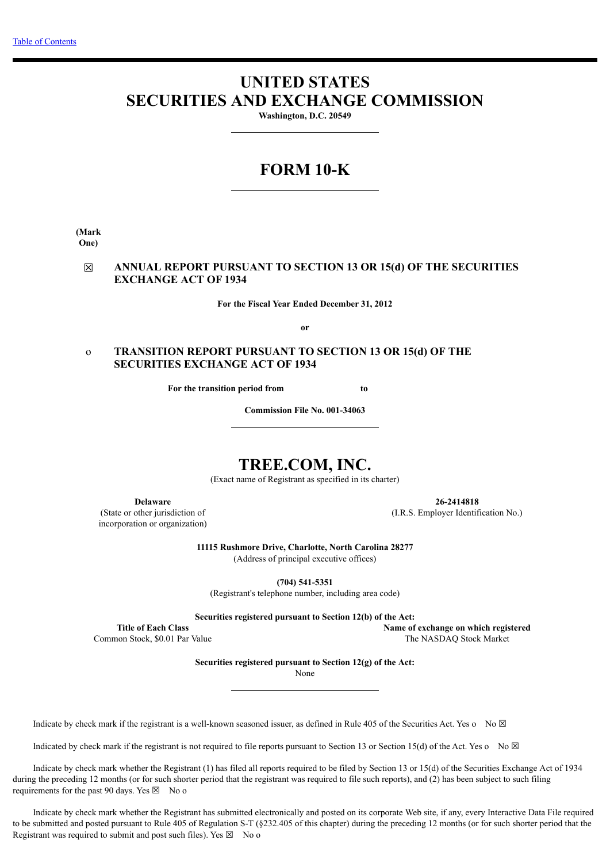# **UNITED STATES SECURITIES AND EXCHANGE COMMISSION**

**Washington, D.C. 20549**

# **FORM 10-K**

**(Mark One)**

# ☒ **ANNUAL REPORT PURSUANT TO SECTION 13 OR 15(d) OF THE SECURITIES EXCHANGE ACT OF 1934**

**For the Fiscal Year Ended December 31, 2012**

**or**

# o **TRANSITION REPORT PURSUANT TO SECTION 13 OR 15(d) OF THE SECURITIES EXCHANGE ACT OF 1934**

**For the transition period from the state of the state of the state of the state of the state of the state of the state of the state of the state of the state of the state of the state of the state of the state of the stat** 

**Commission File No. 001-34063**

# **TREE.COM, INC.**

(Exact name of Registrant as specified in its charter)

**Delaware**

(State or other jurisdiction of incorporation or organization)

**26-2414818** (I.R.S. Employer Identification No.)

**11115 Rushmore Drive, Charlotte, North Carolina 28277**

(Address of principal executive offices)

**(704) 541-5351**

(Registrant's telephone number, including area code)

**Securities registered pursuant to Section 12(b) of the Act:**

**Title of Each Class** Common Stock, \$0.01 Par Value **Name of exchange on which registered** The NASDAQ Stock Market

**Securities registered pursuant to Section 12(g) of the Act:**

None

Indicate by check mark if the registrant is a well-known seasoned issuer, as defined in Rule 405 of the Securities Act. Yes o No  $\boxtimes$ 

Indicated by check mark if the registrant is not required to file reports pursuant to Section 13 or Section 15(d) of the Act. Yes o No  $\boxtimes$ 

 Indicate by check mark whether the Registrant (1) has filed all reports required to be filed by Section 13 or 15(d) of the Securities Exchange Act of 1934 during the preceding 12 months (or for such shorter period that the registrant was required to file such reports), and (2) has been subject to such filing requirements for the past 90 days. Yes  $\boxtimes$  No o

 Indicate by check mark whether the Registrant has submitted electronically and posted on its corporate Web site, if any, every Interactive Data File required to be submitted and posted pursuant to Rule 405 of Regulation S-T (§232.405 of this chapter) during the preceding 12 months (or for such shorter period that the Registrant was required to submit and post such files). Yes  $\boxtimes$  No o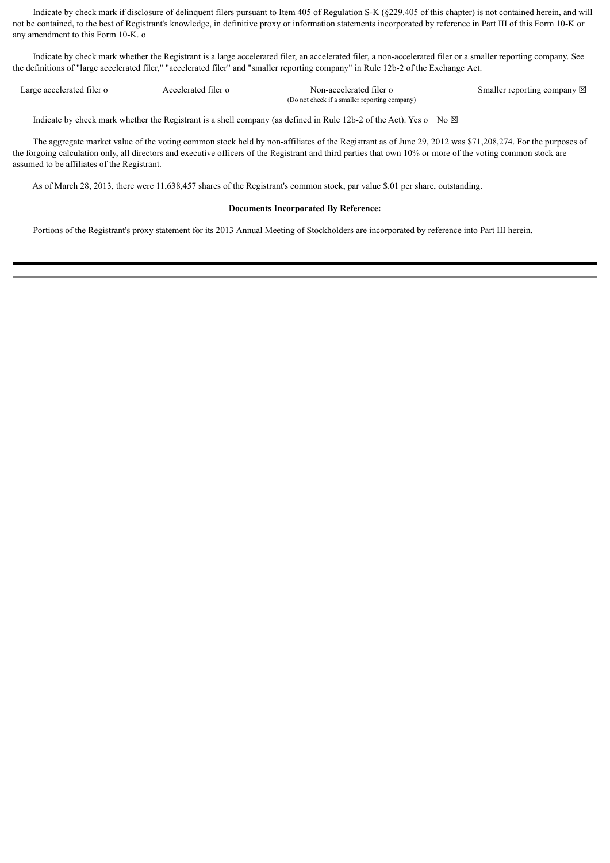Indicate by check mark if disclosure of delinquent filers pursuant to Item 405 of Regulation S-K (§229.405 of this chapter) is not contained herein, and will not be contained, to the best of Registrant's knowledge, in definitive proxy or information statements incorporated by reference in Part III of this Form 10-K or any amendment to this Form 10-K. o

 Indicate by check mark whether the Registrant is a large accelerated filer, an accelerated filer, a non-accelerated filer or a smaller reporting company. See the definitions of "large accelerated filer," "accelerated filer" and "smaller reporting company" in Rule 12b-2 of the Exchange Act.

| Large accelerated filer o | Accelerated filer o | Non-accelerated filer o                       | Smaller reporting company $\boxtimes$ |
|---------------------------|---------------------|-----------------------------------------------|---------------------------------------|
|                           |                     | (Do not check if a smaller reporting company) |                                       |
|                           |                     |                                               |                                       |

Indicate by check mark whether the Registrant is a shell company (as defined in Rule 12b-2 of the Act). Yes o No  $\boxtimes$ 

 The aggregate market value of the voting common stock held by non-affiliates of the Registrant as of June 29, 2012 was \$71,208,274. For the purposes of the forgoing calculation only, all directors and executive officers of the Registrant and third parties that own 10% or more of the voting common stock are assumed to be affiliates of the Registrant.

As of March 28, 2013, there were 11,638,457 shares of the Registrant's common stock, par value \$.01 per share, outstanding.

### **Documents Incorporated By Reference:**

Portions of the Registrant's proxy statement for its 2013 Annual Meeting of Stockholders are incorporated by reference into Part III herein.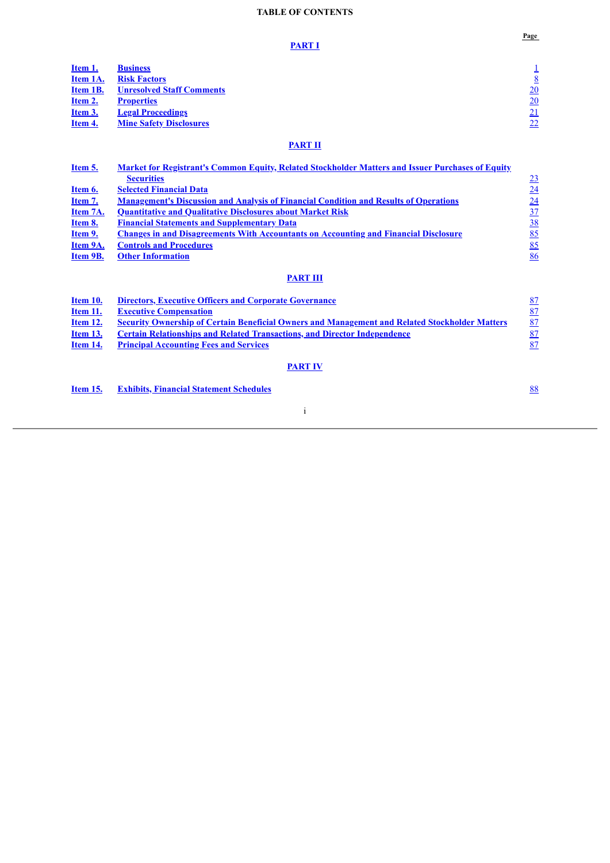# **TABLE OF CONTENTS**

**Page**

<span id="page-2-0"></span>

|                | <b>PART I</b>                    | $1$ age |
|----------------|----------------------------------|---------|
| Item 1.        | <b>Business</b>                  |         |
| Item 1A.       | <b>Risk Factors</b>              | 8       |
| Item 1B.       | <b>Unresolved Staff Comments</b> | 20      |
| Item 2.        | <b>Properties</b>                | 20      |
| <u>Item 3.</u> | <b>Legal Proceedings</b>         | 21      |
| Item 4.        | <b>Mine Safety Disclosures</b>   | 22      |
|                | <b>PART II</b>                   |         |

| <u>Item 5.</u>  | <b>Market for Registrant's Common Equity, Related Stockholder Matters and Issuer Purchases of Equity</b> |                                 |
|-----------------|----------------------------------------------------------------------------------------------------------|---------------------------------|
|                 | <b>Securities</b>                                                                                        |                                 |
| <u>Item 6.</u>  | <b>Selected Financial Data</b>                                                                           | $\frac{23}{24}$                 |
| Item 7.         | <b>Management's Discussion and Analysis of Financial Condition and Results of Operations</b>             |                                 |
| Item 7A.        | <b>Quantitative and Qualitative Disclosures about Market Risk</b>                                        | $\frac{24}{37}$                 |
| <u>Item 8.</u>  | <b>Financial Statements and Supplementary Data</b>                                                       |                                 |
| Item 9.         | <u><b>Changes in and Disagreements With Accountants on Accounting and Financial Disclosure</b></u>       | 85                              |
| Item 9A.        | <b>Controls and Procedures</b>                                                                           | 85                              |
| Item 9B.        | <b>Other Information</b>                                                                                 | 86                              |
|                 | <b>PART III</b>                                                                                          |                                 |
| <b>Item 10.</b> | <b>Directors, Executive Officers and Corporate Governance</b>                                            |                                 |
| <b>Item 11.</b> | <b>Executive Compensation</b>                                                                            | $\frac{87}{87}$ $\frac{87}{87}$ |
| <u>Item 12.</u> | <b>Security Ownership of Certain Beneficial Owners and Management and Related Stockholder Matters</b>    |                                 |
| <u>Item 13.</u> | <b>Certain Relationships and Related Transactions, and Director Independence</b>                         |                                 |
| <b>Item 14.</b> | <b>Principal Accounting Fees and Services</b>                                                            |                                 |
|                 | <b>PART IV</b>                                                                                           |                                 |
| <b>Item 15.</b> | <b>Exhibits, Financial Statement Schedules</b>                                                           | 88                              |
|                 |                                                                                                          |                                 |

i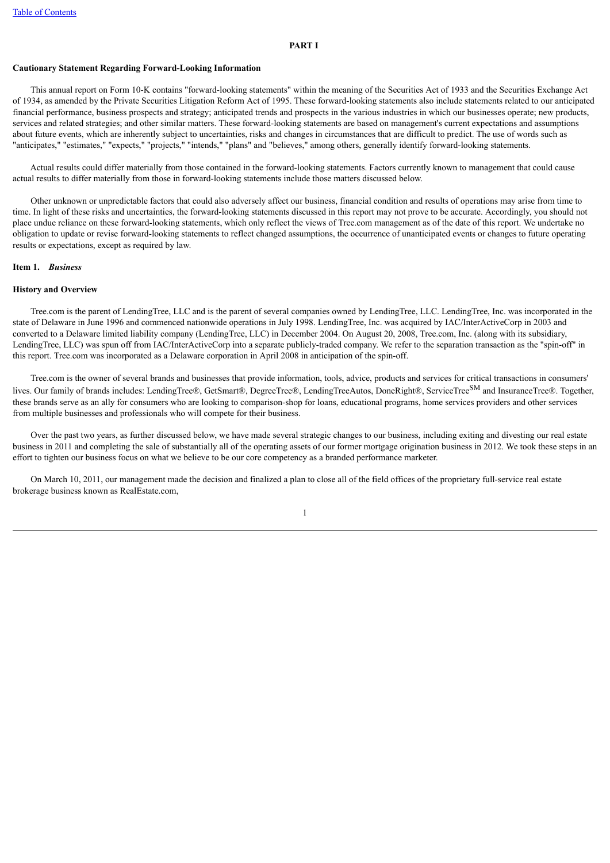#### <span id="page-3-0"></span>**Cautionary Statement Regarding Forward-Looking Information**

 This annual report on Form 10-K contains "forward-looking statements" within the meaning of the Securities Act of 1933 and the Securities Exchange Act of 1934, as amended by the Private Securities Litigation Reform Act of 1995. These forward-looking statements also include statements related to our anticipated financial performance, business prospects and strategy; anticipated trends and prospects in the various industries in which our businesses operate; new products, services and related strategies; and other similar matters. These forward-looking statements are based on management's current expectations and assumptions about future events, which are inherently subject to uncertainties, risks and changes in circumstances that are difficult to predict. The use of words such as "anticipates," "estimates," "expects," "projects," "intends," "plans" and "believes," among others, generally identify forward-looking statements.

 Actual results could differ materially from those contained in the forward-looking statements. Factors currently known to management that could cause actual results to differ materially from those in forward-looking statements include those matters discussed below.

 Other unknown or unpredictable factors that could also adversely affect our business, financial condition and results of operations may arise from time to time. In light of these risks and uncertainties, the forward-looking statements discussed in this report may not prove to be accurate. Accordingly, you should not place undue reliance on these forward-looking statements, which only reflect the views of Tree.com management as of the date of this report. We undertake no obligation to update or revise forward-looking statements to reflect changed assumptions, the occurrence of unanticipated events or changes to future operating results or expectations, except as required by law.

#### <span id="page-3-1"></span>**Item 1.** *Business*

#### **History and Overview**

 Tree.com is the parent of LendingTree, LLC and is the parent of several companies owned by LendingTree, LLC. LendingTree, Inc. was incorporated in the state of Delaware in June 1996 and commenced nationwide operations in July 1998. LendingTree, Inc. was acquired by IAC/InterActiveCorp in 2003 and converted to a Delaware limited liability company (LendingTree, LLC) in December 2004. On August 20, 2008, Tree.com, Inc. (along with its subsidiary, LendingTree, LLC) was spun off from IAC/InterActiveCorp into a separate publicly-traded company. We refer to the separation transaction as the "spin-off" in this report. Tree.com was incorporated as a Delaware corporation in April 2008 in anticipation of the spin-off.

 Tree.com is the owner of several brands and businesses that provide information, tools, advice, products and services for critical transactions in consumers' lives. Our family of brands includes: LendingTree®, GetSmart®, DegreeTree®, LendingTreeAutos, DoneRight®, ServiceTree<sup>SM</sup> and InsuranceTree®. Together, these brands serve as an ally for consumers who are looking to comparison-shop for loans, educational programs, home services providers and other services from multiple businesses and professionals who will compete for their business.

 Over the past two years, as further discussed below, we have made several strategic changes to our business, including exiting and divesting our real estate business in 2011 and completing the sale of substantially all of the operating assets of our former mortgage origination business in 2012. We took these steps in an effort to tighten our business focus on what we believe to be our core competency as a branded performance marketer.

 On March 10, 2011, our management made the decision and finalized a plan to close all of the field offices of the proprietary full-service real estate brokerage business known as RealEstate.com,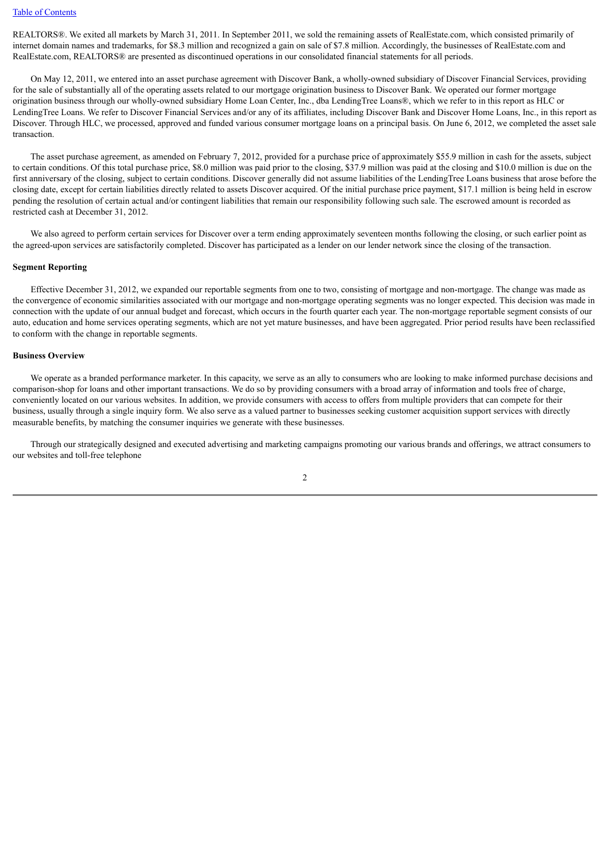REALTORS®. We exited all markets by March 31, 2011. In September 2011, we sold the remaining assets of RealEstate.com, which consisted primarily of internet domain names and trademarks, for \$8.3 million and recognized a gain on sale of \$7.8 million. Accordingly, the businesses of RealEstate.com and RealEstate.com, REALTORS® are presented as discontinued operations in our consolidated financial statements for all periods.

 On May 12, 2011, we entered into an asset purchase agreement with Discover Bank, a wholly-owned subsidiary of Discover Financial Services, providing for the sale of substantially all of the operating assets related to our mortgage origination business to Discover Bank. We operated our former mortgage origination business through our wholly-owned subsidiary Home Loan Center, Inc., dba LendingTree Loans®, which we refer to in this report as HLC or LendingTree Loans. We refer to Discover Financial Services and/or any of its affiliates, including Discover Bank and Discover Home Loans, Inc., in this report as Discover. Through HLC, we processed, approved and funded various consumer mortgage loans on a principal basis. On June 6, 2012, we completed the asset sale transaction.

 The asset purchase agreement, as amended on February 7, 2012, provided for a purchase price of approximately \$55.9 million in cash for the assets, subject to certain conditions. Of this total purchase price, \$8.0 million was paid prior to the closing, \$37.9 million was paid at the closing and \$10.0 million is due on the first anniversary of the closing, subject to certain conditions. Discover generally did not assume liabilities of the LendingTree Loans business that arose before the closing date, except for certain liabilities directly related to assets Discover acquired. Of the initial purchase price payment, \$17.1 million is being held in escrow pending the resolution of certain actual and/or contingent liabilities that remain our responsibility following such sale. The escrowed amount is recorded as restricted cash at December 31, 2012.

 We also agreed to perform certain services for Discover over a term ending approximately seventeen months following the closing, or such earlier point as the agreed-upon services are satisfactorily completed. Discover has participated as a lender on our lender network since the closing of the transaction.

#### **Segment Reporting**

 Effective December 31, 2012, we expanded our reportable segments from one to two, consisting of mortgage and non-mortgage. The change was made as the convergence of economic similarities associated with our mortgage and non-mortgage operating segments was no longer expected. This decision was made in connection with the update of our annual budget and forecast, which occurs in the fourth quarter each year. The non-mortgage reportable segment consists of our auto, education and home services operating segments, which are not yet mature businesses, and have been aggregated. Prior period results have been reclassified to conform with the change in reportable segments.

#### **Business Overview**

 We operate as a branded performance marketer. In this capacity, we serve as an ally to consumers who are looking to make informed purchase decisions and comparison-shop for loans and other important transactions. We do so by providing consumers with a broad array of information and tools free of charge, conveniently located on our various websites. In addition, we provide consumers with access to offers from multiple providers that can compete for their business, usually through a single inquiry form. We also serve as a valued partner to businesses seeking customer acquisition support services with directly measurable benefits, by matching the consumer inquiries we generate with these businesses.

 Through our strategically designed and executed advertising and marketing campaigns promoting our various brands and offerings, we attract consumers to our websites and toll-free telephone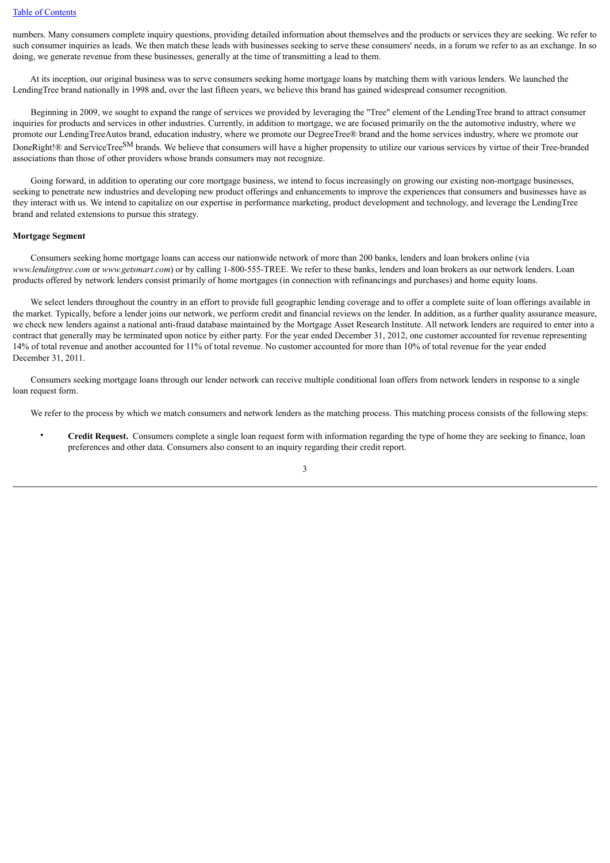numbers. Many consumers complete inquiry questions, providing detailed information about themselves and the products or services they are seeking. We refer to such consumer inquiries as leads. We then match these leads with businesses seeking to serve these consumers' needs, in a forum we refer to as an exchange. In so doing, we generate revenue from these businesses, generally at the time of transmitting a lead to them.

 At its inception, our original business was to serve consumers seeking home mortgage loans by matching them with various lenders. We launched the LendingTree brand nationally in 1998 and, over the last fifteen years, we believe this brand has gained widespread consumer recognition.

 Beginning in 2009, we sought to expand the range of services we provided by leveraging the "Tree" element of the LendingTree brand to attract consumer inquiries for products and services in other industries. Currently, in addition to mortgage, we are focused primarily on the the automotive industry, where we promote our LendingTreeAutos brand, education industry, where we promote our DegreeTree® brand and the home services industry, where we promote our DoneRight!® and ServiceTreeSM brands. We believe that consumers will have a higher propensity to utilize our various services by virtue of their Tree-branded associations than those of other providers whose brands consumers may not recognize.

 Going forward, in addition to operating our core mortgage business, we intend to focus increasingly on growing our existing non-mortgage businesses, seeking to penetrate new industries and developing new product offerings and enhancements to improve the experiences that consumers and businesses have as they interact with us. We intend to capitalize on our expertise in performance marketing, product development and technology, and leverage the LendingTree brand and related extensions to pursue this strategy.

#### **Mortgage Segment**

 Consumers seeking home mortgage loans can access our nationwide network of more than 200 banks, lenders and loan brokers online (via *www.lendingtree.com* or *www.getsmart.com*) or by calling 1-800-555-TREE. We refer to these banks, lenders and loan brokers as our network lenders. Loan products offered by network lenders consist primarily of home mortgages (in connection with refinancings and purchases) and home equity loans.

 We select lenders throughout the country in an effort to provide full geographic lending coverage and to offer a complete suite of loan offerings available in the market. Typically, before a lender joins our network, we perform credit and financial reviews on the lender. In addition, as a further quality assurance measure, we check new lenders against a national anti-fraud database maintained by the Mortgage Asset Research Institute. All network lenders are required to enter into a contract that generally may be terminated upon notice by either party. For the year ended December 31, 2012, one customer accounted for revenue representing 14% of total revenue and another accounted for 11% of total revenue. No customer accounted for more than 10% of total revenue for the year ended December 31, 2011.

 Consumers seeking mortgage loans through our lender network can receive multiple conditional loan offers from network lenders in response to a single loan request form.

We refer to the process by which we match consumers and network lenders as the matching process. This matching process consists of the following steps:

• **Credit Request.** Consumers complete a single loan request form with information regarding the type of home they are seeking to finance, loan preferences and other data. Consumers also consent to an inquiry regarding their credit report.

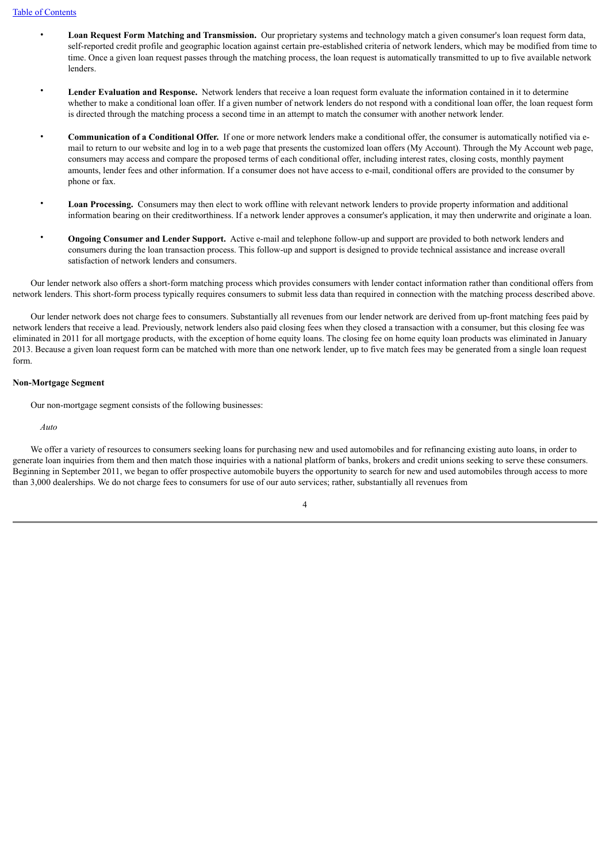- **Loan Request Form Matching and Transmission.** Our proprietary systems and technology match a given consumer's loan request form data, self-reported credit profile and geographic location against certain pre-established criteria of network lenders, which may be modified from time to time. Once a given loan request passes through the matching process, the loan request is automatically transmitted to up to five available network lenders.
- Lender Evaluation and Response. Network lenders that receive a loan request form evaluate the information contained in it to determine whether to make a conditional loan offer. If a given number of network lenders do not respond with a conditional loan offer, the loan request form is directed through the matching process a second time in an attempt to match the consumer with another network lender.
- **Communication of a Conditional Offer.** If one or more network lenders make a conditional offer, the consumer is automatically notified via email to return to our website and log in to a web page that presents the customized loan offers (My Account). Through the My Account web page, consumers may access and compare the proposed terms of each conditional offer, including interest rates, closing costs, monthly payment amounts, lender fees and other information. If a consumer does not have access to e-mail, conditional offers are provided to the consumer by phone or fax.
- **Loan Processing.** Consumers may then elect to work offline with relevant network lenders to provide property information and additional information bearing on their creditworthiness. If a network lender approves a consumer's application, it may then underwrite and originate a loan.
- **Ongoing Consumer and Lender Support.** Active e-mail and telephone follow-up and support are provided to both network lenders and consumers during the loan transaction process. This follow-up and support is designed to provide technical assistance and increase overall satisfaction of network lenders and consumers.

 Our lender network also offers a short-form matching process which provides consumers with lender contact information rather than conditional offers from network lenders. This short-form process typically requires consumers to submit less data than required in connection with the matching process described above.

 Our lender network does not charge fees to consumers. Substantially all revenues from our lender network are derived from up-front matching fees paid by network lenders that receive a lead. Previously, network lenders also paid closing fees when they closed a transaction with a consumer, but this closing fee was eliminated in 2011 for all mortgage products, with the exception of home equity loans. The closing fee on home equity loan products was eliminated in January 2013. Because a given loan request form can be matched with more than one network lender, up to five match fees may be generated from a single loan request form.

#### **Non-Mortgage Segment**

Our non-mortgage segment consists of the following businesses:

#### *Auto*

We offer a variety of resources to consumers seeking loans for purchasing new and used automobiles and for refinancing existing auto loans, in order to generate loan inquiries from them and then match those inquiries with a national platform of banks, brokers and credit unions seeking to serve these consumers. Beginning in September 2011, we began to offer prospective automobile buyers the opportunity to search for new and used automobiles through access to more than 3,000 dealerships. We do not charge fees to consumers for use of our auto services; rather, substantially all revenues from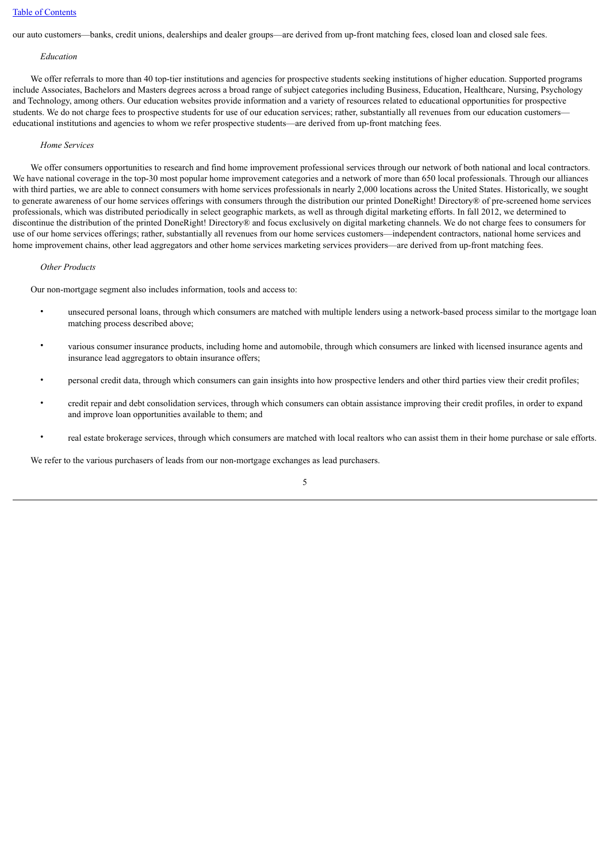our auto customers—banks, credit unions, dealerships and dealer groups—are derived from up-front matching fees, closed loan and closed sale fees.

#### *Education*

 We offer referrals to more than 40 top-tier institutions and agencies for prospective students seeking institutions of higher education. Supported programs include Associates, Bachelors and Masters degrees across a broad range of subject categories including Business, Education, Healthcare, Nursing, Psychology and Technology, among others. Our education websites provide information and a variety of resources related to educational opportunities for prospective students. We do not charge fees to prospective students for use of our education services; rather, substantially all revenues from our education customers educational institutions and agencies to whom we refer prospective students—are derived from up-front matching fees.

#### *Home Services*

We offer consumers opportunities to research and find home improvement professional services through our network of both national and local contractors. We have national coverage in the top-30 most popular home improvement categories and a network of more than 650 local professionals. Through our alliances with third parties, we are able to connect consumers with home services professionals in nearly 2,000 locations across the United States. Historically, we sought to generate awareness of our home services offerings with consumers through the distribution our printed DoneRight! Directory® of pre-screened home services professionals, which was distributed periodically in select geographic markets, as well as through digital marketing efforts. In fall 2012, we determined to discontinue the distribution of the printed DoneRight! Directory® and focus exclusively on digital marketing channels. We do not charge fees to consumers for use of our home services offerings; rather, substantially all revenues from our home services customers—independent contractors, national home services and home improvement chains, other lead aggregators and other home services marketing services providers—are derived from up-front matching fees.

#### *Other Products*

Our non-mortgage segment also includes information, tools and access to:

- unsecured personal loans, through which consumers are matched with multiple lenders using a network-based process similar to the mortgage loan matching process described above;
- various consumer insurance products, including home and automobile, through which consumers are linked with licensed insurance agents and insurance lead aggregators to obtain insurance offers;
- personal credit data, through which consumers can gain insights into how prospective lenders and other third parties view their credit profiles;
- credit repair and debt consolidation services, through which consumers can obtain assistance improving their credit profiles, in order to expand and improve loan opportunities available to them; and
- real estate brokerage services, through which consumers are matched with local realtors who can assist them in their home purchase or sale efforts.

We refer to the various purchasers of leads from our non-mortgage exchanges as lead purchasers.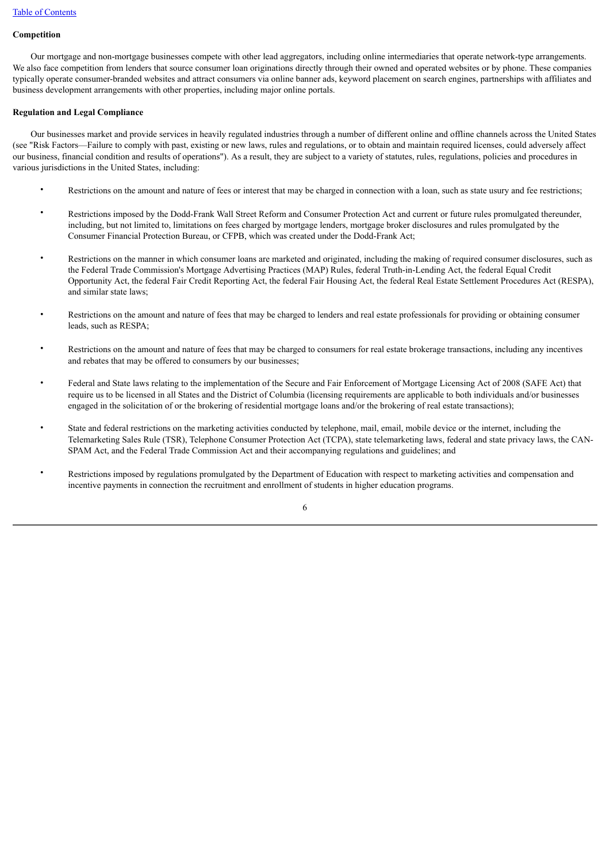## **Competition**

 Our mortgage and non-mortgage businesses compete with other lead aggregators, including online intermediaries that operate network-type arrangements. We also face competition from lenders that source consumer loan originations directly through their owned and operated websites or by phone. These companies typically operate consumer-branded websites and attract consumers via online banner ads, keyword placement on search engines, partnerships with affiliates and business development arrangements with other properties, including major online portals.

#### **Regulation and Legal Compliance**

 Our businesses market and provide services in heavily regulated industries through a number of different online and offline channels across the United States (see "Risk Factors—Failure to comply with past, existing or new laws, rules and regulations, or to obtain and maintain required licenses, could adversely affect our business, financial condition and results of operations"). As a result, they are subject to a variety of statutes, rules, regulations, policies and procedures in various jurisdictions in the United States, including:

- Restrictions on the amount and nature of fees or interest that may be charged in connection with a loan, such as state usury and fee restrictions;
- Restrictions imposed by the Dodd-Frank Wall Street Reform and Consumer Protection Act and current or future rules promulgated thereunder, including, but not limited to, limitations on fees charged by mortgage lenders, mortgage broker disclosures and rules promulgated by the Consumer Financial Protection Bureau, or CFPB, which was created under the Dodd-Frank Act;
- Restrictions on the manner in which consumer loans are marketed and originated, including the making of required consumer disclosures, such as the Federal Trade Commission's Mortgage Advertising Practices (MAP) Rules, federal Truth-in-Lending Act, the federal Equal Credit Opportunity Act, the federal Fair Credit Reporting Act, the federal Fair Housing Act, the federal Real Estate Settlement Procedures Act (RESPA), and similar state laws;
- Restrictions on the amount and nature of fees that may be charged to lenders and real estate professionals for providing or obtaining consumer leads, such as RESPA;
- Restrictions on the amount and nature of fees that may be charged to consumers for real estate brokerage transactions, including any incentives and rebates that may be offered to consumers by our businesses;
- Federal and State laws relating to the implementation of the Secure and Fair Enforcement of Mortgage Licensing Act of 2008 (SAFE Act) that require us to be licensed in all States and the District of Columbia (licensing requirements are applicable to both individuals and/or businesses engaged in the solicitation of or the brokering of residential mortgage loans and/or the brokering of real estate transactions);
- State and federal restrictions on the marketing activities conducted by telephone, mail, email, mobile device or the internet, including the Telemarketing Sales Rule (TSR), Telephone Consumer Protection Act (TCPA), state telemarketing laws, federal and state privacy laws, the CAN-SPAM Act, and the Federal Trade Commission Act and their accompanying regulations and guidelines; and
- Restrictions imposed by regulations promulgated by the Department of Education with respect to marketing activities and compensation and incentive payments in connection the recruitment and enrollment of students in higher education programs.

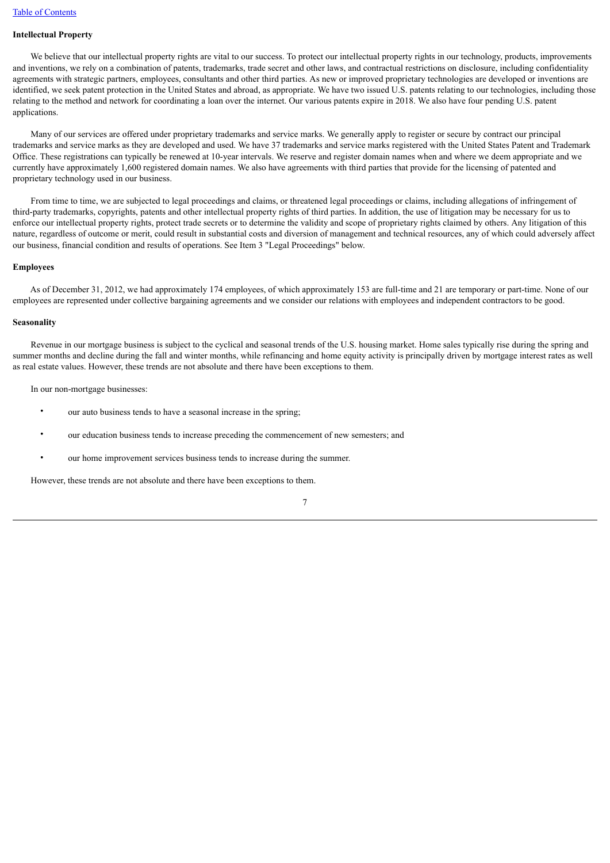## **Intellectual Property**

We believe that our intellectual property rights are vital to our success. To protect our intellectual property rights in our technology, products, improvements and inventions, we rely on a combination of patents, trademarks, trade secret and other laws, and contractual restrictions on disclosure, including confidentiality agreements with strategic partners, employees, consultants and other third parties. As new or improved proprietary technologies are developed or inventions are identified, we seek patent protection in the United States and abroad, as appropriate. We have two issued U.S. patents relating to our technologies, including those relating to the method and network for coordinating a loan over the internet. Our various patents expire in 2018. We also have four pending U.S. patent applications.

 Many of our services are offered under proprietary trademarks and service marks. We generally apply to register or secure by contract our principal trademarks and service marks as they are developed and used. We have 37 trademarks and service marks registered with the United States Patent and Trademark Office. These registrations can typically be renewed at 10-year intervals. We reserve and register domain names when and where we deem appropriate and we currently have approximately 1,600 registered domain names. We also have agreements with third parties that provide for the licensing of patented and proprietary technology used in our business.

 From time to time, we are subjected to legal proceedings and claims, or threatened legal proceedings or claims, including allegations of infringement of third-party trademarks, copyrights, patents and other intellectual property rights of third parties. In addition, the use of litigation may be necessary for us to enforce our intellectual property rights, protect trade secrets or to determine the validity and scope of proprietary rights claimed by others. Any litigation of this nature, regardless of outcome or merit, could result in substantial costs and diversion of management and technical resources, any of which could adversely affect our business, financial condition and results of operations. See Item 3 "Legal Proceedings" below.

#### **Employees**

 As of December 31, 2012, we had approximately 174 employees, of which approximately 153 are full-time and 21 are temporary or part-time. None of our employees are represented under collective bargaining agreements and we consider our relations with employees and independent contractors to be good.

#### **Seasonality**

 Revenue in our mortgage business is subject to the cyclical and seasonal trends of the U.S. housing market. Home sales typically rise during the spring and summer months and decline during the fall and winter months, while refinancing and home equity activity is principally driven by mortgage interest rates as well as real estate values. However, these trends are not absolute and there have been exceptions to them.

In our non-mortgage businesses:

- our auto business tends to have a seasonal increase in the spring;
- our education business tends to increase preceding the commencement of new semesters; and
- our home improvement services business tends to increase during the summer.

However, these trends are not absolute and there have been exceptions to them.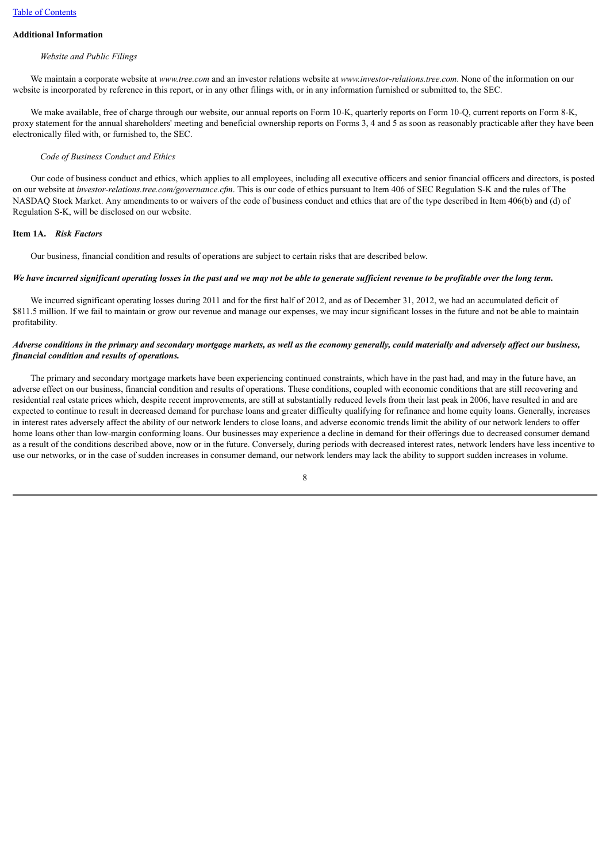## **Additional Information**

#### *Website and Public Filings*

 We maintain a corporate website at *www.tree.com* and an investor relations website at *www.investor-relations.tree.com*. None of the information on our website is incorporated by reference in this report, or in any other filings with, or in any information furnished or submitted to, the SEC.

We make available, free of charge through our website, our annual reports on Form 10-K, quarterly reports on Form 10-O, current reports on Form 8-K, proxy statement for the annual shareholders' meeting and beneficial ownership reports on Forms 3, 4 and 5 as soon as reasonably practicable after they have been electronically filed with, or furnished to, the SEC.

## *Code of Business Conduct and Ethics*

 Our code of business conduct and ethics, which applies to all employees, including all executive officers and senior financial officers and directors, is posted on our website at *investor-relations.tree.com/governance.cfm*. This is our code of ethics pursuant to Item 406 of SEC Regulation S-K and the rules of The NASDAQ Stock Market. Any amendments to or waivers of the code of business conduct and ethics that are of the type described in Item 406(b) and (d) of Regulation S-K, will be disclosed on our website.

#### <span id="page-10-0"></span>**Item 1A.** *Risk Factors*

Our business, financial condition and results of operations are subject to certain risks that are described below.

## *We have incurred significant operating losses in the past and we may not be able to generate sufficient revenue to be profitable over the long term.*

We incurred significant operating losses during 2011 and for the first half of 2012, and as of December 31, 2012, we had an accumulated deficit of \$811.5 million. If we fail to maintain or grow our revenue and manage our expenses, we may incur significant losses in the future and not be able to maintain profitability.

## *Adverse conditions in the primary and secondary mortgage markets, as well as the economy generally, could materially and adversely affect our business, financial condition and results of operations.*

 The primary and secondary mortgage markets have been experiencing continued constraints, which have in the past had, and may in the future have, an adverse effect on our business, financial condition and results of operations. These conditions, coupled with economic conditions that are still recovering and residential real estate prices which, despite recent improvements, are still at substantially reduced levels from their last peak in 2006, have resulted in and are expected to continue to result in decreased demand for purchase loans and greater difficulty qualifying for refinance and home equity loans. Generally, increases in interest rates adversely affect the ability of our network lenders to close loans, and adverse economic trends limit the ability of our network lenders to offer home loans other than low-margin conforming loans. Our businesses may experience a decline in demand for their offerings due to decreased consumer demand as a result of the conditions described above, now or in the future. Conversely, during periods with decreased interest rates, network lenders have less incentive to use our networks, or in the case of sudden increases in consumer demand, our network lenders may lack the ability to support sudden increases in volume.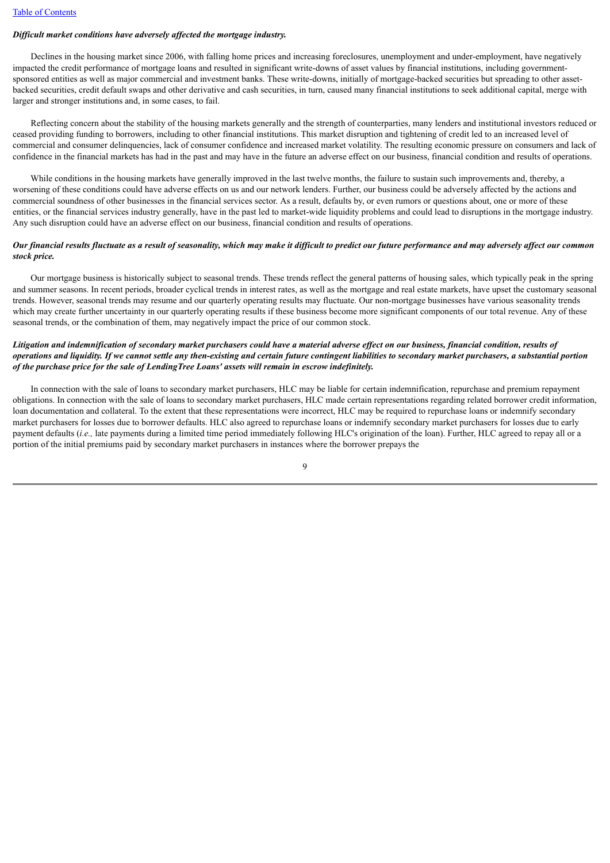#### *Difficult market conditions have adversely affected the mortgage industry.*

 Declines in the housing market since 2006, with falling home prices and increasing foreclosures, unemployment and under-employment, have negatively impacted the credit performance of mortgage loans and resulted in significant write-downs of asset values by financial institutions, including governmentsponsored entities as well as major commercial and investment banks. These write-downs, initially of mortgage-backed securities but spreading to other assetbacked securities, credit default swaps and other derivative and cash securities, in turn, caused many financial institutions to seek additional capital, merge with larger and stronger institutions and, in some cases, to fail.

 Reflecting concern about the stability of the housing markets generally and the strength of counterparties, many lenders and institutional investors reduced or ceased providing funding to borrowers, including to other financial institutions. This market disruption and tightening of credit led to an increased level of commercial and consumer delinquencies, lack of consumer confidence and increased market volatility. The resulting economic pressure on consumers and lack of confidence in the financial markets has had in the past and may have in the future an adverse effect on our business, financial condition and results of operations.

While conditions in the housing markets have generally improved in the last twelve months, the failure to sustain such improvements and, thereby, a worsening of these conditions could have adverse effects on us and our network lenders. Further, our business could be adversely affected by the actions and commercial soundness of other businesses in the financial services sector. As a result, defaults by, or even rumors or questions about, one or more of these entities, or the financial services industry generally, have in the past led to market-wide liquidity problems and could lead to disruptions in the mortgage industry. Any such disruption could have an adverse effect on our business, financial condition and results of operations.

## *Our financial results fluctuate as a result of seasonality, which may make it difficult to predict our future performance and may adversely affect our common stock price.*

 Our mortgage business is historically subject to seasonal trends. These trends reflect the general patterns of housing sales, which typically peak in the spring and summer seasons. In recent periods, broader cyclical trends in interest rates, as well as the mortgage and real estate markets, have upset the customary seasonal trends. However, seasonal trends may resume and our quarterly operating results may fluctuate. Our non-mortgage businesses have various seasonality trends which may create further uncertainty in our quarterly operating results if these business become more significant components of our total revenue. Any of these seasonal trends, or the combination of them, may negatively impact the price of our common stock.

## *Litigation and indemnification of secondary market purchasers could have a material adverse effect on our business, financial condition, results of operations and liquidity. If we cannot settle any then-existing and certain future contingent liabilities to secondary market purchasers, a substantial portion of the purchase price for the sale of LendingTree Loans' assets will remain in escrow indefinitely.*

 In connection with the sale of loans to secondary market purchasers, HLC may be liable for certain indemnification, repurchase and premium repayment obligations. In connection with the sale of loans to secondary market purchasers, HLC made certain representations regarding related borrower credit information, loan documentation and collateral. To the extent that these representations were incorrect, HLC may be required to repurchase loans or indemnify secondary market purchasers for losses due to borrower defaults. HLC also agreed to repurchase loans or indemnify secondary market purchasers for losses due to early payment defaults (*i.e.,* late payments during a limited time period immediately following HLC's origination of the loan). Further, HLC agreed to repay all or a portion of the initial premiums paid by secondary market purchasers in instances where the borrower prepays the

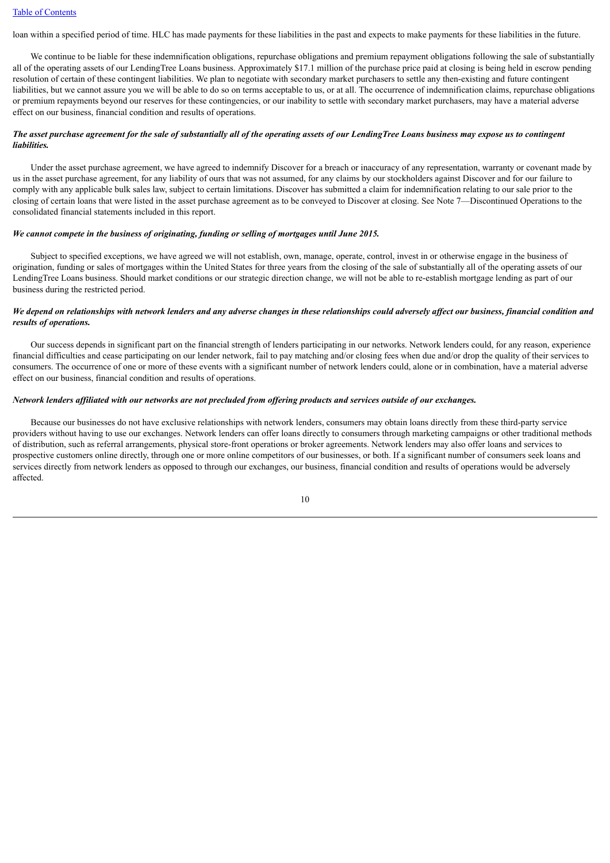loan within a specified period of time. HLC has made payments for these liabilities in the past and expects to make payments for these liabilities in the future.

We continue to be liable for these indemnification obligations, repurchase obligations and premium repayment obligations following the sale of substantially all of the operating assets of our LendingTree Loans business. Approximately \$17.1 million of the purchase price paid at closing is being held in escrow pending resolution of certain of these contingent liabilities. We plan to negotiate with secondary market purchasers to settle any then-existing and future contingent liabilities, but we cannot assure you we will be able to do so on terms acceptable to us, or at all. The occurrence of indemnification claims, repurchase obligations or premium repayments beyond our reserves for these contingencies, or our inability to settle with secondary market purchasers, may have a material adverse effect on our business, financial condition and results of operations.

## *The asset purchase agreement for the sale of substantially all of the operating assets of our LendingTree Loans business may expose us to contingent liabilities.*

 Under the asset purchase agreement, we have agreed to indemnify Discover for a breach or inaccuracy of any representation, warranty or covenant made by us in the asset purchase agreement, for any liability of ours that was not assumed, for any claims by our stockholders against Discover and for our failure to comply with any applicable bulk sales law, subject to certain limitations. Discover has submitted a claim for indemnification relating to our sale prior to the closing of certain loans that were listed in the asset purchase agreement as to be conveyed to Discover at closing. See Note 7—Discontinued Operations to the consolidated financial statements included in this report.

#### *We cannot compete in the business of originating, funding or selling of mortgages until June 2015.*

 Subject to specified exceptions, we have agreed we will not establish, own, manage, operate, control, invest in or otherwise engage in the business of origination, funding or sales of mortgages within the United States for three years from the closing of the sale of substantially all of the operating assets of our LendingTree Loans business. Should market conditions or our strategic direction change, we will not be able to re-establish mortgage lending as part of our business during the restricted period.

## *We depend on relationships with network lenders and any adverse changes in these relationships could adversely affect our business, financial condition and results of operations.*

 Our success depends in significant part on the financial strength of lenders participating in our networks. Network lenders could, for any reason, experience financial difficulties and cease participating on our lender network, fail to pay matching and/or closing fees when due and/or drop the quality of their services to consumers. The occurrence of one or more of these events with a significant number of network lenders could, alone or in combination, have a material adverse effect on our business, financial condition and results of operations.

## *Network lenders affiliated with our networks are not precluded from offering products and services outside of our exchanges.*

 Because our businesses do not have exclusive relationships with network lenders, consumers may obtain loans directly from these third-party service providers without having to use our exchanges. Network lenders can offer loans directly to consumers through marketing campaigns or other traditional methods of distribution, such as referral arrangements, physical store-front operations or broker agreements. Network lenders may also offer loans and services to prospective customers online directly, through one or more online competitors of our businesses, or both. If a significant number of consumers seek loans and services directly from network lenders as opposed to through our exchanges, our business, financial condition and results of operations would be adversely affected.

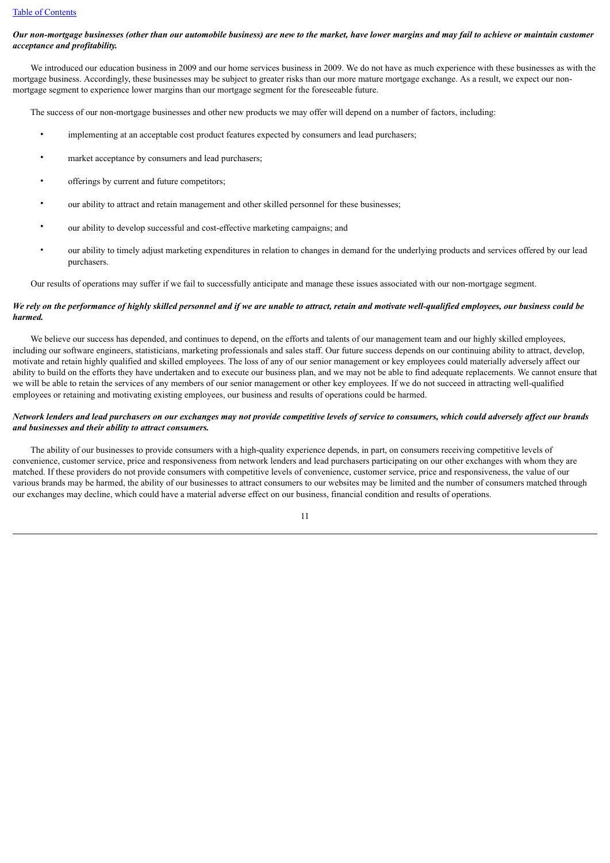## *Our non-mortgage businesses (other than our automobile business) are new to the market, have lower margins and may fail to achieve or maintain customer acceptance and profitability.*

 We introduced our education business in 2009 and our home services business in 2009. We do not have as much experience with these businesses as with the mortgage business. Accordingly, these businesses may be subject to greater risks than our more mature mortgage exchange. As a result, we expect our nonmortgage segment to experience lower margins than our mortgage segment for the foreseeable future.

The success of our non-mortgage businesses and other new products we may offer will depend on a number of factors, including:

- implementing at an acceptable cost product features expected by consumers and lead purchasers;
- market acceptance by consumers and lead purchasers;
- offerings by current and future competitors;
- our ability to attract and retain management and other skilled personnel for these businesses;
- our ability to develop successful and cost-effective marketing campaigns; and
- our ability to timely adjust marketing expenditures in relation to changes in demand for the underlying products and services offered by our lead purchasers.

Our results of operations may suffer if we fail to successfully anticipate and manage these issues associated with our non-mortgage segment.

## *We rely on the performance of highly skilled personnel and if we are unable to attract, retain and motivate well-qualified employees, our business could be harmed.*

We believe our success has depended, and continues to depend, on the efforts and talents of our management team and our highly skilled employees, including our software engineers, statisticians, marketing professionals and sales staff. Our future success depends on our continuing ability to attract, develop, motivate and retain highly qualified and skilled employees. The loss of any of our senior management or key employees could materially adversely affect our ability to build on the efforts they have undertaken and to execute our business plan, and we may not be able to find adequate replacements. We cannot ensure that we will be able to retain the services of any members of our senior management or other key employees. If we do not succeed in attracting well-qualified employees or retaining and motivating existing employees, our business and results of operations could be harmed.

## *Network lenders and lead purchasers on our exchanges may not provide competitive levels of service to consumers, which could adversely affect our brands and businesses and their ability to attract consumers.*

 The ability of our businesses to provide consumers with a high-quality experience depends, in part, on consumers receiving competitive levels of convenience, customer service, price and responsiveness from network lenders and lead purchasers participating on our other exchanges with whom they are matched. If these providers do not provide consumers with competitive levels of convenience, customer service, price and responsiveness, the value of our various brands may be harmed, the ability of our businesses to attract consumers to our websites may be limited and the number of consumers matched through our exchanges may decline, which could have a material adverse effect on our business, financial condition and results of operations.

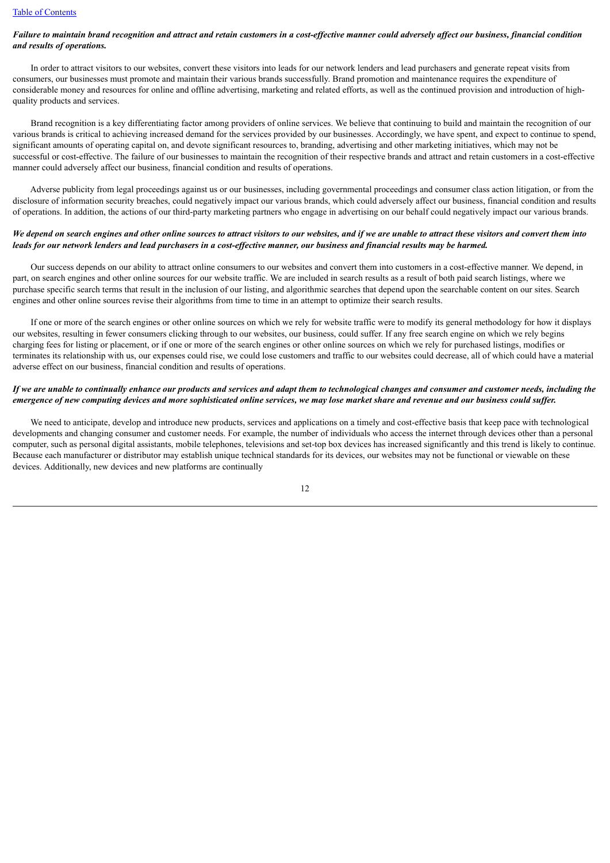## *Failure to maintain brand recognition and attract and retain customers in a cost-effective manner could adversely affect our business, financial condition and results of operations.*

 In order to attract visitors to our websites, convert these visitors into leads for our network lenders and lead purchasers and generate repeat visits from consumers, our businesses must promote and maintain their various brands successfully. Brand promotion and maintenance requires the expenditure of considerable money and resources for online and offline advertising, marketing and related efforts, as well as the continued provision and introduction of highquality products and services.

 Brand recognition is a key differentiating factor among providers of online services. We believe that continuing to build and maintain the recognition of our various brands is critical to achieving increased demand for the services provided by our businesses. Accordingly, we have spent, and expect to continue to spend, significant amounts of operating capital on, and devote significant resources to, branding, advertising and other marketing initiatives, which may not be successful or cost-effective. The failure of our businesses to maintain the recognition of their respective brands and attract and retain customers in a cost-effective manner could adversely affect our business, financial condition and results of operations.

 Adverse publicity from legal proceedings against us or our businesses, including governmental proceedings and consumer class action litigation, or from the disclosure of information security breaches, could negatively impact our various brands, which could adversely affect our business, financial condition and results of operations. In addition, the actions of our third-party marketing partners who engage in advertising on our behalf could negatively impact our various brands.

## *We depend on search engines and other online sources to attract visitors to our websites, and if we are unable to attract these visitors and convert them into leads for our network lenders and lead purchasers in a cost-effective manner, our business and financial results may be harmed.*

 Our success depends on our ability to attract online consumers to our websites and convert them into customers in a cost-effective manner. We depend, in part, on search engines and other online sources for our website traffic. We are included in search results as a result of both paid search listings, where we purchase specific search terms that result in the inclusion of our listing, and algorithmic searches that depend upon the searchable content on our sites. Search engines and other online sources revise their algorithms from time to time in an attempt to optimize their search results.

 If one or more of the search engines or other online sources on which we rely for website traffic were to modify its general methodology for how it displays our websites, resulting in fewer consumers clicking through to our websites, our business, could suffer. If any free search engine on which we rely begins charging fees for listing or placement, or if one or more of the search engines or other online sources on which we rely for purchased listings, modifies or terminates its relationship with us, our expenses could rise, we could lose customers and traffic to our websites could decrease, all of which could have a material adverse effect on our business, financial condition and results of operations.

## *If we are unable to continually enhance our products and services and adapt them to technological changes and consumer and customer needs, including the emergence of new computing devices and more sophisticated online services, we may lose market share and revenue and our business could suffer.*

 We need to anticipate, develop and introduce new products, services and applications on a timely and cost-effective basis that keep pace with technological developments and changing consumer and customer needs. For example, the number of individuals who access the internet through devices other than a personal computer, such as personal digital assistants, mobile telephones, televisions and set-top box devices has increased significantly and this trend is likely to continue. Because each manufacturer or distributor may establish unique technical standards for its devices, our websites may not be functional or viewable on these devices. Additionally, new devices and new platforms are continually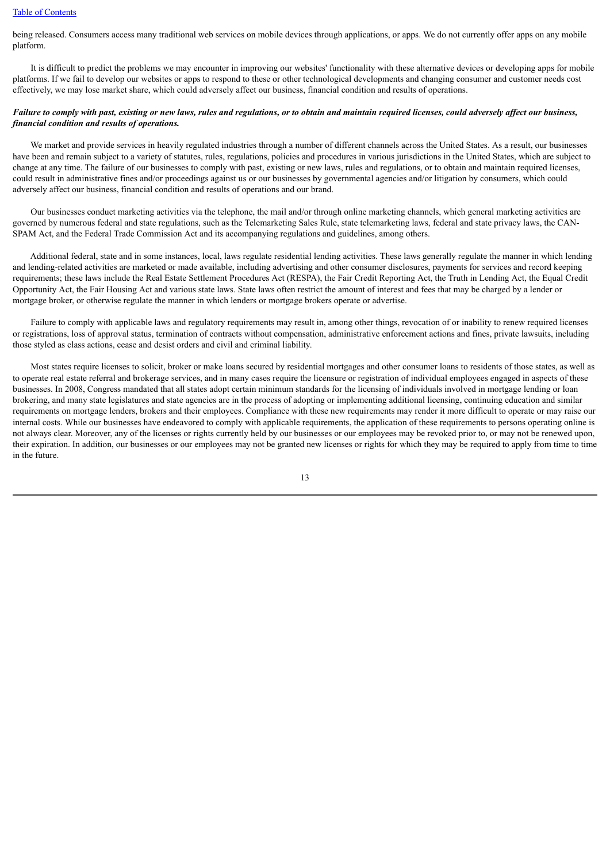## [Table of Contents](#page-2-0)

being released. Consumers access many traditional web services on mobile devices through applications, or apps. We do not currently offer apps on any mobile platform.

 It is difficult to predict the problems we may encounter in improving our websites' functionality with these alternative devices or developing apps for mobile platforms. If we fail to develop our websites or apps to respond to these or other technological developments and changing consumer and customer needs cost effectively, we may lose market share, which could adversely affect our business, financial condition and results of operations.

## *Failure to comply with past, existing or new laws, rules and regulations, or to obtain and maintain required licenses, could adversely affect our business, financial condition and results of operations.*

 We market and provide services in heavily regulated industries through a number of different channels across the United States. As a result, our businesses have been and remain subject to a variety of statutes, rules, regulations, policies and procedures in various jurisdictions in the United States, which are subject to change at any time. The failure of our businesses to comply with past, existing or new laws, rules and regulations, or to obtain and maintain required licenses, could result in administrative fines and/or proceedings against us or our businesses by governmental agencies and/or litigation by consumers, which could adversely affect our business, financial condition and results of operations and our brand.

 Our businesses conduct marketing activities via the telephone, the mail and/or through online marketing channels, which general marketing activities are governed by numerous federal and state regulations, such as the Telemarketing Sales Rule, state telemarketing laws, federal and state privacy laws, the CAN-SPAM Act, and the Federal Trade Commission Act and its accompanying regulations and guidelines, among others.

 Additional federal, state and in some instances, local, laws regulate residential lending activities. These laws generally regulate the manner in which lending and lending-related activities are marketed or made available, including advertising and other consumer disclosures, payments for services and record keeping requirements; these laws include the Real Estate Settlement Procedures Act (RESPA), the Fair Credit Reporting Act, the Truth in Lending Act, the Equal Credit Opportunity Act, the Fair Housing Act and various state laws. State laws often restrict the amount of interest and fees that may be charged by a lender or mortgage broker, or otherwise regulate the manner in which lenders or mortgage brokers operate or advertise.

 Failure to comply with applicable laws and regulatory requirements may result in, among other things, revocation of or inability to renew required licenses or registrations, loss of approval status, termination of contracts without compensation, administrative enforcement actions and fines, private lawsuits, including those styled as class actions, cease and desist orders and civil and criminal liability.

 Most states require licenses to solicit, broker or make loans secured by residential mortgages and other consumer loans to residents of those states, as well as to operate real estate referral and brokerage services, and in many cases require the licensure or registration of individual employees engaged in aspects of these businesses. In 2008, Congress mandated that all states adopt certain minimum standards for the licensing of individuals involved in mortgage lending or loan brokering, and many state legislatures and state agencies are in the process of adopting or implementing additional licensing, continuing education and similar requirements on mortgage lenders, brokers and their employees. Compliance with these new requirements may render it more difficult to operate or may raise our internal costs. While our businesses have endeavored to comply with applicable requirements, the application of these requirements to persons operating online is not always clear. Moreover, any of the licenses or rights currently held by our businesses or our employees may be revoked prior to, or may not be renewed upon, their expiration. In addition, our businesses or our employees may not be granted new licenses or rights for which they may be required to apply from time to time in the future.

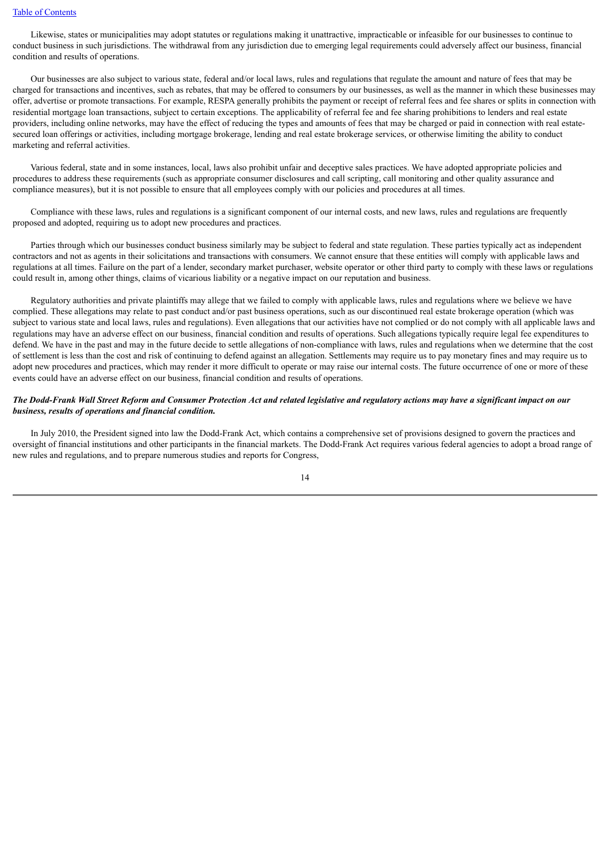Likewise, states or municipalities may adopt statutes or regulations making it unattractive, impracticable or infeasible for our businesses to continue to conduct business in such jurisdictions. The withdrawal from any jurisdiction due to emerging legal requirements could adversely affect our business, financial condition and results of operations.

 Our businesses are also subject to various state, federal and/or local laws, rules and regulations that regulate the amount and nature of fees that may be charged for transactions and incentives, such as rebates, that may be offered to consumers by our businesses, as well as the manner in which these businesses may offer, advertise or promote transactions. For example, RESPA generally prohibits the payment or receipt of referral fees and fee shares or splits in connection with residential mortgage loan transactions, subject to certain exceptions. The applicability of referral fee and fee sharing prohibitions to lenders and real estate providers, including online networks, may have the effect of reducing the types and amounts of fees that may be charged or paid in connection with real estatesecured loan offerings or activities, including mortgage brokerage, lending and real estate brokerage services, or otherwise limiting the ability to conduct marketing and referral activities.

 Various federal, state and in some instances, local, laws also prohibit unfair and deceptive sales practices. We have adopted appropriate policies and procedures to address these requirements (such as appropriate consumer disclosures and call scripting, call monitoring and other quality assurance and compliance measures), but it is not possible to ensure that all employees comply with our policies and procedures at all times.

 Compliance with these laws, rules and regulations is a significant component of our internal costs, and new laws, rules and regulations are frequently proposed and adopted, requiring us to adopt new procedures and practices.

 Parties through which our businesses conduct business similarly may be subject to federal and state regulation. These parties typically act as independent contractors and not as agents in their solicitations and transactions with consumers. We cannot ensure that these entities will comply with applicable laws and regulations at all times. Failure on the part of a lender, secondary market purchaser, website operator or other third party to comply with these laws or regulations could result in, among other things, claims of vicarious liability or a negative impact on our reputation and business.

 Regulatory authorities and private plaintiffs may allege that we failed to comply with applicable laws, rules and regulations where we believe we have complied. These allegations may relate to past conduct and/or past business operations, such as our discontinued real estate brokerage operation (which was subject to various state and local laws, rules and regulations). Even allegations that our activities have not complied or do not comply with all applicable laws and regulations may have an adverse effect on our business, financial condition and results of operations. Such allegations typically require legal fee expenditures to defend. We have in the past and may in the future decide to settle allegations of non-compliance with laws, rules and regulations when we determine that the cost of settlement is less than the cost and risk of continuing to defend against an allegation. Settlements may require us to pay monetary fines and may require us to adopt new procedures and practices, which may render it more difficult to operate or may raise our internal costs. The future occurrence of one or more of these events could have an adverse effect on our business, financial condition and results of operations.

## *The Dodd-Frank Wall Street Reform and Consumer Protection Act and related legislative and regulatory actions may have a significant impact on our business, results of operations and financial condition.*

 In July 2010, the President signed into law the Dodd-Frank Act, which contains a comprehensive set of provisions designed to govern the practices and oversight of financial institutions and other participants in the financial markets. The Dodd-Frank Act requires various federal agencies to adopt a broad range of new rules and regulations, and to prepare numerous studies and reports for Congress,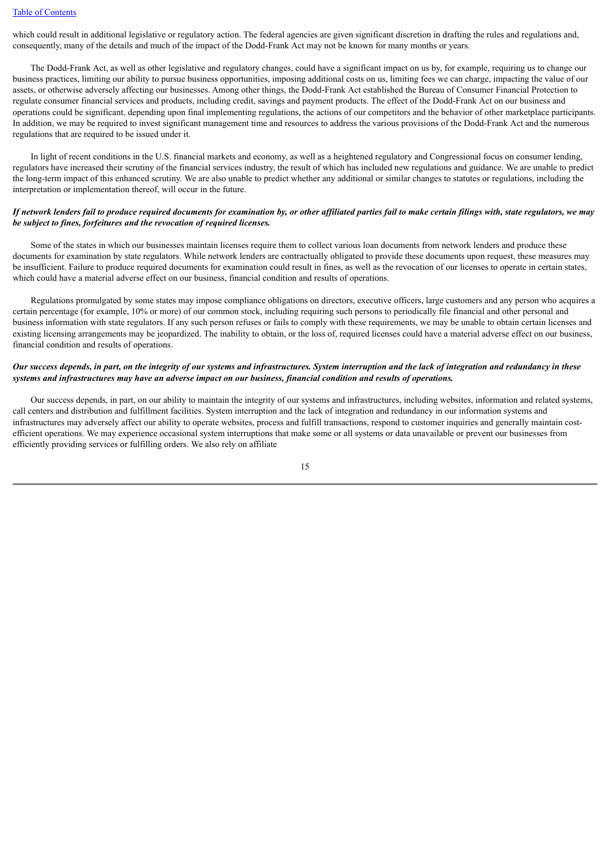which could result in additional legislative or regulatory action. The federal agencies are given significant discretion in drafting the rules and regulations and, consequently, many of the details and much of the impact of the Dodd-Frank Act may not be known for many months or years.

 The Dodd-Frank Act, as well as other legislative and regulatory changes, could have a significant impact on us by, for example, requiring us to change our business practices, limiting our ability to pursue business opportunities, imposing additional costs on us, limiting fees we can charge, impacting the value of our assets, or otherwise adversely affecting our businesses. Among other things, the Dodd-Frank Act established the Bureau of Consumer Financial Protection to regulate consumer financial services and products, including credit, savings and payment products. The effect of the Dodd-Frank Act on our business and operations could be significant, depending upon final implementing regulations, the actions of our competitors and the behavior of other marketplace participants. In addition, we may be required to invest significant management time and resources to address the various provisions of the Dodd-Frank Act and the numerous regulations that are required to be issued under it.

 In light of recent conditions in the U.S. financial markets and economy, as well as a heightened regulatory and Congressional focus on consumer lending, regulators have increased their scrutiny of the financial services industry, the result of which has included new regulations and guidance. We are unable to predict the long-term impact of this enhanced scrutiny. We are also unable to predict whether any additional or similar changes to statutes or regulations, including the interpretation or implementation thereof, will occur in the future.

## *If network lenders fail to produce required documents for examination by, or other affiliated parties fail to make certain filings with, state regulators, we may be subject to fines, forfeitures and the revocation of required licenses.*

 Some of the states in which our businesses maintain licenses require them to collect various loan documents from network lenders and produce these documents for examination by state regulators. While network lenders are contractually obligated to provide these documents upon request, these measures may be insufficient. Failure to produce required documents for examination could result in fines, as well as the revocation of our licenses to operate in certain states, which could have a material adverse effect on our business, financial condition and results of operations.

 Regulations promulgated by some states may impose compliance obligations on directors, executive officers, large customers and any person who acquires a certain percentage (for example, 10% or more) of our common stock, including requiring such persons to periodically file financial and other personal and business information with state regulators. If any such person refuses or fails to comply with these requirements, we may be unable to obtain certain licenses and existing licensing arrangements may be jeopardized. The inability to obtain, or the loss of, required licenses could have a material adverse effect on our business, financial condition and results of operations.

## *Our success depends, in part, on the integrity of our systems and infrastructures. System interruption and the lack of integration and redundancy in these systems and infrastructures may have an adverse impact on our business, financial condition and results of operations.*

 Our success depends, in part, on our ability to maintain the integrity of our systems and infrastructures, including websites, information and related systems, call centers and distribution and fulfillment facilities. System interruption and the lack of integration and redundancy in our information systems and infrastructures may adversely affect our ability to operate websites, process and fulfill transactions, respond to customer inquiries and generally maintain costefficient operations. We may experience occasional system interruptions that make some or all systems or data unavailable or prevent our businesses from efficiently providing services or fulfilling orders. We also rely on affiliate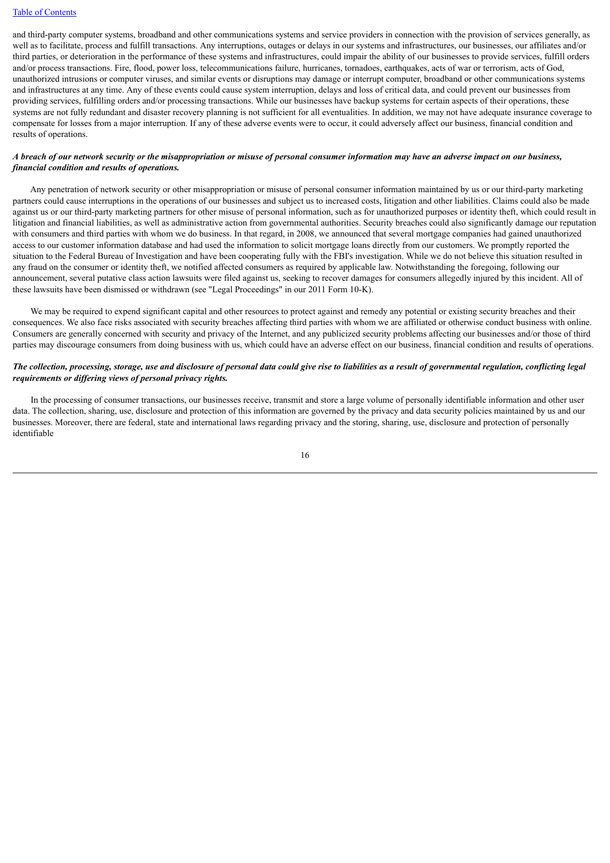and third-party computer systems, broadband and other communications systems and service providers in connection with the provision of services generally, as well as to facilitate, process and fulfill transactions. Any interruptions, outages or delays in our systems and infrastructures, our businesses, our affiliates and/or third parties, or deterioration in the performance of these systems and infrastructures, could impair the ability of our businesses to provide services, fulfill orders and/or process transactions. Fire, flood, power loss, telecommunications failure, hurricanes, tornadoes, earthquakes, acts of war or terrorism, acts of God, unauthorized intrusions or computer viruses, and similar events or disruptions may damage or interrupt computer, broadband or other communications systems and infrastructures at any time. Any of these events could cause system interruption, delays and loss of critical data, and could prevent our businesses from providing services, fulfilling orders and/or processing transactions. While our businesses have backup systems for certain aspects of their operations, these systems are not fully redundant and disaster recovery planning is not sufficient for all eventualities. In addition, we may not have adequate insurance coverage to compensate for losses from a major interruption. If any of these adverse events were to occur, it could adversely affect our business, financial condition and results of operations.

## *A breach of our network security or the misappropriation or misuse of personal consumer information may have an adverse impact on our business, financial condition and results of operations.*

 Any penetration of network security or other misappropriation or misuse of personal consumer information maintained by us or our third-party marketing partners could cause interruptions in the operations of our businesses and subject us to increased costs, litigation and other liabilities. Claims could also be made against us or our third-party marketing partners for other misuse of personal information, such as for unauthorized purposes or identity theft, which could result in litigation and financial liabilities, as well as administrative action from governmental authorities. Security breaches could also significantly damage our reputation with consumers and third parties with whom we do business. In that regard, in 2008, we announced that several mortgage companies had gained unauthorized access to our customer information database and had used the information to solicit mortgage loans directly from our customers. We promptly reported the situation to the Federal Bureau of Investigation and have been cooperating fully with the FBI's investigation. While we do not believe this situation resulted in any fraud on the consumer or identity theft, we notified affected consumers as required by applicable law. Notwithstanding the foregoing, following our announcement, several putative class action lawsuits were filed against us, seeking to recover damages for consumers allegedly injured by this incident. All of these lawsuits have been dismissed or withdrawn (see "Legal Proceedings" in our 2011 Form 10-K).

 We may be required to expend significant capital and other resources to protect against and remedy any potential or existing security breaches and their consequences. We also face risks associated with security breaches affecting third parties with whom we are affiliated or otherwise conduct business with online. Consumers are generally concerned with security and privacy of the Internet, and any publicized security problems affecting our businesses and/or those of third parties may discourage consumers from doing business with us, which could have an adverse effect on our business, financial condition and results of operations.

## *The collection, processing, storage, use and disclosure of personal data could give rise to liabilities as a result of governmental regulation, conflicting legal requirements or differing views of personal privacy rights.*

 In the processing of consumer transactions, our businesses receive, transmit and store a large volume of personally identifiable information and other user data. The collection, sharing, use, disclosure and protection of this information are governed by the privacy and data security policies maintained by us and our businesses. Moreover, there are federal, state and international laws regarding privacy and the storing, sharing, use, disclosure and protection of personally identifiable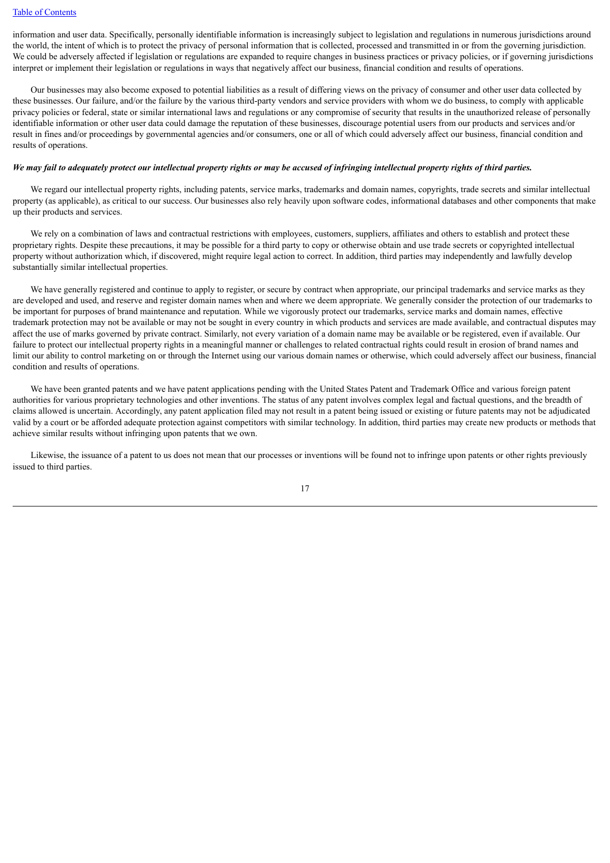information and user data. Specifically, personally identifiable information is increasingly subject to legislation and regulations in numerous jurisdictions around the world, the intent of which is to protect the privacy of personal information that is collected, processed and transmitted in or from the governing jurisdiction. We could be adversely affected if legislation or regulations are expanded to require changes in business practices or privacy policies, or if governing jurisdictions interpret or implement their legislation or regulations in ways that negatively affect our business, financial condition and results of operations.

 Our businesses may also become exposed to potential liabilities as a result of differing views on the privacy of consumer and other user data collected by these businesses. Our failure, and/or the failure by the various third-party vendors and service providers with whom we do business, to comply with applicable privacy policies or federal, state or similar international laws and regulations or any compromise of security that results in the unauthorized release of personally identifiable information or other user data could damage the reputation of these businesses, discourage potential users from our products and services and/or result in fines and/or proceedings by governmental agencies and/or consumers, one or all of which could adversely affect our business, financial condition and results of operations.

## *We may fail to adequately protect our intellectual property rights or may be accused of infringing intellectual property rights of third parties.*

We regard our intellectual property rights, including patents, service marks, trademarks and domain names, copyrights, trade secrets and similar intellectual property (as applicable), as critical to our success. Our businesses also rely heavily upon software codes, informational databases and other components that make up their products and services.

 We rely on a combination of laws and contractual restrictions with employees, customers, suppliers, affiliates and others to establish and protect these proprietary rights. Despite these precautions, it may be possible for a third party to copy or otherwise obtain and use trade secrets or copyrighted intellectual property without authorization which, if discovered, might require legal action to correct. In addition, third parties may independently and lawfully develop substantially similar intellectual properties.

We have generally registered and continue to apply to register, or secure by contract when appropriate, our principal trademarks and service marks as they are developed and used, and reserve and register domain names when and where we deem appropriate. We generally consider the protection of our trademarks to be important for purposes of brand maintenance and reputation. While we vigorously protect our trademarks, service marks and domain names, effective trademark protection may not be available or may not be sought in every country in which products and services are made available, and contractual disputes may affect the use of marks governed by private contract. Similarly, not every variation of a domain name may be available or be registered, even if available. Our failure to protect our intellectual property rights in a meaningful manner or challenges to related contractual rights could result in erosion of brand names and limit our ability to control marketing on or through the Internet using our various domain names or otherwise, which could adversely affect our business, financial condition and results of operations.

 We have been granted patents and we have patent applications pending with the United States Patent and Trademark Office and various foreign patent authorities for various proprietary technologies and other inventions. The status of any patent involves complex legal and factual questions, and the breadth of claims allowed is uncertain. Accordingly, any patent application filed may not result in a patent being issued or existing or future patents may not be adjudicated valid by a court or be afforded adequate protection against competitors with similar technology. In addition, third parties may create new products or methods that achieve similar results without infringing upon patents that we own.

 Likewise, the issuance of a patent to us does not mean that our processes or inventions will be found not to infringe upon patents or other rights previously issued to third parties.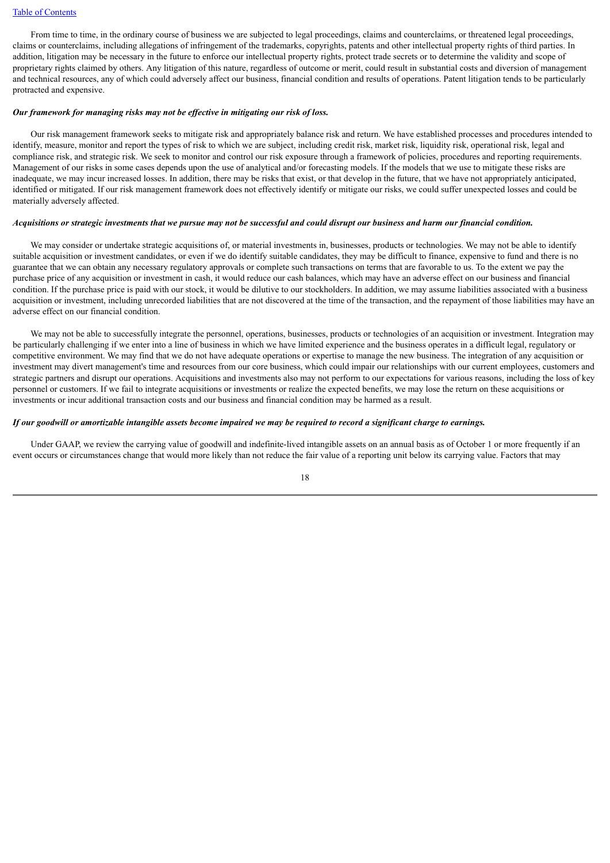#### [Table of Contents](#page-2-0)

 From time to time, in the ordinary course of business we are subjected to legal proceedings, claims and counterclaims, or threatened legal proceedings, claims or counterclaims, including allegations of infringement of the trademarks, copyrights, patents and other intellectual property rights of third parties. In addition, litigation may be necessary in the future to enforce our intellectual property rights, protect trade secrets or to determine the validity and scope of proprietary rights claimed by others. Any litigation of this nature, regardless of outcome or merit, could result in substantial costs and diversion of management and technical resources, any of which could adversely affect our business, financial condition and results of operations. Patent litigation tends to be particularly protracted and expensive.

#### *Our framework for managing risks may not be effective in mitigating our risk of loss.*

 Our risk management framework seeks to mitigate risk and appropriately balance risk and return. We have established processes and procedures intended to identify, measure, monitor and report the types of risk to which we are subject, including credit risk, market risk, liquidity risk, operational risk, legal and compliance risk, and strategic risk. We seek to monitor and control our risk exposure through a framework of policies, procedures and reporting requirements. Management of our risks in some cases depends upon the use of analytical and/or forecasting models. If the models that we use to mitigate these risks are inadequate, we may incur increased losses. In addition, there may be risks that exist, or that develop in the future, that we have not appropriately anticipated. identified or mitigated. If our risk management framework does not effectively identify or mitigate our risks, we could suffer unexpected losses and could be materially adversely affected.

#### *Acquisitions or strategic investments that we pursue may not be successful and could disrupt our business and harm our financial condition.*

We may consider or undertake strategic acquisitions of, or material investments in, businesses, products or technologies. We may not be able to identify suitable acquisition or investment candidates, or even if we do identify suitable candidates, they may be difficult to finance, expensive to fund and there is no guarantee that we can obtain any necessary regulatory approvals or complete such transactions on terms that are favorable to us. To the extent we pay the purchase price of any acquisition or investment in cash, it would reduce our cash balances, which may have an adverse effect on our business and financial condition. If the purchase price is paid with our stock, it would be dilutive to our stockholders. In addition, we may assume liabilities associated with a business acquisition or investment, including unrecorded liabilities that are not discovered at the time of the transaction, and the repayment of those liabilities may have an adverse effect on our financial condition.

We may not be able to successfully integrate the personnel, operations, businesses, products or technologies of an acquisition or investment. Integration may be particularly challenging if we enter into a line of business in which we have limited experience and the business operates in a difficult legal, regulatory or competitive environment. We may find that we do not have adequate operations or expertise to manage the new business. The integration of any acquisition or investment may divert management's time and resources from our core business, which could impair our relationships with our current employees, customers and strategic partners and disrupt our operations. Acquisitions and investments also may not perform to our expectations for various reasons, including the loss of key personnel or customers. If we fail to integrate acquisitions or investments or realize the expected benefits, we may lose the return on these acquisitions or investments or incur additional transaction costs and our business and financial condition may be harmed as a result.

#### *If our goodwill or amortizable intangible assets become impaired we may be required to record a significant charge to earnings.*

 Under GAAP, we review the carrying value of goodwill and indefinite-lived intangible assets on an annual basis as of October 1 or more frequently if an event occurs or circumstances change that would more likely than not reduce the fair value of a reporting unit below its carrying value. Factors that may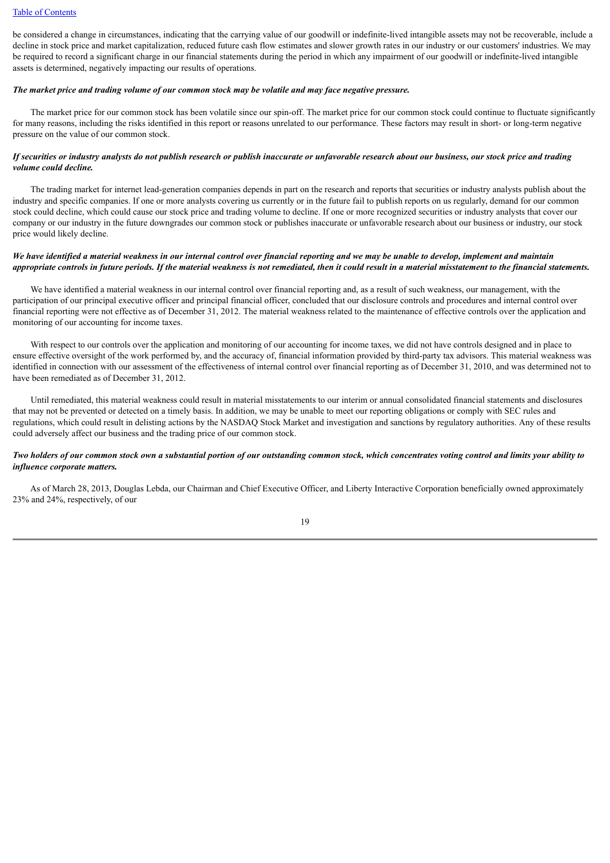be considered a change in circumstances, indicating that the carrying value of our goodwill or indefinite-lived intangible assets may not be recoverable, include a decline in stock price and market capitalization, reduced future cash flow estimates and slower growth rates in our industry or our customers' industries. We may be required to record a significant charge in our financial statements during the period in which any impairment of our goodwill or indefinite-lived intangible assets is determined, negatively impacting our results of operations.

#### *The market price and trading volume of our common stock may be volatile and may face negative pressure.*

 The market price for our common stock has been volatile since our spin-off. The market price for our common stock could continue to fluctuate significantly for many reasons, including the risks identified in this report or reasons unrelated to our performance. These factors may result in short- or long-term negative pressure on the value of our common stock.

## *If securities or industry analysts do not publish research or publish inaccurate or unfavorable research about our business, our stock price and trading volume could decline.*

 The trading market for internet lead-generation companies depends in part on the research and reports that securities or industry analysts publish about the industry and specific companies. If one or more analysts covering us currently or in the future fail to publish reports on us regularly, demand for our common stock could decline, which could cause our stock price and trading volume to decline. If one or more recognized securities or industry analysts that cover our company or our industry in the future downgrades our common stock or publishes inaccurate or unfavorable research about our business or industry, our stock price would likely decline.

## *We have identified a material weakness in our internal control over financial reporting and we may be unable to develop, implement and maintain appropriate controls in future periods. If the material weakness is not remediated, then it could result in a material misstatement to the financial statements.*

 We have identified a material weakness in our internal control over financial reporting and, as a result of such weakness, our management, with the participation of our principal executive officer and principal financial officer, concluded that our disclosure controls and procedures and internal control over financial reporting were not effective as of December 31, 2012. The material weakness related to the maintenance of effective controls over the application and monitoring of our accounting for income taxes.

With respect to our controls over the application and monitoring of our accounting for income taxes, we did not have controls designed and in place to ensure effective oversight of the work performed by, and the accuracy of, financial information provided by third-party tax advisors. This material weakness was identified in connection with our assessment of the effectiveness of internal control over financial reporting as of December 31, 2010, and was determined not to have been remediated as of December 31, 2012.

 Until remediated, this material weakness could result in material misstatements to our interim or annual consolidated financial statements and disclosures that may not be prevented or detected on a timely basis. In addition, we may be unable to meet our reporting obligations or comply with SEC rules and regulations, which could result in delisting actions by the NASDAQ Stock Market and investigation and sanctions by regulatory authorities. Any of these results could adversely affect our business and the trading price of our common stock.

## *Two holders of our common stock own a substantial portion of our outstanding common stock, which concentrates voting control and limits your ability to influence corporate matters.*

 As of March 28, 2013, Douglas Lebda, our Chairman and Chief Executive Officer, and Liberty Interactive Corporation beneficially owned approximately 23% and 24%, respectively, of our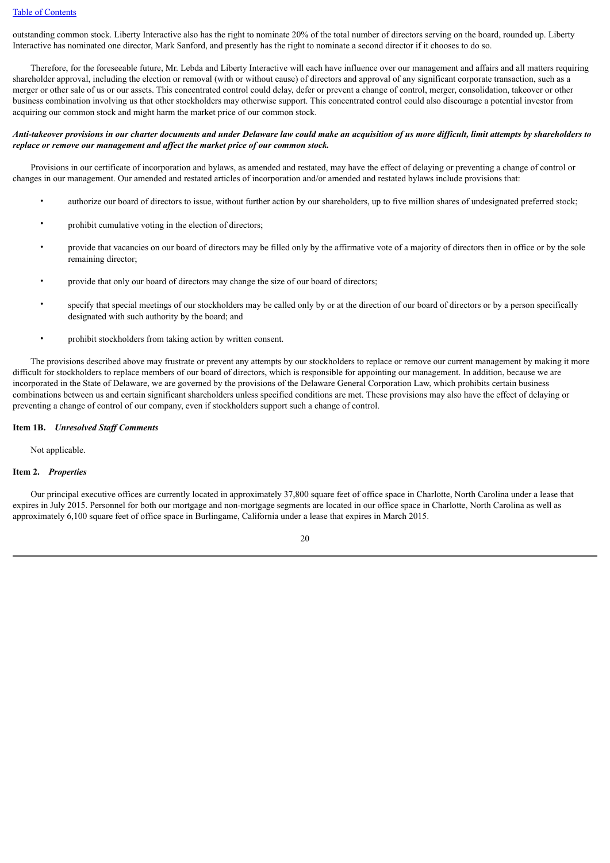outstanding common stock. Liberty Interactive also has the right to nominate 20% of the total number of directors serving on the board, rounded up. Liberty Interactive has nominated one director, Mark Sanford, and presently has the right to nominate a second director if it chooses to do so.

 Therefore, for the foreseeable future, Mr. Lebda and Liberty Interactive will each have influence over our management and affairs and all matters requiring shareholder approval, including the election or removal (with or without cause) of directors and approval of any significant corporate transaction, such as a merger or other sale of us or our assets. This concentrated control could delay, defer or prevent a change of control, merger, consolidation, takeover or other business combination involving us that other stockholders may otherwise support. This concentrated control could also discourage a potential investor from acquiring our common stock and might harm the market price of our common stock.

## *Anti-takeover provisions in our charter documents and under Delaware law could make an acquisition of us more difficult, limit attempts by shareholders to replace or remove our management and affect the market price of our common stock.*

 Provisions in our certificate of incorporation and bylaws, as amended and restated, may have the effect of delaying or preventing a change of control or changes in our management. Our amended and restated articles of incorporation and/or amended and restated bylaws include provisions that:

- authorize our board of directors to issue, without further action by our shareholders, up to five million shares of undesignated preferred stock;
- prohibit cumulative voting in the election of directors;
- provide that vacancies on our board of directors may be filled only by the affirmative vote of a majority of directors then in office or by the sole remaining director;
- provide that only our board of directors may change the size of our board of directors;
- specify that special meetings of our stockholders may be called only by or at the direction of our board of directors or by a person specifically designated with such authority by the board; and
- prohibit stockholders from taking action by written consent.

 The provisions described above may frustrate or prevent any attempts by our stockholders to replace or remove our current management by making it more difficult for stockholders to replace members of our board of directors, which is responsible for appointing our management. In addition, because we are incorporated in the State of Delaware, we are governed by the provisions of the Delaware General Corporation Law, which prohibits certain business combinations between us and certain significant shareholders unless specified conditions are met. These provisions may also have the effect of delaying or preventing a change of control of our company, even if stockholders support such a change of control.

## <span id="page-22-0"></span>**Item 1B.** *Unresolved Staff Comments*

Not applicable.

## <span id="page-22-1"></span>**Item 2.** *Properties*

 Our principal executive offices are currently located in approximately 37,800 square feet of office space in Charlotte, North Carolina under a lease that expires in July 2015. Personnel for both our mortgage and non-mortgage segments are located in our office space in Charlotte, North Carolina as well as approximately 6,100 square feet of office space in Burlingame, California under a lease that expires in March 2015.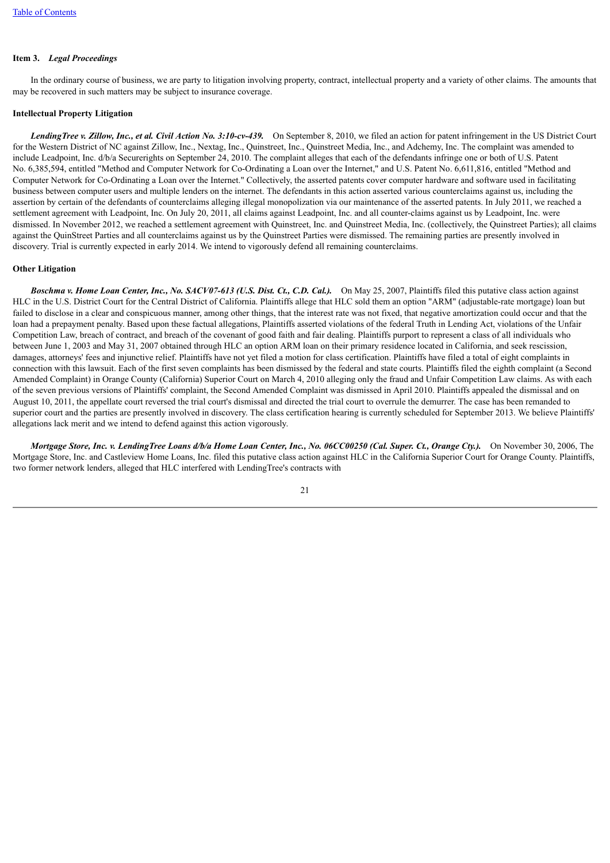# <span id="page-23-0"></span>**Item 3.** *Legal Proceedings*

 In the ordinary course of business, we are party to litigation involving property, contract, intellectual property and a variety of other claims. The amounts that may be recovered in such matters may be subject to insurance coverage.

#### **Intellectual Property Litigation**

 *LendingTree v. Zillow, Inc., et al. Civil Action No. 3:10-cv-439.* On September 8, 2010, we filed an action for patent infringement in the US District Court for the Western District of NC against Zillow, Inc., Nextag, Inc., Quinstreet, Inc., Quinstreet Media, Inc., and Adchemy, Inc. The complaint was amended to include Leadpoint, Inc. d/b/a Securerights on September 24, 2010. The complaint alleges that each of the defendants infringe one or both of U.S. Patent No. 6,385,594, entitled "Method and Computer Network for Co-Ordinating a Loan over the Internet," and U.S. Patent No. 6,611,816, entitled "Method and Computer Network for Co-Ordinating a Loan over the Internet." Collectively, the asserted patents cover computer hardware and software used in facilitating business between computer users and multiple lenders on the internet. The defendants in this action asserted various counterclaims against us, including the assertion by certain of the defendants of counterclaims alleging illegal monopolization via our maintenance of the asserted patents. In July 2011, we reached a settlement agreement with Leadpoint, Inc. On July 20, 2011, all claims against Leadpoint, Inc. and all counter-claims against us by Leadpoint, Inc. were dismissed. In November 2012, we reached a settlement agreement with Quinstreet, Inc. and Quinstreet Media, Inc. (collectively, the Quinstreet Parties); all claims against the QuinStreet Parties and all counterclaims against us by the Quinstreet Parties were dismissed. The remaining parties are presently involved in discovery. Trial is currently expected in early 2014. We intend to vigorously defend all remaining counterclaims.

#### **Other Litigation**

 *Boschma v. Home Loan Center, Inc., No. SACV07-613 (U.S. Dist. Ct., C.D. Cal.).* On May 25, 2007, Plaintiffs filed this putative class action against HLC in the U.S. District Court for the Central District of California. Plaintiffs allege that HLC sold them an option "ARM" (adjustable-rate mortgage) loan but failed to disclose in a clear and conspicuous manner, among other things, that the interest rate was not fixed, that negative amortization could occur and that the loan had a prepayment penalty. Based upon these factual allegations, Plaintiffs asserted violations of the federal Truth in Lending Act, violations of the Unfair Competition Law, breach of contract, and breach of the covenant of good faith and fair dealing. Plaintiffs purport to represent a class of all individuals who between June 1, 2003 and May 31, 2007 obtained through HLC an option ARM loan on their primary residence located in California, and seek rescission, damages, attorneys' fees and injunctive relief. Plaintiffs have not yet filed a motion for class certification. Plaintiffs have filed a total of eight complaints in connection with this lawsuit. Each of the first seven complaints has been dismissed by the federal and state courts. Plaintiffs filed the eighth complaint (a Second Amended Complaint) in Orange County (California) Superior Court on March 4, 2010 alleging only the fraud and Unfair Competition Law claims. As with each of the seven previous versions of Plaintiffs' complaint, the Second Amended Complaint was dismissed in April 2010. Plaintiffs appealed the dismissal and on August 10, 2011, the appellate court reversed the trial court's dismissal and directed the trial court to overrule the demurrer. The case has been remanded to superior court and the parties are presently involved in discovery. The class certification hearing is currently scheduled for September 2013. We believe Plaintiffs' allegations lack merit and we intend to defend against this action vigorously.

 *Mortgage Store, Inc. v. LendingTree Loans d/b/a Home Loan Center, Inc., No. 06CC00250 (Cal. Super. Ct., Orange Cty.).* On November 30, 2006, The Mortgage Store, Inc. and Castleview Home Loans, Inc. filed this putative class action against HLC in the California Superior Court for Orange County. Plaintiffs, two former network lenders, alleged that HLC interfered with LendingTree's contracts with

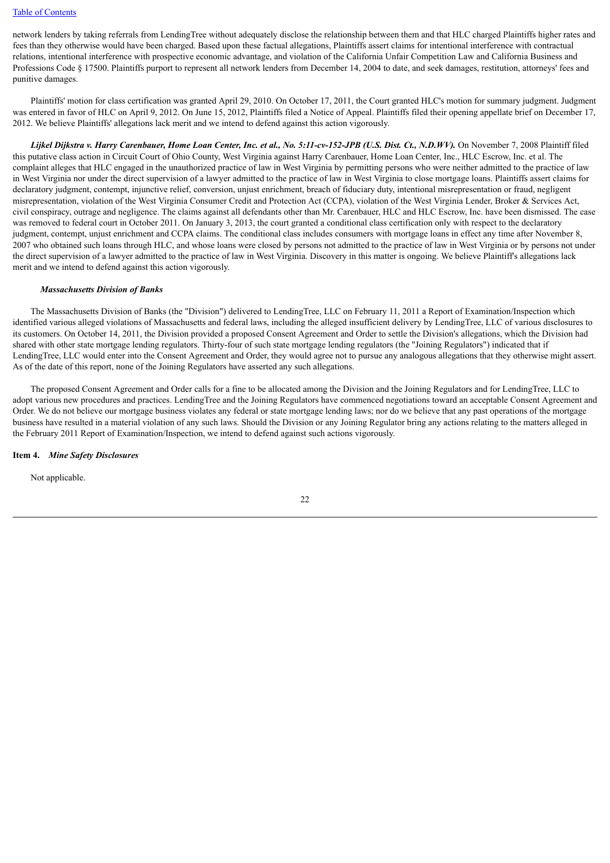#### [Table of Contents](#page-2-0)

network lenders by taking referrals from LendingTree without adequately disclose the relationship between them and that HLC charged Plaintiffs higher rates and fees than they otherwise would have been charged. Based upon these factual allegations, Plaintiffs assert claims for intentional interference with contractual relations, intentional interference with prospective economic advantage, and violation of the California Unfair Competition Law and California Business and Professions Code § 17500. Plaintiffs purport to represent all network lenders from December 14, 2004 to date, and seek damages, restitution, attorneys' fees and punitive damages.

 Plaintiffs' motion for class certification was granted April 29, 2010. On October 17, 2011, the Court granted HLC's motion for summary judgment. Judgment was entered in favor of HLC on April 9, 2012. On June 15, 2012, Plaintiffs filed a Notice of Appeal. Plaintiffs filed their opening appellate brief on December 17, 2012. We believe Plaintiffs' allegations lack merit and we intend to defend against this action vigorously.

 *Lijkel Dijkstra v. Harry Carenbauer, Home Loan Center, Inc. et al., No. 5:11-cv-152-JPB (U.S. Dist. Ct., N.D.WV).* On November 7, 2008 Plaintiff filed this putative class action in Circuit Court of Ohio County, West Virginia against Harry Carenbauer, Home Loan Center, Inc., HLC Escrow, Inc. et al. The complaint alleges that HLC engaged in the unauthorized practice of law in West Virginia by permitting persons who were neither admitted to the practice of law in West Virginia nor under the direct supervision of a lawyer admitted to the practice of law in West Virginia to close mortgage loans. Plaintiffs assert claims for declaratory judgment, contempt, injunctive relief, conversion, unjust enrichment, breach of fiduciary duty, intentional misrepresentation or fraud, negligent misrepresentation, violation of the West Virginia Consumer Credit and Protection Act (CCPA), violation of the West Virginia Lender, Broker & Services Act, civil conspiracy, outrage and negligence. The claims against all defendants other than Mr. Carenbauer, HLC and HLC Escrow, Inc. have been dismissed. The case was removed to federal court in October 2011. On January 3, 2013, the court granted a conditional class certification only with respect to the declaratory judgment, contempt, unjust enrichment and CCPA claims. The conditional class includes consumers with mortgage loans in effect any time after November 8, 2007 who obtained such loans through HLC, and whose loans were closed by persons not admitted to the practice of law in West Virginia or by persons not under the direct supervision of a lawyer admitted to the practice of law in West Virginia. Discovery in this matter is ongoing. We believe Plaintiff's allegations lack merit and we intend to defend against this action vigorously.

## *Massachusetts Division of Banks*

 The Massachusetts Division of Banks (the "Division") delivered to LendingTree, LLC on February 11, 2011 a Report of Examination/Inspection which identified various alleged violations of Massachusetts and federal laws, including the alleged insufficient delivery by LendingTree, LLC of various disclosures to its customers. On October 14, 2011, the Division provided a proposed Consent Agreement and Order to settle the Division's allegations, which the Division had shared with other state mortgage lending regulators. Thirty-four of such state mortgage lending regulators (the "Joining Regulators") indicated that if LendingTree, LLC would enter into the Consent Agreement and Order, they would agree not to pursue any analogous allegations that they otherwise might assert. As of the date of this report, none of the Joining Regulators have asserted any such allegations.

 The proposed Consent Agreement and Order calls for a fine to be allocated among the Division and the Joining Regulators and for LendingTree, LLC to adopt various new procedures and practices. LendingTree and the Joining Regulators have commenced negotiations toward an acceptable Consent Agreement and Order. We do not believe our mortgage business violates any federal or state mortgage lending laws; nor do we believe that any past operations of the mortgage business have resulted in a material violation of any such laws. Should the Division or any Joining Regulator bring any actions relating to the matters alleged in the February 2011 Report of Examination/Inspection, we intend to defend against such actions vigorously.

#### <span id="page-24-0"></span>**Item 4.** *Mine Safety Disclosures*

Not applicable.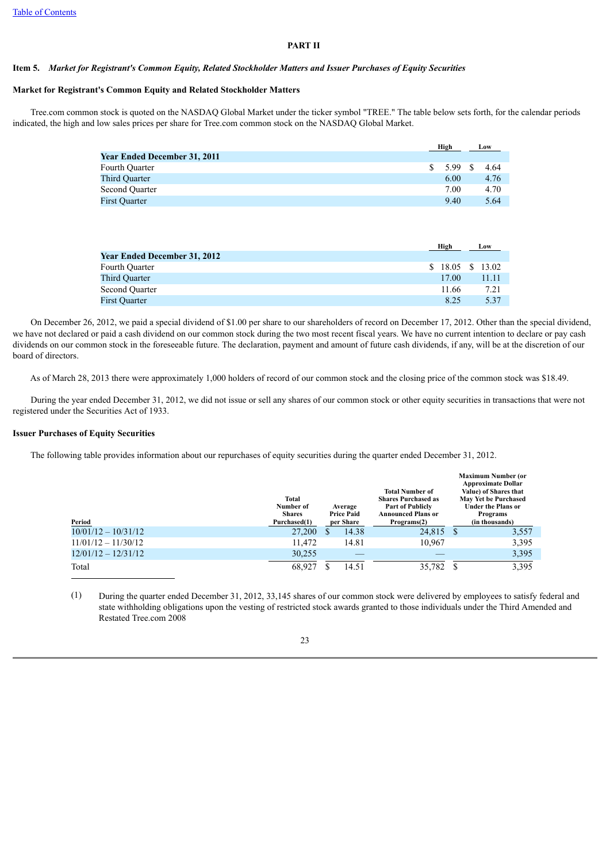## **PART II**

#### <span id="page-25-1"></span><span id="page-25-0"></span>**Item 5.** *Market for Registrant's Common Equity, Related Stockholder Matters and Issuer Purchases of Equity Securities*

### **Market for Registrant's Common Equity and Related Stockholder Matters**

 Tree.com common stock is quoted on the NASDAQ Global Market under the ticker symbol "TREE." The table below sets forth, for the calendar periods indicated, the high and low sales prices per share for Tree.com common stock on the NASDAQ Global Market.

|                                     |    | High |      | Low  |
|-------------------------------------|----|------|------|------|
| <b>Year Ended December 31, 2011</b> |    |      |      |      |
| Fourth Ouarter                      | S. | 5.99 | - \$ | 4.64 |
| Third Ouarter                       |    | 6.00 |      | 4.76 |
| Second Ouarter                      |    | 7.00 |      | 4.70 |
| <b>First Quarter</b>                |    | 9.40 |      | 5.64 |
|                                     |    |      |      |      |

|                                     | High                  | Low   |
|-------------------------------------|-----------------------|-------|
| <b>Year Ended December 31, 2012</b> |                       |       |
| Fourth Quarter                      | $$18.05 \quad $13.02$ |       |
| Third Ouarter                       | 17.00                 | 11.11 |
| Second Quarter                      | 11.66                 | 7.21  |
| <b>First Quarter</b>                | 8.25                  | 5.37  |

 On December 26, 2012, we paid a special dividend of \$1.00 per share to our shareholders of record on December 17, 2012. Other than the special dividend, we have not declared or paid a cash dividend on our common stock during the two most recent fiscal years. We have no current intention to declare or pay cash dividends on our common stock in the foreseeable future. The declaration, payment and amount of future cash dividends, if any, will be at the discretion of our board of directors.

As of March 28, 2013 there were approximately 1,000 holders of record of our common stock and the closing price of the common stock was \$18.49.

 During the year ended December 31, 2012, we did not issue or sell any shares of our common stock or other equity securities in transactions that were not registered under the Securities Act of 1933.

#### **Issuer Purchases of Equity Securities**

The following table provides information about our repurchases of equity securities during the quarter ended December 31, 2012.

| Period                | Total<br>Number of<br><b>Shares</b><br>Purchased(1) | Average<br><b>Price Paid</b><br>per Share | <b>Total Number of</b><br><b>Shares Purchased as</b><br><b>Part of Publicly</b><br><b>Announced Plans or</b><br>Programs(2) | <b>Maximum Number (or</b><br><b>Approximate Dollar</b><br>Value) of Shares that<br>May Yet be Purchased<br><b>Under the Plans or</b><br>Programs<br>(in thousands) |       |  |
|-----------------------|-----------------------------------------------------|-------------------------------------------|-----------------------------------------------------------------------------------------------------------------------------|--------------------------------------------------------------------------------------------------------------------------------------------------------------------|-------|--|
| $10/01/12 - 10/31/12$ | 27,200                                              | 14.38                                     | 24,815                                                                                                                      | <sup>S</sup>                                                                                                                                                       | 3,557 |  |
| $11/01/12 - 11/30/12$ | 11.472                                              | 14.81                                     | 10.967                                                                                                                      |                                                                                                                                                                    | 3,395 |  |
| $12/01/12 - 12/31/12$ | 30.255                                              |                                           |                                                                                                                             |                                                                                                                                                                    | 3,395 |  |
| Total                 | 68,927                                              | 14.51                                     | 35,782                                                                                                                      |                                                                                                                                                                    | 3,395 |  |

(1) During the quarter ended December 31, 2012, 33,145 shares of our common stock were delivered by employees to satisfy federal and state withholding obligations upon the vesting of restricted stock awards granted to those individuals under the Third Amended and Restated Tree.com 2008

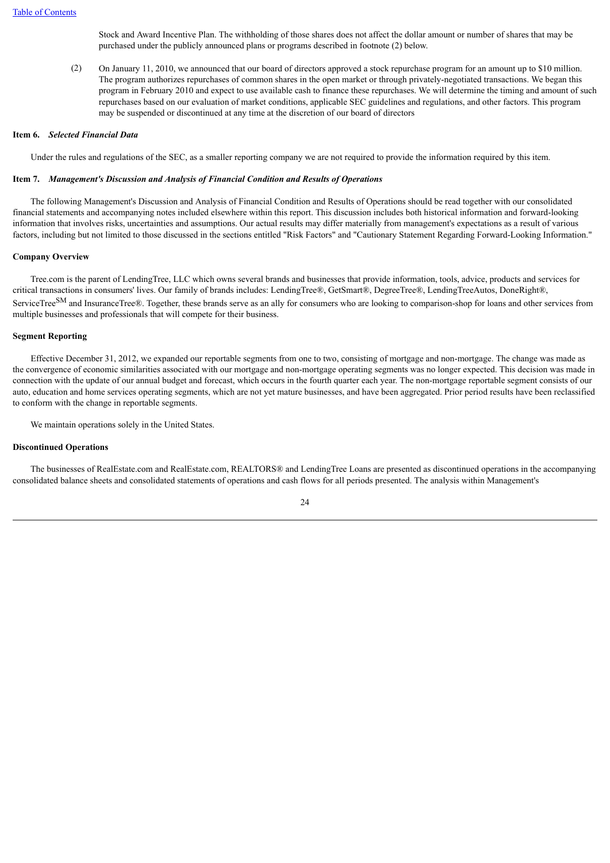Stock and Award Incentive Plan. The withholding of those shares does not affect the dollar amount or number of shares that may be purchased under the publicly announced plans or programs described in footnote (2) below.

(2) On January 11, 2010, we announced that our board of directors approved a stock repurchase program for an amount up to \$10 million. The program authorizes repurchases of common shares in the open market or through privately-negotiated transactions. We began this program in February 2010 and expect to use available cash to finance these repurchases. We will determine the timing and amount of such repurchases based on our evaluation of market conditions, applicable SEC guidelines and regulations, and other factors. This program may be suspended or discontinued at any time at the discretion of our board of directors

#### <span id="page-26-0"></span>**Item 6.** *Selected Financial Data*

Under the rules and regulations of the SEC, as a smaller reporting company we are not required to provide the information required by this item.

## <span id="page-26-1"></span>**Item 7.** *Management's Discussion and Analysis of Financial Condition and Results of Operations*

 The following Management's Discussion and Analysis of Financial Condition and Results of Operations should be read together with our consolidated financial statements and accompanying notes included elsewhere within this report. This discussion includes both historical information and forward-looking information that involves risks, uncertainties and assumptions. Our actual results may differ materially from management's expectations as a result of various factors, including but not limited to those discussed in the sections entitled "Risk Factors" and "Cautionary Statement Regarding Forward-Looking Information."

#### **Company Overview**

 Tree.com is the parent of LendingTree, LLC which owns several brands and businesses that provide information, tools, advice, products and services for critical transactions in consumers' lives. Our family of brands includes: LendingTree®, GetSmart®, DegreeTree®, LendingTreeAutos, DoneRight®, ServiceTree<sup>SM</sup> and InsuranceTree®. Together, these brands serve as an ally for consumers who are looking to comparison-shop for loans and other services from multiple businesses and professionals that will compete for their business.

#### **Segment Reporting**

 Effective December 31, 2012, we expanded our reportable segments from one to two, consisting of mortgage and non-mortgage. The change was made as the convergence of economic similarities associated with our mortgage and non-mortgage operating segments was no longer expected. This decision was made in connection with the update of our annual budget and forecast, which occurs in the fourth quarter each year. The non-mortgage reportable segment consists of our auto, education and home services operating segments, which are not yet mature businesses, and have been aggregated. Prior period results have been reclassified to conform with the change in reportable segments.

We maintain operations solely in the United States.

#### **Discontinued Operations**

 The businesses of RealEstate.com and RealEstate.com, REALTORS® and LendingTree Loans are presented as discontinued operations in the accompanying consolidated balance sheets and consolidated statements of operations and cash flows for all periods presented. The analysis within Management's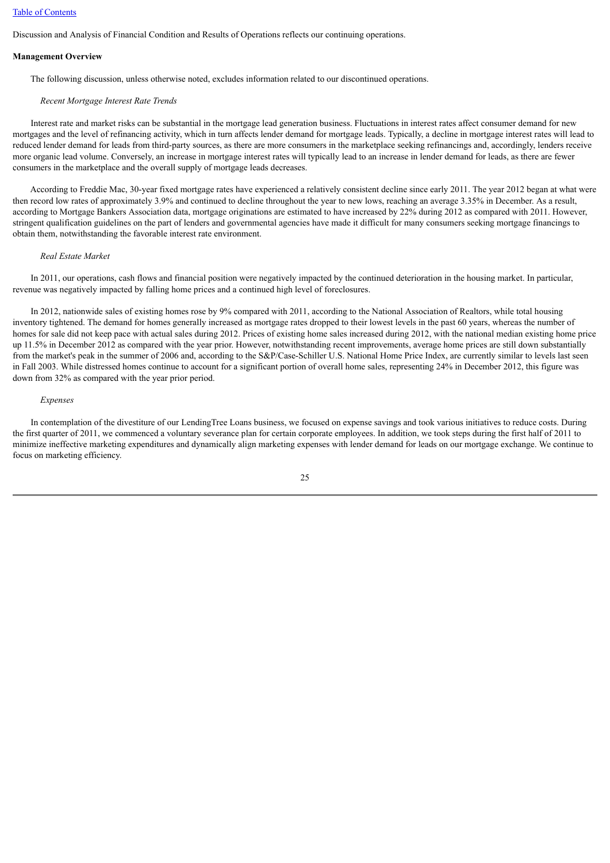#### [Table of Contents](#page-2-0)

Discussion and Analysis of Financial Condition and Results of Operations reflects our continuing operations.

#### **Management Overview**

The following discussion, unless otherwise noted, excludes information related to our discontinued operations.

#### *Recent Mortgage Interest Rate Trends*

 Interest rate and market risks can be substantial in the mortgage lead generation business. Fluctuations in interest rates affect consumer demand for new mortgages and the level of refinancing activity, which in turn affects lender demand for mortgage leads. Typically, a decline in mortgage interest rates will lead to reduced lender demand for leads from third-party sources, as there are more consumers in the marketplace seeking refinancings and, accordingly, lenders receive more organic lead volume. Conversely, an increase in mortgage interest rates will typically lead to an increase in lender demand for leads, as there are fewer consumers in the marketplace and the overall supply of mortgage leads decreases.

 According to Freddie Mac, 30-year fixed mortgage rates have experienced a relatively consistent decline since early 2011. The year 2012 began at what were then record low rates of approximately 3.9% and continued to decline throughout the year to new lows, reaching an average 3.35% in December. As a result, according to Mortgage Bankers Association data, mortgage originations are estimated to have increased by 22% during 2012 as compared with 2011. However, stringent qualification guidelines on the part of lenders and governmental agencies have made it difficult for many consumers seeking mortgage financings to obtain them, notwithstanding the favorable interest rate environment.

#### *Real Estate Market*

 In 2011, our operations, cash flows and financial position were negatively impacted by the continued deterioration in the housing market. In particular, revenue was negatively impacted by falling home prices and a continued high level of foreclosures.

 In 2012, nationwide sales of existing homes rose by 9% compared with 2011, according to the National Association of Realtors, while total housing inventory tightened. The demand for homes generally increased as mortgage rates dropped to their lowest levels in the past 60 years, whereas the number of homes for sale did not keep pace with actual sales during 2012. Prices of existing home sales increased during 2012, with the national median existing home price up 11.5% in December 2012 as compared with the year prior. However, notwithstanding recent improvements, average home prices are still down substantially from the market's peak in the summer of 2006 and, according to the S&P/Case-Schiller U.S. National Home Price Index, are currently similar to levels last seen in Fall 2003. While distressed homes continue to account for a significant portion of overall home sales, representing 24% in December 2012, this figure was down from 32% as compared with the year prior period.

#### *Expenses*

 In contemplation of the divestiture of our LendingTree Loans business, we focused on expense savings and took various initiatives to reduce costs. During the first quarter of 2011, we commenced a voluntary severance plan for certain corporate employees. In addition, we took steps during the first half of 2011 to minimize ineffective marketing expenditures and dynamically align marketing expenses with lender demand for leads on our mortgage exchange. We continue to focus on marketing efficiency.

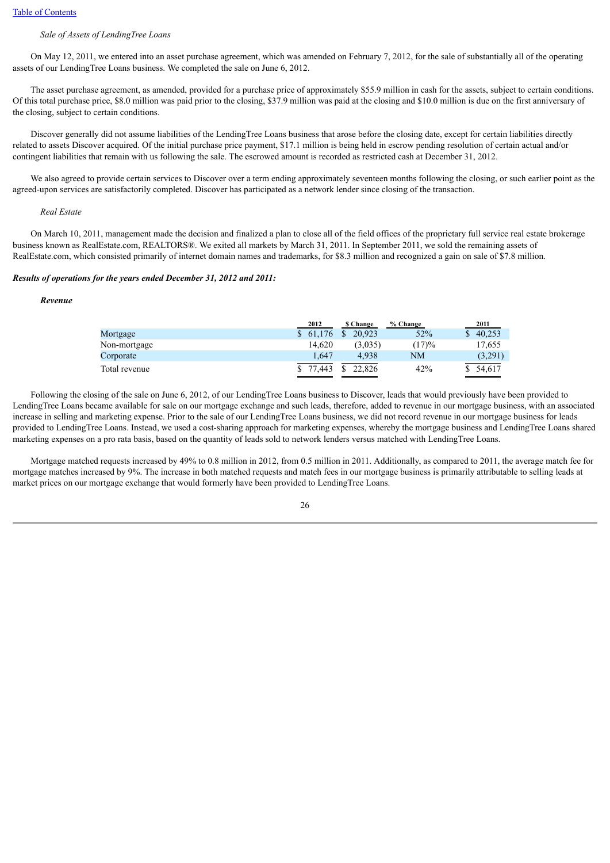## *Sale of Assets of LendingTree Loans*

 On May 12, 2011, we entered into an asset purchase agreement, which was amended on February 7, 2012, for the sale of substantially all of the operating assets of our LendingTree Loans business. We completed the sale on June 6, 2012.

 The asset purchase agreement, as amended, provided for a purchase price of approximately \$55.9 million in cash for the assets, subject to certain conditions. Of this total purchase price, \$8.0 million was paid prior to the closing, \$37.9 million was paid at the closing and \$10.0 million is due on the first anniversary of the closing, subject to certain conditions.

 Discover generally did not assume liabilities of the LendingTree Loans business that arose before the closing date, except for certain liabilities directly related to assets Discover acquired. Of the initial purchase price payment, \$17.1 million is being held in escrow pending resolution of certain actual and/or contingent liabilities that remain with us following the sale. The escrowed amount is recorded as restricted cash at December 31, 2012.

We also agreed to provide certain services to Discover over a term ending approximately seventeen months following the closing, or such earlier point as the agreed-upon services are satisfactorily completed. Discover has participated as a network lender since closing of the transaction.

#### *Real Estate*

 On March 10, 2011, management made the decision and finalized a plan to close all of the field offices of the proprietary full service real estate brokerage business known as RealEstate.com, REALTORS®. We exited all markets by March 31, 2011. In September 2011, we sold the remaining assets of RealEstate.com, which consisted primarily of internet domain names and trademarks, for \$8.3 million and recognized a gain on sale of \$7.8 million.

#### *Results of operations for the years ended December 31, 2012 and 2011:*

#### *Revenue*

|               | 2012     | <b>S</b> Change | % Change | 2011     |
|---------------|----------|-----------------|----------|----------|
| Mortgage      | \$61.176 | 20.923          | 52%      | 40,253   |
| Non-mortgage  | 14.620   | (3.035)         | (17)%    | 17,655   |
| Corporate     | 1.647    | 4.938           | NΜ       | (3,291)  |
| Total revenue | 77.443   | 22.826          | 42%      | \$54,617 |

 Following the closing of the sale on June 6, 2012, of our LendingTree Loans business to Discover, leads that would previously have been provided to LendingTree Loans became available for sale on our mortgage exchange and such leads, therefore, added to revenue in our mortgage business, with an associated increase in selling and marketing expense. Prior to the sale of our LendingTree Loans business, we did not record revenue in our mortgage business for leads provided to LendingTree Loans. Instead, we used a cost-sharing approach for marketing expenses, whereby the mortgage business and LendingTree Loans shared marketing expenses on a pro rata basis, based on the quantity of leads sold to network lenders versus matched with LendingTree Loans.

 Mortgage matched requests increased by 49% to 0.8 million in 2012, from 0.5 million in 2011. Additionally, as compared to 2011, the average match fee for mortgage matches increased by 9%. The increase in both matched requests and match fees in our mortgage business is primarily attributable to selling leads at market prices on our mortgage exchange that would formerly have been provided to LendingTree Loans.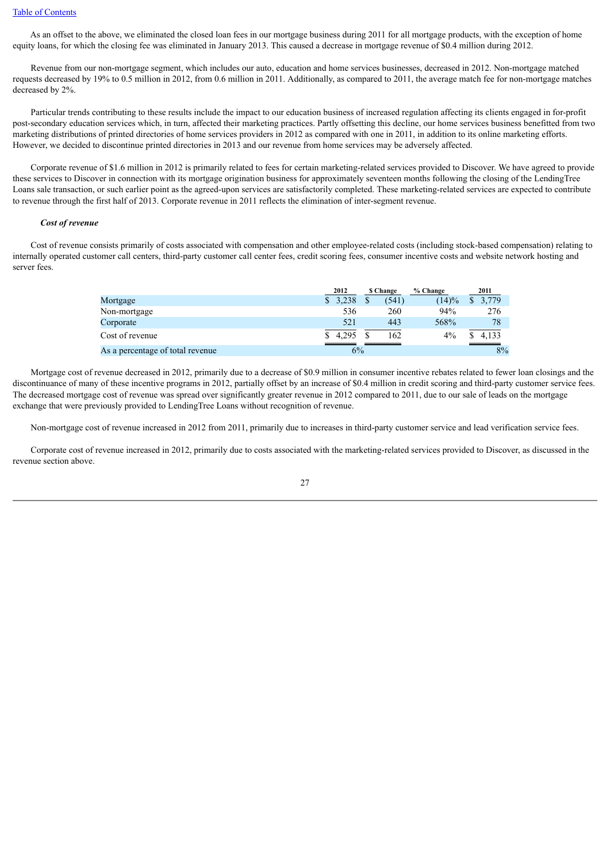As an offset to the above, we eliminated the closed loan fees in our mortgage business during 2011 for all mortgage products, with the exception of home equity loans, for which the closing fee was eliminated in January 2013. This caused a decrease in mortgage revenue of \$0.4 million during 2012.

 Revenue from our non-mortgage segment, which includes our auto, education and home services businesses, decreased in 2012. Non-mortgage matched requests decreased by 19% to 0.5 million in 2012, from 0.6 million in 2011. Additionally, as compared to 2011, the average match fee for non-mortgage matches decreased by 2%.

 Particular trends contributing to these results include the impact to our education business of increased regulation affecting its clients engaged in for-profit post-secondary education services which, in turn, affected their marketing practices. Partly offsetting this decline, our home services business benefitted from two marketing distributions of printed directories of home services providers in 2012 as compared with one in 2011, in addition to its online marketing efforts. However, we decided to discontinue printed directories in 2013 and our revenue from home services may be adversely affected.

 Corporate revenue of \$1.6 million in 2012 is primarily related to fees for certain marketing-related services provided to Discover. We have agreed to provide these services to Discover in connection with its mortgage origination business for approximately seventeen months following the closing of the LendingTree Loans sale transaction, or such earlier point as the agreed-upon services are satisfactorily completed. These marketing-related services are expected to contribute to revenue through the first half of 2013. Corporate revenue in 2011 reflects the elimination of inter-segment revenue.

#### *Cost of revenue*

 Cost of revenue consists primarily of costs associated with compensation and other employee-related costs (including stock-based compensation) relating to internally operated customer call centers, third-party customer call center fees, credit scoring fees, consumer incentive costs and website network hosting and server fees.

|                                  | 2012  | <b>S</b> Change | % Change | 2011  |
|----------------------------------|-------|-----------------|----------|-------|
| Mortgage                         | 3.238 | (541)           | (14)%    | 3,779 |
| Non-mortgage                     | 536   | 260             | 94%      | 276   |
| Corporate                        | 521   | 443             | 568%     | 78    |
| Cost of revenue                  | 4.295 | 162             | $4\%$    | 4.133 |
| As a percentage of total revenue | 6%    |                 |          | 8%    |

 Mortgage cost of revenue decreased in 2012, primarily due to a decrease of \$0.9 million in consumer incentive rebates related to fewer loan closings and the discontinuance of many of these incentive programs in 2012, partially offset by an increase of \$0.4 million in credit scoring and third-party customer service fees. The decreased mortgage cost of revenue was spread over significantly greater revenue in 2012 compared to 2011, due to our sale of leads on the mortgage exchange that were previously provided to LendingTree Loans without recognition of revenue.

Non-mortgage cost of revenue increased in 2012 from 2011, primarily due to increases in third-party customer service and lead verification service fees.

 Corporate cost of revenue increased in 2012, primarily due to costs associated with the marketing-related services provided to Discover, as discussed in the revenue section above.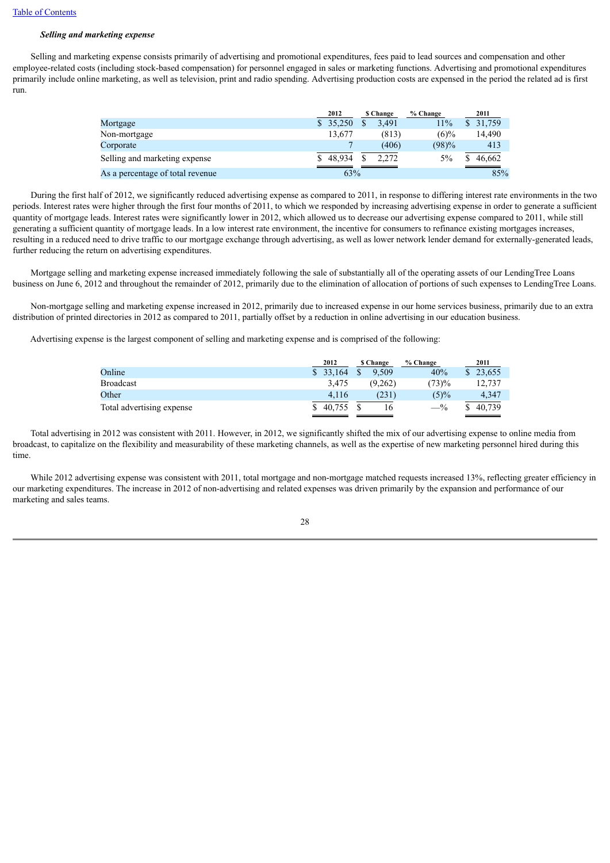# *Selling and marketing expense*

 Selling and marketing expense consists primarily of advertising and promotional expenditures, fees paid to lead sources and compensation and other employee-related costs (including stock-based compensation) for personnel engaged in sales or marketing functions. Advertising and promotional expenditures primarily include online marketing, as well as television, print and radio spending. Advertising production costs are expensed in the period the related ad is first run.

|                                  | 2012     | <b>S</b> Change | % Change | 2011   |
|----------------------------------|----------|-----------------|----------|--------|
| Mortgage                         | \$35.250 | 3.491           | 11%      | 31.759 |
| Non-mortgage                     | 13.677   | (813)           | $(6)\%$  | 14.490 |
| Corporate                        |          | (406)           | (98)%    | 413    |
| Selling and marketing expense    | \$48.934 | 2.272           | 5%       | 46.662 |
| As a percentage of total revenue | 63%      |                 |          | 85%    |

 During the first half of 2012, we significantly reduced advertising expense as compared to 2011, in response to differing interest rate environments in the two periods. Interest rates were higher through the first four months of 2011, to which we responded by increasing advertising expense in order to generate a sufficient quantity of mortgage leads. Interest rates were significantly lower in 2012, which allowed us to decrease our advertising expense compared to 2011, while still generating a sufficient quantity of mortgage leads. In a low interest rate environment, the incentive for consumers to refinance existing mortgages increases, resulting in a reduced need to drive traffic to our mortgage exchange through advertising, as well as lower network lender demand for externally-generated leads, further reducing the return on advertising expenditures.

 Mortgage selling and marketing expense increased immediately following the sale of substantially all of the operating assets of our LendingTree Loans business on June 6, 2012 and throughout the remainder of 2012, primarily due to the elimination of allocation of portions of such expenses to LendingTree Loans.

 Non-mortgage selling and marketing expense increased in 2012, primarily due to increased expense in our home services business, primarily due to an extra distribution of printed directories in 2012 as compared to 2011, partially offset by a reduction in online advertising in our education business.

Advertising expense is the largest component of selling and marketing expense and is comprised of the following:

|                           | 2012     | <b>S</b> Change | % Change | 2011     |
|---------------------------|----------|-----------------|----------|----------|
| Online                    | \$33,164 | 9.509           | 40%      | \$23,655 |
| <b>Broadcast</b>          | 3.475    | (9.262)         | (73)%    | 12.737   |
| Other                     | 4.116    | (231)           | $(5)\%$  | 4,347    |
| Total advertising expense | 40.755   | 16              | $-$ %    | 40.739   |

 Total advertising in 2012 was consistent with 2011. However, in 2012, we significantly shifted the mix of our advertising expense to online media from broadcast, to capitalize on the flexibility and measurability of these marketing channels, as well as the expertise of new marketing personnel hired during this time.

While 2012 advertising expense was consistent with 2011, total mortgage and non-mortgage matched requests increased 13%, reflecting greater efficiency in our marketing expenditures. The increase in 2012 of non-advertising and related expenses was driven primarily by the expansion and performance of our marketing and sales teams.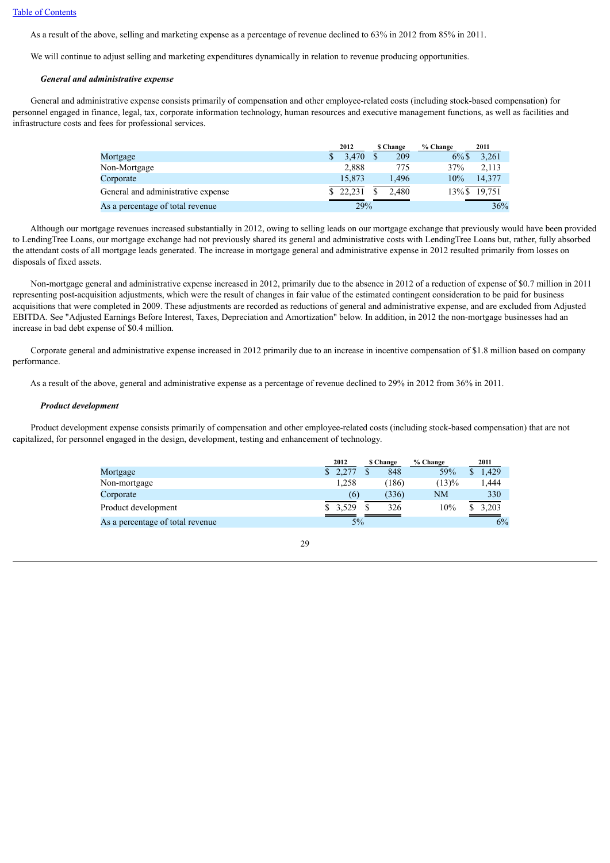As a result of the above, selling and marketing expense as a percentage of revenue declined to 63% in 2012 from 85% in 2011.

We will continue to adjust selling and marketing expenditures dynamically in relation to revenue producing opportunities.

#### *General and administrative expense*

 General and administrative expense consists primarily of compensation and other employee-related costs (including stock-based compensation) for personnel engaged in finance, legal, tax, corporate information technology, human resources and executive management functions, as well as facilities and infrastructure costs and fees for professional services.

|                                    | 2012   | \$ Change | % Change | 2011         |
|------------------------------------|--------|-----------|----------|--------------|
| Mortgage                           | 3.470  | 209       | $6\%$ \$ | 3.261        |
| Non-Mortgage                       | 2.888  | 775       | 37%      | 2.113        |
| Corporate                          | 15.873 | 1.496     | 10%      | 14.377       |
| General and administrative expense | 22.231 | 2.480     |          | 13%\$ 19,751 |
| As a percentage of total revenue   | 29%    |           |          | 36%          |

 Although our mortgage revenues increased substantially in 2012, owing to selling leads on our mortgage exchange that previously would have been provided to LendingTree Loans, our mortgage exchange had not previously shared its general and administrative costs with LendingTree Loans but, rather, fully absorbed the attendant costs of all mortgage leads generated. The increase in mortgage general and administrative expense in 2012 resulted primarily from losses on disposals of fixed assets.

 Non-mortgage general and administrative expense increased in 2012, primarily due to the absence in 2012 of a reduction of expense of \$0.7 million in 2011 representing post-acquisition adjustments, which were the result of changes in fair value of the estimated contingent consideration to be paid for business acquisitions that were completed in 2009. These adjustments are recorded as reductions of general and administrative expense, and are excluded from Adjusted EBITDA. See "Adjusted Earnings Before Interest, Taxes, Depreciation and Amortization" below. In addition, in 2012 the non-mortgage businesses had an increase in bad debt expense of \$0.4 million.

 Corporate general and administrative expense increased in 2012 primarily due to an increase in incentive compensation of \$1.8 million based on company performance.

As a result of the above, general and administrative expense as a percentage of revenue declined to 29% in 2012 from 36% in 2011.

#### *Product development*

 Product development expense consists primarily of compensation and other employee-related costs (including stock-based compensation) that are not capitalized, for personnel engaged in the design, development, testing and enhancement of technology.

|                                  | 2012    |       | <b>S</b> Change | % Change | 2011       |
|----------------------------------|---------|-------|-----------------|----------|------------|
| Mortgage                         | \$2,277 |       | 848             | 59%      | 1.429      |
| Non-mortgage                     | 1.258   |       | (186)           | (13)%    | 1.444      |
| Corporate                        | (6)     |       | (336)           | NΜ       | 330        |
| Product development              | \$3,529 |       | 326             | 10%      | 3,203<br>S |
| As a percentage of total revenue |         | $5\%$ |                 |          | 6%         |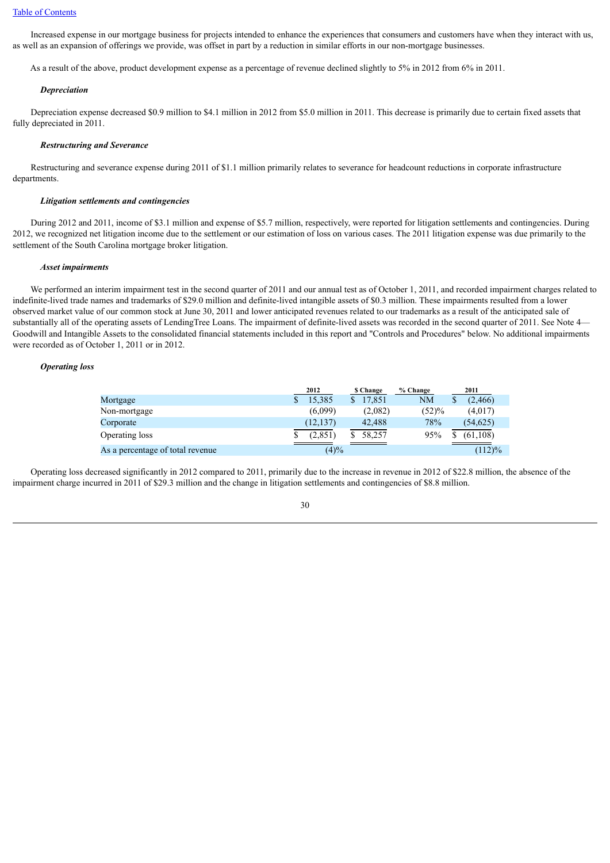Increased expense in our mortgage business for projects intended to enhance the experiences that consumers and customers have when they interact with us, as well as an expansion of offerings we provide, was offset in part by a reduction in similar efforts in our non-mortgage businesses.

As a result of the above, product development expense as a percentage of revenue declined slightly to 5% in 2012 from 6% in 2011.

#### *Depreciation*

 Depreciation expense decreased \$0.9 million to \$4.1 million in 2012 from \$5.0 million in 2011. This decrease is primarily due to certain fixed assets that fully depreciated in 2011.

#### *Restructuring and Severance*

 Restructuring and severance expense during 2011 of \$1.1 million primarily relates to severance for headcount reductions in corporate infrastructure departments.

#### *Litigation settlements and contingencies*

 During 2012 and 2011, income of \$3.1 million and expense of \$5.7 million, respectively, were reported for litigation settlements and contingencies. During 2012, we recognized net litigation income due to the settlement or our estimation of loss on various cases. The 2011 litigation expense was due primarily to the settlement of the South Carolina mortgage broker litigation.

#### *Asset impairments*

We performed an interim impairment test in the second quarter of 2011 and our annual test as of October 1, 2011, and recorded impairment charges related to indefinite-lived trade names and trademarks of \$29.0 million and definite-lived intangible assets of \$0.3 million. These impairments resulted from a lower observed market value of our common stock at June 30, 2011 and lower anticipated revenues related to our trademarks as a result of the anticipated sale of substantially all of the operating assets of LendingTree Loans. The impairment of definite-lived assets was recorded in the second quarter of 2011. See Note 4— Goodwill and Intangible Assets to the consolidated financial statements included in this report and "Controls and Procedures" below. No additional impairments were recorded as of October 1, 2011 or in 2012.

#### *Operating loss*

|                                  | 2012      | <b>S</b> Change | % Change | 2011      |
|----------------------------------|-----------|-----------------|----------|-----------|
| Mortgage                         | 15.385    | 17.851          | NΜ       | (2, 466)  |
| Non-mortgage                     | (6.099)   | (2.082)         | (52)%    | (4,017)   |
| Corporate                        | (12, 137) | 42.488          | 78%      | (54, 625) |
| Operating loss                   | (2,851)   | 58.257          | 95%      | (61, 108) |
| As a percentage of total revenue | $(4)\%$   |                 |          | (112)%    |

 Operating loss decreased significantly in 2012 compared to 2011, primarily due to the increase in revenue in 2012 of \$22.8 million, the absence of the impairment charge incurred in 2011 of \$29.3 million and the change in litigation settlements and contingencies of \$8.8 million.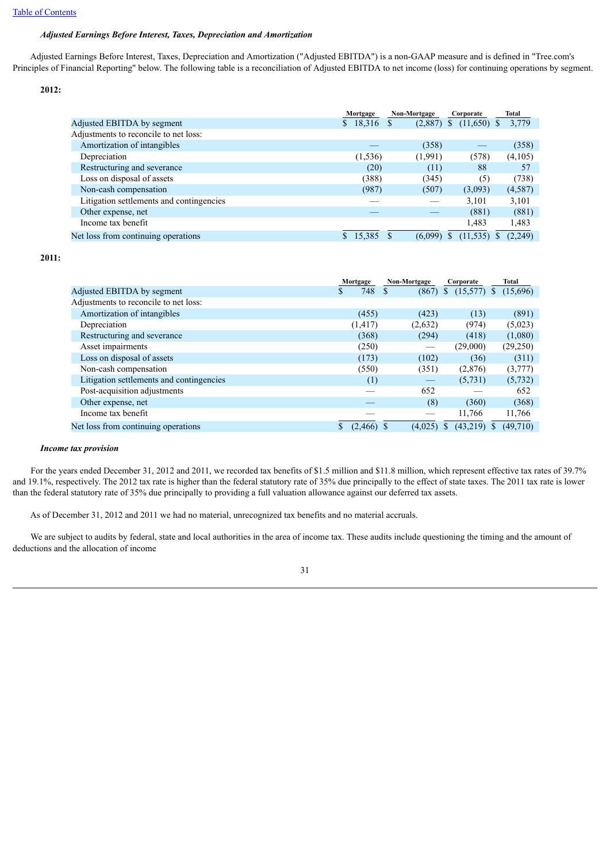## *Adjusted Earnings Before Interest, Taxes, Depreciation and Amortization*

 Adjusted Earnings Before Interest, Taxes, Depreciation and Amortization ("Adjusted EBITDA") is a non-GAAP measure and is defined in "Tree.com's Principles of Financial Reporting" below. The following table is a reconciliation of Adjusted EBITDA to net income (loss) for continuing operations by segment.

**2012:**

|                                          | Mortgage | Non-Mortgage | Corporate      | Total      |  |
|------------------------------------------|----------|--------------|----------------|------------|--|
| Adjusted EBITDA by segment               | \$18,316 | (2,887)      | (11,650)<br>-8 | 3,779<br>S |  |
| Adjustments to reconcile to net loss:    |          |              |                |            |  |
| Amortization of intangibles              |          | (358)        |                | (358)      |  |
| Depreciation                             | (1, 536) | (1,991)      | (578)          | (4,105)    |  |
| Restructuring and severance              | (20)     | (11)         | 88             | 57         |  |
| Loss on disposal of assets               | (388)    | (345)        | (5)            | (738)      |  |
| Non-cash compensation                    | (987)    | (507)        | (3,093)        | (4,587)    |  |
| Litigation settlements and contingencies |          |              | 3,101          | 3,101      |  |
| Other expense, net                       |          |              | (881)          | (881)      |  |
| Income tax benefit                       |          |              | 1,483          | 1,483      |  |
| Net loss from continuing operations.     | 15,385   | (6,099)      | (11, 535)      | (2,249)    |  |

**2011:**

|                                          | Non-Mortgage<br>Mortgage |                   | Corporate      | Total    |  |
|------------------------------------------|--------------------------|-------------------|----------------|----------|--|
| Adjusted EBITDA by segment               | 748<br>S                 | (867)             | \$<br>(15,577) | (15,696) |  |
| Adjustments to reconcile to net loss:    |                          |                   |                |          |  |
| Amortization of intangibles              | (455)                    | (423)             | (13)           | (891)    |  |
| Depreciation                             | (1, 417)                 | (2,632)           | (974)          | (5,023)  |  |
| Restructuring and severance              | (368)                    | (294)             | (418)          | (1,080)  |  |
| Asset impairments                        | (250)                    |                   | (29,000)       | (29,250) |  |
| Loss on disposal of assets               | (173)                    | (102)             | (36)           | (311)    |  |
| Non-cash compensation                    | (550)                    | (351)             | (2,876)        | (3,777)  |  |
| Litigation settlements and contingencies | (1)                      | $\hspace{0.05cm}$ | (5,731)        | (5, 732) |  |
| Post-acquisition adjustments             |                          | 652               |                | 652      |  |
| Other expense, net                       |                          | (8)               | (360)          | (368)    |  |
| Income tax benefit                       |                          |                   | 11,766         | 11,766   |  |
| Net loss from continuing operations      | $(2,466)$ \$             | (4,025)           | $(43,219)$ \$  | (49,710) |  |

#### *Income tax provision*

 For the years ended December 31, 2012 and 2011, we recorded tax benefits of \$1.5 million and \$11.8 million, which represent effective tax rates of 39.7% and 19.1%, respectively. The 2012 tax rate is higher than the federal statutory rate of 35% due principally to the effect of state taxes. The 2011 tax rate is lower than the federal statutory rate of 35% due principally to providing a full valuation allowance against our deferred tax assets.

As of December 31, 2012 and 2011 we had no material, unrecognized tax benefits and no material accruals.

We are subject to audits by federal, state and local authorities in the area of income tax. These audits include questioning the timing and the amount of deductions and the allocation of income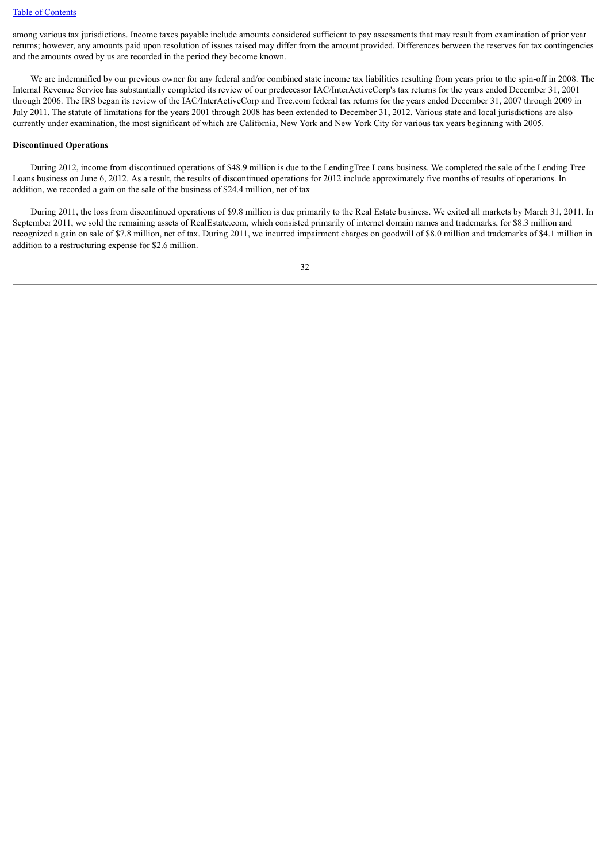among various tax jurisdictions. Income taxes payable include amounts considered sufficient to pay assessments that may result from examination of prior year returns; however, any amounts paid upon resolution of issues raised may differ from the amount provided. Differences between the reserves for tax contingencies and the amounts owed by us are recorded in the period they become known.

We are indemnified by our previous owner for any federal and/or combined state income tax liabilities resulting from years prior to the spin-off in 2008. The Internal Revenue Service has substantially completed its review of our predecessor IAC/InterActiveCorp's tax returns for the years ended December 31, 2001 through 2006. The IRS began its review of the IAC/InterActiveCorp and Tree.com federal tax returns for the years ended December 31, 2007 through 2009 in July 2011. The statute of limitations for the years 2001 through 2008 has been extended to December 31, 2012. Various state and local jurisdictions are also currently under examination, the most significant of which are California, New York and New York City for various tax years beginning with 2005.

#### **Discontinued Operations**

 During 2012, income from discontinued operations of \$48.9 million is due to the LendingTree Loans business. We completed the sale of the Lending Tree Loans business on June 6, 2012. As a result, the results of discontinued operations for 2012 include approximately five months of results of operations. In addition, we recorded a gain on the sale of the business of \$24.4 million, net of tax

 During 2011, the loss from discontinued operations of \$9.8 million is due primarily to the Real Estate business. We exited all markets by March 31, 2011. In September 2011, we sold the remaining assets of RealEstate.com, which consisted primarily of internet domain names and trademarks, for \$8.3 million and recognized a gain on sale of \$7.8 million, net of tax. During 2011, we incurred impairment charges on goodwill of \$8.0 million and trademarks of \$4.1 million in addition to a restructuring expense for \$2.6 million.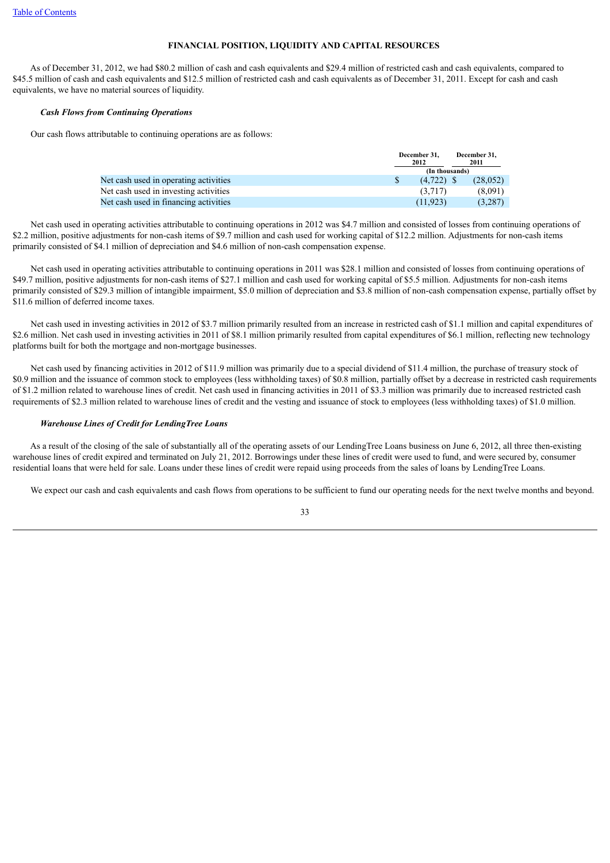## **FINANCIAL POSITION, LIQUIDITY AND CAPITAL RESOURCES**

 As of December 31, 2012, we had \$80.2 million of cash and cash equivalents and \$29.4 million of restricted cash and cash equivalents, compared to \$45.5 million of cash and cash equivalents and \$12.5 million of restricted cash and cash equivalents as of December 31, 2011. Except for cash and cash equivalents, we have no material sources of liquidity.

## *Cash Flows from Continuing Operations*

Our cash flows attributable to continuing operations are as follows:

|                                       | December 31.<br>2012 |  | December 31.<br>2011 |  |
|---------------------------------------|----------------------|--|----------------------|--|
|                                       | (In thousands)       |  |                      |  |
| Net cash used in operating activities | $(4.722)$ \$         |  | (28.052)             |  |
| Net cash used in investing activities | (3.717)              |  | (8.091)              |  |
| Net cash used in financing activities | (11.923)             |  | (3.287)              |  |

 Net cash used in operating activities attributable to continuing operations in 2012 was \$4.7 million and consisted of losses from continuing operations of \$2.2 million, positive adjustments for non-cash items of \$9.7 million and cash used for working capital of \$12.2 million. Adjustments for non-cash items primarily consisted of \$4.1 million of depreciation and \$4.6 million of non-cash compensation expense.

 Net cash used in operating activities attributable to continuing operations in 2011 was \$28.1 million and consisted of losses from continuing operations of \$49.7 million, positive adjustments for non-cash items of \$27.1 million and cash used for working capital of \$5.5 million. Adjustments for non-cash items primarily consisted of \$29.3 million of intangible impairment, \$5.0 million of depreciation and \$3.8 million of non-cash compensation expense, partially offset by \$11.6 million of deferred income taxes.

Net cash used in investing activities in 2012 of \$3.7 million primarily resulted from an increase in restricted cash of \$1.1 million and capital expenditures of \$2.6 million. Net cash used in investing activities in 2011 of \$8.1 million primarily resulted from capital expenditures of \$6.1 million, reflecting new technology platforms built for both the mortgage and non-mortgage businesses.

 Net cash used by financing activities in 2012 of \$11.9 million was primarily due to a special dividend of \$11.4 million, the purchase of treasury stock of \$0.9 million and the issuance of common stock to employees (less withholding taxes) of \$0.8 million, partially offset by a decrease in restricted cash requirements of \$1.2 million related to warehouse lines of credit. Net cash used in financing activities in 2011 of \$3.3 million was primarily due to increased restricted cash requirements of \$2.3 million related to warehouse lines of credit and the vesting and issuance of stock to employees (less withholding taxes) of \$1.0 million.

## *Warehouse Lines of Credit for LendingTree Loans*

 As a result of the closing of the sale of substantially all of the operating assets of our LendingTree Loans business on June 6, 2012, all three then-existing warehouse lines of credit expired and terminated on July 21, 2012. Borrowings under these lines of credit were used to fund, and were secured by, consumer residential loans that were held for sale. Loans under these lines of credit were repaid using proceeds from the sales of loans by LendingTree Loans.

We expect our cash and cash equivalents and cash flows from operations to be sufficient to fund our operating needs for the next twelve months and beyond.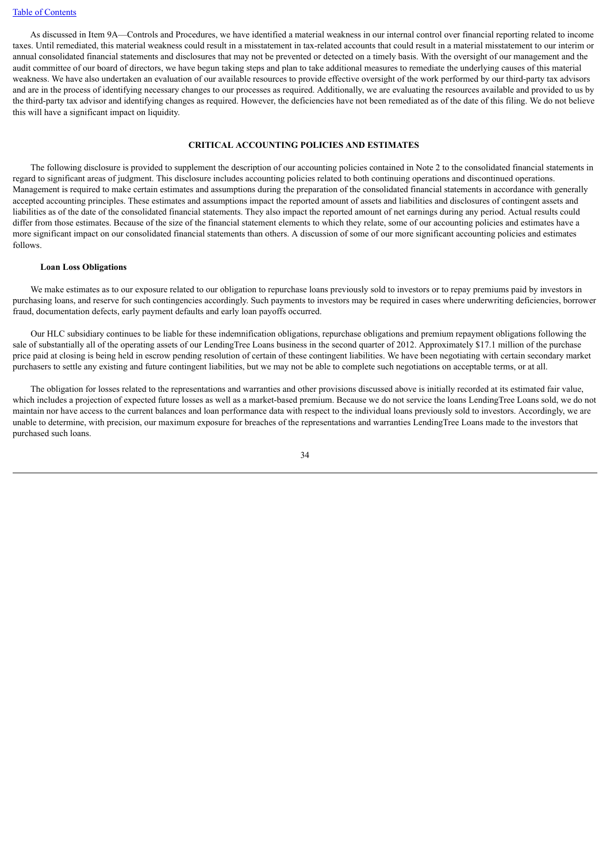As discussed in Item 9A—Controls and Procedures, we have identified a material weakness in our internal control over financial reporting related to income taxes. Until remediated, this material weakness could result in a misstatement in tax-related accounts that could result in a material misstatement to our interim or annual consolidated financial statements and disclosures that may not be prevented or detected on a timely basis. With the oversight of our management and the audit committee of our board of directors, we have begun taking steps and plan to take additional measures to remediate the underlying causes of this material weakness. We have also undertaken an evaluation of our available resources to provide effective oversight of the work performed by our third-party tax advisors and are in the process of identifying necessary changes to our processes as required. Additionally, we are evaluating the resources available and provided to us by the third-party tax advisor and identifying changes as required. However, the deficiencies have not been remediated as of the date of this filing. We do not believe this will have a significant impact on liquidity.

### **CRITICAL ACCOUNTING POLICIES AND ESTIMATES**

 The following disclosure is provided to supplement the description of our accounting policies contained in Note 2 to the consolidated financial statements in regard to significant areas of judgment. This disclosure includes accounting policies related to both continuing operations and discontinued operations. Management is required to make certain estimates and assumptions during the preparation of the consolidated financial statements in accordance with generally accepted accounting principles. These estimates and assumptions impact the reported amount of assets and liabilities and disclosures of contingent assets and liabilities as of the date of the consolidated financial statements. They also impact the reported amount of net earnings during any period. Actual results could differ from those estimates. Because of the size of the financial statement elements to which they relate, some of our accounting policies and estimates have a more significant impact on our consolidated financial statements than others. A discussion of some of our more significant accounting policies and estimates follows.

#### **Loan Loss Obligations**

 We make estimates as to our exposure related to our obligation to repurchase loans previously sold to investors or to repay premiums paid by investors in purchasing loans, and reserve for such contingencies accordingly. Such payments to investors may be required in cases where underwriting deficiencies, borrower fraud, documentation defects, early payment defaults and early loan payoffs occurred.

 Our HLC subsidiary continues to be liable for these indemnification obligations, repurchase obligations and premium repayment obligations following the sale of substantially all of the operating assets of our LendingTree Loans business in the second quarter of 2012. Approximately \$17.1 million of the purchase price paid at closing is being held in escrow pending resolution of certain of these contingent liabilities. We have been negotiating with certain secondary market purchasers to settle any existing and future contingent liabilities, but we may not be able to complete such negotiations on acceptable terms, or at all.

 The obligation for losses related to the representations and warranties and other provisions discussed above is initially recorded at its estimated fair value, which includes a projection of expected future losses as well as a market-based premium. Because we do not service the loans LendingTree Loans sold, we do not maintain nor have access to the current balances and loan performance data with respect to the individual loans previously sold to investors. Accordingly, we are unable to determine, with precision, our maximum exposure for breaches of the representations and warranties LendingTree Loans made to the investors that purchased such loans.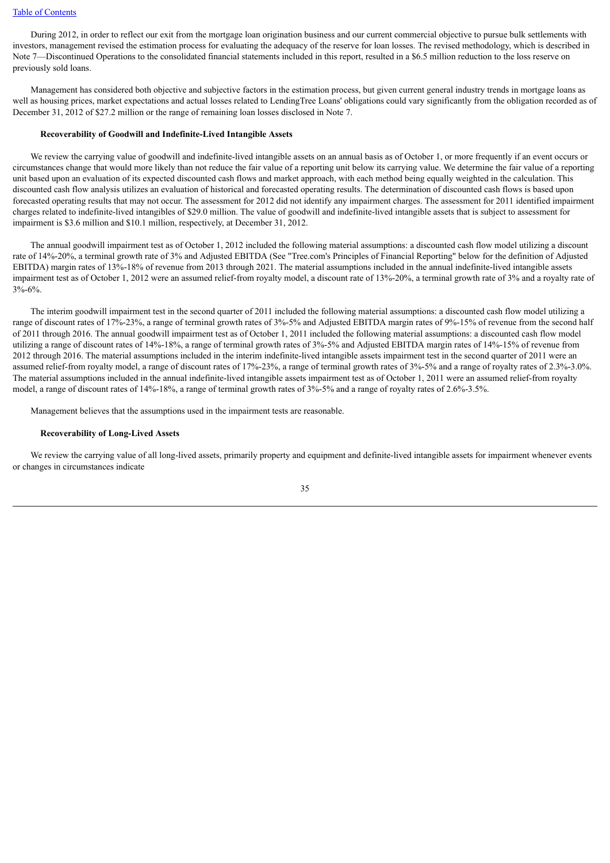#### [Table of Contents](#page-2-0)

 During 2012, in order to reflect our exit from the mortgage loan origination business and our current commercial objective to pursue bulk settlements with investors, management revised the estimation process for evaluating the adequacy of the reserve for loan losses. The revised methodology, which is described in Note 7—Discontinued Operations to the consolidated financial statements included in this report, resulted in a \$6.5 million reduction to the loss reserve on previously sold loans.

 Management has considered both objective and subjective factors in the estimation process, but given current general industry trends in mortgage loans as well as housing prices, market expectations and actual losses related to LendingTree Loans' obligations could vary significantly from the obligation recorded as of December 31, 2012 of \$27.2 million or the range of remaining loan losses disclosed in Note 7.

#### **Recoverability of Goodwill and Indefinite-Lived Intangible Assets**

We review the carrying value of goodwill and indefinite-lived intangible assets on an annual basis as of October 1, or more frequently if an event occurs or circumstances change that would more likely than not reduce the fair value of a reporting unit below its carrying value. We determine the fair value of a reporting unit based upon an evaluation of its expected discounted cash flows and market approach, with each method being equally weighted in the calculation. This discounted cash flow analysis utilizes an evaluation of historical and forecasted operating results. The determination of discounted cash flows is based upon forecasted operating results that may not occur. The assessment for 2012 did not identify any impairment charges. The assessment for 2011 identified impairment charges related to indefinite-lived intangibles of \$29.0 million. The value of goodwill and indefinite-lived intangible assets that is subject to assessment for impairment is \$3.6 million and \$10.1 million, respectively, at December 31, 2012.

 The annual goodwill impairment test as of October 1, 2012 included the following material assumptions: a discounted cash flow model utilizing a discount rate of 14%-20%, a terminal growth rate of 3% and Adjusted EBITDA (See "Tree.com's Principles of Financial Reporting" below for the definition of Adjusted EBITDA) margin rates of 13%-18% of revenue from 2013 through 2021. The material assumptions included in the annual indefinite-lived intangible assets impairment test as of October 1, 2012 were an assumed relief-from royalty model, a discount rate of 13%-20%, a terminal growth rate of 3% and a royalty rate of 3%-6%.

 The interim goodwill impairment test in the second quarter of 2011 included the following material assumptions: a discounted cash flow model utilizing a range of discount rates of 17%-23%, a range of terminal growth rates of 3%-5% and Adjusted EBITDA margin rates of 9%-15% of revenue from the second half of 2011 through 2016. The annual goodwill impairment test as of October 1, 2011 included the following material assumptions: a discounted cash flow model utilizing a range of discount rates of 14%-18%, a range of terminal growth rates of 3%-5% and Adjusted EBITDA margin rates of 14%-15% of revenue from 2012 through 2016. The material assumptions included in the interim indefinite-lived intangible assets impairment test in the second quarter of 2011 were an assumed relief-from royalty model, a range of discount rates of 17%-23%, a range of terminal growth rates of 3%-5% and a range of royalty rates of 2.3%-3.0%. The material assumptions included in the annual indefinite-lived intangible assets impairment test as of October 1, 2011 were an assumed relief-from royalty model, a range of discount rates of 14%-18%, a range of terminal growth rates of 3%-5% and a range of royalty rates of 2.6%-3.5%.

Management believes that the assumptions used in the impairment tests are reasonable.

### **Recoverability of Long-Lived Assets**

 We review the carrying value of all long-lived assets, primarily property and equipment and definite-lived intangible assets for impairment whenever events or changes in circumstances indicate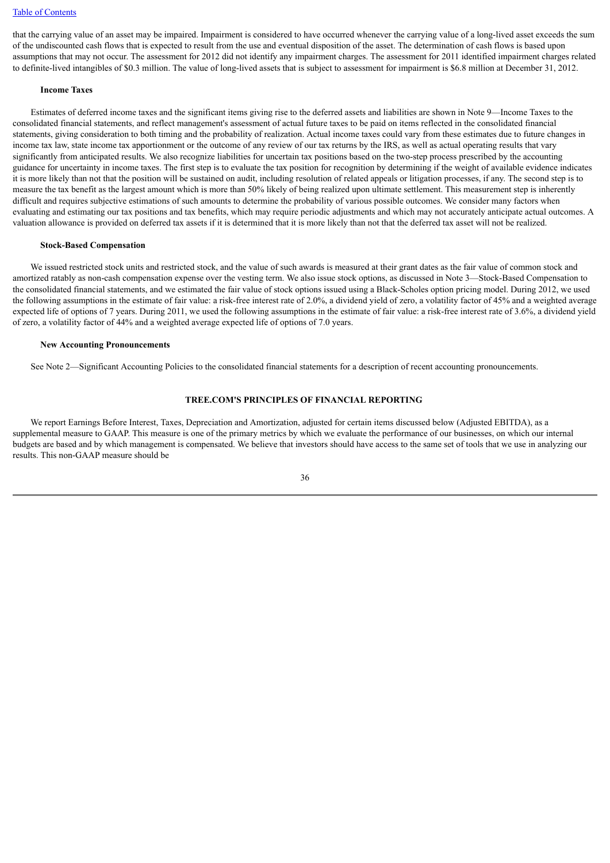#### [Table of Contents](#page-2-0)

that the carrying value of an asset may be impaired. Impairment is considered to have occurred whenever the carrying value of a long-lived asset exceeds the sum of the undiscounted cash flows that is expected to result from the use and eventual disposition of the asset. The determination of cash flows is based upon assumptions that may not occur. The assessment for 2012 did not identify any impairment charges. The assessment for 2011 identified impairment charges related to definite-lived intangibles of \$0.3 million. The value of long-lived assets that is subject to assessment for impairment is \$6.8 million at December 31, 2012.

#### **Income Taxes**

 Estimates of deferred income taxes and the significant items giving rise to the deferred assets and liabilities are shown in Note 9—Income Taxes to the consolidated financial statements, and reflect management's assessment of actual future taxes to be paid on items reflected in the consolidated financial statements, giving consideration to both timing and the probability of realization. Actual income taxes could vary from these estimates due to future changes in income tax law, state income tax apportionment or the outcome of any review of our tax returns by the IRS, as well as actual operating results that vary significantly from anticipated results. We also recognize liabilities for uncertain tax positions based on the two-step process prescribed by the accounting guidance for uncertainty in income taxes. The first step is to evaluate the tax position for recognition by determining if the weight of available evidence indicates it is more likely than not that the position will be sustained on audit, including resolution of related appeals or litigation processes, if any. The second step is to measure the tax benefit as the largest amount which is more than 50% likely of being realized upon ultimate settlement. This measurement step is inherently difficult and requires subjective estimations of such amounts to determine the probability of various possible outcomes. We consider many factors when evaluating and estimating our tax positions and tax benefits, which may require periodic adjustments and which may not accurately anticipate actual outcomes. A valuation allowance is provided on deferred tax assets if it is determined that it is more likely than not that the deferred tax asset will not be realized.

#### **Stock-Based Compensation**

 We issued restricted stock units and restricted stock, and the value of such awards is measured at their grant dates as the fair value of common stock and amortized ratably as non-cash compensation expense over the vesting term. We also issue stock options, as discussed in Note 3—Stock-Based Compensation to the consolidated financial statements, and we estimated the fair value of stock options issued using a Black-Scholes option pricing model. During 2012, we used the following assumptions in the estimate of fair value: a risk-free interest rate of 2.0%, a dividend yield of zero, a volatility factor of 45% and a weighted average expected life of options of 7 years. During 2011, we used the following assumptions in the estimate of fair value: a risk-free interest rate of 3.6%, a dividend yield of zero, a volatility factor of 44% and a weighted average expected life of options of 7.0 years.

#### **New Accounting Pronouncements**

See Note 2—Significant Accounting Policies to the consolidated financial statements for a description of recent accounting pronouncements.

## **TREE.COM'S PRINCIPLES OF FINANCIAL REPORTING**

 We report Earnings Before Interest, Taxes, Depreciation and Amortization, adjusted for certain items discussed below (Adjusted EBITDA), as a supplemental measure to GAAP. This measure is one of the primary metrics by which we evaluate the performance of our businesses, on which our internal budgets are based and by which management is compensated. We believe that investors should have access to the same set of tools that we use in analyzing our results. This non-GAAP measure should be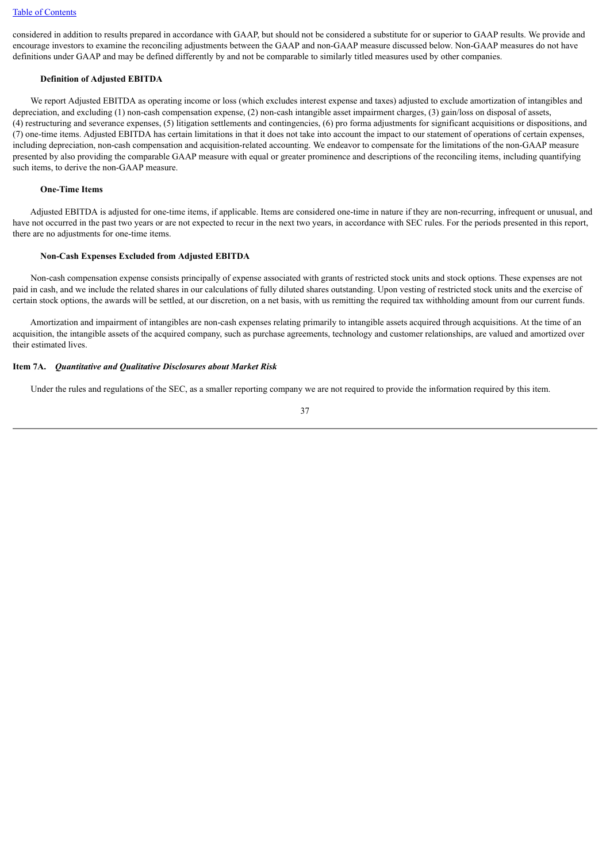considered in addition to results prepared in accordance with GAAP, but should not be considered a substitute for or superior to GAAP results. We provide and encourage investors to examine the reconciling adjustments between the GAAP and non-GAAP measure discussed below. Non-GAAP measures do not have definitions under GAAP and may be defined differently by and not be comparable to similarly titled measures used by other companies.

## **Definition of Adjusted EBITDA**

We report Adjusted EBITDA as operating income or loss (which excludes interest expense and taxes) adjusted to exclude amortization of intangibles and depreciation, and excluding (1) non-cash compensation expense, (2) non-cash intangible asset impairment charges, (3) gain/loss on disposal of assets, (4) restructuring and severance expenses, (5) litigation settlements and contingencies, (6) pro forma adjustments for significant acquisitions or dispositions, and (7) one-time items. Adjusted EBITDA has certain limitations in that it does not take into account the impact to our statement of operations of certain expenses, including depreciation, non-cash compensation and acquisition-related accounting. We endeavor to compensate for the limitations of the non-GAAP measure presented by also providing the comparable GAAP measure with equal or greater prominence and descriptions of the reconciling items, including quantifying such items, to derive the non-GAAP measure.

## **One-Time Items**

 Adjusted EBITDA is adjusted for one-time items, if applicable. Items are considered one-time in nature if they are non-recurring, infrequent or unusual, and have not occurred in the past two years or are not expected to recur in the next two years, in accordance with SEC rules. For the periods presented in this report, there are no adjustments for one-time items.

## **Non-Cash Expenses Excluded from Adjusted EBITDA**

 Non-cash compensation expense consists principally of expense associated with grants of restricted stock units and stock options. These expenses are not paid in cash, and we include the related shares in our calculations of fully diluted shares outstanding. Upon vesting of restricted stock units and the exercise of certain stock options, the awards will be settled, at our discretion, on a net basis, with us remitting the required tax withholding amount from our current funds.

 Amortization and impairment of intangibles are non-cash expenses relating primarily to intangible assets acquired through acquisitions. At the time of an acquisition, the intangible assets of the acquired company, such as purchase agreements, technology and customer relationships, are valued and amortized over their estimated lives.

### **Item 7A.** *Quantitative and Qualitative Disclosures about Market Risk*

Under the rules and regulations of the SEC, as a smaller reporting company we are not required to provide the information required by this item.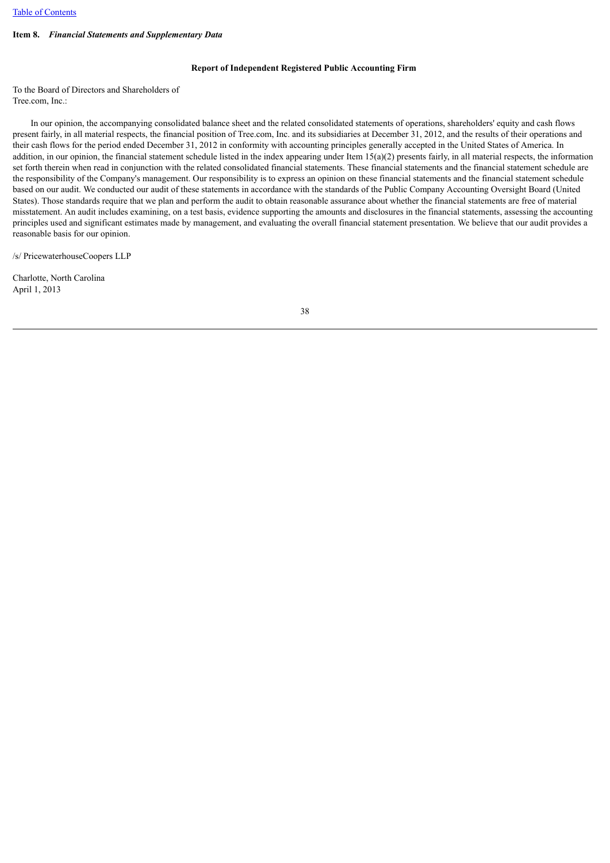## **Item 8.** *Financial Statements and Supplementary Data*

#### **Report of Independent Registered Public Accounting Firm**

To the Board of Directors and Shareholders of Tree.com, Inc.:

 In our opinion, the accompanying consolidated balance sheet and the related consolidated statements of operations, shareholders' equity and cash flows present fairly, in all material respects, the financial position of Tree.com, Inc. and its subsidiaries at December 31, 2012, and the results of their operations and their cash flows for the period ended December 31, 2012 in conformity with accounting principles generally accepted in the United States of America. In addition, in our opinion, the financial statement schedule listed in the index appearing under Item  $15(a)(2)$  presents fairly, in all material respects, the information set forth therein when read in conjunction with the related consolidated financial statements. These financial statements and the financial statement schedule are the responsibility of the Company's management. Our responsibility is to express an opinion on these financial statements and the financial statement schedule based on our audit. We conducted our audit of these statements in accordance with the standards of the Public Company Accounting Oversight Board (United States). Those standards require that we plan and perform the audit to obtain reasonable assurance about whether the financial statements are free of material misstatement. An audit includes examining, on a test basis, evidence supporting the amounts and disclosures in the financial statements, assessing the accounting principles used and significant estimates made by management, and evaluating the overall financial statement presentation. We believe that our audit provides a reasonable basis for our opinion.

/s/ PricewaterhouseCoopers LLP

Charlotte, North Carolina April 1, 2013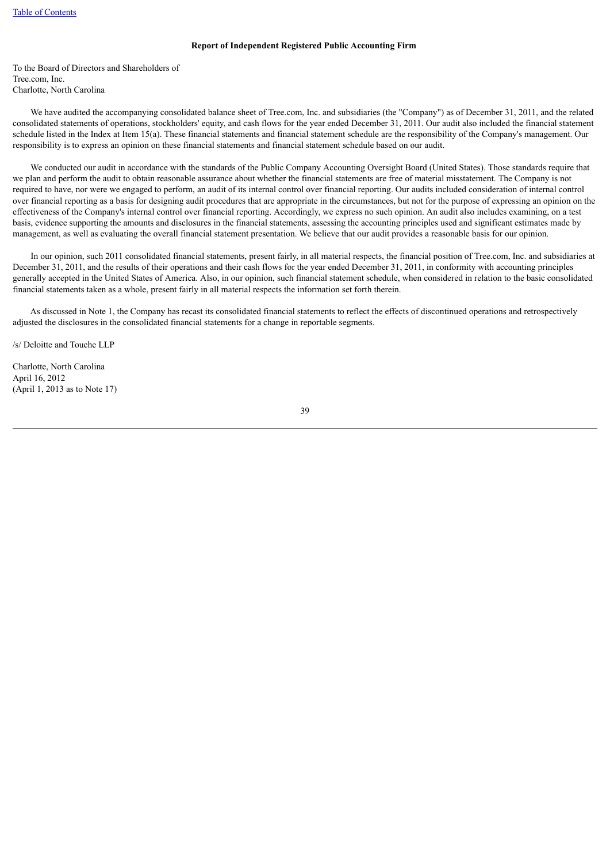### **Report of Independent Registered Public Accounting Firm**

To the Board of Directors and Shareholders of Tree.com, Inc. Charlotte, North Carolina

 We have audited the accompanying consolidated balance sheet of Tree.com, Inc. and subsidiaries (the "Company") as of December 31, 2011, and the related consolidated statements of operations, stockholders' equity, and cash flows for the year ended December 31, 2011. Our audit also included the financial statement schedule listed in the Index at Item 15(a). These financial statements and financial statement schedule are the responsibility of the Company's management. Our responsibility is to express an opinion on these financial statements and financial statement schedule based on our audit.

We conducted our audit in accordance with the standards of the Public Company Accounting Oversight Board (United States). Those standards require that we plan and perform the audit to obtain reasonable assurance about whether the financial statements are free of material misstatement. The Company is not required to have, nor were we engaged to perform, an audit of its internal control over financial reporting. Our audits included consideration of internal control over financial reporting as a basis for designing audit procedures that are appropriate in the circumstances, but not for the purpose of expressing an opinion on the effectiveness of the Company's internal control over financial reporting. Accordingly, we express no such opinion. An audit also includes examining, on a test basis, evidence supporting the amounts and disclosures in the financial statements, assessing the accounting principles used and significant estimates made by management, as well as evaluating the overall financial statement presentation. We believe that our audit provides a reasonable basis for our opinion.

 In our opinion, such 2011 consolidated financial statements, present fairly, in all material respects, the financial position of Tree.com, Inc. and subsidiaries at December 31, 2011, and the results of their operations and their cash flows for the year ended December 31, 2011, in conformity with accounting principles generally accepted in the United States of America. Also, in our opinion, such financial statement schedule, when considered in relation to the basic consolidated financial statements taken as a whole, present fairly in all material respects the information set forth therein.

 As discussed in Note 1, the Company has recast its consolidated financial statements to reflect the effects of discontinued operations and retrospectively adjusted the disclosures in the consolidated financial statements for a change in reportable segments.

/s/ Deloitte and Touche LLP

Charlotte, North Carolina April 16, 2012 (April 1, 2013 as to Note 17)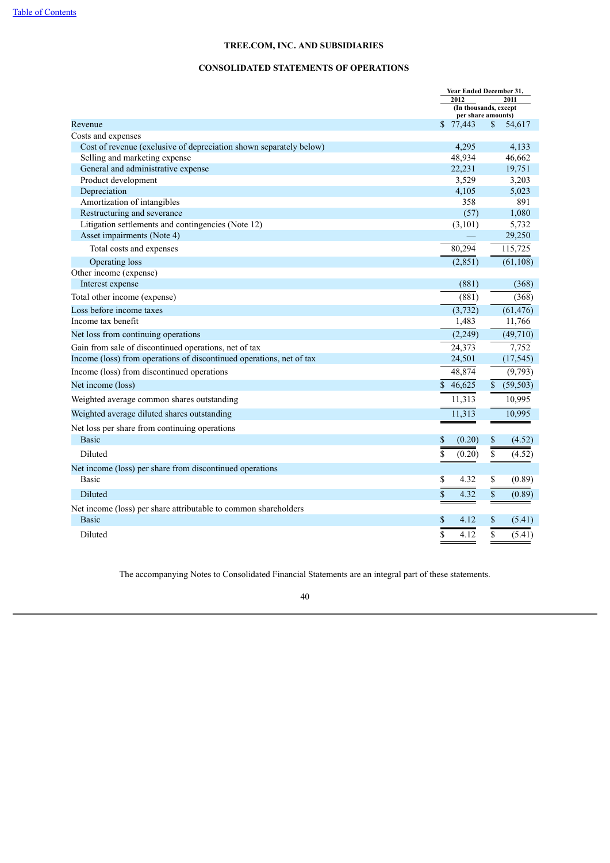## **CONSOLIDATED STATEMENTS OF OPERATIONS**

|                                                                                   | Year Ended December 31,         |                           |  |  |
|-----------------------------------------------------------------------------------|---------------------------------|---------------------------|--|--|
|                                                                                   | 2012<br>(In thousands, except   | 2011                      |  |  |
|                                                                                   | per share amounts)              |                           |  |  |
| Revenue                                                                           | \$77,443                        | S.<br>54,617              |  |  |
| Costs and expenses                                                                |                                 |                           |  |  |
| Cost of revenue (exclusive of depreciation shown separately below)                | 4,295                           | 4,133                     |  |  |
| Selling and marketing expense                                                     | 48,934                          | 46,662                    |  |  |
| General and administrative expense                                                | 22,231                          | 19,751                    |  |  |
| Product development                                                               | 3,529                           | 3,203                     |  |  |
| Depreciation                                                                      | 4,105                           | 5,023<br>891              |  |  |
| Amortization of intangibles                                                       | 358<br>(57)                     | 1,080                     |  |  |
| Restructuring and severance<br>Litigation settlements and contingencies (Note 12) | (3, 101)                        | 5,732                     |  |  |
| Asset impairments (Note 4)                                                        |                                 | 29,250                    |  |  |
| Total costs and expenses                                                          | 80,294                          | 115,725                   |  |  |
| Operating loss                                                                    | (2, 851)                        | (61, 108)                 |  |  |
| Other income (expense)                                                            |                                 |                           |  |  |
| Interest expense                                                                  | (881)                           | (368)                     |  |  |
| Total other income (expense)                                                      | (881)                           | (368)                     |  |  |
| Loss before income taxes                                                          | (3, 732)                        | (61, 476)                 |  |  |
| Income tax benefit                                                                | 1,483                           | 11,766                    |  |  |
| Net loss from continuing operations                                               | (2,249)                         | (49, 710)                 |  |  |
| Gain from sale of discontinued operations, net of tax                             | 24,373                          | 7,752                     |  |  |
| Income (loss) from operations of discontinued operations, net of tax              | 24,501                          | (17, 545)                 |  |  |
| Income (loss) from discontinued operations                                        | 48,874                          | (9,793)                   |  |  |
| Net income (loss)                                                                 | $\mathbf S$<br>46,625           | (59, 503)<br>\$           |  |  |
| Weighted average common shares outstanding                                        | 11,313                          | 10,995                    |  |  |
| Weighted average diluted shares outstanding                                       | 11,313                          | 10,995                    |  |  |
| Net loss per share from continuing operations                                     |                                 |                           |  |  |
| <b>Basic</b>                                                                      | \$<br>(0.20)                    | \$<br>(4.52)              |  |  |
| Diluted                                                                           | \$<br>(0.20)                    | \$<br>(4.52)              |  |  |
| Net income (loss) per share from discontinued operations                          |                                 |                           |  |  |
| Basic                                                                             | \$<br>4.32                      | \$<br>(0.89)              |  |  |
| Diluted                                                                           | $\overline{\mathbb{S}}$<br>4.32 | $\overline{\$}$<br>(0.89) |  |  |
| Net income (loss) per share attributable to common shareholders                   |                                 |                           |  |  |
| <b>Basic</b>                                                                      | \$<br>4.12                      | \$<br>(5.41)              |  |  |
| Diluted                                                                           | \$<br>4.12                      | \$<br>(5.41)              |  |  |

The accompanying Notes to Consolidated Financial Statements are an integral part of these statements.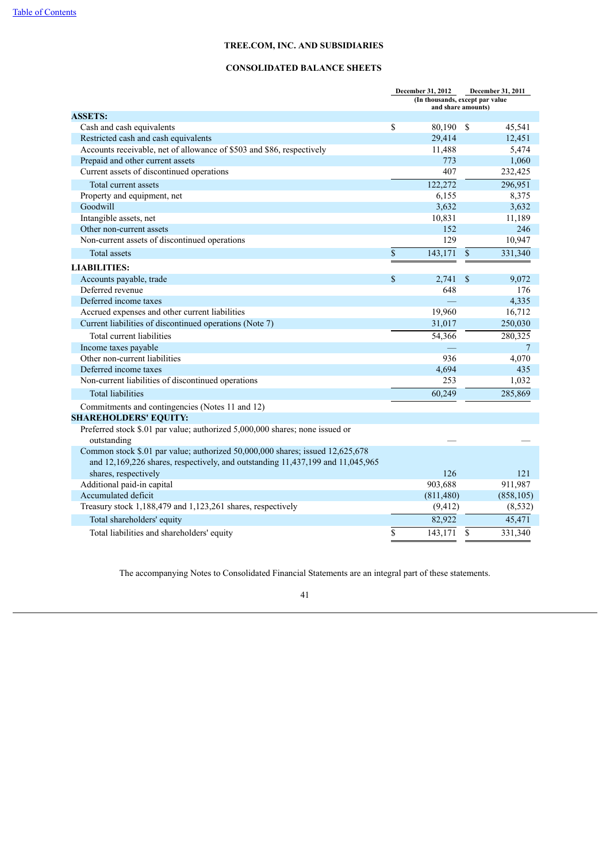## **CONSOLIDATED BALANCE SHEETS**

|                                                                                | December 31, 2012<br>December 31, 2011 |                                                       |               |            |  |
|--------------------------------------------------------------------------------|----------------------------------------|-------------------------------------------------------|---------------|------------|--|
|                                                                                |                                        | (In thousands, except par value<br>and share amounts) |               |            |  |
| <b>ASSETS:</b>                                                                 |                                        |                                                       |               |            |  |
| Cash and cash equivalents                                                      | \$                                     | 80,190                                                | \$            | 45,541     |  |
| Restricted cash and cash equivalents                                           |                                        | 29,414                                                |               | 12,451     |  |
| Accounts receivable, net of allowance of \$503 and \$86, respectively          |                                        | 11,488                                                |               | 5,474      |  |
| Prepaid and other current assets                                               |                                        | 773                                                   |               | 1,060      |  |
| Current assets of discontinued operations                                      |                                        | 407                                                   |               | 232,425    |  |
| Total current assets                                                           |                                        | 122,272                                               |               | 296,951    |  |
| Property and equipment, net                                                    |                                        | 6,155                                                 |               | 8,375      |  |
| Goodwill                                                                       |                                        | 3,632                                                 |               | 3,632      |  |
| Intangible assets, net                                                         |                                        | 10,831                                                |               | 11,189     |  |
| Other non-current assets                                                       |                                        | 152                                                   |               | 246        |  |
| Non-current assets of discontinued operations                                  |                                        | 129                                                   |               | 10,947     |  |
| Total assets                                                                   | $\mathbf S$                            | 143,171                                               | $\mathbb{S}$  | 331,340    |  |
| <b>LIABILITIES:</b>                                                            |                                        |                                                       |               |            |  |
| Accounts payable, trade                                                        | $\mathbf{\$}$                          | 2,741                                                 | <sup>\$</sup> | 9.072      |  |
| Deferred revenue                                                               |                                        | 648                                                   |               | 176        |  |
| Deferred income taxes                                                          |                                        |                                                       |               | 4,335      |  |
| Accrued expenses and other current liabilities                                 |                                        | 19,960                                                |               | 16,712     |  |
| Current liabilities of discontinued operations (Note 7)                        |                                        | 31,017                                                |               | 250,030    |  |
| Total current liabilities                                                      |                                        | 54,366                                                |               | 280,325    |  |
| Income taxes payable                                                           |                                        |                                                       |               | 7          |  |
| Other non-current liabilities                                                  |                                        | 936                                                   |               | 4,070      |  |
| Deferred income taxes                                                          |                                        | 4,694                                                 |               | 435        |  |
| Non-current liabilities of discontinued operations                             |                                        | 253                                                   |               | 1,032      |  |
| <b>Total liabilities</b>                                                       |                                        | 60,249                                                |               | 285,869    |  |
| Commitments and contingencies (Notes 11 and 12)                                |                                        |                                                       |               |            |  |
| <b>SHAREHOLDERS' EQUITY:</b>                                                   |                                        |                                                       |               |            |  |
| Preferred stock \$.01 par value; authorized 5,000,000 shares; none issued or   |                                        |                                                       |               |            |  |
| outstanding                                                                    |                                        |                                                       |               |            |  |
| Common stock \$.01 par value; authorized 50,000,000 shares; issued 12,625,678  |                                        |                                                       |               |            |  |
| and 12,169,226 shares, respectively, and outstanding 11,437,199 and 11,045,965 |                                        |                                                       |               |            |  |
| shares, respectively                                                           |                                        | 126                                                   |               | 121        |  |
| Additional paid-in capital                                                     |                                        | 903,688                                               |               | 911,987    |  |
| Accumulated deficit                                                            |                                        | (811, 480)                                            |               | (858, 105) |  |
| Treasury stock 1,188,479 and 1,123,261 shares, respectively                    |                                        | (9, 412)                                              |               | (8, 532)   |  |
| Total shareholders' equity                                                     |                                        | 82,922                                                |               | 45,471     |  |
| Total liabilities and shareholders' equity                                     | \$                                     | 143,171                                               | \$            | 331,340    |  |

The accompanying Notes to Consolidated Financial Statements are an integral part of these statements.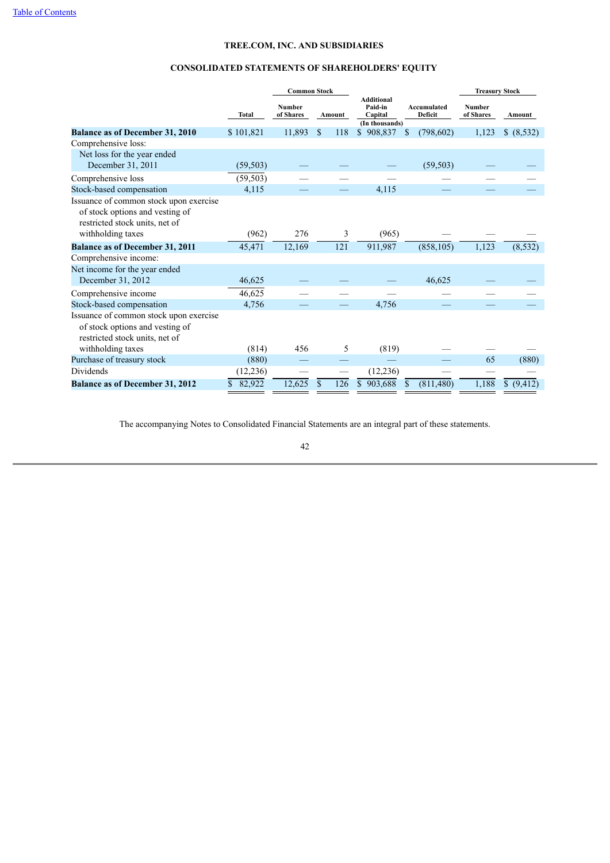# **CONSOLIDATED STATEMENTS OF SHAREHOLDERS' EQUITY**

|                                                                                                             |              | <b>Common Stock</b>        |                     |                                                           |                        | <b>Treasury Stock</b> |                         |  |
|-------------------------------------------------------------------------------------------------------------|--------------|----------------------------|---------------------|-----------------------------------------------------------|------------------------|-----------------------|-------------------------|--|
|                                                                                                             | <b>Total</b> | <b>Number</b><br>of Shares | Amount              | <b>Additional</b><br>Paid-in<br>Capital<br>(In thousands) | Accumulated<br>Deficit | Number<br>of Shares   | Amount                  |  |
| <b>Balance as of December 31, 2010</b>                                                                      | \$101,821    | 11,893                     | $\mathbf{s}$<br>118 | \$<br>908,837                                             | (798, 602)<br>\$       | 1,123                 | \$ (8,532)              |  |
| Comprehensive loss:                                                                                         |              |                            |                     |                                                           |                        |                       |                         |  |
| Net loss for the year ended                                                                                 |              |                            |                     |                                                           |                        |                       |                         |  |
| December 31, 2011                                                                                           | (59, 503)    |                            |                     |                                                           | (59, 503)              |                       |                         |  |
| Comprehensive loss                                                                                          | (59, 503)    |                            |                     |                                                           |                        |                       |                         |  |
| Stock-based compensation                                                                                    | 4,115        |                            |                     | 4,115                                                     |                        |                       |                         |  |
| Issuance of common stock upon exercise<br>of stock options and vesting of<br>restricted stock units, net of |              |                            |                     |                                                           |                        |                       |                         |  |
| withholding taxes                                                                                           | (962)        | 276                        | 3                   | (965)                                                     |                        |                       |                         |  |
| <b>Balance as of December 31, 2011</b>                                                                      | 45,471       | 12,169                     | 121                 | 911,987                                                   | (858, 105)             | 1,123                 | (8, 532)                |  |
| Comprehensive income:                                                                                       |              |                            |                     |                                                           |                        |                       |                         |  |
| Net income for the year ended                                                                               |              |                            |                     |                                                           |                        |                       |                         |  |
| December 31, 2012                                                                                           | 46,625       |                            |                     |                                                           | 46,625                 |                       |                         |  |
| Comprehensive income                                                                                        | 46,625       |                            |                     |                                                           |                        |                       |                         |  |
| Stock-based compensation                                                                                    | 4,756        |                            |                     | 4,756                                                     |                        |                       |                         |  |
| Issuance of common stock upon exercise<br>of stock options and vesting of<br>restricted stock units, net of |              |                            |                     |                                                           |                        |                       |                         |  |
| withholding taxes                                                                                           | (814)        | 456                        | 5                   | (819)                                                     |                        |                       |                         |  |
| Purchase of treasury stock                                                                                  | (880)        |                            |                     |                                                           |                        | 65                    | (880)                   |  |
| Dividends                                                                                                   | (12, 236)    |                            |                     | (12, 236)                                                 |                        |                       |                         |  |
| <b>Balance as of December 31, 2012</b>                                                                      | \$<br>82,922 | 12,625                     | $\mathbf{s}$<br>126 | 903,688<br>\$                                             | (811, 480)<br>\$       | 1,188                 | $\mathbb{S}$<br>(9,412) |  |

The accompanying Notes to Consolidated Financial Statements are an integral part of these statements.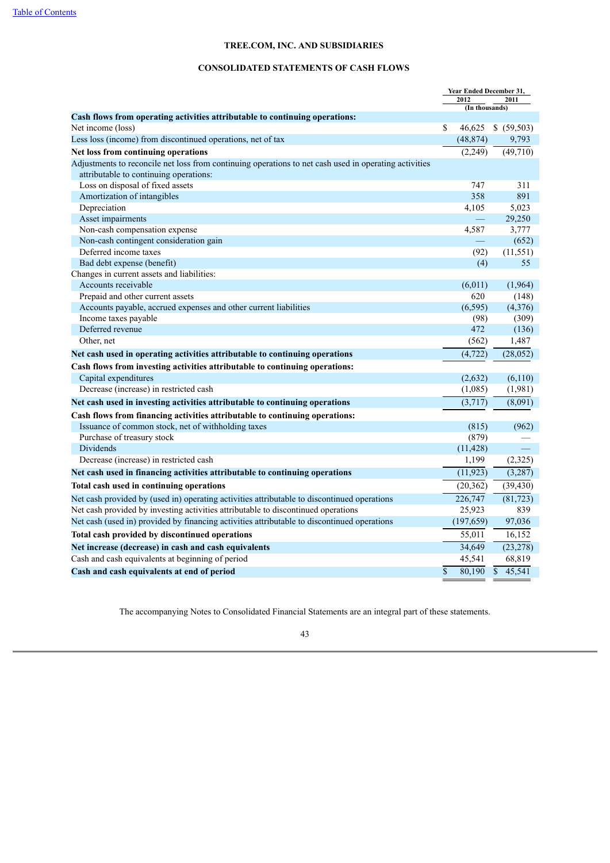## **CONSOLIDATED STATEMENTS OF CASH FLOWS**

|                                                                                                       | Year Ended December 31, |                                   |
|-------------------------------------------------------------------------------------------------------|-------------------------|-----------------------------------|
|                                                                                                       | 2012<br>(In thousands)  | 2011                              |
| Cash flows from operating activities attributable to continuing operations:                           |                         |                                   |
| Net income (loss)                                                                                     | \$<br>46,625            | \$ (59,503)                       |
| Less loss (income) from discontinued operations, net of tax                                           | (48, 874)               | 9,793                             |
| Net loss from continuing operations                                                                   | (2,249)                 | $\overline{(49,710)}$             |
| Adjustments to reconcile net loss from continuing operations to net cash used in operating activities |                         |                                   |
| attributable to continuing operations:                                                                |                         |                                   |
| Loss on disposal of fixed assets                                                                      | 747                     | 311                               |
| Amortization of intangibles                                                                           | 358                     | 891                               |
| Depreciation                                                                                          | 4,105                   | 5,023                             |
| Asset impairments                                                                                     |                         | 29,250                            |
| Non-cash compensation expense                                                                         | 4,587                   | 3,777                             |
| Non-cash contingent consideration gain                                                                |                         | (652)                             |
| Deferred income taxes                                                                                 | (92)                    | (11, 551)                         |
| Bad debt expense (benefit)                                                                            | (4)                     | 55                                |
| Changes in current assets and liabilities:                                                            |                         |                                   |
| Accounts receivable                                                                                   | (6,011)                 | (1,964)                           |
| Prepaid and other current assets                                                                      | 620                     | (148)                             |
| Accounts payable, accrued expenses and other current liabilities                                      | (6, 595)                | (4,376)                           |
| Income taxes payable                                                                                  | (98)                    | (309)                             |
| Deferred revenue                                                                                      | 472                     | (136)                             |
| Other, net                                                                                            | (562)                   | 1,487                             |
| Net cash used in operating activities attributable to continuing operations                           | (4, 722)                | (28, 052)                         |
| Cash flows from investing activities attributable to continuing operations:                           |                         |                                   |
| Capital expenditures                                                                                  | (2,632)                 | (6,110)                           |
| Decrease (increase) in restricted cash                                                                | (1,085)                 | (1,981)                           |
| Net cash used in investing activities attributable to continuing operations                           | (3,717)                 | (8,091)                           |
| Cash flows from financing activities attributable to continuing operations:                           |                         |                                   |
| Issuance of common stock, net of withholding taxes                                                    | (815)                   | (962)                             |
| Purchase of treasury stock                                                                            | (879)                   |                                   |
| Dividends                                                                                             | (11, 428)               |                                   |
| Decrease (increase) in restricted cash                                                                | 1,199                   | (2,325)                           |
| Net cash used in financing activities attributable to continuing operations                           | (11, 923)               | (3,287)                           |
| Total cash used in continuing operations                                                              | (20, 362)               | (39, 430)                         |
| Net cash provided by (used in) operating activities attributable to discontinued operations           | 226,747                 | (81, 723)                         |
| Net cash provided by investing activities attributable to discontinued operations                     | 25,923                  | 839                               |
| Net cash (used in) provided by financing activities attributable to discontinued operations           | (197, 659)              | 97,036                            |
| Total cash provided by discontinued operations                                                        | 55,011                  | 16,152                            |
| Net increase (decrease) in cash and cash equivalents                                                  | 34,649                  | (23, 278)                         |
| Cash and cash equivalents at beginning of period                                                      | 45,541                  | 68,819                            |
| Cash and cash equivalents at end of period                                                            | \$<br>80,190            | $\overline{\mathbb{S}}$<br>45,541 |

The accompanying Notes to Consolidated Financial Statements are an integral part of these statements.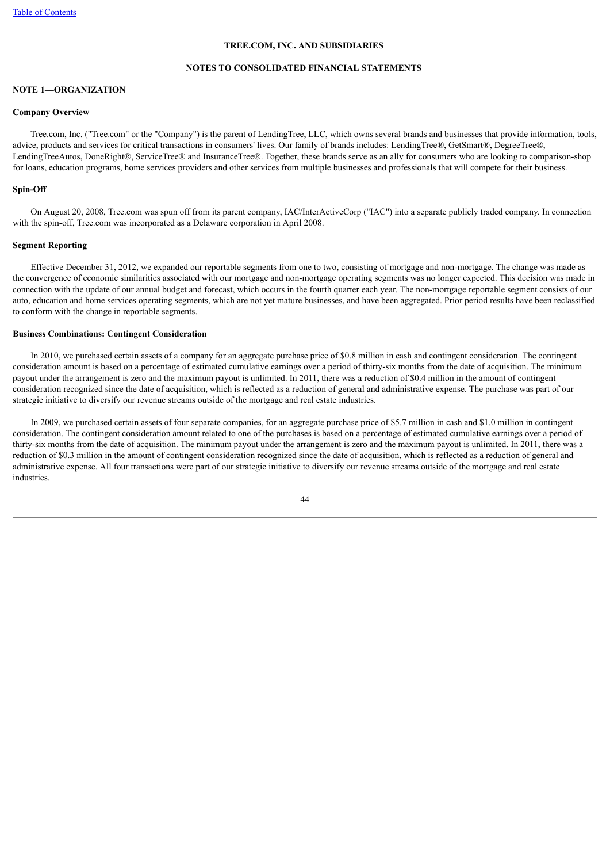## **NOTES TO CONSOLIDATED FINANCIAL STATEMENTS**

## **NOTE 1—ORGANIZATION**

#### **Company Overview**

 Tree.com, Inc. ("Tree.com" or the "Company") is the parent of LendingTree, LLC, which owns several brands and businesses that provide information, tools, advice, products and services for critical transactions in consumers' lives. Our family of brands includes: LendingTree®, GetSmart®, DegreeTree®, LendingTreeAutos, DoneRight®, ServiceTree® and InsuranceTree®. Together, these brands serve as an ally for consumers who are looking to comparison-shop for loans, education programs, home services providers and other services from multiple businesses and professionals that will compete for their business.

#### **Spin-Off**

 On August 20, 2008, Tree.com was spun off from its parent company, IAC/InterActiveCorp ("IAC") into a separate publicly traded company. In connection with the spin-off, Tree.com was incorporated as a Delaware corporation in April 2008.

## **Segment Reporting**

 Effective December 31, 2012, we expanded our reportable segments from one to two, consisting of mortgage and non-mortgage. The change was made as the convergence of economic similarities associated with our mortgage and non-mortgage operating segments was no longer expected. This decision was made in connection with the update of our annual budget and forecast, which occurs in the fourth quarter each year. The non-mortgage reportable segment consists of our auto, education and home services operating segments, which are not yet mature businesses, and have been aggregated. Prior period results have been reclassified to conform with the change in reportable segments.

## **Business Combinations: Contingent Consideration**

 In 2010, we purchased certain assets of a company for an aggregate purchase price of \$0.8 million in cash and contingent consideration. The contingent consideration amount is based on a percentage of estimated cumulative earnings over a period of thirty-six months from the date of acquisition. The minimum payout under the arrangement is zero and the maximum payout is unlimited. In 2011, there was a reduction of \$0.4 million in the amount of contingent consideration recognized since the date of acquisition, which is reflected as a reduction of general and administrative expense. The purchase was part of our strategic initiative to diversify our revenue streams outside of the mortgage and real estate industries.

 In 2009, we purchased certain assets of four separate companies, for an aggregate purchase price of \$5.7 million in cash and \$1.0 million in contingent consideration. The contingent consideration amount related to one of the purchases is based on a percentage of estimated cumulative earnings over a period of thirty-six months from the date of acquisition. The minimum payout under the arrangement is zero and the maximum payout is unlimited. In 2011, there was a reduction of \$0.3 million in the amount of contingent consideration recognized since the date of acquisition, which is reflected as a reduction of general and administrative expense. All four transactions were part of our strategic initiative to diversify our revenue streams outside of the mortgage and real estate industries.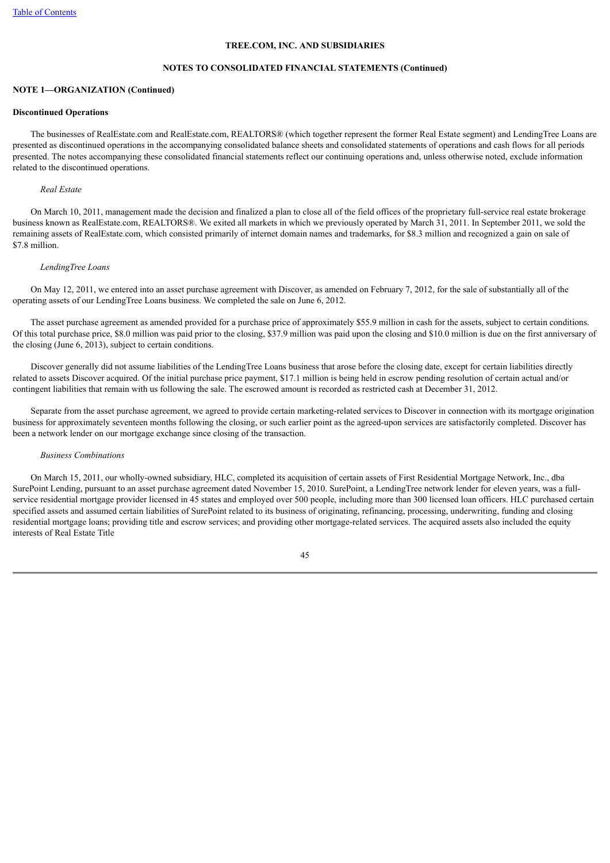## **NOTES TO CONSOLIDATED FINANCIAL STATEMENTS (Continued)**

## **NOTE 1—ORGANIZATION (Continued)**

#### **Discontinued Operations**

 The businesses of RealEstate.com and RealEstate.com, REALTORS® (which together represent the former Real Estate segment) and LendingTree Loans are presented as discontinued operations in the accompanying consolidated balance sheets and consolidated statements of operations and cash flows for all periods presented. The notes accompanying these consolidated financial statements reflect our continuing operations and, unless otherwise noted, exclude information related to the discontinued operations.

## *Real Estate*

 On March 10, 2011, management made the decision and finalized a plan to close all of the field offices of the proprietary full-service real estate brokerage business known as RealEstate.com, REALTORS®. We exited all markets in which we previously operated by March 31, 2011. In September 2011, we sold the remaining assets of RealEstate.com, which consisted primarily of internet domain names and trademarks, for \$8.3 million and recognized a gain on sale of \$7.8 million.

#### *LendingTree Loans*

 On May 12, 2011, we entered into an asset purchase agreement with Discover, as amended on February 7, 2012, for the sale of substantially all of the operating assets of our LendingTree Loans business. We completed the sale on June 6, 2012.

 The asset purchase agreement as amended provided for a purchase price of approximately \$55.9 million in cash for the assets, subject to certain conditions. Of this total purchase price, \$8.0 million was paid prior to the closing, \$37.9 million was paid upon the closing and \$10.0 million is due on the first anniversary of the closing (June 6, 2013), subject to certain conditions.

 Discover generally did not assume liabilities of the LendingTree Loans business that arose before the closing date, except for certain liabilities directly related to assets Discover acquired. Of the initial purchase price payment, \$17.1 million is being held in escrow pending resolution of certain actual and/or contingent liabilities that remain with us following the sale. The escrowed amount is recorded as restricted cash at December 31, 2012.

 Separate from the asset purchase agreement, we agreed to provide certain marketing-related services to Discover in connection with its mortgage origination business for approximately seventeen months following the closing, or such earlier point as the agreed-upon services are satisfactorily completed. Discover has been a network lender on our mortgage exchange since closing of the transaction.

### *Business Combinations*

 On March 15, 2011, our wholly-owned subsidiary, HLC, completed its acquisition of certain assets of First Residential Mortgage Network, Inc., dba SurePoint Lending, pursuant to an asset purchase agreement dated November 15, 2010. SurePoint, a LendingTree network lender for eleven years, was a fullservice residential mortgage provider licensed in 45 states and employed over 500 people, including more than 300 licensed loan officers. HLC purchased certain specified assets and assumed certain liabilities of SurePoint related to its business of originating, refinancing, processing, underwriting, funding and closing residential mortgage loans; providing title and escrow services; and providing other mortgage-related services. The acquired assets also included the equity interests of Real Estate Title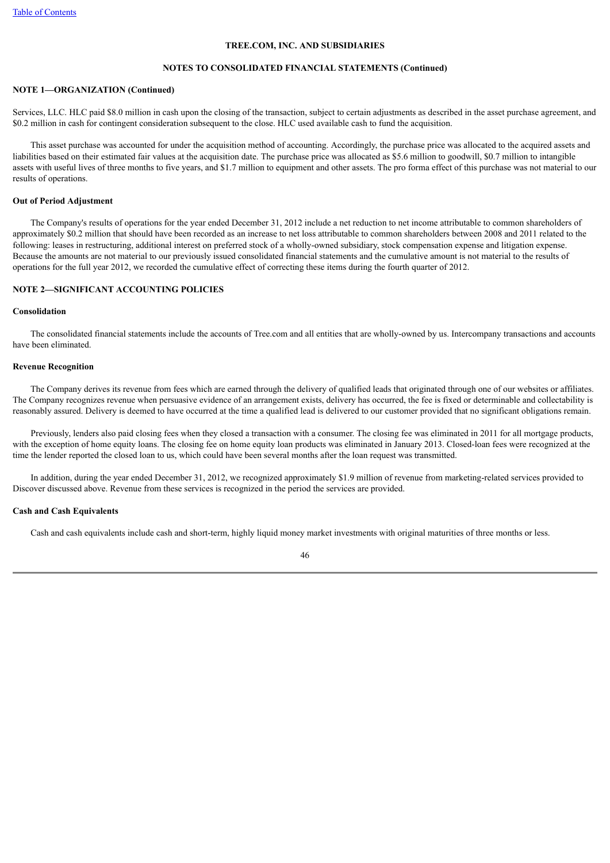## **NOTES TO CONSOLIDATED FINANCIAL STATEMENTS (Continued)**

## **NOTE 1—ORGANIZATION (Continued)**

Services, LLC. HLC paid \$8.0 million in cash upon the closing of the transaction, subject to certain adjustments as described in the asset purchase agreement, and \$0.2 million in cash for contingent consideration subsequent to the close. HLC used available cash to fund the acquisition.

 This asset purchase was accounted for under the acquisition method of accounting. Accordingly, the purchase price was allocated to the acquired assets and liabilities based on their estimated fair values at the acquisition date. The purchase price was allocated as \$5.6 million to goodwill, \$0.7 million to intangible assets with useful lives of three months to five years, and \$1.7 million to equipment and other assets. The pro forma effect of this purchase was not material to our results of operations.

#### **Out of Period Adjustment**

 The Company's results of operations for the year ended December 31, 2012 include a net reduction to net income attributable to common shareholders of approximately \$0.2 million that should have been recorded as an increase to net loss attributable to common shareholders between 2008 and 2011 related to the following: leases in restructuring, additional interest on preferred stock of a wholly-owned subsidiary, stock compensation expense and litigation expense. Because the amounts are not material to our previously issued consolidated financial statements and the cumulative amount is not material to the results of operations for the full year 2012, we recorded the cumulative effect of correcting these items during the fourth quarter of 2012.

## **NOTE 2—SIGNIFICANT ACCOUNTING POLICIES**

## **Consolidation**

 The consolidated financial statements include the accounts of Tree.com and all entities that are wholly-owned by us. Intercompany transactions and accounts have been eliminated.

## **Revenue Recognition**

 The Company derives its revenue from fees which are earned through the delivery of qualified leads that originated through one of our websites or affiliates. The Company recognizes revenue when persuasive evidence of an arrangement exists, delivery has occurred, the fee is fixed or determinable and collectability is reasonably assured. Delivery is deemed to have occurred at the time a qualified lead is delivered to our customer provided that no significant obligations remain.

 Previously, lenders also paid closing fees when they closed a transaction with a consumer. The closing fee was eliminated in 2011 for all mortgage products, with the exception of home equity loans. The closing fee on home equity loan products was eliminated in January 2013. Closed-loan fees were recognized at the time the lender reported the closed loan to us, which could have been several months after the loan request was transmitted.

 In addition, during the year ended December 31, 2012, we recognized approximately \$1.9 million of revenue from marketing-related services provided to Discover discussed above. Revenue from these services is recognized in the period the services are provided.

#### **Cash and Cash Equivalents**

Cash and cash equivalents include cash and short-term, highly liquid money market investments with original maturities of three months or less.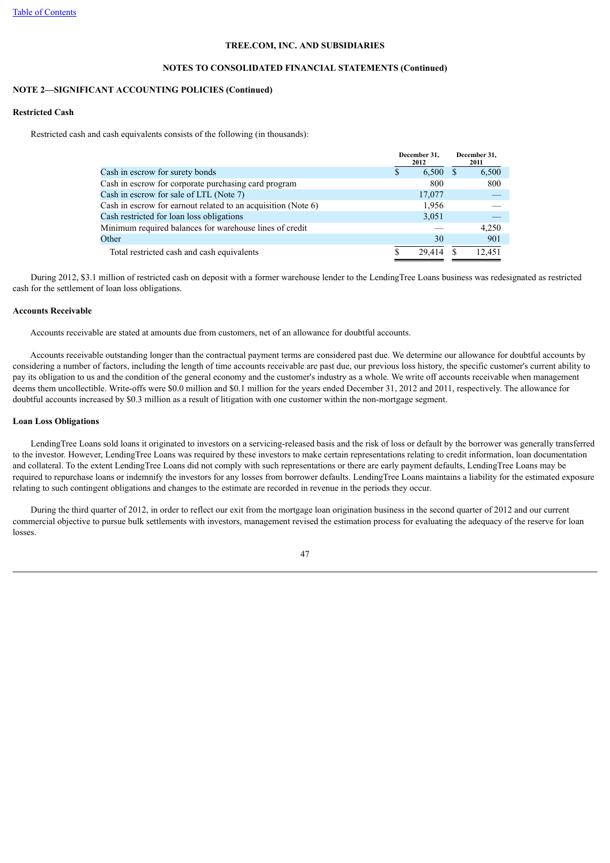## **NOTES TO CONSOLIDATED FINANCIAL STATEMENTS (Continued)**

## **NOTE 2—SIGNIFICANT ACCOUNTING POLICIES (Continued)**

#### **Restricted Cash**

Restricted cash and cash equivalents consists of the following (in thousands):

|                                                               | December 31,<br>2012 |        | December 31,<br>2011 |
|---------------------------------------------------------------|----------------------|--------|----------------------|
| Cash in escrow for surety bonds                               | S                    | 6,500  | 6,500                |
| Cash in escrow for corporate purchasing card program          |                      | 800    | 800                  |
| Cash in escrow for sale of LTL (Note 7)                       |                      | 17,077 |                      |
| Cash in escrow for earnout related to an acquisition (Note 6) |                      | 1,956  |                      |
| Cash restricted for loan loss obligations                     |                      | 3,051  |                      |
| Minimum required balances for warehouse lines of credit       |                      |        | 4.250                |
| Other                                                         |                      | 30     | 901                  |
| Total restricted cash and cash equivalents                    |                      | 29.414 | 12.451               |

 During 2012, \$3.1 million of restricted cash on deposit with a former warehouse lender to the LendingTree Loans business was redesignated as restricted cash for the settlement of loan loss obligations.

## **Accounts Receivable**

Accounts receivable are stated at amounts due from customers, net of an allowance for doubtful accounts.

 Accounts receivable outstanding longer than the contractual payment terms are considered past due. We determine our allowance for doubtful accounts by considering a number of factors, including the length of time accounts receivable are past due, our previous loss history, the specific customer's current ability to pay its obligation to us and the condition of the general economy and the customer's industry as a whole. We write off accounts receivable when management deems them uncollectible. Write-offs were \$0.0 million and \$0.1 million for the years ended December 31, 2012 and 2011, respectively. The allowance for doubtful accounts increased by \$0.3 million as a result of litigation with one customer within the non-mortgage segment.

## **Loan Loss Obligations**

 LendingTree Loans sold loans it originated to investors on a servicing-released basis and the risk of loss or default by the borrower was generally transferred to the investor. However, LendingTree Loans was required by these investors to make certain representations relating to credit information, loan documentation and collateral. To the extent LendingTree Loans did not comply with such representations or there are early payment defaults, LendingTree Loans may be required to repurchase loans or indemnify the investors for any losses from borrower defaults. LendingTree Loans maintains a liability for the estimated exposure relating to such contingent obligations and changes to the estimate are recorded in revenue in the periods they occur.

 During the third quarter of 2012, in order to reflect our exit from the mortgage loan origination business in the second quarter of 2012 and our current commercial objective to pursue bulk settlements with investors, management revised the estimation process for evaluating the adequacy of the reserve for loan losses.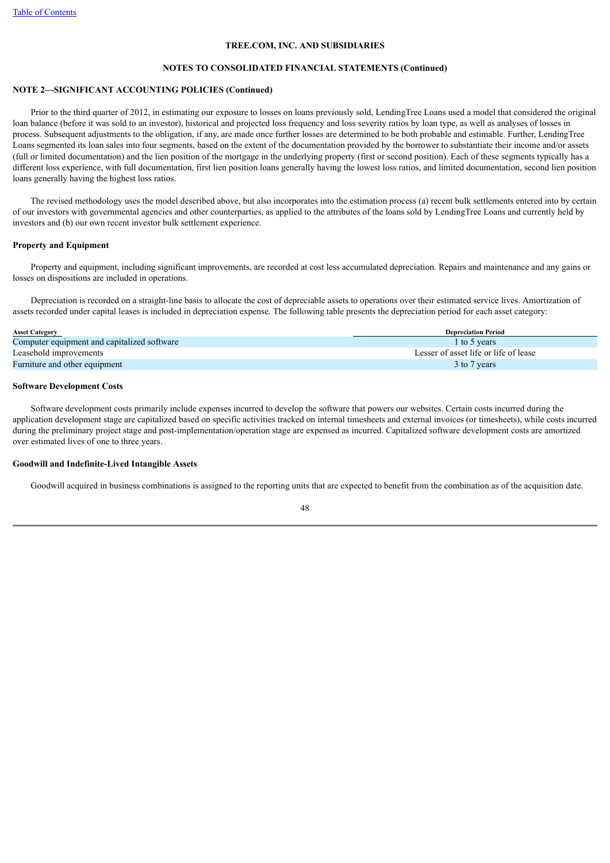## **NOTES TO CONSOLIDATED FINANCIAL STATEMENTS (Continued)**

## **NOTE 2—SIGNIFICANT ACCOUNTING POLICIES (Continued)**

 Prior to the third quarter of 2012, in estimating our exposure to losses on loans previously sold, LendingTree Loans used a model that considered the original loan balance (before it was sold to an investor), historical and projected loss frequency and loss severity ratios by loan type, as well as analyses of losses in process. Subsequent adjustments to the obligation, if any, are made once further losses are determined to be both probable and estimable. Further, LendingTree Loans segmented its loan sales into four segments, based on the extent of the documentation provided by the borrower to substantiate their income and/or assets (full or limited documentation) and the lien position of the mortgage in the underlying property (first or second position). Each of these segments typically has a different loss experience, with full documentation, first lien position loans generally having the lowest loss ratios, and limited documentation, second lien position loans generally having the highest loss ratios.

 The revised methodology uses the model described above, but also incorporates into the estimation process (a) recent bulk settlements entered into by certain of our investors with governmental agencies and other counterparties, as applied to the attributes of the loans sold by LendingTree Loans and currently held by investors and (b) our own recent investor bulk settlement experience.

## **Property and Equipment**

 Property and equipment, including significant improvements, are recorded at cost less accumulated depreciation. Repairs and maintenance and any gains or losses on dispositions are included in operations.

 Depreciation is recorded on a straight-line basis to allocate the cost of depreciable assets to operations over their estimated service lives. Amortization of assets recorded under capital leases is included in depreciation expense. The following table presents the depreciation period for each asset category:

| <b>Asset Category</b>                       | <b>Depreciation Period</b>            |
|---------------------------------------------|---------------------------------------|
| Computer equipment and capitalized software | 1 to 5 years                          |
| Leasehold improvements                      | Lesser of asset life or life of lease |
| Furniture and other equipment               | 3 to 7 years                          |

## **Software Development Costs**

 Software development costs primarily include expenses incurred to develop the software that powers our websites. Certain costs incurred during the application development stage are capitalized based on specific activities tracked on internal timesheets and external invoices (or timesheets), while costs incurred during the preliminary project stage and post-implementation/operation stage are expensed as incurred. Capitalized software development costs are amortized over estimated lives of one to three years.

## **Goodwill and Indefinite-Lived Intangible Assets**

Goodwill acquired in business combinations is assigned to the reporting units that are expected to benefit from the combination as of the acquisition date.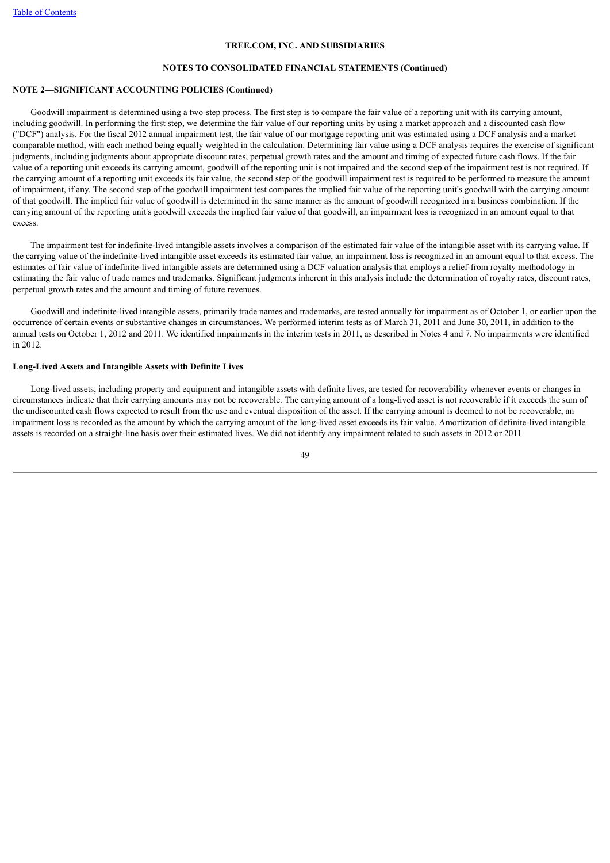#### **NOTES TO CONSOLIDATED FINANCIAL STATEMENTS (Continued)**

### **NOTE 2—SIGNIFICANT ACCOUNTING POLICIES (Continued)**

 Goodwill impairment is determined using a two-step process. The first step is to compare the fair value of a reporting unit with its carrying amount, including goodwill. In performing the first step, we determine the fair value of our reporting units by using a market approach and a discounted cash flow ("DCF") analysis. For the fiscal 2012 annual impairment test, the fair value of our mortgage reporting unit was estimated using a DCF analysis and a market comparable method, with each method being equally weighted in the calculation. Determining fair value using a DCF analysis requires the exercise of significant judgments, including judgments about appropriate discount rates, perpetual growth rates and the amount and timing of expected future cash flows. If the fair value of a reporting unit exceeds its carrying amount, goodwill of the reporting unit is not impaired and the second step of the impairment test is not required. If the carrying amount of a reporting unit exceeds its fair value, the second step of the goodwill impairment test is required to be performed to measure the amount of impairment, if any. The second step of the goodwill impairment test compares the implied fair value of the reporting unit's goodwill with the carrying amount of that goodwill. The implied fair value of goodwill is determined in the same manner as the amount of goodwill recognized in a business combination. If the carrying amount of the reporting unit's goodwill exceeds the implied fair value of that goodwill, an impairment loss is recognized in an amount equal to that excess.

 The impairment test for indefinite-lived intangible assets involves a comparison of the estimated fair value of the intangible asset with its carrying value. If the carrying value of the indefinite-lived intangible asset exceeds its estimated fair value, an impairment loss is recognized in an amount equal to that excess. The estimates of fair value of indefinite-lived intangible assets are determined using a DCF valuation analysis that employs a relief-from royalty methodology in estimating the fair value of trade names and trademarks. Significant judgments inherent in this analysis include the determination of royalty rates, discount rates, perpetual growth rates and the amount and timing of future revenues.

 Goodwill and indefinite-lived intangible assets, primarily trade names and trademarks, are tested annually for impairment as of October 1, or earlier upon the occurrence of certain events or substantive changes in circumstances. We performed interim tests as of March 31, 2011 and June 30, 2011, in addition to the annual tests on October 1, 2012 and 2011. We identified impairments in the interim tests in 2011, as described in Notes 4 and 7. No impairments were identified in 2012.

## **Long-Lived Assets and Intangible Assets with Definite Lives**

 Long-lived assets, including property and equipment and intangible assets with definite lives, are tested for recoverability whenever events or changes in circumstances indicate that their carrying amounts may not be recoverable. The carrying amount of a long-lived asset is not recoverable if it exceeds the sum of the undiscounted cash flows expected to result from the use and eventual disposition of the asset. If the carrying amount is deemed to not be recoverable, an impairment loss is recorded as the amount by which the carrying amount of the long-lived asset exceeds its fair value. Amortization of definite-lived intangible assets is recorded on a straight-line basis over their estimated lives. We did not identify any impairment related to such assets in 2012 or 2011.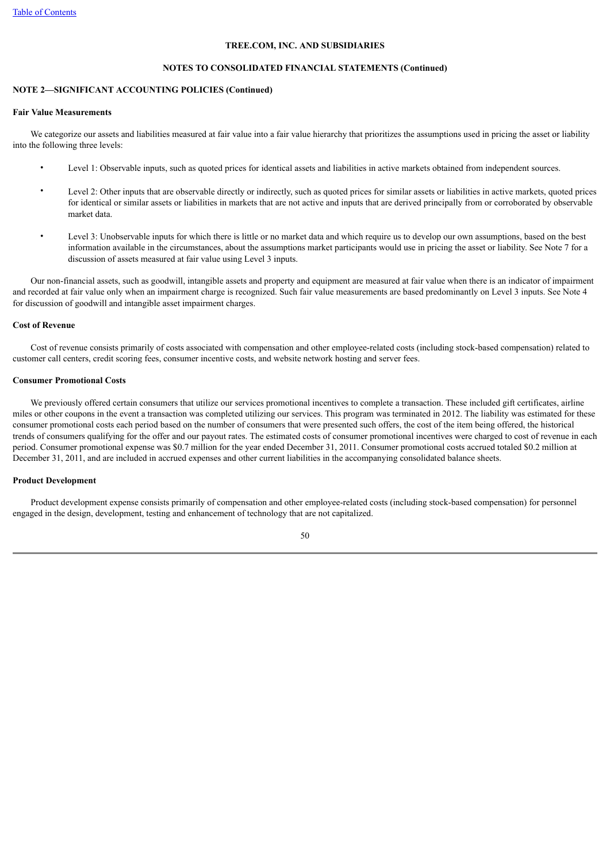#### **NOTES TO CONSOLIDATED FINANCIAL STATEMENTS (Continued)**

## **NOTE 2—SIGNIFICANT ACCOUNTING POLICIES (Continued)**

#### **Fair Value Measurements**

We categorize our assets and liabilities measured at fair value into a fair value hierarchy that prioritizes the assumptions used in pricing the asset or liability into the following three levels:

- Level 1: Observable inputs, such as quoted prices for identical assets and liabilities in active markets obtained from independent sources.
- Level 2: Other inputs that are observable directly or indirectly, such as quoted prices for similar assets or liabilities in active markets, quoted prices for identical or similar assets or liabilities in markets that are not active and inputs that are derived principally from or corroborated by observable market data.
- Level 3: Unobservable inputs for which there is little or no market data and which require us to develop our own assumptions, based on the best information available in the circumstances, about the assumptions market participants would use in pricing the asset or liability. See Note 7 for a discussion of assets measured at fair value using Level 3 inputs.

 Our non-financial assets, such as goodwill, intangible assets and property and equipment are measured at fair value when there is an indicator of impairment and recorded at fair value only when an impairment charge is recognized. Such fair value measurements are based predominantly on Level 3 inputs. See Note 4 for discussion of goodwill and intangible asset impairment charges.

## **Cost of Revenue**

 Cost of revenue consists primarily of costs associated with compensation and other employee-related costs (including stock-based compensation) related to customer call centers, credit scoring fees, consumer incentive costs, and website network hosting and server fees.

## **Consumer Promotional Costs**

 We previously offered certain consumers that utilize our services promotional incentives to complete a transaction. These included gift certificates, airline miles or other coupons in the event a transaction was completed utilizing our services. This program was terminated in 2012. The liability was estimated for these consumer promotional costs each period based on the number of consumers that were presented such offers, the cost of the item being offered, the historical trends of consumers qualifying for the offer and our payout rates. The estimated costs of consumer promotional incentives were charged to cost of revenue in each period. Consumer promotional expense was \$0.7 million for the year ended December 31, 2011. Consumer promotional costs accrued totaled \$0.2 million at December 31, 2011, and are included in accrued expenses and other current liabilities in the accompanying consolidated balance sheets.

## **Product Development**

 Product development expense consists primarily of compensation and other employee-related costs (including stock-based compensation) for personnel engaged in the design, development, testing and enhancement of technology that are not capitalized.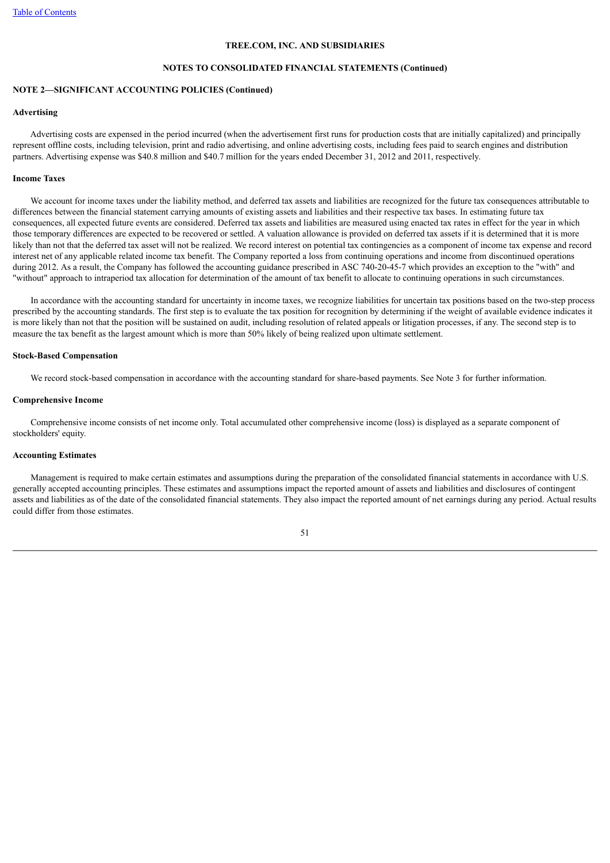## **NOTES TO CONSOLIDATED FINANCIAL STATEMENTS (Continued)**

## **NOTE 2—SIGNIFICANT ACCOUNTING POLICIES (Continued)**

#### **Advertising**

 Advertising costs are expensed in the period incurred (when the advertisement first runs for production costs that are initially capitalized) and principally represent offline costs, including television, print and radio advertising, and online advertising costs, including fees paid to search engines and distribution partners. Advertising expense was \$40.8 million and \$40.7 million for the years ended December 31, 2012 and 2011, respectively.

## **Income Taxes**

 We account for income taxes under the liability method, and deferred tax assets and liabilities are recognized for the future tax consequences attributable to differences between the financial statement carrying amounts of existing assets and liabilities and their respective tax bases. In estimating future tax consequences, all expected future events are considered. Deferred tax assets and liabilities are measured using enacted tax rates in effect for the year in which those temporary differences are expected to be recovered or settled. A valuation allowance is provided on deferred tax assets if it is determined that it is more likely than not that the deferred tax asset will not be realized. We record interest on potential tax contingencies as a component of income tax expense and record interest net of any applicable related income tax benefit. The Company reported a loss from continuing operations and income from discontinued operations during 2012. As a result, the Company has followed the accounting guidance prescribed in ASC 740-20-45-7 which provides an exception to the "with" and "without" approach to intraperiod tax allocation for determination of the amount of tax benefit to allocate to continuing operations in such circumstances.

 In accordance with the accounting standard for uncertainty in income taxes, we recognize liabilities for uncertain tax positions based on the two-step process prescribed by the accounting standards. The first step is to evaluate the tax position for recognition by determining if the weight of available evidence indicates it is more likely than not that the position will be sustained on audit, including resolution of related appeals or litigation processes, if any. The second step is to measure the tax benefit as the largest amount which is more than 50% likely of being realized upon ultimate settlement.

#### **Stock-Based Compensation**

We record stock-based compensation in accordance with the accounting standard for share-based payments. See Note 3 for further information.

## **Comprehensive Income**

 Comprehensive income consists of net income only. Total accumulated other comprehensive income (loss) is displayed as a separate component of stockholders' equity.

### **Accounting Estimates**

 Management is required to make certain estimates and assumptions during the preparation of the consolidated financial statements in accordance with U.S. generally accepted accounting principles. These estimates and assumptions impact the reported amount of assets and liabilities and disclosures of contingent assets and liabilities as of the date of the consolidated financial statements. They also impact the reported amount of net earnings during any period. Actual results could differ from those estimates.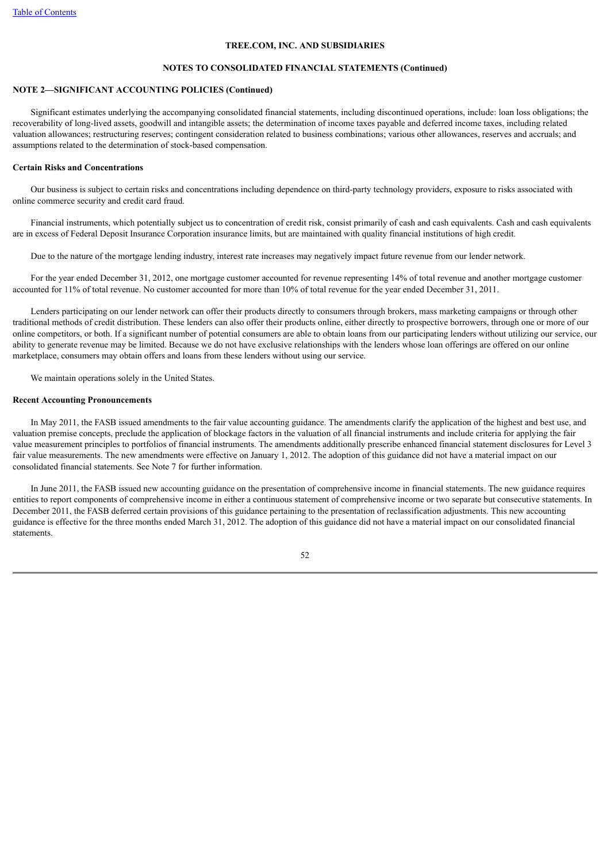#### **NOTES TO CONSOLIDATED FINANCIAL STATEMENTS (Continued)**

## **NOTE 2—SIGNIFICANT ACCOUNTING POLICIES (Continued)**

 Significant estimates underlying the accompanying consolidated financial statements, including discontinued operations, include: loan loss obligations; the recoverability of long-lived assets, goodwill and intangible assets; the determination of income taxes payable and deferred income taxes, including related valuation allowances; restructuring reserves; contingent consideration related to business combinations; various other allowances, reserves and accruals; and assumptions related to the determination of stock-based compensation.

## **Certain Risks and Concentrations**

 Our business is subject to certain risks and concentrations including dependence on third-party technology providers, exposure to risks associated with online commerce security and credit card fraud.

 Financial instruments, which potentially subject us to concentration of credit risk, consist primarily of cash and cash equivalents. Cash and cash equivalents are in excess of Federal Deposit Insurance Corporation insurance limits, but are maintained with quality financial institutions of high credit.

Due to the nature of the mortgage lending industry, interest rate increases may negatively impact future revenue from our lender network.

 For the year ended December 31, 2012, one mortgage customer accounted for revenue representing 14% of total revenue and another mortgage customer accounted for 11% of total revenue. No customer accounted for more than 10% of total revenue for the year ended December 31, 2011.

 Lenders participating on our lender network can offer their products directly to consumers through brokers, mass marketing campaigns or through other traditional methods of credit distribution. These lenders can also offer their products online, either directly to prospective borrowers, through one or more of our online competitors, or both. If a significant number of potential consumers are able to obtain loans from our participating lenders without utilizing our service, our ability to generate revenue may be limited. Because we do not have exclusive relationships with the lenders whose loan offerings are offered on our online marketplace, consumers may obtain offers and loans from these lenders without using our service.

We maintain operations solely in the United States.

### **Recent Accounting Pronouncements**

 In May 2011, the FASB issued amendments to the fair value accounting guidance. The amendments clarify the application of the highest and best use, and valuation premise concepts, preclude the application of blockage factors in the valuation of all financial instruments and include criteria for applying the fair value measurement principles to portfolios of financial instruments. The amendments additionally prescribe enhanced financial statement disclosures for Level 3 fair value measurements. The new amendments were effective on January 1, 2012. The adoption of this guidance did not have a material impact on our consolidated financial statements. See Note 7 for further information.

 In June 2011, the FASB issued new accounting guidance on the presentation of comprehensive income in financial statements. The new guidance requires entities to report components of comprehensive income in either a continuous statement of comprehensive income or two separate but consecutive statements. In December 2011, the FASB deferred certain provisions of this guidance pertaining to the presentation of reclassification adjustments. This new accounting guidance is effective for the three months ended March 31, 2012. The adoption of this guidance did not have a material impact on our consolidated financial statements.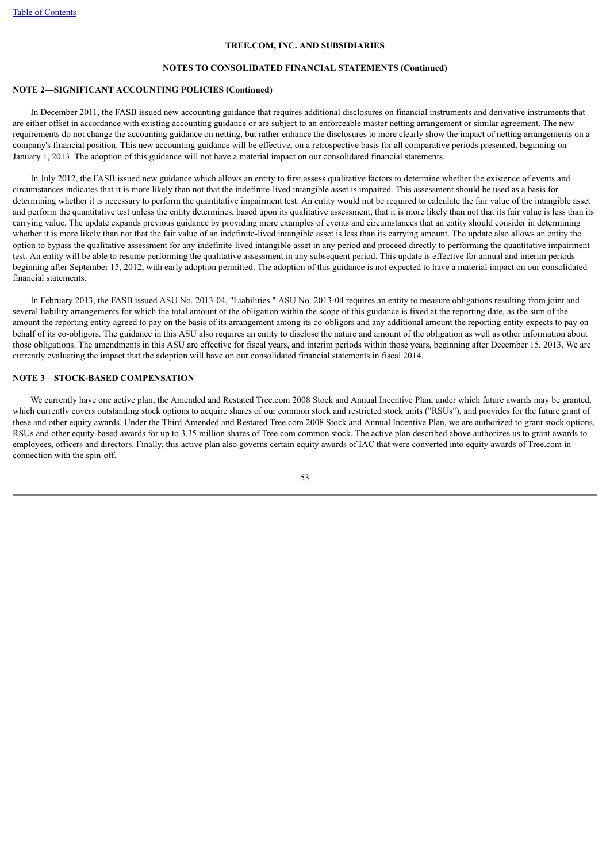#### **NOTES TO CONSOLIDATED FINANCIAL STATEMENTS (Continued)**

## **NOTE 2—SIGNIFICANT ACCOUNTING POLICIES (Continued)**

 In December 2011, the FASB issued new accounting guidance that requires additional disclosures on financial instruments and derivative instruments that are either offset in accordance with existing accounting guidance or are subject to an enforceable master netting arrangement or similar agreement. The new requirements do not change the accounting guidance on netting, but rather enhance the disclosures to more clearly show the impact of netting arrangements on a company's financial position. This new accounting guidance will be effective, on a retrospective basis for all comparative periods presented, beginning on January 1, 2013. The adoption of this guidance will not have a material impact on our consolidated financial statements.

 In July 2012, the FASB issued new guidance which allows an entity to first assess qualitative factors to determine whether the existence of events and circumstances indicates that it is more likely than not that the indefinite-lived intangible asset is impaired. This assessment should be used as a basis for determining whether it is necessary to perform the quantitative impairment test. An entity would not be required to calculate the fair value of the intangible asset and perform the quantitative test unless the entity determines, based upon its qualitative assessment, that it is more likely than not that its fair value is less than its carrying value. The update expands previous guidance by providing more examples of events and circumstances that an entity should consider in determining whether it is more likely than not that the fair value of an indefinite-lived intangible asset is less than its carrying amount. The update also allows an entity the option to bypass the qualitative assessment for any indefinite-lived intangible asset in any period and proceed directly to performing the quantitative impairment test. An entity will be able to resume performing the qualitative assessment in any subsequent period. This update is effective for annual and interim periods beginning after September 15, 2012, with early adoption permitted. The adoption of this guidance is not expected to have a material impact on our consolidated financial statements.

 In February 2013, the FASB issued ASU No. 2013-04, "Liabilities." ASU No. 2013-04 requires an entity to measure obligations resulting from joint and several liability arrangements for which the total amount of the obligation within the scope of this guidance is fixed at the reporting date, as the sum of the amount the reporting entity agreed to pay on the basis of its arrangement among its co-obligors and any additional amount the reporting entity expects to pay on behalf of its co-obligors. The guidance in this ASU also requires an entity to disclose the nature and amount of the obligation as well as other information about those obligations. The amendments in this ASU are effective for fiscal years, and interim periods within those years, beginning after December 15, 2013. We are currently evaluating the impact that the adoption will have on our consolidated financial statements in fiscal 2014.

## **NOTE 3—STOCK-BASED COMPENSATION**

We currently have one active plan, the Amended and Restated Tree.com 2008 Stock and Annual Incentive Plan, under which future awards may be granted. which currently covers outstanding stock options to acquire shares of our common stock and restricted stock units ("RSUs"), and provides for the future grant of these and other equity awards. Under the Third Amended and Restated Tree.com 2008 Stock and Annual Incentive Plan, we are authorized to grant stock options, RSUs and other equity-based awards for up to 3.35 million shares of Tree.com common stock. The active plan described above authorizes us to grant awards to employees, officers and directors. Finally, this active plan also governs certain equity awards of IAC that were converted into equity awards of Tree.com in connection with the spin-off.

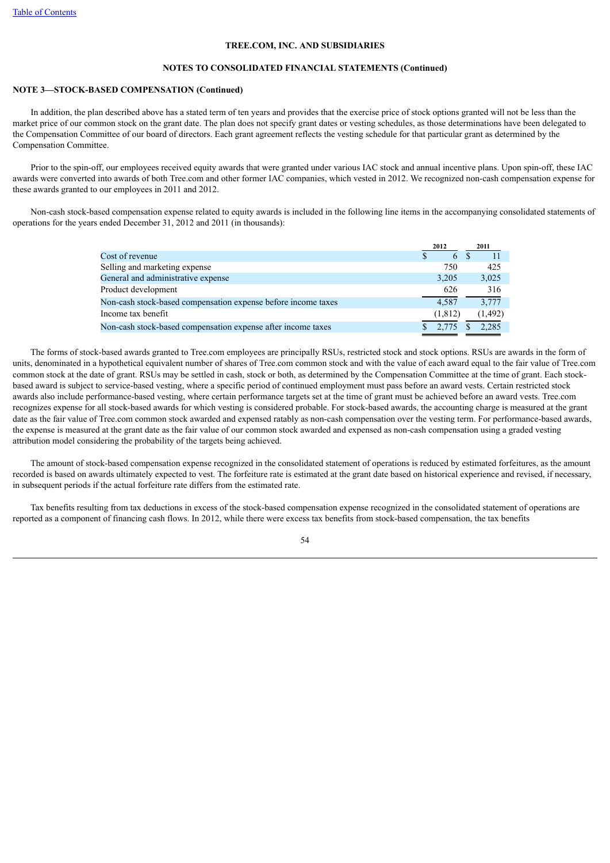#### **NOTES TO CONSOLIDATED FINANCIAL STATEMENTS (Continued)**

## **NOTE 3—STOCK-BASED COMPENSATION (Continued)**

 In addition, the plan described above has a stated term of ten years and provides that the exercise price of stock options granted will not be less than the market price of our common stock on the grant date. The plan does not specify grant dates or vesting schedules, as those determinations have been delegated to the Compensation Committee of our board of directors. Each grant agreement reflects the vesting schedule for that particular grant as determined by the Compensation Committee.

 Prior to the spin-off, our employees received equity awards that were granted under various IAC stock and annual incentive plans. Upon spin-off, these IAC awards were converted into awards of both Tree.com and other former IAC companies, which vested in 2012. We recognized non-cash compensation expense for these awards granted to our employees in 2011 and 2012.

 Non-cash stock-based compensation expense related to equity awards is included in the following line items in the accompanying consolidated statements of operations for the years ended December 31, 2012 and 2011 (in thousands):

|                                                               | 2012     | 2011     |
|---------------------------------------------------------------|----------|----------|
| Cost of revenue                                               | 6        |          |
| Selling and marketing expense                                 | 750      | 425      |
| General and administrative expense                            | 3.205    | 3,025    |
| Product development                                           | 626      | 316      |
| Non-cash stock-based compensation expense before income taxes | 4.587    | 3,777    |
| Income tax benefit                                            | (1, 812) | (1, 492) |
| Non-cash stock-based compensation expense after income taxes  | 2.775    | 2.285    |

 The forms of stock-based awards granted to Tree.com employees are principally RSUs, restricted stock and stock options. RSUs are awards in the form of units, denominated in a hypothetical equivalent number of shares of Tree.com common stock and with the value of each award equal to the fair value of Tree.com common stock at the date of grant. RSUs may be settled in cash, stock or both, as determined by the Compensation Committee at the time of grant. Each stockbased award is subject to service-based vesting, where a specific period of continued employment must pass before an award vests. Certain restricted stock awards also include performance-based vesting, where certain performance targets set at the time of grant must be achieved before an award vests. Tree.com recognizes expense for all stock-based awards for which vesting is considered probable. For stock-based awards, the accounting charge is measured at the grant date as the fair value of Tree.com common stock awarded and expensed ratably as non-cash compensation over the vesting term. For performance-based awards, the expense is measured at the grant date as the fair value of our common stock awarded and expensed as non-cash compensation using a graded vesting attribution model considering the probability of the targets being achieved.

 The amount of stock-based compensation expense recognized in the consolidated statement of operations is reduced by estimated forfeitures, as the amount recorded is based on awards ultimately expected to vest. The forfeiture rate is estimated at the grant date based on historical experience and revised, if necessary, in subsequent periods if the actual forfeiture rate differs from the estimated rate.

 Tax benefits resulting from tax deductions in excess of the stock-based compensation expense recognized in the consolidated statement of operations are reported as a component of financing cash flows. In 2012, while there were excess tax benefits from stock-based compensation, the tax benefits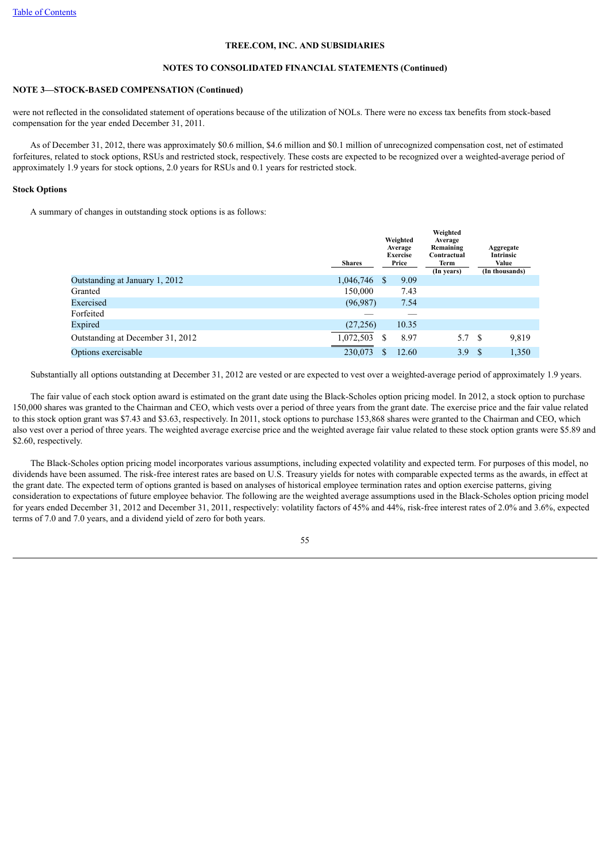## **NOTES TO CONSOLIDATED FINANCIAL STATEMENTS (Continued)**

## **NOTE 3—STOCK-BASED COMPENSATION (Continued)**

were not reflected in the consolidated statement of operations because of the utilization of NOLs. There were no excess tax benefits from stock-based compensation for the year ended December 31, 2011.

 As of December 31, 2012, there was approximately \$0.6 million, \$4.6 million and \$0.1 million of unrecognized compensation cost, net of estimated forfeitures, related to stock options, RSUs and restricted stock, respectively. These costs are expected to be recognized over a weighted-average period of approximately 1.9 years for stock options, 2.0 years for RSUs and 0.1 years for restricted stock.

## **Stock Options**

A summary of changes in outstanding stock options is as follows:

|                                  | <b>Shares</b> |     | Weighted<br>Average<br><b>Exercise</b><br>Price | Weighted<br>Average<br>Remaining<br>Contractual<br>Term<br>(In years) |              | Aggregate<br>Intrinsic<br>Value<br>(In thousands) |
|----------------------------------|---------------|-----|-------------------------------------------------|-----------------------------------------------------------------------|--------------|---------------------------------------------------|
| Outstanding at January 1, 2012   | 1,046,746     | S   | 9.09                                            |                                                                       |              |                                                   |
| Granted                          | 150.000       |     | 7.43                                            |                                                                       |              |                                                   |
| Exercised                        | (96, 987)     |     | 7.54                                            |                                                                       |              |                                                   |
| Forfeited                        |               |     |                                                 |                                                                       |              |                                                   |
| Expired                          | (27, 256)     |     | 10.35                                           |                                                                       |              |                                                   |
| Outstanding at December 31, 2012 | 1,072,503     | \$  | 8.97                                            | 5.7                                                                   | - \$         | 9,819                                             |
| Options exercisable              | 230.073       | \$. | 12.60                                           | 3.9                                                                   | <sup>S</sup> | 1,350                                             |

Substantially all options outstanding at December 31, 2012 are vested or are expected to vest over a weighted-average period of approximately 1.9 years.

 The fair value of each stock option award is estimated on the grant date using the Black-Scholes option pricing model. In 2012, a stock option to purchase 150,000 shares was granted to the Chairman and CEO, which vests over a period of three years from the grant date. The exercise price and the fair value related to this stock option grant was \$7.43 and \$3.63, respectively. In 2011, stock options to purchase 153,868 shares were granted to the Chairman and CEO, which also vest over a period of three years. The weighted average exercise price and the weighted average fair value related to these stock option grants were \$5.89 and \$2.60, respectively.

 The Black-Scholes option pricing model incorporates various assumptions, including expected volatility and expected term. For purposes of this model, no dividends have been assumed. The risk-free interest rates are based on U.S. Treasury yields for notes with comparable expected terms as the awards, in effect at the grant date. The expected term of options granted is based on analyses of historical employee termination rates and option exercise patterns, giving consideration to expectations of future employee behavior. The following are the weighted average assumptions used in the Black-Scholes option pricing model for years ended December 31, 2012 and December 31, 2011, respectively: volatility factors of 45% and 44%, risk-free interest rates of 2.0% and 3.6%, expected terms of 7.0 and 7.0 years, and a dividend yield of zero for both years.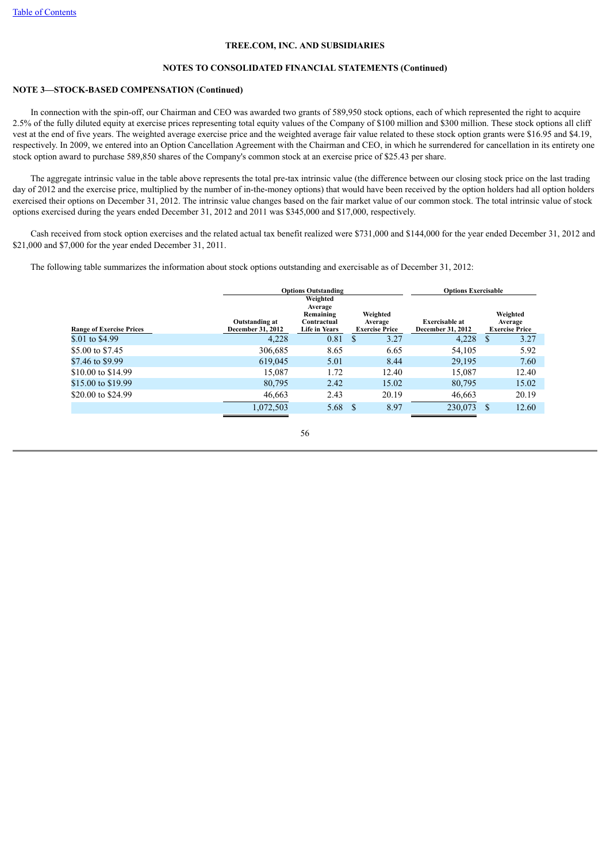### **NOTES TO CONSOLIDATED FINANCIAL STATEMENTS (Continued)**

## **NOTE 3—STOCK-BASED COMPENSATION (Continued)**

 In connection with the spin-off, our Chairman and CEO was awarded two grants of 589,950 stock options, each of which represented the right to acquire 2.5% of the fully diluted equity at exercise prices representing total equity values of the Company of \$100 million and \$300 million. These stock options all cliff vest at the end of five years. The weighted average exercise price and the weighted average fair value related to these stock option grants were \$16.95 and \$4.19, respectively. In 2009, we entered into an Option Cancellation Agreement with the Chairman and CEO, in which he surrendered for cancellation in its entirety one stock option award to purchase 589,850 shares of the Company's common stock at an exercise price of \$25.43 per share.

 The aggregate intrinsic value in the table above represents the total pre-tax intrinsic value (the difference between our closing stock price on the last trading day of 2012 and the exercise price, multiplied by the number of in-the-money options) that would have been received by the option holders had all option holders exercised their options on December 31, 2012. The intrinsic value changes based on the fair market value of our common stock. The total intrinsic value of stock options exercised during the years ended December 31, 2012 and 2011 was \$345,000 and \$17,000, respectively.

 Cash received from stock option exercises and the related actual tax benefit realized were \$731,000 and \$144,000 for the year ended December 31, 2012 and \$21,000 and \$7,000 for the year ended December 31, 2011.

The following table summarizes the information about stock options outstanding and exercisable as of December 31, 2012:

|                                 |                                            | <b>Options Outstanding</b>                                              | <b>Options Exercisable</b>                   |                                            |                                              |
|---------------------------------|--------------------------------------------|-------------------------------------------------------------------------|----------------------------------------------|--------------------------------------------|----------------------------------------------|
| <b>Range of Exercise Prices</b> | Outstanding at<br><b>December 31, 2012</b> | Weighted<br>Average<br>Remaining<br>Contractual<br><b>Life in Years</b> | Weighted<br>Average<br><b>Exercise Price</b> | <b>Exercisable at</b><br>December 31, 2012 | Weighted<br>Average<br><b>Exercise Price</b> |
| \$.01 to \$4.99                 | 4,228                                      | 0.81                                                                    | 3.27<br>S                                    | 4,228                                      | 3.27                                         |
| \$5.00 to \$7.45                | 306,685                                    | 8.65                                                                    | 6.65                                         | 54,105                                     | 5.92                                         |
| \$7.46 to \$9.99                | 619,045                                    | 5.01                                                                    | 8.44                                         | 29,195                                     | 7.60                                         |
| \$10,00 to \$14.99              | 15.087                                     | 1.72                                                                    | 12.40                                        | 15,087                                     | 12.40                                        |
| \$15.00 to \$19.99              | 80,795                                     | 2.42                                                                    | 15.02                                        | 80,795                                     | 15.02                                        |
| \$20,00 to \$24.99              | 46,663                                     | 2.43                                                                    | 20.19                                        | 46,663                                     | 20.19                                        |
|                                 | 1,072,503                                  | 5.68                                                                    | 8.97<br>-S                                   | 230,073                                    | 12.60                                        |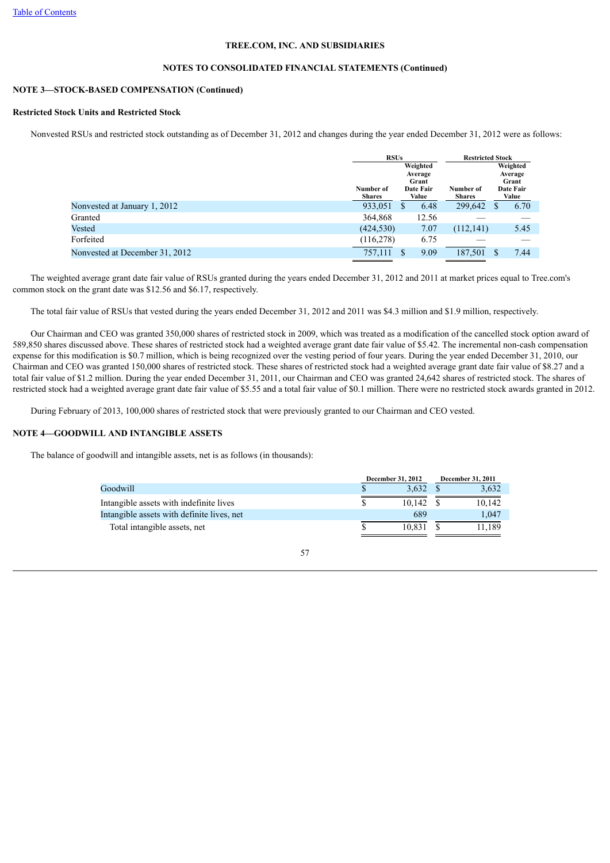## **NOTES TO CONSOLIDATED FINANCIAL STATEMENTS (Continued)**

## **NOTE 3—STOCK-BASED COMPENSATION (Continued)**

## **Restricted Stock Units and Restricted Stock**

Nonvested RSUs and restricted stock outstanding as of December 31, 2012 and changes during the year ended December 31, 2012 were as follows:

|                                | <b>RSUs</b>                |                                                    | <b>Restricted Stock</b>    |                                                    |
|--------------------------------|----------------------------|----------------------------------------------------|----------------------------|----------------------------------------------------|
|                                | Number of<br><b>Shares</b> | Weighted<br>Average<br>Grant<br>Date Fair<br>Value | Number of<br><b>Shares</b> | Weighted<br>Average<br>Grant<br>Date Fair<br>Value |
| Nonvested at January 1, 2012   | 933,051                    | 6.48<br>S                                          | 299,642                    | 6.70<br>S                                          |
| Granted                        | 364,868                    | 12.56                                              |                            |                                                    |
| <b>Vested</b>                  | (424, 530)                 | 7.07                                               | (112, 141)                 | 5.45                                               |
| Forfeited                      | (116, 278)                 | 6.75                                               |                            |                                                    |
| Nonvested at December 31, 2012 | 757,111                    | 9.09                                               | 187,501                    | 7.44<br>\$                                         |

 The weighted average grant date fair value of RSUs granted during the years ended December 31, 2012 and 2011 at market prices equal to Tree.com's common stock on the grant date was \$12.56 and \$6.17, respectively.

The total fair value of RSUs that vested during the years ended December 31, 2012 and 2011 was \$4.3 million and \$1.9 million, respectively.

 Our Chairman and CEO was granted 350,000 shares of restricted stock in 2009, which was treated as a modification of the cancelled stock option award of 589,850 shares discussed above. These shares of restricted stock had a weighted average grant date fair value of \$5.42. The incremental non-cash compensation expense for this modification is \$0.7 million, which is being recognized over the vesting period of four years. During the year ended December 31, 2010, our Chairman and CEO was granted 150,000 shares of restricted stock. These shares of restricted stock had a weighted average grant date fair value of \$8.27 and a total fair value of \$1.2 million. During the year ended December 31, 2011, our Chairman and CEO was granted 24,642 shares of restricted stock. The shares of restricted stock had a weighted average grant date fair value of \$5.55 and a total fair value of \$0.1 million. There were no restricted stock awards granted in 2012.

During February of 2013, 100,000 shares of restricted stock that were previously granted to our Chairman and CEO vested.

## **NOTE 4—GOODWILL AND INTANGIBLE ASSETS**

The balance of goodwill and intangible assets, net is as follows (in thousands):

|                                            | December 31, 2012 | <b>December 31, 2011</b> |        |  |
|--------------------------------------------|-------------------|--------------------------|--------|--|
| Goodwill                                   | 3.632             |                          | 3.632  |  |
| Intangible assets with indefinite lives    | 10.142            |                          | 10.142 |  |
| Intangible assets with definite lives, net | 689               |                          | 1.047  |  |
| Total intangible assets, net               | 10.831            |                          | 11.189 |  |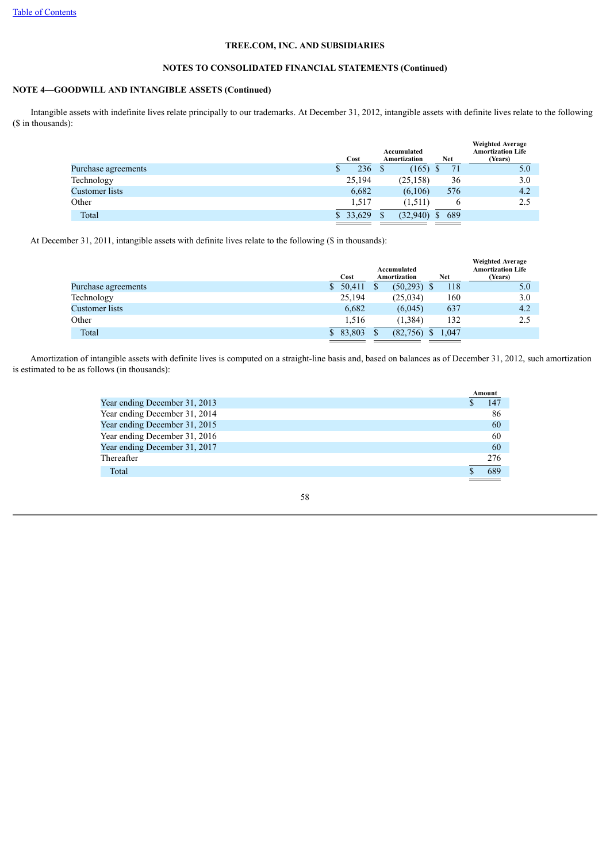## **NOTES TO CONSOLIDATED FINANCIAL STATEMENTS (Continued)**

## **NOTE 4—GOODWILL AND INTANGIBLE ASSETS (Continued)**

 Intangible assets with indefinite lives relate principally to our trademarks. At December 31, 2012, intangible assets with definite lives relate to the following (\$ in thousands):

|                     | Cost   | Accumulated<br><b>Amortization</b> | <b>Net</b> | <b>Weighted Average</b><br><b>Amortization Life</b><br>(Years) |
|---------------------|--------|------------------------------------|------------|----------------------------------------------------------------|
| Purchase agreements | 236    | (165)                              | 71         | 5.0                                                            |
| Technology          | 25,194 | (25, 158)                          | 36         | 3.0                                                            |
| Customer lists      | 6,682  | (6,106)                            | 576        | 4.2                                                            |
| Other               | 1,517  | (1,511)                            | O          | 2.5                                                            |
| Total               | 33,629 | \$<br>(32,940)                     | 689        |                                                                |

At December 31, 2011, intangible assets with definite lives relate to the following (\$ in thousands):

| <b>Amortization Life</b><br>(Years) |
|-------------------------------------|
| 5.0                                 |
| 3.0                                 |
| 4.2                                 |
| 2.5                                 |
|                                     |
|                                     |

 Amortization of intangible assets with definite lives is computed on a straight-line basis and, based on balances as of December 31, 2012, such amortization is estimated to be as follows (in thousands):

|                               | Amount |
|-------------------------------|--------|
| Year ending December 31, 2013 | 147    |
| Year ending December 31, 2014 | 86     |
| Year ending December 31, 2015 | 60     |
| Year ending December 31, 2016 | 60     |
| Year ending December 31, 2017 | 60     |
| Thereafter                    | 276    |
| Total                         | 689    |

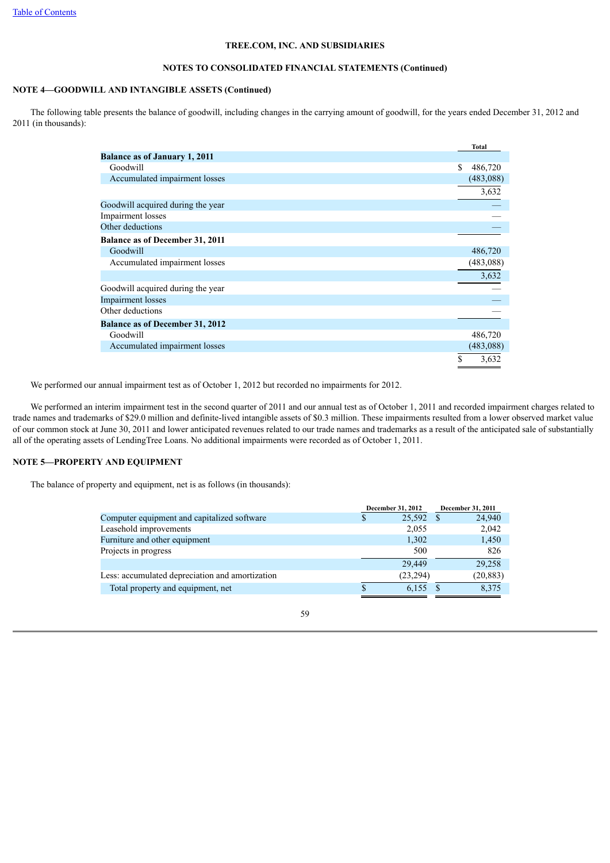## **NOTES TO CONSOLIDATED FINANCIAL STATEMENTS (Continued)**

## **NOTE 4—GOODWILL AND INTANGIBLE ASSETS (Continued)**

 The following table presents the balance of goodwill, including changes in the carrying amount of goodwill, for the years ended December 31, 2012 and 2011 (in thousands):

|                                        | <b>Total</b>  |
|----------------------------------------|---------------|
| <b>Balance as of January 1, 2011</b>   |               |
| Goodwill                               | \$<br>486,720 |
| Accumulated impairment losses          | (483,088)     |
|                                        | 3,632         |
| Goodwill acquired during the year      |               |
| Impairment losses                      |               |
| Other deductions                       |               |
| <b>Balance as of December 31, 2011</b> |               |
| Goodwill                               | 486,720       |
| Accumulated impairment losses          | (483,088)     |
|                                        | 3,632         |
| Goodwill acquired during the year      |               |
| <b>Impairment</b> losses               |               |
| Other deductions                       |               |
| <b>Balance as of December 31, 2012</b> |               |
| Goodwill                               | 486,720       |
| Accumulated impairment losses          | (483,088)     |
|                                        | S<br>3,632    |

We performed our annual impairment test as of October 1, 2012 but recorded no impairments for 2012.

 We performed an interim impairment test in the second quarter of 2011 and our annual test as of October 1, 2011 and recorded impairment charges related to trade names and trademarks of \$29.0 million and definite-lived intangible assets of \$0.3 million. These impairments resulted from a lower observed market value of our common stock at June 30, 2011 and lower anticipated revenues related to our trade names and trademarks as a result of the anticipated sale of substantially all of the operating assets of LendingTree Loans. No additional impairments were recorded as of October 1, 2011.

## **NOTE 5—PROPERTY AND EQUIPMENT**

The balance of property and equipment, net is as follows (in thousands):

|                                                 | December 31, 2012 |           |  | December 31, 2011 |
|-------------------------------------------------|-------------------|-----------|--|-------------------|
| Computer equipment and capitalized software     | S                 | 25,592 \$ |  | 24,940            |
| Leasehold improvements                          |                   | 2,055     |  | 2,042             |
| Furniture and other equipment                   |                   | 1,302     |  | 1,450             |
| Projects in progress                            |                   | 500       |  | 826               |
|                                                 |                   | 29,449    |  | 29,258            |
| Less: accumulated depreciation and amortization |                   | (23, 294) |  | (20, 883)         |
| Total property and equipment, net               |                   | 6,155     |  | 8,375             |
|                                                 |                   |           |  |                   |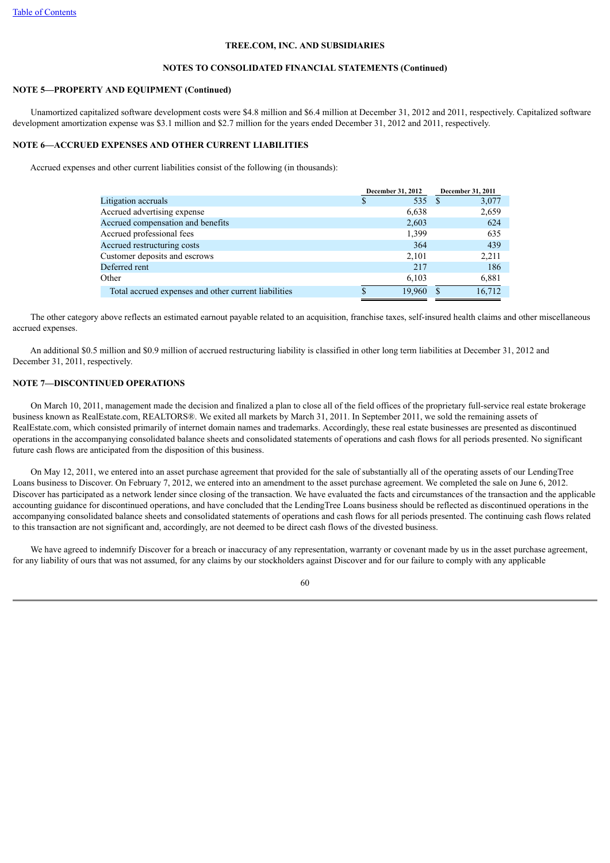## **NOTES TO CONSOLIDATED FINANCIAL STATEMENTS (Continued)**

## **NOTE 5—PROPERTY AND EQUIPMENT (Continued)**

 Unamortized capitalized software development costs were \$4.8 million and \$6.4 million at December 31, 2012 and 2011, respectively. Capitalized software development amortization expense was \$3.1 million and \$2.7 million for the years ended December 31, 2012 and 2011, respectively.

## **NOTE 6—ACCRUED EXPENSES AND OTHER CURRENT LIABILITIES**

Accrued expenses and other current liabilities consist of the following (in thousands):

|                                                      | December 31, 2012 | December 31, 2011 |
|------------------------------------------------------|-------------------|-------------------|
| Litigation accruals                                  | 535 \$<br>S       | 3,077             |
| Accrued advertising expense                          | 6,638             | 2,659             |
| Accrued compensation and benefits                    | 2,603             | 624               |
| Accrued professional fees                            | 1,399             | 635               |
| Accrued restructuring costs                          | 364               | 439               |
| Customer deposits and escrows                        | 2,101             | 2,211             |
| Deferred rent                                        | 217               | 186               |
| Other                                                | 6,103             | 6,881             |
| Total accrued expenses and other current liabilities | 19,960<br>\$      | 16.712            |

 The other category above reflects an estimated earnout payable related to an acquisition, franchise taxes, self-insured health claims and other miscellaneous accrued expenses.

 An additional \$0.5 million and \$0.9 million of accrued restructuring liability is classified in other long term liabilities at December 31, 2012 and December 31, 2011, respectively.

## **NOTE 7—DISCONTINUED OPERATIONS**

 On March 10, 2011, management made the decision and finalized a plan to close all of the field offices of the proprietary full-service real estate brokerage business known as RealEstate.com, REALTORS®. We exited all markets by March 31, 2011. In September 2011, we sold the remaining assets of RealEstate.com, which consisted primarily of internet domain names and trademarks. Accordingly, these real estate businesses are presented as discontinued operations in the accompanying consolidated balance sheets and consolidated statements of operations and cash flows for all periods presented. No significant future cash flows are anticipated from the disposition of this business.

 On May 12, 2011, we entered into an asset purchase agreement that provided for the sale of substantially all of the operating assets of our LendingTree Loans business to Discover. On February 7, 2012, we entered into an amendment to the asset purchase agreement. We completed the sale on June 6, 2012. Discover has participated as a network lender since closing of the transaction. We have evaluated the facts and circumstances of the transaction and the applicable accounting guidance for discontinued operations, and have concluded that the LendingTree Loans business should be reflected as discontinued operations in the accompanying consolidated balance sheets and consolidated statements of operations and cash flows for all periods presented. The continuing cash flows related to this transaction are not significant and, accordingly, are not deemed to be direct cash flows of the divested business.

We have agreed to indemnify Discover for a breach or inaccuracy of any representation, warranty or covenant made by us in the asset purchase agreement, for any liability of ours that was not assumed, for any claims by our stockholders against Discover and for our failure to comply with any applicable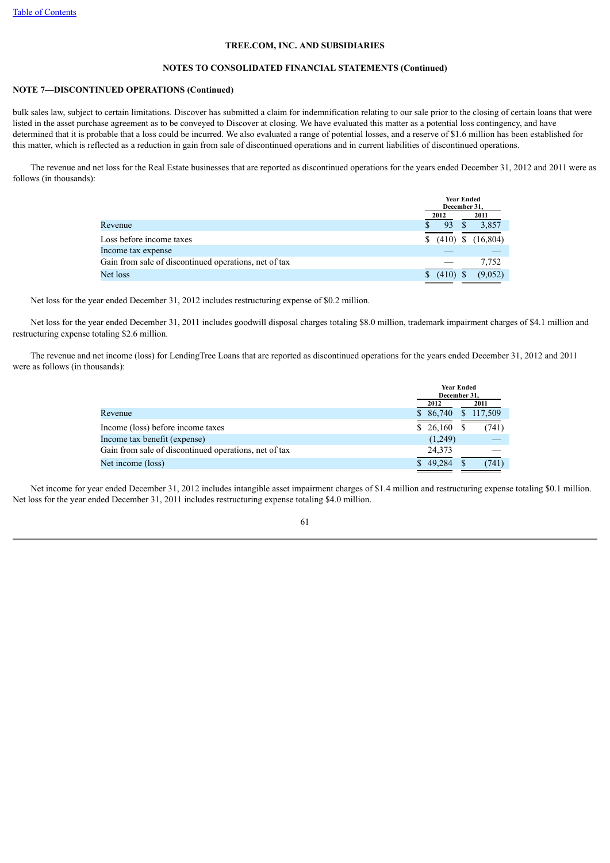## **NOTES TO CONSOLIDATED FINANCIAL STATEMENTS (Continued)**

## **NOTE 7—DISCONTINUED OPERATIONS (Continued)**

bulk sales law, subject to certain limitations. Discover has submitted a claim for indemnification relating to our sale prior to the closing of certain loans that were listed in the asset purchase agreement as to be conveyed to Discover at closing. We have evaluated this matter as a potential loss contingency, and have determined that it is probable that a loss could be incurred. We also evaluated a range of potential losses, and a reserve of \$1.6 million has been established for this matter, which is reflected as a reduction in gain from sale of discontinued operations and in current liabilities of discontinued operations.

 The revenue and net loss for the Real Estate businesses that are reported as discontinued operations for the years ended December 31, 2012 and 2011 were as follows (in thousands):

|                                                       | <b>Year Ended</b><br>December 31, |           |  |
|-------------------------------------------------------|-----------------------------------|-----------|--|
|                                                       | 2012                              | 2011      |  |
| Revenue                                               | 93                                | 3,857     |  |
| Loss before income taxes                              | (410)<br>S                        | (16, 804) |  |
| Income tax expense                                    |                                   |           |  |
| Gain from sale of discontinued operations, net of tax |                                   | 7,752     |  |
| Net loss                                              | (410)                             | (9.052)   |  |

Net loss for the year ended December 31, 2012 includes restructuring expense of \$0.2 million.

 Net loss for the year ended December 31, 2011 includes goodwill disposal charges totaling \$8.0 million, trademark impairment charges of \$4.1 million and restructuring expense totaling \$2.6 million.

 The revenue and net income (loss) for LendingTree Loans that are reported as discontinued operations for the years ended December 31, 2012 and 2011 were as follows (in thousands):

| <b>Year Ended</b><br>December 31. |                    |  |
|-----------------------------------|--------------------|--|
| 2012                              | 2011               |  |
| 86,740                            | 117,509<br>S       |  |
| 26,160                            | (741)              |  |
| (1,249)                           |                    |  |
| 24,373                            |                    |  |
| 49.284                            | (741)              |  |
|                                   | <sup>S</sup><br>S. |  |

 Net income for year ended December 31, 2012 includes intangible asset impairment charges of \$1.4 million and restructuring expense totaling \$0.1 million. Net loss for the year ended December 31, 2011 includes restructuring expense totaling \$4.0 million.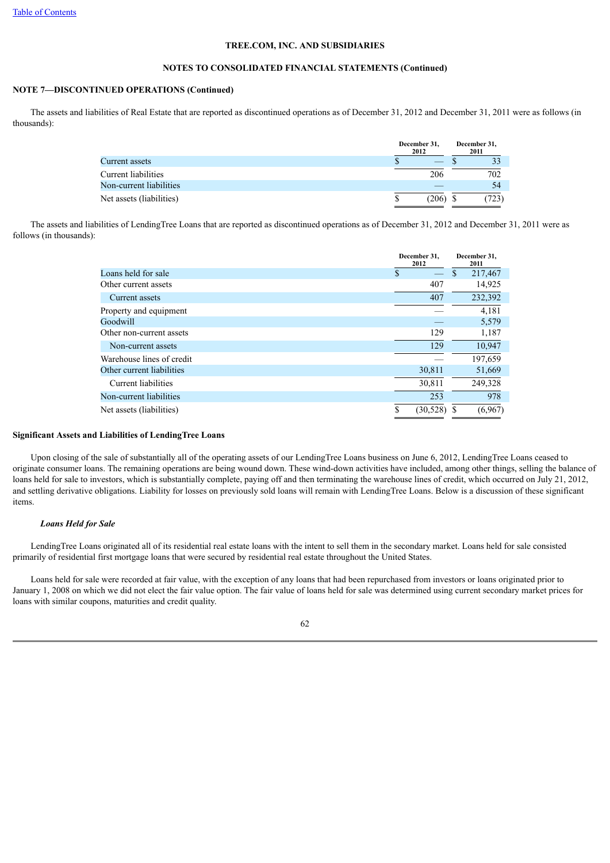## **NOTES TO CONSOLIDATED FINANCIAL STATEMENTS (Continued)**

## **NOTE 7—DISCONTINUED OPERATIONS (Continued)**

 The assets and liabilities of Real Estate that are reported as discontinued operations as of December 31, 2012 and December 31, 2011 were as follows (in thousands):

|                          | December 31,<br>2012 |       | December 31,<br>2011 |
|--------------------------|----------------------|-------|----------------------|
| Current assets           |                      |       |                      |
| Current liabilities      |                      | 206   | 702                  |
| Non-current liabilities  |                      |       | 54                   |
| Net assets (liabilities) |                      | (206) | (723)                |

 The assets and liabilities of LendingTree Loans that are reported as discontinued operations as of December 31, 2012 and December 31, 2011 were as follows (in thousands):

|                           |    | December 31.<br>2012 |               | December 31.<br>2011 |
|---------------------------|----|----------------------|---------------|----------------------|
| Loans held for sale       | \$ |                      | <sup>\$</sup> | 217,467              |
| Other current assets      |    | 407                  |               | 14,925               |
| Current assets            |    | 407                  |               | 232,392              |
| Property and equipment    |    |                      |               | 4,181                |
| Goodwill                  |    |                      |               | 5,579                |
| Other non-current assets  |    | 129                  |               | 1,187                |
| Non-current assets        |    | 129                  |               | 10,947               |
| Warehouse lines of credit |    |                      |               | 197,659              |
| Other current liabilities |    | 30,811               |               | 51,669               |
| Current liabilities       |    | 30,811               |               | 249,328              |
| Non-current liabilities   |    | 253                  |               | 978                  |
| Net assets (liabilities)  | S  | (30, 528)            |               | (6,967)              |

## **Significant Assets and Liabilities of LendingTree Loans**

 Upon closing of the sale of substantially all of the operating assets of our LendingTree Loans business on June 6, 2012, LendingTree Loans ceased to originate consumer loans. The remaining operations are being wound down. These wind-down activities have included, among other things, selling the balance of loans held for sale to investors, which is substantially complete, paying off and then terminating the warehouse lines of credit, which occurred on July 21, 2012, and settling derivative obligations. Liability for losses on previously sold loans will remain with LendingTree Loans. Below is a discussion of these significant items.

## *Loans Held for Sale*

 LendingTree Loans originated all of its residential real estate loans with the intent to sell them in the secondary market. Loans held for sale consisted primarily of residential first mortgage loans that were secured by residential real estate throughout the United States.

 Loans held for sale were recorded at fair value, with the exception of any loans that had been repurchased from investors or loans originated prior to January 1, 2008 on which we did not elect the fair value option. The fair value of loans held for sale was determined using current secondary market prices for loans with similar coupons, maturities and credit quality.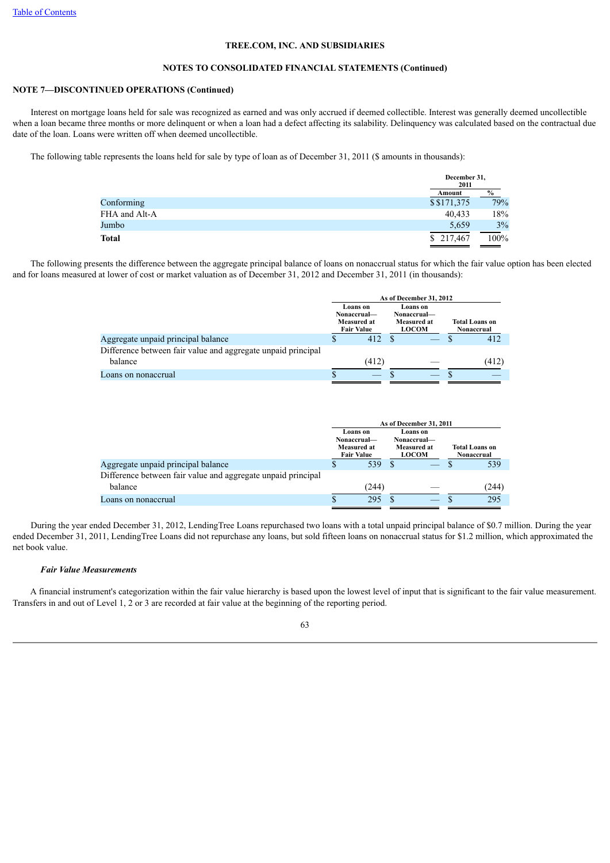#### **NOTES TO CONSOLIDATED FINANCIAL STATEMENTS (Continued)**

## **NOTE 7—DISCONTINUED OPERATIONS (Continued)**

 Interest on mortgage loans held for sale was recognized as earned and was only accrued if deemed collectible. Interest was generally deemed uncollectible when a loan became three months or more delinquent or when a loan had a defect affecting its salability. Delinquency was calculated based on the contractual due date of the loan. Loans were written off when deemed uncollectible.

The following table represents the loans held for sale by type of loan as of December 31, 2011 (\$ amounts in thousands):

|               | December 31,<br>2011 |               |
|---------------|----------------------|---------------|
|               | Amount               | $\frac{9}{6}$ |
| Conforming    | \$\$171,375          | 79%           |
| FHA and Alt-A | 40,433               | 18%           |
| Jumbo         | 5,659                | 3%            |
| <b>Total</b>  | \$217,467            | 100%          |

 The following presents the difference between the aggregate principal balance of loans on nonaccrual status for which the fair value option has been elected and for loans measured at lower of cost or market valuation as of December 31, 2012 and December 31, 2011 (in thousands):

|                                                              | As of December 31, 2012 |                                                             |  |                                                        |  |                                     |
|--------------------------------------------------------------|-------------------------|-------------------------------------------------------------|--|--------------------------------------------------------|--|-------------------------------------|
|                                                              |                         | Loans on<br>Nonaccrual-<br>Measured at<br><b>Fair Value</b> |  | Loans on<br>Nonaccrual-<br>Measured at<br><b>LOCOM</b> |  | <b>Total Loans on</b><br>Nonaccrual |
| Aggregate unpaid principal balance                           |                         | 412                                                         |  |                                                        |  | 412                                 |
| Difference between fair value and aggregate unpaid principal |                         |                                                             |  |                                                        |  |                                     |
| balance                                                      |                         | (412)                                                       |  |                                                        |  | (412)                               |
| Loans on nonaccrual                                          |                         |                                                             |  |                                                        |  |                                     |

|                                                              | As of December 31, 2011 |                                                                                                                              |  |  |  |                                     |
|--------------------------------------------------------------|-------------------------|------------------------------------------------------------------------------------------------------------------------------|--|--|--|-------------------------------------|
|                                                              |                         | Loans on<br>Loans on<br>Nonaccrual—<br>Nonaccrual-<br><b>Measured at</b><br>Measured at<br><b>Fair Value</b><br><b>LOCOM</b> |  |  |  | <b>Total Loans on</b><br>Nonaccrual |
| Aggregate unpaid principal balance                           |                         | 539                                                                                                                          |  |  |  | 539                                 |
| Difference between fair value and aggregate unpaid principal |                         |                                                                                                                              |  |  |  |                                     |
| balance                                                      |                         | (244)                                                                                                                        |  |  |  | (244)                               |
| Loans on nonaccrual                                          |                         | 295                                                                                                                          |  |  |  | 295                                 |

 During the year ended December 31, 2012, LendingTree Loans repurchased two loans with a total unpaid principal balance of \$0.7 million. During the year ended December 31, 2011, LendingTree Loans did not repurchase any loans, but sold fifteen loans on nonaccrual status for \$1.2 million, which approximated the net book value.

## *Fair Value Measurements*

 A financial instrument's categorization within the fair value hierarchy is based upon the lowest level of input that is significant to the fair value measurement. Transfers in and out of Level 1, 2 or 3 are recorded at fair value at the beginning of the reporting period.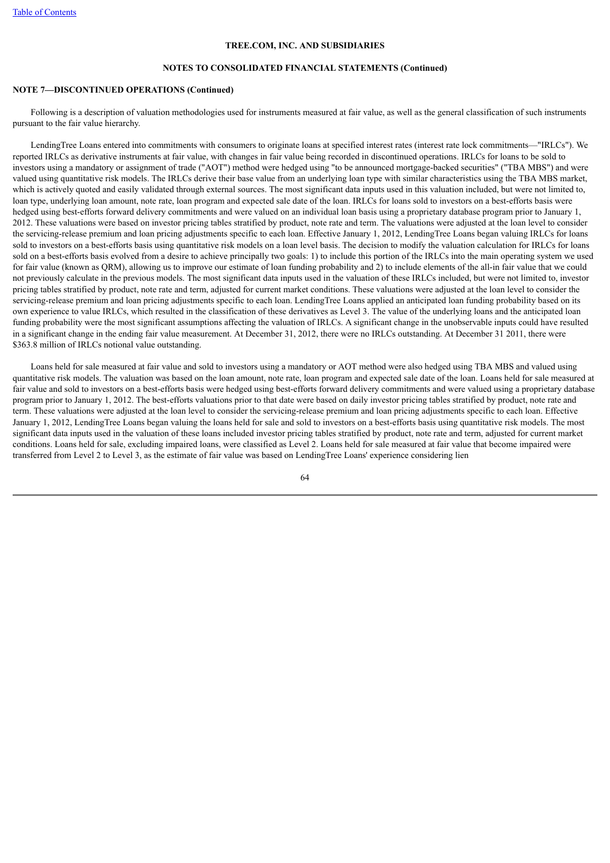### **NOTES TO CONSOLIDATED FINANCIAL STATEMENTS (Continued)**

## **NOTE 7—DISCONTINUED OPERATIONS (Continued)**

 Following is a description of valuation methodologies used for instruments measured at fair value, as well as the general classification of such instruments pursuant to the fair value hierarchy.

 LendingTree Loans entered into commitments with consumers to originate loans at specified interest rates (interest rate lock commitments—"IRLCs"). We reported IRLCs as derivative instruments at fair value, with changes in fair value being recorded in discontinued operations. IRLCs for loans to be sold to investors using a mandatory or assignment of trade ("AOT") method were hedged using "to be announced mortgage-backed securities" ("TBA MBS") and were valued using quantitative risk models. The IRLCs derive their base value from an underlying loan type with similar characteristics using the TBA MBS market, which is actively quoted and easily validated through external sources. The most significant data inputs used in this valuation included, but were not limited to, loan type, underlying loan amount, note rate, loan program and expected sale date of the loan. IRLCs for loans sold to investors on a best-efforts basis were hedged using best-efforts forward delivery commitments and were valued on an individual loan basis using a proprietary database program prior to January 1, 2012. These valuations were based on investor pricing tables stratified by product, note rate and term. The valuations were adjusted at the loan level to consider the servicing-release premium and loan pricing adjustments specific to each loan. Effective January 1, 2012, LendingTree Loans began valuing IRLCs for loans sold to investors on a best-efforts basis using quantitative risk models on a loan level basis. The decision to modify the valuation calculation for IRLCs for loans sold on a best-efforts basis evolved from a desire to achieve principally two goals: 1) to include this portion of the IRLCs into the main operating system we used for fair value (known as QRM), allowing us to improve our estimate of loan funding probability and 2) to include elements of the all-in fair value that we could not previously calculate in the previous models. The most significant data inputs used in the valuation of these IRLCs included, but were not limited to, investor pricing tables stratified by product, note rate and term, adjusted for current market conditions. These valuations were adjusted at the loan level to consider the servicing-release premium and loan pricing adjustments specific to each loan. LendingTree Loans applied an anticipated loan funding probability based on its own experience to value IRLCs, which resulted in the classification of these derivatives as Level 3. The value of the underlying loans and the anticipated loan funding probability were the most significant assumptions affecting the valuation of IRLCs. A significant change in the unobservable inputs could have resulted in a significant change in the ending fair value measurement. At December 31, 2012, there were no IRLCs outstanding. At December 31 2011, there were \$363.8 million of IRLCs notional value outstanding.

 Loans held for sale measured at fair value and sold to investors using a mandatory or AOT method were also hedged using TBA MBS and valued using quantitative risk models. The valuation was based on the loan amount, note rate, loan program and expected sale date of the loan. Loans held for sale measured at fair value and sold to investors on a best-efforts basis were hedged using best-efforts forward delivery commitments and were valued using a proprietary database program prior to January 1, 2012. The best-efforts valuations prior to that date were based on daily investor pricing tables stratified by product, note rate and term. These valuations were adjusted at the loan level to consider the servicing-release premium and loan pricing adjustments specific to each loan. Effective January 1, 2012, LendingTree Loans began valuing the loans held for sale and sold to investors on a best-efforts basis using quantitative risk models. The most significant data inputs used in the valuation of these loans included investor pricing tables stratified by product, note rate and term, adjusted for current market conditions. Loans held for sale, excluding impaired loans, were classified as Level 2. Loans held for sale measured at fair value that become impaired were transferred from Level 2 to Level 3, as the estimate of fair value was based on LendingTree Loans' experience considering lien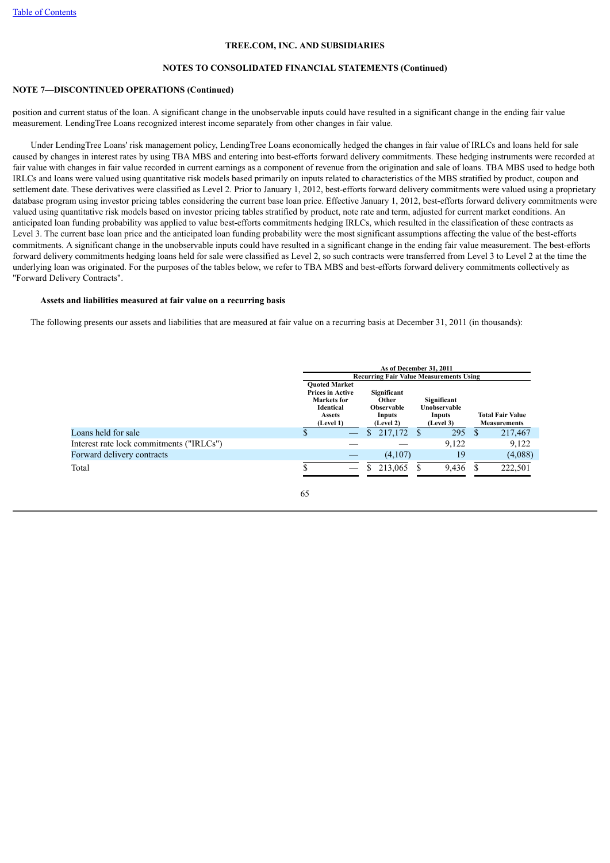## **NOTES TO CONSOLIDATED FINANCIAL STATEMENTS (Continued)**

## **NOTE 7—DISCONTINUED OPERATIONS (Continued)**

position and current status of the loan. A significant change in the unobservable inputs could have resulted in a significant change in the ending fair value measurement. LendingTree Loans recognized interest income separately from other changes in fair value.

 Under LendingTree Loans' risk management policy, LendingTree Loans economically hedged the changes in fair value of IRLCs and loans held for sale caused by changes in interest rates by using TBA MBS and entering into best-efforts forward delivery commitments. These hedging instruments were recorded at fair value with changes in fair value recorded in current earnings as a component of revenue from the origination and sale of loans. TBA MBS used to hedge both IRLCs and loans were valued using quantitative risk models based primarily on inputs related to characteristics of the MBS stratified by product, coupon and settlement date. These derivatives were classified as Level 2. Prior to January 1, 2012, best-efforts forward delivery commitments were valued using a proprietary database program using investor pricing tables considering the current base loan price. Effective January 1, 2012, best-efforts forward delivery commitments were valued using quantitative risk models based on investor pricing tables stratified by product, note rate and term, adjusted for current market conditions. An anticipated loan funding probability was applied to value best-efforts commitments hedging IRLCs, which resulted in the classification of these contracts as Level 3. The current base loan price and the anticipated loan funding probability were the most significant assumptions affecting the value of the best-efforts commitments. A significant change in the unobservable inputs could have resulted in a significant change in the ending fair value measurement. The best-efforts forward delivery commitments hedging loans held for sale were classified as Level 2, so such contracts were transferred from Level 3 to Level 2 at the time the underlying loan was originated. For the purposes of the tables below, we refer to TBA MBS and best-efforts forward delivery commitments collectively as "Forward Delivery Contracts".

#### **Assets and liabilities measured at fair value on a recurring basis**

The following presents our assets and liabilities that are measured at fair value on a recurring basis at December 31, 2011 (in thousands):

| As of December 31, 2011<br><b>Recurring Fair Value Measurements Using</b> |    |                                                                                                                  |                                                                  |                                                    |   |                                                |
|---------------------------------------------------------------------------|----|------------------------------------------------------------------------------------------------------------------|------------------------------------------------------------------|----------------------------------------------------|---|------------------------------------------------|
|                                                                           |    | <b>Ouoted Market</b><br><b>Prices in Active</b><br><b>Markets</b> for<br>Identical<br><b>Assets</b><br>(Level 1) | Significant<br>Other<br><b>Observable</b><br>Inputs<br>(Level 2) | Significant<br>Unobservable<br>Inputs<br>(Level 3) |   | <b>Total Fair Value</b><br><b>Measurements</b> |
| Loans held for sale                                                       | S  | $\hspace{0.05cm}$                                                                                                | 217,172<br><sup>S</sup>                                          | 295<br>- \$                                        | S | 217,467                                        |
| Interest rate lock commitments ("IRLCs")                                  |    |                                                                                                                  |                                                                  | 9,122                                              |   | 9,122                                          |
| Forward delivery contracts                                                |    |                                                                                                                  | (4,107)                                                          | 19                                                 |   | (4,088)                                        |
| Total                                                                     |    | $\overline{\phantom{m}}$                                                                                         | 213,065<br>S.                                                    | 9,436                                              | S | 222,501                                        |
|                                                                           | 65 |                                                                                                                  |                                                                  |                                                    |   |                                                |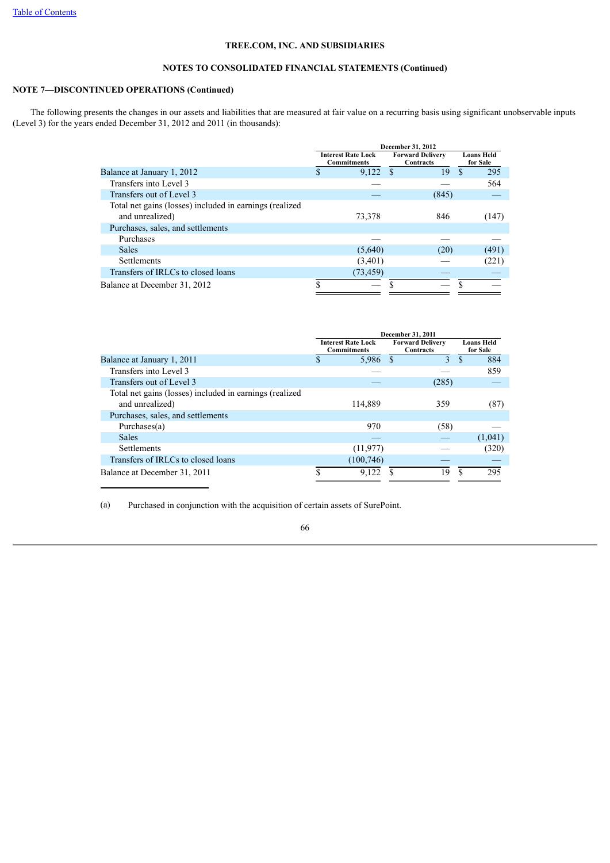# **NOTES TO CONSOLIDATED FINANCIAL STATEMENTS (Continued)**

## **NOTE 7—DISCONTINUED OPERATIONS (Continued)**

 The following presents the changes in our assets and liabilities that are measured at fair value on a recurring basis using significant unobservable inputs (Level 3) for the years ended December 31, 2012 and 2011 (in thousands):

|                                                                            |                                                 | December 31, 2012                    |                               |
|----------------------------------------------------------------------------|-------------------------------------------------|--------------------------------------|-------------------------------|
|                                                                            | <b>Interest Rate Lock</b><br><b>Commitments</b> | <b>Forward Delivery</b><br>Contracts | <b>Loans Held</b><br>for Sale |
| Balance at January 1, 2012                                                 | 9,122                                           | 19<br>$\mathbf{\hat{s}}$             | 295<br>\$                     |
| Transfers into Level 3                                                     |                                                 |                                      | 564                           |
| Transfers out of Level 3                                                   |                                                 | (845)                                |                               |
| Total net gains (losses) included in earnings (realized<br>and unrealized) | 73.378                                          | 846                                  | (147)                         |
| Purchases, sales, and settlements                                          |                                                 |                                      |                               |
| Purchases                                                                  |                                                 |                                      |                               |
| <b>Sales</b>                                                               | (5,640)                                         | (20)                                 | (491)                         |
| <b>Settlements</b>                                                         | (3,401)                                         |                                      | (221)                         |
| Transfers of IRLCs to closed loans                                         | (73, 459)                                       |                                      |                               |
| Balance at December 31, 2012                                               |                                                 |                                      |                               |

|                                                         |                                                 |            | December 31, 2011                    |       |    |                               |
|---------------------------------------------------------|-------------------------------------------------|------------|--------------------------------------|-------|----|-------------------------------|
|                                                         | <b>Interest Rate Lock</b><br><b>Commitments</b> |            | <b>Forward Delivery</b><br>Contracts |       |    | <b>Loans Held</b><br>for Sale |
| Balance at January 1, 2011                              | \$.                                             | 5,986      | $\mathcal{S}$                        | 3     | \$ | 884                           |
| Transfers into Level 3                                  |                                                 |            |                                      |       |    | 859                           |
| Transfers out of Level 3                                |                                                 |            |                                      | (285) |    |                               |
| Total net gains (losses) included in earnings (realized |                                                 |            |                                      |       |    |                               |
| and unrealized)                                         |                                                 | 114.889    |                                      | 359   |    | (87)                          |
| Purchases, sales, and settlements                       |                                                 |            |                                      |       |    |                               |
| Purchases $(a)$                                         |                                                 | 970        |                                      | (58)  |    |                               |
| <b>Sales</b>                                            |                                                 |            |                                      |       |    | (1,041)                       |
| <b>Settlements</b>                                      |                                                 | (11, 977)  |                                      |       |    | (320)                         |
| Transfers of IRLCs to closed loans                      |                                                 | (100, 746) |                                      |       |    |                               |
| Balance at December 31, 2011                            |                                                 | 9,122      |                                      | 19    | S  | 295                           |

(a) Purchased in conjunction with the acquisition of certain assets of SurePoint.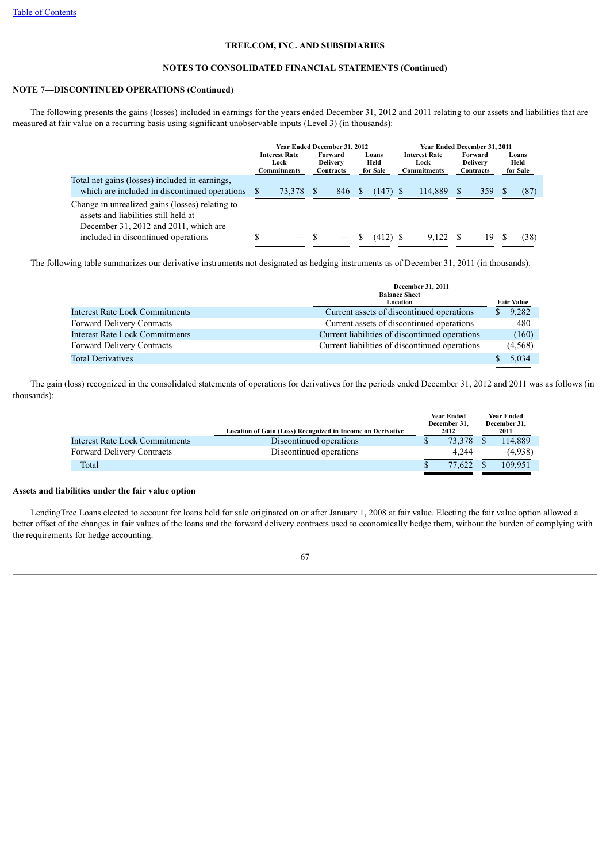## **NOTES TO CONSOLIDATED FINANCIAL STATEMENTS (Continued)**

# **NOTE 7—DISCONTINUED OPERATIONS (Continued)**

 The following presents the gains (losses) included in earnings for the years ended December 31, 2012 and 2011 relating to our assets and liabilities that are measured at fair value on a recurring basis using significant unobservable inputs (Level 3) (in thousands):

|                                                                                                                                  | Year Ended December 31, 2012 |                                             |  |                                         | Year Ended December 31, 2011 |  |                                             |  |                                         |  |                           |
|----------------------------------------------------------------------------------------------------------------------------------|------------------------------|---------------------------------------------|--|-----------------------------------------|------------------------------|--|---------------------------------------------|--|-----------------------------------------|--|---------------------------|
|                                                                                                                                  |                              | <b>Interest Rate</b><br>Lock<br>Commitments |  | Forward<br><b>Delivery</b><br>Contracts | Loans<br>Held<br>for Sale    |  | <b>Interest Rate</b><br>Lock<br>Commitments |  | Forward<br><b>Delivery</b><br>Contracts |  | Loans<br>Held<br>for Sale |
| Total net gains (losses) included in earnings,<br>which are included in discontinued operations                                  |                              | 73.378                                      |  | 846                                     | $(147)$ S                    |  | 114.889                                     |  | 359                                     |  | (87)                      |
| Change in unrealized gains (losses) relating to<br>assets and liabilities still held at<br>December 31, 2012 and 2011, which are |                              |                                             |  |                                         |                              |  |                                             |  |                                         |  |                           |
| included in discontinued operations                                                                                              |                              |                                             |  |                                         | $(412)$ S                    |  | 9.122                                       |  | 19.                                     |  | (38)                      |

The following table summarizes our derivative instruments not designated as hedging instruments as of December 31, 2011 (in thousands):

|                                       | December 31, 2011                              |                   |
|---------------------------------------|------------------------------------------------|-------------------|
|                                       | <b>Balance Sheet</b>                           |                   |
|                                       | Location                                       | <b>Fair Value</b> |
| Interest Rate Lock Commitments        | Current assets of discontinued operations      | 9,282             |
| Forward Delivery Contracts            | Current assets of discontinued operations      | 480               |
| <b>Interest Rate Lock Commitments</b> | Current liabilities of discontinued operations | (160)             |
| Forward Delivery Contracts            | Current liabilities of discontinued operations | (4,568)           |
| <b>Total Derivatives</b>              |                                                | 5.034             |

 The gain (loss) recognized in the consolidated statements of operations for derivatives for the periods ended December 31, 2012 and 2011 was as follows (in thousands):

|                                   | Location of Gain (Loss) Recognized in Income on Derivative | <b>Year Ended</b><br>December 31.<br>2012 | <b>Year Ended</b><br>December 31,<br>2011 |
|-----------------------------------|------------------------------------------------------------|-------------------------------------------|-------------------------------------------|
| Interest Rate Lock Commitments    | Discontinued operations                                    | 73.378                                    | 114.889                                   |
| <b>Forward Delivery Contracts</b> | Discontinued operations                                    | 4.244                                     | (4.938)                                   |
| Total                             |                                                            | 77.622                                    | 109.951                                   |

## **Assets and liabilities under the fair value option**

 LendingTree Loans elected to account for loans held for sale originated on or after January 1, 2008 at fair value. Electing the fair value option allowed a better offset of the changes in fair values of the loans and the forward delivery contracts used to economically hedge them, without the burden of complying with the requirements for hedge accounting.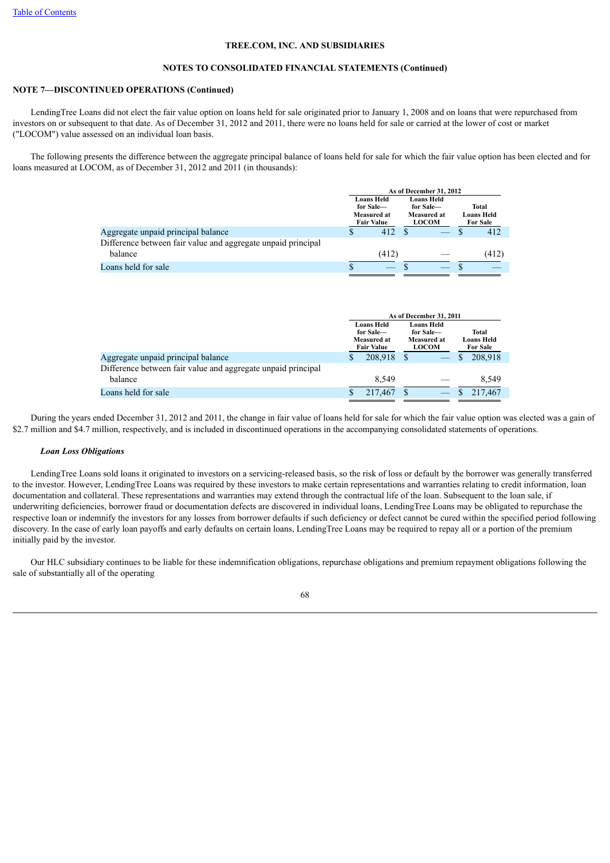### **NOTES TO CONSOLIDATED FINANCIAL STATEMENTS (Continued)**

## **NOTE 7—DISCONTINUED OPERATIONS (Continued)**

 LendingTree Loans did not elect the fair value option on loans held for sale originated prior to January 1, 2008 and on loans that were repurchased from investors on or subsequent to that date. As of December 31, 2012 and 2011, there were no loans held for sale or carried at the lower of cost or market ("LOCOM") value assessed on an individual loan basis.

 The following presents the difference between the aggregate principal balance of loans held for sale for which the fair value option has been elected and for loans measured at LOCOM, as of December 31, 2012 and 2011 (in thousands):

|                                                              |                                                                    | As of December 31, 2012                                       |                                        |
|--------------------------------------------------------------|--------------------------------------------------------------------|---------------------------------------------------------------|----------------------------------------|
|                                                              | <b>Loans Held</b><br>for Sale-<br>Measured at<br><b>Fair Value</b> | <b>Loans Held</b><br>for Sale-<br>Measured at<br><b>LOCOM</b> | Total<br>Loans Held<br><b>For Sale</b> |
| Aggregate unpaid principal balance                           | 412                                                                |                                                               | 412                                    |
| Difference between fair value and aggregate unpaid principal |                                                                    |                                                               |                                        |
| balance                                                      | (412)                                                              |                                                               | (412)                                  |
| Loans held for sale                                          |                                                                    |                                                               |                                        |

|                                                              | As of December 31, 2011                                     |   |                                                               |  |                                        |  |
|--------------------------------------------------------------|-------------------------------------------------------------|---|---------------------------------------------------------------|--|----------------------------------------|--|
|                                                              | Loans Held<br>for Sale-<br>Measured at<br><b>Fair Value</b> |   | Loans Held<br>for Sale-<br><b>Measured at</b><br><b>LOCOM</b> |  | Total<br>Loans Held<br><b>For Sale</b> |  |
| Aggregate unpaid principal balance                           | 208.918                                                     |   |                                                               |  | 208.918                                |  |
| Difference between fair value and aggregate unpaid principal |                                                             |   |                                                               |  |                                        |  |
| balance                                                      | 8.549                                                       |   |                                                               |  | 8,549                                  |  |
| Loans held for sale                                          | 217,467                                                     | S |                                                               |  | 217.467                                |  |

 During the years ended December 31, 2012 and 2011, the change in fair value of loans held for sale for which the fair value option was elected was a gain of \$2.7 million and \$4.7 million, respectively, and is included in discontinued operations in the accompanying consolidated statements of operations.

#### *Loan Loss Obligations*

 LendingTree Loans sold loans it originated to investors on a servicing-released basis, so the risk of loss or default by the borrower was generally transferred to the investor. However, LendingTree Loans was required by these investors to make certain representations and warranties relating to credit information, loan documentation and collateral. These representations and warranties may extend through the contractual life of the loan. Subsequent to the loan sale, if underwriting deficiencies, borrower fraud or documentation defects are discovered in individual loans, LendingTree Loans may be obligated to repurchase the respective loan or indemnify the investors for any losses from borrower defaults if such deficiency or defect cannot be cured within the specified period following discovery. In the case of early loan payoffs and early defaults on certain loans, LendingTree Loans may be required to repay all or a portion of the premium initially paid by the investor.

 Our HLC subsidiary continues to be liable for these indemnification obligations, repurchase obligations and premium repayment obligations following the sale of substantially all of the operating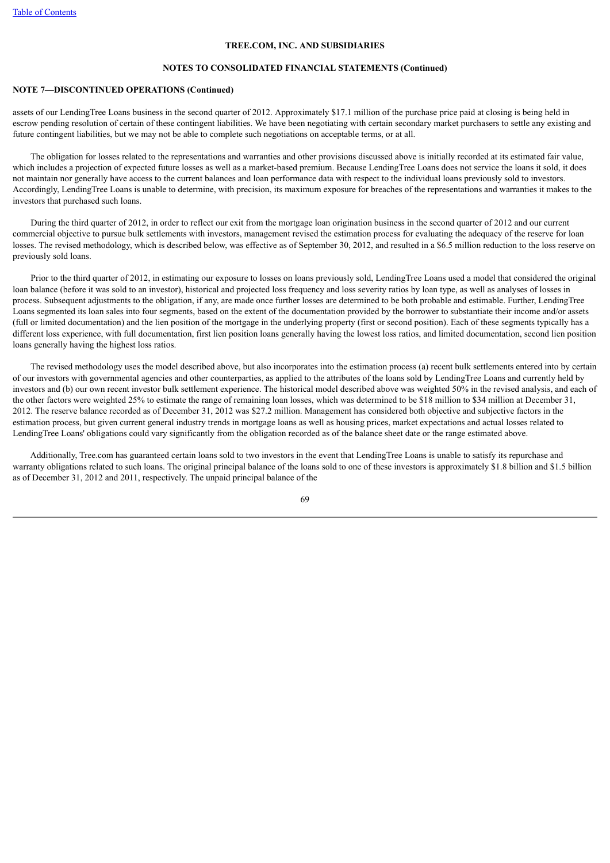#### **NOTES TO CONSOLIDATED FINANCIAL STATEMENTS (Continued)**

## **NOTE 7—DISCONTINUED OPERATIONS (Continued)**

assets of our LendingTree Loans business in the second quarter of 2012. Approximately \$17.1 million of the purchase price paid at closing is being held in escrow pending resolution of certain of these contingent liabilities. We have been negotiating with certain secondary market purchasers to settle any existing and future contingent liabilities, but we may not be able to complete such negotiations on acceptable terms, or at all.

 The obligation for losses related to the representations and warranties and other provisions discussed above is initially recorded at its estimated fair value, which includes a projection of expected future losses as well as a market-based premium. Because LendingTree Loans does not service the loans it sold, it does not maintain nor generally have access to the current balances and loan performance data with respect to the individual loans previously sold to investors. Accordingly, LendingTree Loans is unable to determine, with precision, its maximum exposure for breaches of the representations and warranties it makes to the investors that purchased such loans.

 During the third quarter of 2012, in order to reflect our exit from the mortgage loan origination business in the second quarter of 2012 and our current commercial objective to pursue bulk settlements with investors, management revised the estimation process for evaluating the adequacy of the reserve for loan losses. The revised methodology, which is described below, was effective as of September 30, 2012, and resulted in a \$6.5 million reduction to the loss reserve on previously sold loans.

 Prior to the third quarter of 2012, in estimating our exposure to losses on loans previously sold, LendingTree Loans used a model that considered the original loan balance (before it was sold to an investor), historical and projected loss frequency and loss severity ratios by loan type, as well as analyses of losses in process. Subsequent adjustments to the obligation, if any, are made once further losses are determined to be both probable and estimable. Further, LendingTree Loans segmented its loan sales into four segments, based on the extent of the documentation provided by the borrower to substantiate their income and/or assets (full or limited documentation) and the lien position of the mortgage in the underlying property (first or second position). Each of these segments typically has a different loss experience, with full documentation, first lien position loans generally having the lowest loss ratios, and limited documentation, second lien position loans generally having the highest loss ratios.

 The revised methodology uses the model described above, but also incorporates into the estimation process (a) recent bulk settlements entered into by certain of our investors with governmental agencies and other counterparties, as applied to the attributes of the loans sold by LendingTree Loans and currently held by investors and (b) our own recent investor bulk settlement experience. The historical model described above was weighted 50% in the revised analysis, and each of the other factors were weighted 25% to estimate the range of remaining loan losses, which was determined to be \$18 million to \$34 million at December 31, 2012. The reserve balance recorded as of December 31, 2012 was \$27.2 million. Management has considered both objective and subjective factors in the estimation process, but given current general industry trends in mortgage loans as well as housing prices, market expectations and actual losses related to LendingTree Loans' obligations could vary significantly from the obligation recorded as of the balance sheet date or the range estimated above.

 Additionally, Tree.com has guaranteed certain loans sold to two investors in the event that LendingTree Loans is unable to satisfy its repurchase and warranty obligations related to such loans. The original principal balance of the loans sold to one of these investors is approximately \$1.8 billion and \$1.5 billion as of December 31, 2012 and 2011, respectively. The unpaid principal balance of the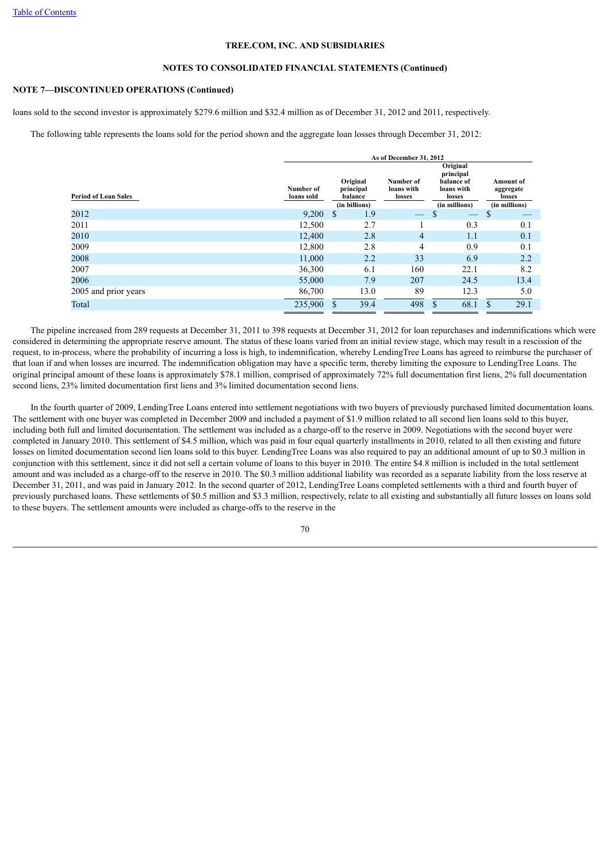## **NOTES TO CONSOLIDATED FINANCIAL STATEMENTS (Continued)**

# **NOTE 7—DISCONTINUED OPERATIONS (Continued)**

loans sold to the second investor is approximately \$279.6 million and \$32.4 million as of December 31, 2012 and 2011, respectively.

The following table represents the loans sold for the period shown and the aggregate loan losses through December 31, 2012:

|                             | As of December 31, 2012 |               |                                                   |                                   |                                                                              |                                                   |  |  |  |  |
|-----------------------------|-------------------------|---------------|---------------------------------------------------|-----------------------------------|------------------------------------------------------------------------------|---------------------------------------------------|--|--|--|--|
| <b>Period of Loan Sales</b> | Number of<br>loans sold |               | Original<br>principal<br>balance<br>(in billions) | Number of<br>loans with<br>losses | Original<br>principal<br>balance of<br>loans with<br>losses<br>(in millions) | Amount of<br>aggregate<br>losses<br>(in millions) |  |  |  |  |
| 2012                        | 9,200                   | <sup>\$</sup> | 1.9                                               |                                   | S                                                                            | \$                                                |  |  |  |  |
| 2011                        | 12,500                  |               | 2.7                                               |                                   | 0.3                                                                          | 0.1                                               |  |  |  |  |
| 2010                        | 12,400                  |               | 2.8                                               | $\overline{4}$                    | 1.1                                                                          | 0.1                                               |  |  |  |  |
| 2009                        | 12,800                  |               | 2.8                                               | 4                                 | 0.9                                                                          | 0.1                                               |  |  |  |  |
| 2008                        | 11,000                  |               | 2.2                                               | 33                                | 6.9                                                                          | 2.2                                               |  |  |  |  |
| 2007                        | 36,300                  |               | 6.1                                               | 160                               | 22.1                                                                         | 8.2                                               |  |  |  |  |
| 2006                        | 55,000                  |               | 7.9                                               | 207                               | 24.5                                                                         | 13.4                                              |  |  |  |  |
| 2005 and prior years        | 86,700                  |               | 13.0                                              | 89                                | 12.3                                                                         | 5.0                                               |  |  |  |  |
| Total                       | 235,900                 | \$            | 39.4                                              | 498                               | 68.1<br>S                                                                    | 29.1<br>\$                                        |  |  |  |  |

 The pipeline increased from 289 requests at December 31, 2011 to 398 requests at December 31, 2012 for loan repurchases and indemnifications which were considered in determining the appropriate reserve amount. The status of these loans varied from an initial review stage, which may result in a rescission of the request, to in-process, where the probability of incurring a loss is high, to indemnification, whereby LendingTree Loans has agreed to reimburse the purchaser of that loan if and when losses are incurred. The indemnification obligation may have a specific term, thereby limiting the exposure to LendingTree Loans. The original principal amount of these loans is approximately \$78.1 million, comprised of approximately 72% full documentation first liens, 2% full documentation second liens, 23% limited documentation first liens and 3% limited documentation second liens.

 In the fourth quarter of 2009, LendingTree Loans entered into settlement negotiations with two buyers of previously purchased limited documentation loans. The settlement with one buyer was completed in December 2009 and included a payment of \$1.9 million related to all second lien loans sold to this buyer, including both full and limited documentation. The settlement was included as a charge-off to the reserve in 2009. Negotiations with the second buyer were completed in January 2010. This settlement of \$4.5 million, which was paid in four equal quarterly installments in 2010, related to all then existing and future losses on limited documentation second lien loans sold to this buyer. LendingTree Loans was also required to pay an additional amount of up to \$0.3 million in conjunction with this settlement, since it did not sell a certain volume of loans to this buyer in 2010. The entire \$4.8 million is included in the total settlement amount and was included as a charge-off to the reserve in 2010. The \$0.3 million additional liability was recorded as a separate liability from the loss reserve at December 31, 2011, and was paid in January 2012. In the second quarter of 2012, LendingTree Loans completed settlements with a third and fourth buyer of previously purchased loans. These settlements of \$0.5 million and \$3.3 million, respectively, relate to all existing and substantially all future losses on loans sold to these buyers. The settlement amounts were included as charge-offs to the reserve in the

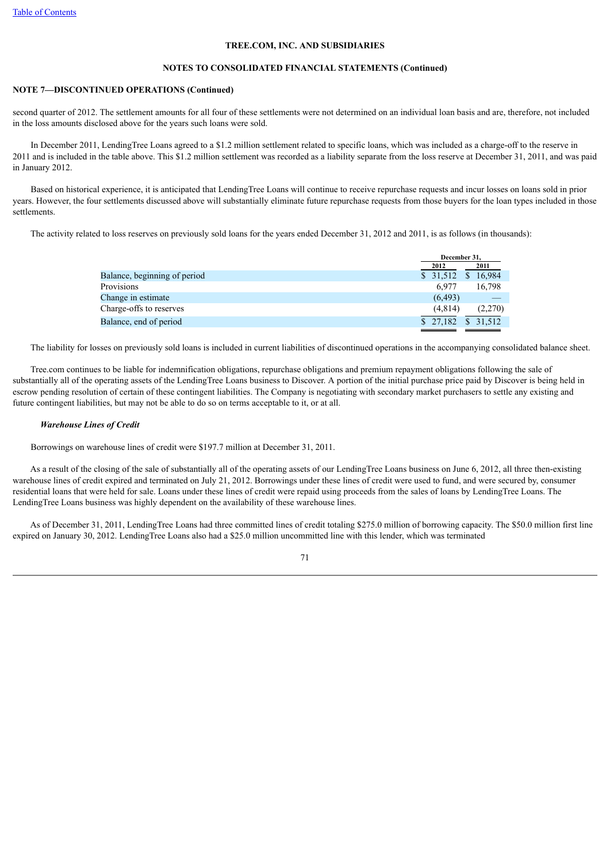# **NOTES TO CONSOLIDATED FINANCIAL STATEMENTS (Continued)**

# **NOTE 7—DISCONTINUED OPERATIONS (Continued)**

second quarter of 2012. The settlement amounts for all four of these settlements were not determined on an individual loan basis and are, therefore, not included in the loss amounts disclosed above for the years such loans were sold.

 In December 2011, LendingTree Loans agreed to a \$1.2 million settlement related to specific loans, which was included as a charge-off to the reserve in 2011 and is included in the table above. This \$1.2 million settlement was recorded as a liability separate from the loss reserve at December 31, 2011, and was paid in January 2012.

 Based on historical experience, it is anticipated that LendingTree Loans will continue to receive repurchase requests and incur losses on loans sold in prior years. However, the four settlements discussed above will substantially eliminate future repurchase requests from those buyers for the loan types included in those settlements.

The activity related to loss reserves on previously sold loans for the years ended December 31, 2012 and 2011, is as follows (in thousands):

| December 31.        |         |
|---------------------|---------|
| 2012                | 2011    |
| \$ 31,512 \$ 16,984 |         |
| 6.977               | 16,798  |
| (6, 493)            |         |
| (4.814)             | (2,270) |
| $$27,182$ $$31,512$ |         |
|                     |         |

The liability for losses on previously sold loans is included in current liabilities of discontinued operations in the accompanying consolidated balance sheet.

 Tree.com continues to be liable for indemnification obligations, repurchase obligations and premium repayment obligations following the sale of substantially all of the operating assets of the LendingTree Loans business to Discover. A portion of the initial purchase price paid by Discover is being held in escrow pending resolution of certain of these contingent liabilities. The Company is negotiating with secondary market purchasers to settle any existing and future contingent liabilities, but may not be able to do so on terms acceptable to it, or at all.

# *Warehouse Lines of Credit*

Borrowings on warehouse lines of credit were \$197.7 million at December 31, 2011.

 As a result of the closing of the sale of substantially all of the operating assets of our LendingTree Loans business on June 6, 2012, all three then-existing warehouse lines of credit expired and terminated on July 21, 2012. Borrowings under these lines of credit were used to fund, and were secured by, consumer residential loans that were held for sale. Loans under these lines of credit were repaid using proceeds from the sales of loans by LendingTree Loans. The LendingTree Loans business was highly dependent on the availability of these warehouse lines.

 As of December 31, 2011, LendingTree Loans had three committed lines of credit totaling \$275.0 million of borrowing capacity. The \$50.0 million first line expired on January 30, 2012. LendingTree Loans also had a \$25.0 million uncommitted line with this lender, which was terminated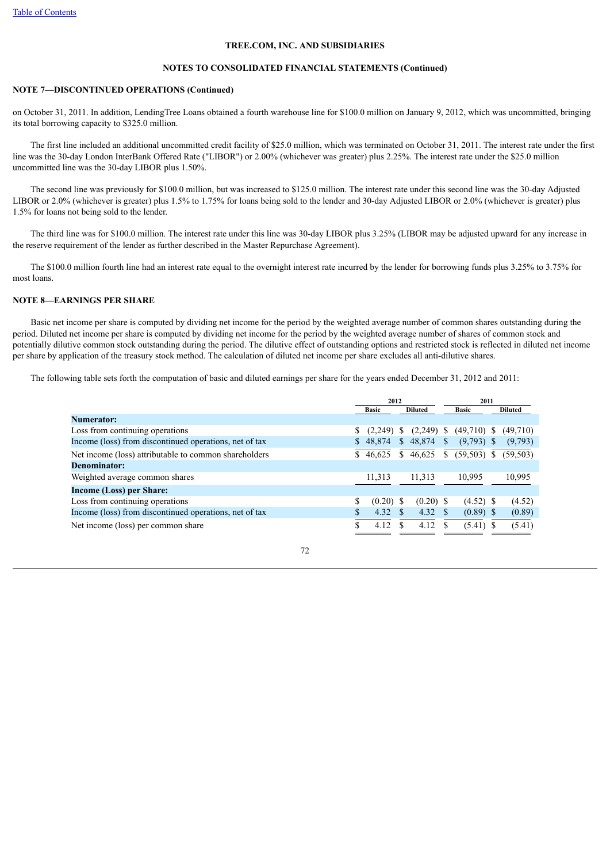# **NOTES TO CONSOLIDATED FINANCIAL STATEMENTS (Continued)**

# **NOTE 7—DISCONTINUED OPERATIONS (Continued)**

on October 31, 2011. In addition, LendingTree Loans obtained a fourth warehouse line for \$100.0 million on January 9, 2012, which was uncommitted, bringing its total borrowing capacity to \$325.0 million.

 The first line included an additional uncommitted credit facility of \$25.0 million, which was terminated on October 31, 2011. The interest rate under the first line was the 30-day London InterBank Offered Rate ("LIBOR") or 2.00% (whichever was greater) plus 2.25%. The interest rate under the \$25.0 million uncommitted line was the 30-day LIBOR plus 1.50%.

 The second line was previously for \$100.0 million, but was increased to \$125.0 million. The interest rate under this second line was the 30-day Adjusted LIBOR or 2.0% (whichever is greater) plus 1.5% to 1.75% for loans being sold to the lender and 30-day Adjusted LIBOR or 2.0% (whichever is greater) plus 1.5% for loans not being sold to the lender.

 The third line was for \$100.0 million. The interest rate under this line was 30-day LIBOR plus 3.25% (LIBOR may be adjusted upward for any increase in the reserve requirement of the lender as further described in the Master Repurchase Agreement).

 The \$100.0 million fourth line had an interest rate equal to the overnight interest rate incurred by the lender for borrowing funds plus 3.25% to 3.75% for most loans.

# **NOTE 8—EARNINGS PER SHARE**

 Basic net income per share is computed by dividing net income for the period by the weighted average number of common shares outstanding during the period. Diluted net income per share is computed by dividing net income for the period by the weighted average number of shares of common stock and potentially dilutive common stock outstanding during the period. The dilutive effect of outstanding options and restricted stock is reflected in diluted net income per share by application of the treasury stock method. The calculation of diluted net income per share excludes all anti-dilutive shares.

The following table sets forth the computation of basic and diluted earnings per share for the years ended December 31, 2012 and 2011:

|                                                        | 2012 |              |                |              |              |               |  |                |
|--------------------------------------------------------|------|--------------|----------------|--------------|--------------|---------------|--|----------------|
|                                                        |      | <b>Basic</b> | <b>Diluted</b> |              |              | <b>Basic</b>  |  | <b>Diluted</b> |
| Numerator:                                             |      |              |                |              |              |               |  |                |
| Loss from continuing operations                        |      | (2,249)      | <sup>S</sup>   | $(2,249)$ \$ |              | $(49,710)$ \$ |  | (49,710)       |
| Income (loss) from discontinued operations, net of tax |      | \$48.874     |                | \$48,874     | <sup>S</sup> | $(9,793)$ \$  |  | (9,793)        |
| Net income (loss) attributable to common shareholders  |      | 46,625       | S.             | 46,625       | \$           | $(59,503)$ \$ |  | (59, 503)      |
| Denominator:                                           |      |              |                |              |              |               |  |                |
| Weighted average common shares                         |      | 11,313       |                | 11.313       |              | 10,995        |  | 10,995         |
| Income (Loss) per Share:                               |      |              |                |              |              |               |  |                |
| Loss from continuing operations                        | \$   | $(0.20)$ \$  |                | $(0.20)$ \$  |              | $(4.52)$ \$   |  | (4.52)         |
| Income (loss) from discontinued operations, net of tax |      | 4.32         | -S             | 4.32 S       |              | $(0.89)$ \$   |  | (0.89)         |
| Net income (loss) per common share                     |      | 4.12         |                | 4.12         |              | $(5.41)$ \$   |  | (5.41)         |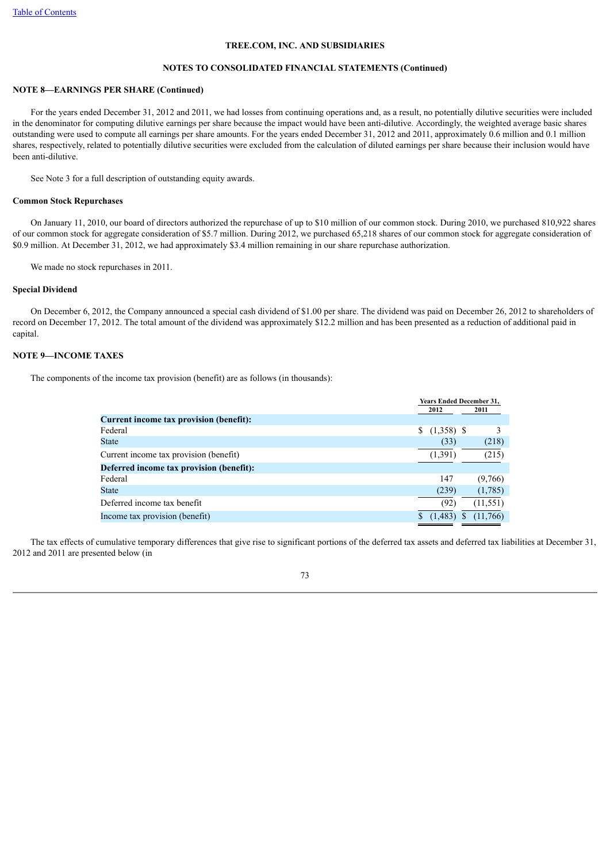# **NOTES TO CONSOLIDATED FINANCIAL STATEMENTS (Continued)**

# **NOTE 8—EARNINGS PER SHARE (Continued)**

 For the years ended December 31, 2012 and 2011, we had losses from continuing operations and, as a result, no potentially dilutive securities were included in the denominator for computing dilutive earnings per share because the impact would have been anti-dilutive. Accordingly, the weighted average basic shares outstanding were used to compute all earnings per share amounts. For the years ended December 31, 2012 and 2011, approximately 0.6 million and 0.1 million shares, respectively, related to potentially dilutive securities were excluded from the calculation of diluted earnings per share because their inclusion would have been anti-dilutive.

See Note 3 for a full description of outstanding equity awards.

#### **Common Stock Repurchases**

 On January 11, 2010, our board of directors authorized the repurchase of up to \$10 million of our common stock. During 2010, we purchased 810,922 shares of our common stock for aggregate consideration of \$5.7 million. During 2012, we purchased 65,218 shares of our common stock for aggregate consideration of \$0.9 million. At December 31, 2012, we had approximately \$3.4 million remaining in our share repurchase authorization.

We made no stock repurchases in 2011.

# **Special Dividend**

 On December 6, 2012, the Company announced a special cash dividend of \$1.00 per share. The dividend was paid on December 26, 2012 to shareholders of record on December 17, 2012. The total amount of the dividend was approximately \$12.2 million and has been presented as a reduction of additional paid in capital.

# **NOTE 9—INCOME TAXES**

The components of the income tax provision (benefit) are as follows (in thousands):

|                                                |                   | <b>Years Ended December 31.</b> |
|------------------------------------------------|-------------------|---------------------------------|
| <b>Current income tax provision (benefit):</b> | 2012              | 2011                            |
| Federal                                        | $(1,358)$ \$<br>S |                                 |
| <b>State</b>                                   | (33)              | (218)                           |
| Current income tax provision (benefit)         | (1, 391)          | (215)                           |
| Deferred income tax provision (benefit):       |                   |                                 |
| Federal                                        | 147               | (9,766)                         |
| <b>State</b>                                   | (239)             | (1,785)                         |
| Deferred income tax benefit                    | (92)              | (11, 551)                       |
| Income tax provision (benefit)                 | (1, 483)          | (11,766)                        |

 The tax effects of cumulative temporary differences that give rise to significant portions of the deferred tax assets and deferred tax liabilities at December 31, 2012 and 2011 are presented below (in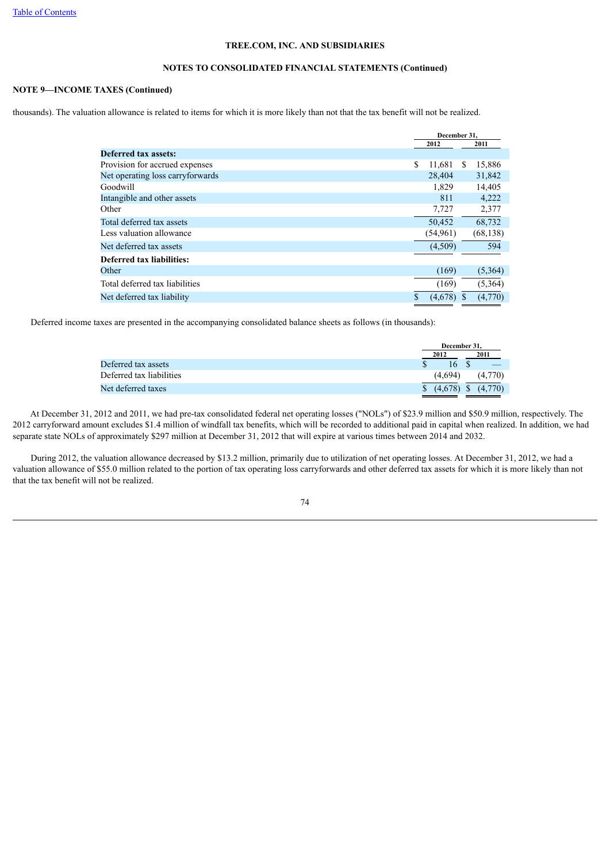# **NOTES TO CONSOLIDATED FINANCIAL STATEMENTS (Continued)**

# **NOTE 9—INCOME TAXES (Continued)**

thousands). The valuation allowance is related to items for which it is more likely than not that the tax benefit will not be realized.

|                                  | December 31,  |    |           |  |
|----------------------------------|---------------|----|-----------|--|
|                                  | 2012          |    | 2011      |  |
| <b>Deferred tax assets:</b>      |               |    |           |  |
| Provision for accrued expenses   | \$<br>11,681  | -S | 15,886    |  |
| Net operating loss carryforwards | 28,404        |    | 31,842    |  |
| Goodwill                         | 1,829         |    | 14,405    |  |
| Intangible and other assets      | 811           |    | 4,222     |  |
| Other                            | 7,727         |    | 2,377     |  |
| Total deferred tax assets        | 50,452        |    | 68,732    |  |
| Less valuation allowance         | (54,961)      |    | (68, 138) |  |
| Net deferred tax assets          | (4,509)       |    | 594       |  |
| <b>Deferred tax liabilities:</b> |               |    |           |  |
| Other                            | (169)         |    | (5,364)   |  |
| Total deferred tax liabilities   | (169)         |    | (5,364)   |  |
| Net deferred tax liability       | \$<br>(4,678) |    | (4,770)   |  |

Deferred income taxes are presented in the accompanying consolidated balance sheets as follows (in thousands):

|                          |      | December 31. |  |         |
|--------------------------|------|--------------|--|---------|
|                          | 2012 |              |  | 2011    |
| Deferred tax assets      |      | 16           |  |         |
| Deferred tax liabilities |      | (4.694)      |  | (4,770) |
| Net deferred taxes       |      |              |  |         |
|                          |      |              |  |         |

 At December 31, 2012 and 2011, we had pre-tax consolidated federal net operating losses ("NOLs") of \$23.9 million and \$50.9 million, respectively. The 2012 carryforward amount excludes \$1.4 million of windfall tax benefits, which will be recorded to additional paid in capital when realized. In addition, we had separate state NOLs of approximately \$297 million at December 31, 2012 that will expire at various times between 2014 and 2032.

 During 2012, the valuation allowance decreased by \$13.2 million, primarily due to utilization of net operating losses. At December 31, 2012, we had a valuation allowance of \$55.0 million related to the portion of tax operating loss carryforwards and other deferred tax assets for which it is more likely than not that the tax benefit will not be realized.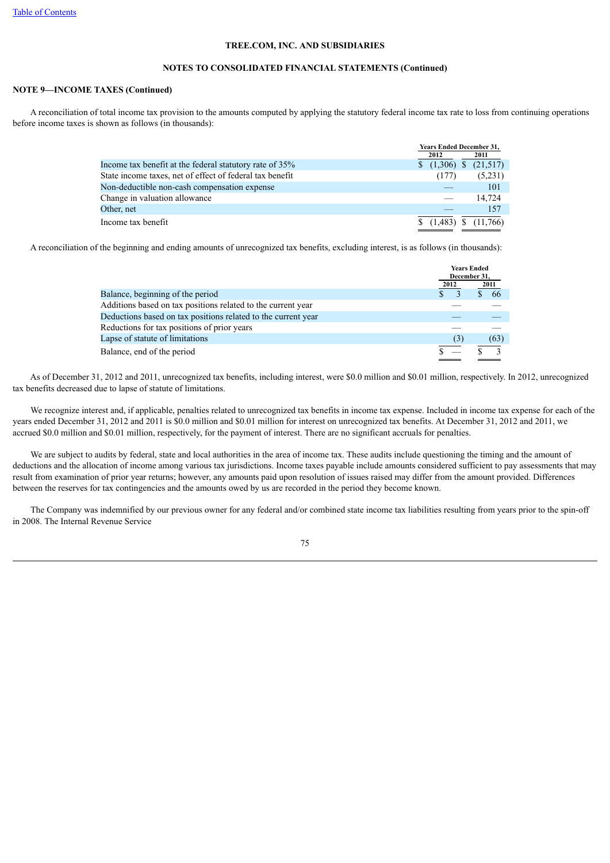## **NOTES TO CONSOLIDATED FINANCIAL STATEMENTS (Continued)**

# **NOTE 9—INCOME TAXES (Continued)**

 A reconciliation of total income tax provision to the amounts computed by applying the statutory federal income tax rate to loss from continuing operations before income taxes is shown as follows (in thousands):

|                                                          |  | <b>Years Ended December 31,</b> |  |                         |
|----------------------------------------------------------|--|---------------------------------|--|-------------------------|
|                                                          |  | 2012                            |  | 2011                    |
| Income tax benefit at the federal statutory rate of 35%  |  | $$(1,306)$ \$                   |  | (21,517)                |
| State income taxes, net of effect of federal tax benefit |  | (177)                           |  | (5,231)                 |
| Non-deductible non-cash compensation expense             |  |                                 |  | 101                     |
| Change in valuation allowance                            |  |                                 |  | 14.724                  |
| Other, net                                               |  |                                 |  | 157                     |
| Income tax benefit                                       |  |                                 |  | $(1,483)$ \$ $(11,766)$ |

A reconciliation of the beginning and ending amounts of unrecognized tax benefits, excluding interest, is as follows (in thousands):

|                                                               |      | <b>Years Ended</b><br>December 31, |  |      |
|---------------------------------------------------------------|------|------------------------------------|--|------|
|                                                               | 2012 |                                    |  | 2011 |
| Balance, beginning of the period                              |      |                                    |  | 66   |
| Additions based on tax positions related to the current year  |      |                                    |  |      |
| Deductions based on tax positions related to the current year |      |                                    |  |      |
| Reductions for tax positions of prior years                   |      |                                    |  |      |
| Lapse of statute of limitations                               |      | (3)                                |  | (63) |
| Balance, end of the period                                    |      |                                    |  |      |

 As of December 31, 2012 and 2011, unrecognized tax benefits, including interest, were \$0.0 million and \$0.01 million, respectively. In 2012, unrecognized tax benefits decreased due to lapse of statute of limitations.

 We recognize interest and, if applicable, penalties related to unrecognized tax benefits in income tax expense. Included in income tax expense for each of the years ended December 31, 2012 and 2011 is \$0.0 million and \$0.01 million for interest on unrecognized tax benefits. At December 31, 2012 and 2011, we accrued \$0.0 million and \$0.01 million, respectively, for the payment of interest. There are no significant accruals for penalties.

We are subject to audits by federal, state and local authorities in the area of income tax. These audits include questioning the timing and the amount of deductions and the allocation of income among various tax jurisdictions. Income taxes payable include amounts considered sufficient to pay assessments that may result from examination of prior year returns; however, any amounts paid upon resolution of issues raised may differ from the amount provided. Differences between the reserves for tax contingencies and the amounts owed by us are recorded in the period they become known.

 The Company was indemnified by our previous owner for any federal and/or combined state income tax liabilities resulting from years prior to the spin-off in 2008. The Internal Revenue Service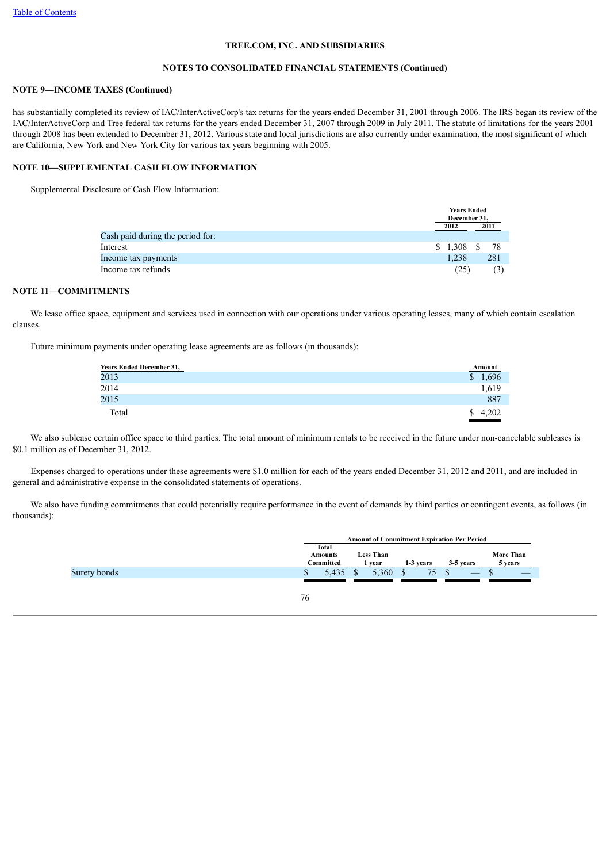## **NOTES TO CONSOLIDATED FINANCIAL STATEMENTS (Continued)**

## **NOTE 9—INCOME TAXES (Continued)**

has substantially completed its review of IAC/InterActiveCorp's tax returns for the years ended December 31, 2001 through 2006. The IRS began its review of the IAC/InterActiveCorp and Tree federal tax returns for the years ended December 31, 2007 through 2009 in July 2011. The statute of limitations for the years 2001 through 2008 has been extended to December 31, 2012. Various state and local jurisdictions are also currently under examination, the most significant of which are California, New York and New York City for various tax years beginning with 2005.

# **NOTE 10—SUPPLEMENTAL CASH FLOW INFORMATION**

Supplemental Disclosure of Cash Flow Information:

|                                  | <b>Years Ended</b><br>December 31. |      |
|----------------------------------|------------------------------------|------|
|                                  | 2012                               | 2011 |
| Cash paid during the period for: |                                    |      |
| Interest                         | $$1,308$ \, \$                     | - 78 |
| Income tax payments              | 1.238                              | 281  |
| Income tax refunds               | (25)                               |      |

# **NOTE 11—COMMITMENTS**

We lease office space, equipment and services used in connection with our operations under various operating leases, many of which contain escalation clauses.

Future minimum payments under operating lease agreements are as follows (in thousands):

| <b>Years Ended December 31,</b> | <b>Amount</b>         |
|---------------------------------|-----------------------|
| 2013                            | 1,696<br>$\mathbb{S}$ |
| 2014                            | 1,619                 |
| 2015                            | 887                   |
| Total                           | 4.202                 |

 We also sublease certain office space to third parties. The total amount of minimum rentals to be received in the future under non-cancelable subleases is \$0.1 million as of December 31, 2012.

 Expenses charged to operations under these agreements were \$1.0 million for each of the years ended December 31, 2012 and 2011, and are included in general and administrative expense in the consolidated statements of operations.

 We also have funding commitments that could potentially require performance in the event of demands by third parties or contingent events, as follows (in thousands):

|              | <b>Amount of Commitment Expiration Per Period</b> |       |  |       |           |                          |  |           |            |           |  |                             |
|--------------|---------------------------------------------------|-------|--|-------|-----------|--------------------------|--|-----------|------------|-----------|--|-----------------------------|
|              | <b>Total</b><br><b>Amounts</b><br>Committed       |       |  |       |           | <b>Less Than</b><br>vear |  | 1-3 years |            | 3-5 years |  | <b>More Than</b><br>5 years |
| Surety bonds | ъ                                                 | 5,435 |  | 5.360 | $\bigcap$ |                          |  |           | $\sqrt{2}$ |           |  |                             |
|              | 76                                                |       |  |       |           |                          |  |           |            |           |  |                             |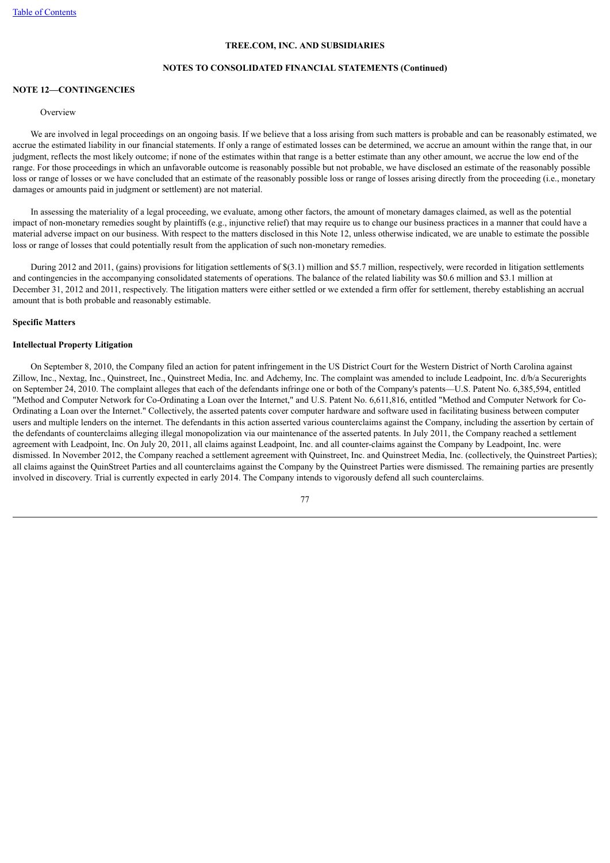### **NOTES TO CONSOLIDATED FINANCIAL STATEMENTS (Continued)**

# **NOTE 12—CONTINGENCIES**

#### **Overview**

 We are involved in legal proceedings on an ongoing basis. If we believe that a loss arising from such matters is probable and can be reasonably estimated, we accrue the estimated liability in our financial statements. If only a range of estimated losses can be determined, we accrue an amount within the range that, in our judgment, reflects the most likely outcome; if none of the estimates within that range is a better estimate than any other amount, we accrue the low end of the range. For those proceedings in which an unfavorable outcome is reasonably possible but not probable, we have disclosed an estimate of the reasonably possible loss or range of losses or we have concluded that an estimate of the reasonably possible loss or range of losses arising directly from the proceeding (i.e., monetary damages or amounts paid in judgment or settlement) are not material.

 In assessing the materiality of a legal proceeding, we evaluate, among other factors, the amount of monetary damages claimed, as well as the potential impact of non-monetary remedies sought by plaintiffs (e.g., injunctive relief) that may require us to change our business practices in a manner that could have a material adverse impact on our business. With respect to the matters disclosed in this Note 12, unless otherwise indicated, we are unable to estimate the possible loss or range of losses that could potentially result from the application of such non-monetary remedies.

 During 2012 and 2011, (gains) provisions for litigation settlements of \$(3.1) million and \$5.7 million, respectively, were recorded in litigation settlements and contingencies in the accompanying consolidated statements of operations. The balance of the related liability was \$0.6 million and \$3.1 million at December 31, 2012 and 2011, respectively. The litigation matters were either settled or we extended a firm offer for settlement, thereby establishing an accrual amount that is both probable and reasonably estimable.

# **Specific Matters**

### **Intellectual Property Litigation**

 On September 8, 2010, the Company filed an action for patent infringement in the US District Court for the Western District of North Carolina against Zillow, Inc., Nextag, Inc., Quinstreet, Inc., Quinstreet Media, Inc. and Adchemy, Inc. The complaint was amended to include Leadpoint, Inc. d/b/a Securerights on September 24, 2010. The complaint alleges that each of the defendants infringe one or both of the Company's patents—U.S. Patent No. 6,385,594, entitled "Method and Computer Network for Co-Ordinating a Loan over the Internet," and U.S. Patent No. 6,611,816, entitled "Method and Computer Network for Co-Ordinating a Loan over the Internet." Collectively, the asserted patents cover computer hardware and software used in facilitating business between computer users and multiple lenders on the internet. The defendants in this action asserted various counterclaims against the Company, including the assertion by certain of the defendants of counterclaims alleging illegal monopolization via our maintenance of the asserted patents. In July 2011, the Company reached a settlement agreement with Leadpoint, Inc. On July 20, 2011, all claims against Leadpoint, Inc. and all counter-claims against the Company by Leadpoint, Inc. were dismissed. In November 2012, the Company reached a settlement agreement with Quinstreet, Inc. and Quinstreet Media, Inc. (collectively, the Quinstreet Parties); all claims against the QuinStreet Parties and all counterclaims against the Company by the Quinstreet Parties were dismissed. The remaining parties are presently involved in discovery. Trial is currently expected in early 2014. The Company intends to vigorously defend all such counterclaims.

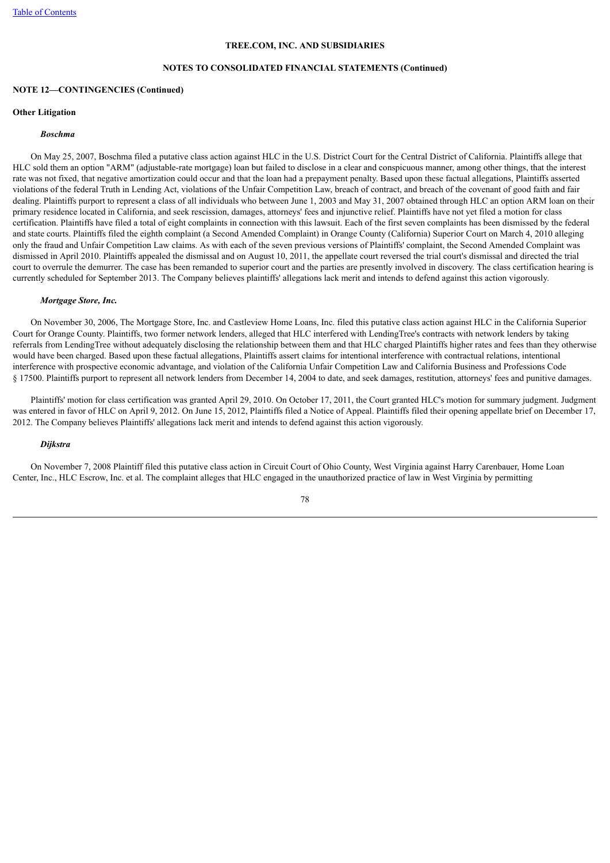# **NOTES TO CONSOLIDATED FINANCIAL STATEMENTS (Continued)**

## **NOTE 12—CONTINGENCIES (Continued)**

#### **Other Litigation**

# *Boschma*

 On May 25, 2007, Boschma filed a putative class action against HLC in the U.S. District Court for the Central District of California. Plaintiffs allege that HLC sold them an option "ARM" (adjustable-rate mortgage) loan but failed to disclose in a clear and conspicuous manner, among other things, that the interest rate was not fixed, that negative amortization could occur and that the loan had a prepayment penalty. Based upon these factual allegations, Plaintiffs asserted violations of the federal Truth in Lending Act, violations of the Unfair Competition Law, breach of contract, and breach of the covenant of good faith and fair dealing. Plaintiffs purport to represent a class of all individuals who between June 1, 2003 and May 31, 2007 obtained through HLC an option ARM loan on their primary residence located in California, and seek rescission, damages, attorneys' fees and injunctive relief. Plaintiffs have not yet filed a motion for class certification. Plaintiffs have filed a total of eight complaints in connection with this lawsuit. Each of the first seven complaints has been dismissed by the federal and state courts. Plaintiffs filed the eighth complaint (a Second Amended Complaint) in Orange County (California) Superior Court on March 4, 2010 alleging only the fraud and Unfair Competition Law claims. As with each of the seven previous versions of Plaintiffs' complaint, the Second Amended Complaint was dismissed in April 2010. Plaintiffs appealed the dismissal and on August 10, 2011, the appellate court reversed the trial court's dismissal and directed the trial court to overrule the demurrer. The case has been remanded to superior court and the parties are presently involved in discovery. The class certification hearing is currently scheduled for September 2013. The Company believes plaintiffs' allegations lack merit and intends to defend against this action vigorously.

#### *Mortgage Store, Inc.*

 On November 30, 2006, The Mortgage Store, Inc. and Castleview Home Loans, Inc. filed this putative class action against HLC in the California Superior Court for Orange County. Plaintiffs, two former network lenders, alleged that HLC interfered with LendingTree's contracts with network lenders by taking referrals from LendingTree without adequately disclosing the relationship between them and that HLC charged Plaintiffs higher rates and fees than they otherwise would have been charged. Based upon these factual allegations, Plaintiffs assert claims for intentional interference with contractual relations, intentional interference with prospective economic advantage, and violation of the California Unfair Competition Law and California Business and Professions Code § 17500. Plaintiffs purport to represent all network lenders from December 14, 2004 to date, and seek damages, restitution, attorneys' fees and punitive damages.

 Plaintiffs' motion for class certification was granted April 29, 2010. On October 17, 2011, the Court granted HLC's motion for summary judgment. Judgment was entered in favor of HLC on April 9, 2012. On June 15, 2012, Plaintiffs filed a Notice of Appeal. Plaintiffs filed their opening appellate brief on December 17, 2012. The Company believes Plaintiffs' allegations lack merit and intends to defend against this action vigorously.

# *Dijkstra*

 On November 7, 2008 Plaintiff filed this putative class action in Circuit Court of Ohio County, West Virginia against Harry Carenbauer, Home Loan Center, Inc., HLC Escrow, Inc. et al. The complaint alleges that HLC engaged in the unauthorized practice of law in West Virginia by permitting

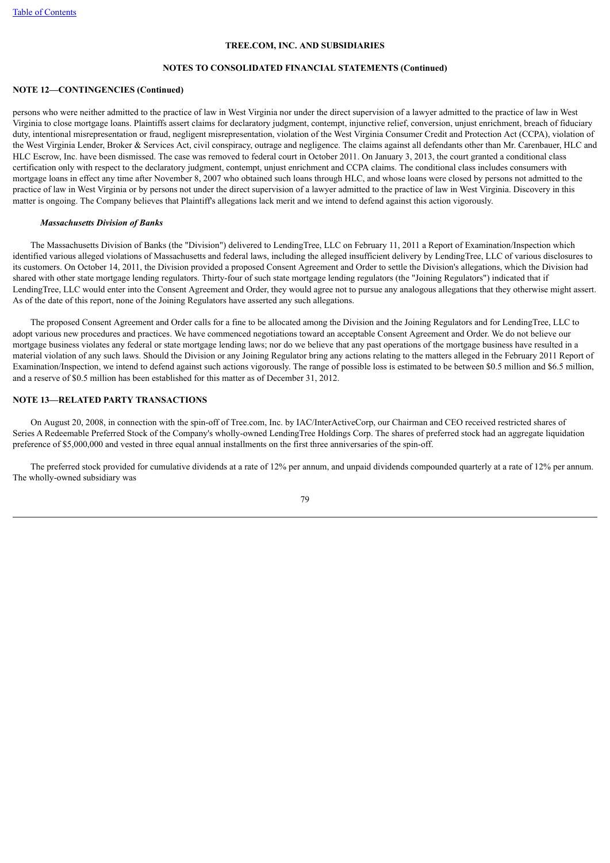### **NOTES TO CONSOLIDATED FINANCIAL STATEMENTS (Continued)**

## **NOTE 12—CONTINGENCIES (Continued)**

persons who were neither admitted to the practice of law in West Virginia nor under the direct supervision of a lawyer admitted to the practice of law in West Virginia to close mortgage loans. Plaintiffs assert claims for declaratory judgment, contempt, injunctive relief, conversion, unjust enrichment, breach of fiduciary duty, intentional misrepresentation or fraud, negligent misrepresentation, violation of the West Virginia Consumer Credit and Protection Act (CCPA), violation of the West Virginia Lender, Broker & Services Act, civil conspiracy, outrage and negligence. The claims against all defendants other than Mr. Carenbauer, HLC and HLC Escrow, Inc. have been dismissed. The case was removed to federal court in October 2011. On January 3, 2013, the court granted a conditional class certification only with respect to the declaratory judgment, contempt, unjust enrichment and CCPA claims. The conditional class includes consumers with mortgage loans in effect any time after November 8, 2007 who obtained such loans through HLC, and whose loans were closed by persons not admitted to the practice of law in West Virginia or by persons not under the direct supervision of a lawyer admitted to the practice of law in West Virginia. Discovery in this matter is ongoing. The Company believes that Plaintiff's allegations lack merit and we intend to defend against this action vigorously.

#### *Massachusetts Division of Banks*

 The Massachusetts Division of Banks (the "Division") delivered to LendingTree, LLC on February 11, 2011 a Report of Examination/Inspection which identified various alleged violations of Massachusetts and federal laws, including the alleged insufficient delivery by LendingTree, LLC of various disclosures to its customers. On October 14, 2011, the Division provided a proposed Consent Agreement and Order to settle the Division's allegations, which the Division had shared with other state mortgage lending regulators. Thirty-four of such state mortgage lending regulators (the "Joining Regulators") indicated that if LendingTree, LLC would enter into the Consent Agreement and Order, they would agree not to pursue any analogous allegations that they otherwise might assert. As of the date of this report, none of the Joining Regulators have asserted any such allegations.

 The proposed Consent Agreement and Order calls for a fine to be allocated among the Division and the Joining Regulators and for LendingTree, LLC to adopt various new procedures and practices. We have commenced negotiations toward an acceptable Consent Agreement and Order. We do not believe our mortgage business violates any federal or state mortgage lending laws; nor do we believe that any past operations of the mortgage business have resulted in a material violation of any such laws. Should the Division or any Joining Regulator bring any actions relating to the matters alleged in the February 2011 Report of Examination/Inspection, we intend to defend against such actions vigorously. The range of possible loss is estimated to be between \$0.5 million and \$6.5 million, and a reserve of \$0.5 million has been established for this matter as of December 31, 2012.

# **NOTE 13—RELATED PARTY TRANSACTIONS**

 On August 20, 2008, in connection with the spin-off of Tree.com, Inc. by IAC/InterActiveCorp, our Chairman and CEO received restricted shares of Series A Redeemable Preferred Stock of the Company's wholly-owned LendingTree Holdings Corp. The shares of preferred stock had an aggregate liquidation preference of \$5,000,000 and vested in three equal annual installments on the first three anniversaries of the spin-off.

 The preferred stock provided for cumulative dividends at a rate of 12% per annum, and unpaid dividends compounded quarterly at a rate of 12% per annum. The wholly-owned subsidiary was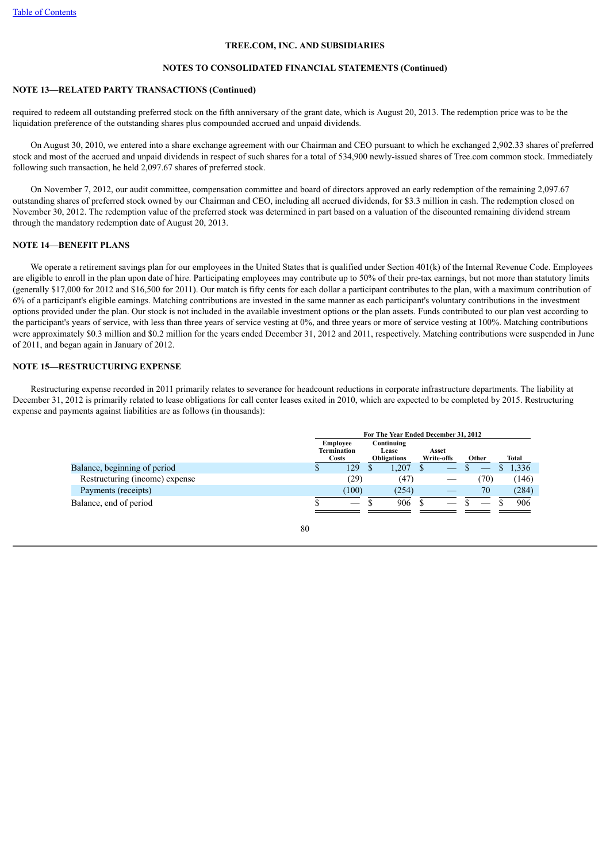## **NOTES TO CONSOLIDATED FINANCIAL STATEMENTS (Continued)**

# **NOTE 13—RELATED PARTY TRANSACTIONS (Continued)**

required to redeem all outstanding preferred stock on the fifth anniversary of the grant date, which is August 20, 2013. The redemption price was to be the liquidation preference of the outstanding shares plus compounded accrued and unpaid dividends.

 On August 30, 2010, we entered into a share exchange agreement with our Chairman and CEO pursuant to which he exchanged 2,902.33 shares of preferred stock and most of the accrued and unpaid dividends in respect of such shares for a total of 534,900 newly-issued shares of Tree.com common stock. Immediately following such transaction, he held 2,097.67 shares of preferred stock.

 On November 7, 2012, our audit committee, compensation committee and board of directors approved an early redemption of the remaining 2,097.67 outstanding shares of preferred stock owned by our Chairman and CEO, including all accrued dividends, for \$3.3 million in cash. The redemption closed on November 30, 2012. The redemption value of the preferred stock was determined in part based on a valuation of the discounted remaining dividend stream through the mandatory redemption date of August 20, 2013.

# **NOTE 14—BENEFIT PLANS**

We operate a retirement savings plan for our employees in the United States that is qualified under Section 401(k) of the Internal Revenue Code. Employees are eligible to enroll in the plan upon date of hire. Participating employees may contribute up to 50% of their pre-tax earnings, but not more than statutory limits (generally \$17,000 for 2012 and \$16,500 for 2011). Our match is fifty cents for each dollar a participant contributes to the plan, with a maximum contribution of 6% of a participant's eligible earnings. Matching contributions are invested in the same manner as each participant's voluntary contributions in the investment options provided under the plan. Our stock is not included in the available investment options or the plan assets. Funds contributed to our plan vest according to the participant's years of service, with less than three years of service vesting at 0%, and three years or more of service vesting at 100%. Matching contributions were approximately \$0.3 million and \$0.2 million for the years ended December 31, 2012 and 2011, respectively. Matching contributions were suspended in June of 2011, and began again in January of 2012.

# **NOTE 15—RESTRUCTURING EXPENSE**

 Restructuring expense recorded in 2011 primarily relates to severance for headcount reductions in corporate infrastructure departments. The liability at December 31, 2012 is primarily related to lease obligations for call center leases exited in 2010, which are expected to be completed by 2015. Restructuring expense and payments against liabilities are as follows (in thousands):

|                                | For The Year Ended December 31, 2012                  |       |                                           |       |                     |                                 |       |     |  |       |
|--------------------------------|-------------------------------------------------------|-------|-------------------------------------------|-------|---------------------|---------------------------------|-------|-----|--|-------|
|                                | <b>Employee</b><br><b>Termination</b><br><b>Costs</b> |       | Continuing<br>Lease<br><b>Obligations</b> |       | Asset<br>Write-offs |                                 | Other |     |  | Total |
| Balance, beginning of period   |                                                       | 129   |                                           | 0.207 |                     | $\hspace{0.1cm}-\hspace{0.1cm}$ |       |     |  | 1,336 |
| Restructuring (income) expense |                                                       | (29)  |                                           | (47)  |                     |                                 |       | 70) |  | (146) |
| Payments (receipts)            |                                                       | (100) |                                           | (254) |                     |                                 |       | 70  |  | (284) |
| Balance, end of period         |                                                       |       |                                           | 906   |                     |                                 |       |     |  | 906   |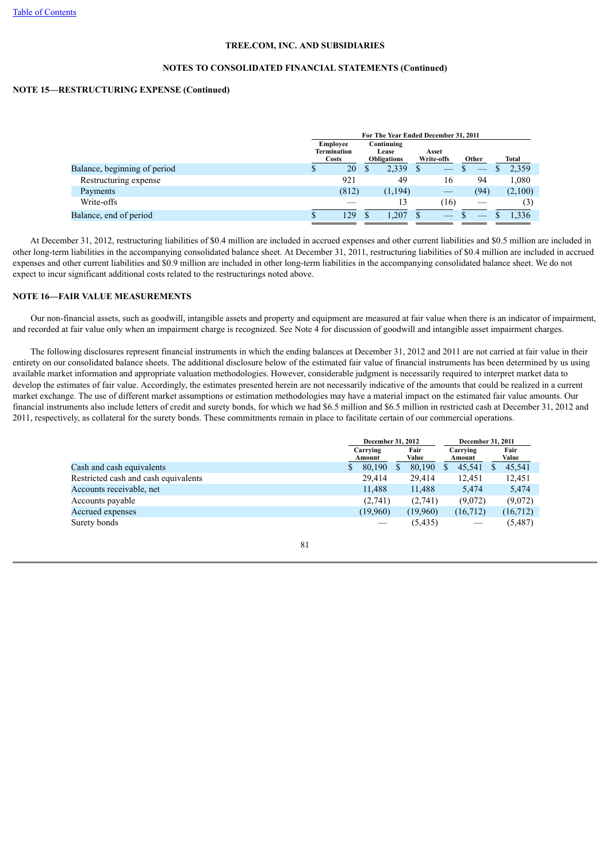## **NOTES TO CONSOLIDATED FINANCIAL STATEMENTS (Continued)**

# **NOTE 15—RESTRUCTURING EXPENSE (Continued)**

|                              |                                         | For The Year Ended December 31, 2011      |         |                     |                                |         |
|------------------------------|-----------------------------------------|-------------------------------------------|---------|---------------------|--------------------------------|---------|
|                              | Employee<br>Termination<br><b>Costs</b> | Continuing<br>Lease<br><b>Obligations</b> |         | Asset<br>Write-offs | Other                          | Total   |
| Balance, beginning of period | 20                                      |                                           | 2,339   |                     | $\overbrace{\hspace{25mm}}^{}$ | 2,359   |
| Restructuring expense        | 921                                     |                                           | 49      | 16                  | 94                             | 1,080   |
| Payments                     | (812)                                   |                                           | (1,194) |                     | (94)                           | (2,100) |
| Write-offs                   |                                         |                                           | 13      | [16]                |                                | (3)     |
| Balance, end of period       | 129                                     |                                           | .207    |                     |                                | 1.336   |

 At December 31, 2012, restructuring liabilities of \$0.4 million are included in accrued expenses and other current liabilities and \$0.5 million are included in other long-term liabilities in the accompanying consolidated balance sheet. At December 31, 2011, restructuring liabilities of \$0.4 million are included in accrued expenses and other current liabilities and \$0.9 million are included in other long-term liabilities in the accompanying consolidated balance sheet. We do not expect to incur significant additional costs related to the restructurings noted above.

# **NOTE 16—FAIR VALUE MEASUREMENTS**

 Our non-financial assets, such as goodwill, intangible assets and property and equipment are measured at fair value when there is an indicator of impairment, and recorded at fair value only when an impairment charge is recognized. See Note 4 for discussion of goodwill and intangible asset impairment charges.

 The following disclosures represent financial instruments in which the ending balances at December 31, 2012 and 2011 are not carried at fair value in their entirety on our consolidated balance sheets. The additional disclosure below of the estimated fair value of financial instruments has been determined by us using available market information and appropriate valuation methodologies. However, considerable judgment is necessarily required to interpret market data to develop the estimates of fair value. Accordingly, the estimates presented herein are not necessarily indicative of the amounts that could be realized in a current market exchange. The use of different market assumptions or estimation methodologies may have a material impact on the estimated fair value amounts. Our financial instruments also include letters of credit and surety bonds, for which we had \$6.5 million and \$6.5 million in restricted cash at December 31, 2012 and 2011, respectively, as collateral for the surety bonds. These commitments remain in place to facilitate certain of our commercial operations.

|                                      | December 31, 2012 |                    |  | December 31, 2011 |  |                                 |  |               |
|--------------------------------------|-------------------|--------------------|--|-------------------|--|---------------------------------|--|---------------|
|                                      |                   | Carrying<br>Amount |  | Fair<br>Value     |  | Carrying<br>Amount              |  | Fair<br>Value |
| Cash and cash equivalents            | S.                | 80,190             |  | 80,190            |  | 45,541                          |  | 45,541        |
| Restricted cash and cash equivalents |                   | 29.414             |  | 29.414            |  | 12.451                          |  | 12,451        |
| Accounts receivable, net             |                   | 11,488             |  | 11,488            |  | 5,474                           |  | 5,474         |
| Accounts payable                     |                   | (2,741)            |  | (2,741)           |  | (9,072)                         |  | (9,072)       |
| Accrued expenses                     |                   | (19,960)           |  | (19,960)          |  | (16,712)                        |  | (16, 712)     |
| Surety bonds                         |                   |                    |  | (5,435)           |  | $\hspace{0.1mm}-\hspace{0.1mm}$ |  | (5,487)       |

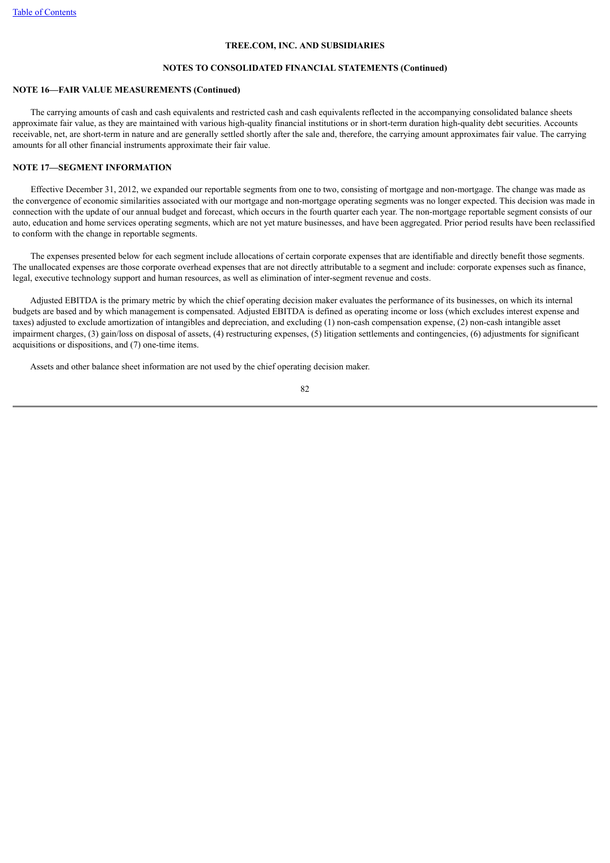# **NOTES TO CONSOLIDATED FINANCIAL STATEMENTS (Continued)**

## **NOTE 16—FAIR VALUE MEASUREMENTS (Continued)**

 The carrying amounts of cash and cash equivalents and restricted cash and cash equivalents reflected in the accompanying consolidated balance sheets approximate fair value, as they are maintained with various high-quality financial institutions or in short-term duration high-quality debt securities. Accounts receivable, net, are short-term in nature and are generally settled shortly after the sale and, therefore, the carrying amount approximates fair value. The carrying amounts for all other financial instruments approximate their fair value.

# **NOTE 17—SEGMENT INFORMATION**

 Effective December 31, 2012, we expanded our reportable segments from one to two, consisting of mortgage and non-mortgage. The change was made as the convergence of economic similarities associated with our mortgage and non-mortgage operating segments was no longer expected. This decision was made in connection with the update of our annual budget and forecast, which occurs in the fourth quarter each year. The non-mortgage reportable segment consists of our auto, education and home services operating segments, which are not yet mature businesses, and have been aggregated. Prior period results have been reclassified to conform with the change in reportable segments.

 The expenses presented below for each segment include allocations of certain corporate expenses that are identifiable and directly benefit those segments. The unallocated expenses are those corporate overhead expenses that are not directly attributable to a segment and include: corporate expenses such as finance, legal, executive technology support and human resources, as well as elimination of inter-segment revenue and costs.

 Adjusted EBITDA is the primary metric by which the chief operating decision maker evaluates the performance of its businesses, on which its internal budgets are based and by which management is compensated. Adjusted EBITDA is defined as operating income or loss (which excludes interest expense and taxes) adjusted to exclude amortization of intangibles and depreciation, and excluding (1) non-cash compensation expense, (2) non-cash intangible asset impairment charges, (3) gain/loss on disposal of assets, (4) restructuring expenses, (5) litigation settlements and contingencies, (6) adjustments for significant acquisitions or dispositions, and (7) one-time items.

Assets and other balance sheet information are not used by the chief operating decision maker.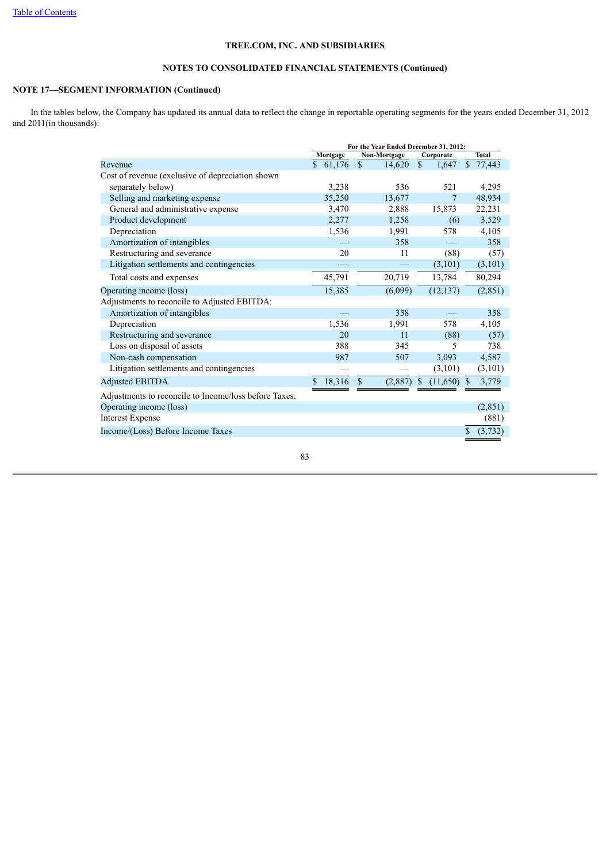# **NOTES TO CONSOLIDATED FINANCIAL STATEMENTS (Continued)**

# **NOTE 17—SEGMENT INFORMATION (Continued)**

 In the tables below, the Company has updated its annual data to reflect the change in reportable operating segments for the years ended December 31, 2012 and 2011(in thousands):

|                                                       | For the Year Ended December 31, 2012: |                         |                           |               |
|-------------------------------------------------------|---------------------------------------|-------------------------|---------------------------|---------------|
|                                                       | Mortgage                              | Non-Mortgage            | Corporate                 | <b>Total</b>  |
| Revenue                                               | \$61,176                              | $\mathbb{S}$<br>14,620  | <sup>\$</sup><br>1,647    | \$77,443      |
| Cost of revenue (exclusive of depreciation shown      |                                       |                         |                           |               |
| separately below)                                     | 3,238                                 | 536                     | 521                       | 4,295         |
| Selling and marketing expense                         | 35,250                                | 13,677                  | 7                         | 48,934        |
| General and administrative expense                    | 3,470                                 | 2,888                   | 15,873                    | 22,231        |
| Product development                                   | 2,277                                 | 1,258                   | (6)                       | 3,529         |
| Depreciation                                          | 1,536                                 | 1,991                   | 578                       | 4,105         |
| Amortization of intangibles                           |                                       | 358                     |                           | 358           |
| Restructuring and severance                           | 20                                    | 11                      | (88)                      | (57)          |
| Litigation settlements and contingencies              |                                       |                         | (3,101)                   | (3, 101)      |
| Total costs and expenses                              | 45,791                                | 20,719                  | 13,784                    | 80,294        |
| Operating income (loss)                               | 15,385                                | (6,099)                 | (12, 137)                 | (2, 851)      |
| Adjustments to reconcile to Adjusted EBITDA:          |                                       |                         |                           |               |
| Amortization of intangibles                           |                                       | 358                     |                           | 358           |
| Depreciation                                          | 1,536                                 | 1,991                   | 578                       | 4,105         |
| Restructuring and severance                           | 20                                    | 11                      | (88)                      | (57)          |
| Loss on disposal of assets                            | 388                                   | 345                     | 5                         | 738           |
| Non-cash compensation                                 | 987                                   | 507                     | 3,093                     | 4,587         |
| Litigation settlements and contingencies              |                                       |                         | (3,101)                   | (3,101)       |
| <b>Adjusted EBITDA</b>                                | 18,316<br>\$.                         | $\mathbb{S}$<br>(2,887) | (11,650)<br><sup>\$</sup> | 3,779<br>-S   |
| Adjustments to reconcile to Income/loss before Taxes: |                                       |                         |                           |               |
| Operating income (loss)                               |                                       |                         |                           | (2,851)       |
| <b>Interest Expense</b>                               |                                       |                         |                           | (881)         |
| Income/(Loss) Before Income Taxes                     |                                       |                         |                           | \$<br>(3,732) |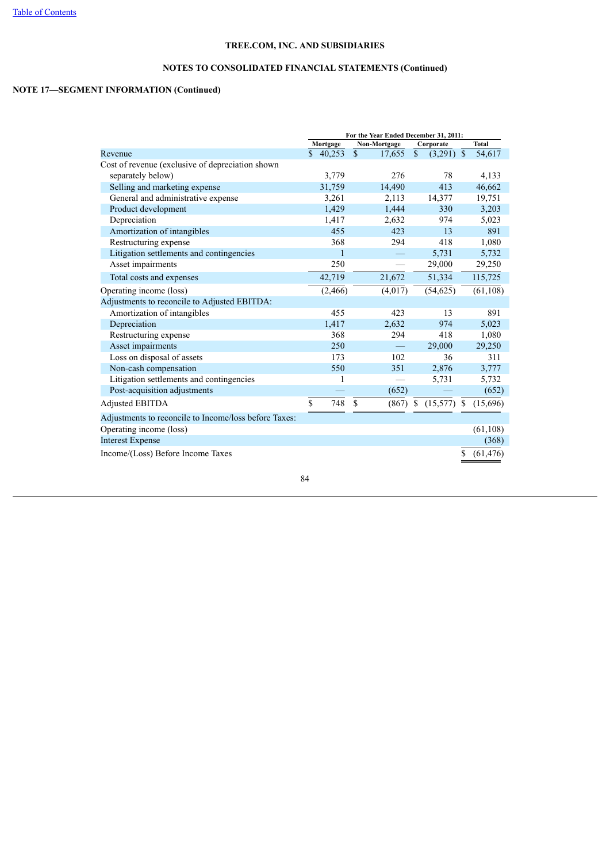# **NOTES TO CONSOLIDATED FINANCIAL STATEMENTS (Continued)**

# **NOTE 17—SEGMENT INFORMATION (Continued)**

|                                                       | For the Year Ended December 31, 2011: |                       |                                        |              |
|-------------------------------------------------------|---------------------------------------|-----------------------|----------------------------------------|--------------|
|                                                       | Mortgage                              | Non-Mortgage          | Corporate                              | <b>Total</b> |
| Revenue                                               | $\mathbf{s}$<br>40,253                | $\mathbf S$<br>17,655 | $\mathbf S$<br>(3,291)<br>$\mathbb{S}$ | 54,617       |
| Cost of revenue (exclusive of depreciation shown      |                                       |                       |                                        |              |
| separately below)                                     | 3,779                                 | 276                   | 78                                     | 4,133        |
| Selling and marketing expense                         | 31,759                                | 14,490                | 413                                    | 46,662       |
| General and administrative expense                    | 3,261                                 | 2,113                 | 14,377                                 | 19,751       |
| Product development                                   | 1,429                                 | 1,444                 | 330                                    | 3,203        |
| Depreciation                                          | 1,417                                 | 2,632                 | 974                                    | 5,023        |
| Amortization of intangibles                           | 455                                   | 423                   | 13                                     | 891          |
| Restructuring expense                                 | 368                                   | 294                   | 418                                    | 1,080        |
| Litigation settlements and contingencies              | 1                                     |                       | 5,731                                  | 5,732        |
| Asset impairments                                     | 250                                   |                       | 29,000                                 | 29,250       |
| Total costs and expenses                              | 42,719                                | 21,672                | 51,334                                 | 115,725      |
| Operating income (loss)                               | (2,466)                               | (4,017)               | (54, 625)                              | (61, 108)    |
| Adjustments to reconcile to Adjusted EBITDA:          |                                       |                       |                                        |              |
| Amortization of intangibles                           | 455                                   | 423                   | 13                                     | 891          |
| Depreciation                                          | 1,417                                 | 2,632                 | 974                                    | 5,023        |
| Restructuring expense                                 | 368                                   | 294                   | 418                                    | 1,080        |
| Asset impairments                                     | 250                                   |                       | 29,000                                 | 29,250       |
| Loss on disposal of assets                            | 173                                   | 102                   | 36                                     | 311          |
| Non-cash compensation                                 | 550                                   | 351                   | 2,876                                  | 3,777        |
| Litigation settlements and contingencies              | 1                                     |                       | 5,731                                  | 5,732        |
| Post-acquisition adjustments                          |                                       | (652)                 |                                        | (652)        |
| <b>Adjusted EBITDA</b>                                | \$<br>$\overline{748}$                | $\mathbf S$<br>(867)  | (15, 577)<br>S<br><sup>\$</sup>        | (15,696)     |
| Adjustments to reconcile to Income/loss before Taxes: |                                       |                       |                                        |              |
| Operating income (loss)                               |                                       |                       |                                        | (61, 108)    |
| <b>Interest Expense</b>                               |                                       |                       |                                        | (368)        |
| Income/(Loss) Before Income Taxes                     |                                       |                       | \$                                     | (61, 476)    |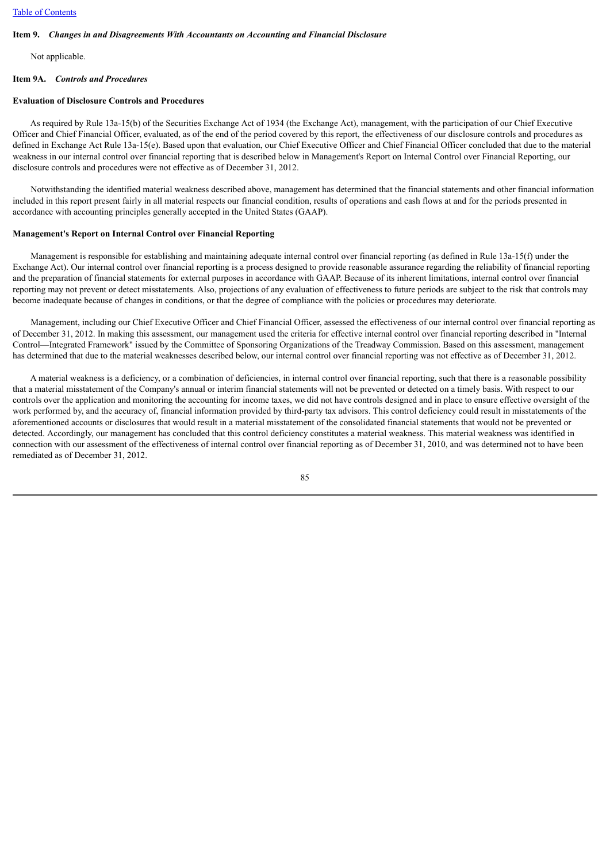### **Item 9.** *Changes in and Disagreements With Accountants on Accounting and Financial Disclosure*

Not applicable.

#### **Item 9A.** *Controls and Procedures*

# **Evaluation of Disclosure Controls and Procedures**

 As required by Rule 13a-15(b) of the Securities Exchange Act of 1934 (the Exchange Act), management, with the participation of our Chief Executive Officer and Chief Financial Officer, evaluated, as of the end of the period covered by this report, the effectiveness of our disclosure controls and procedures as defined in Exchange Act Rule 13a-15(e). Based upon that evaluation, our Chief Executive Officer and Chief Financial Officer concluded that due to the material weakness in our internal control over financial reporting that is described below in Management's Report on Internal Control over Financial Reporting, our disclosure controls and procedures were not effective as of December 31, 2012.

 Notwithstanding the identified material weakness described above, management has determined that the financial statements and other financial information included in this report present fairly in all material respects our financial condition, results of operations and cash flows at and for the periods presented in accordance with accounting principles generally accepted in the United States (GAAP).

# **Management's Report on Internal Control over Financial Reporting**

 Management is responsible for establishing and maintaining adequate internal control over financial reporting (as defined in Rule 13a-15(f) under the Exchange Act). Our internal control over financial reporting is a process designed to provide reasonable assurance regarding the reliability of financial reporting and the preparation of financial statements for external purposes in accordance with GAAP. Because of its inherent limitations, internal control over financial reporting may not prevent or detect misstatements. Also, projections of any evaluation of effectiveness to future periods are subject to the risk that controls may become inadequate because of changes in conditions, or that the degree of compliance with the policies or procedures may deteriorate.

 Management, including our Chief Executive Officer and Chief Financial Officer, assessed the effectiveness of our internal control over financial reporting as of December 31, 2012. In making this assessment, our management used the criteria for effective internal control over financial reporting described in "Internal Control—Integrated Framework" issued by the Committee of Sponsoring Organizations of the Treadway Commission. Based on this assessment, management has determined that due to the material weaknesses described below, our internal control over financial reporting was not effective as of December 31, 2012.

 A material weakness is a deficiency, or a combination of deficiencies, in internal control over financial reporting, such that there is a reasonable possibility that a material misstatement of the Company's annual or interim financial statements will not be prevented or detected on a timely basis. With respect to our controls over the application and monitoring the accounting for income taxes, we did not have controls designed and in place to ensure effective oversight of the work performed by, and the accuracy of, financial information provided by third-party tax advisors. This control deficiency could result in misstatements of the aforementioned accounts or disclosures that would result in a material misstatement of the consolidated financial statements that would not be prevented or detected. Accordingly, our management has concluded that this control deficiency constitutes a material weakness. This material weakness was identified in connection with our assessment of the effectiveness of internal control over financial reporting as of December 31, 2010, and was determined not to have been remediated as of December 31, 2012.

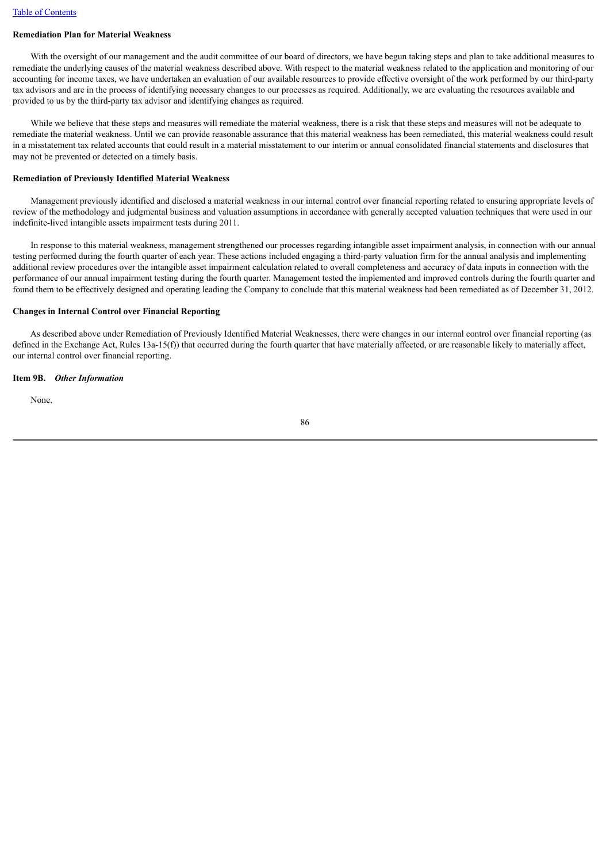# **Remediation Plan for Material Weakness**

With the oversight of our management and the audit committee of our board of directors, we have begun taking steps and plan to take additional measures to remediate the underlying causes of the material weakness described above. With respect to the material weakness related to the application and monitoring of our accounting for income taxes, we have undertaken an evaluation of our available resources to provide effective oversight of the work performed by our third-party tax advisors and are in the process of identifying necessary changes to our processes as required. Additionally, we are evaluating the resources available and provided to us by the third-party tax advisor and identifying changes as required.

While we believe that these steps and measures will remediate the material weakness, there is a risk that these steps and measures will not be adequate to remediate the material weakness. Until we can provide reasonable assurance that this material weakness has been remediated, this material weakness could result in a misstatement tax related accounts that could result in a material misstatement to our interim or annual consolidated financial statements and disclosures that may not be prevented or detected on a timely basis.

### **Remediation of Previously Identified Material Weakness**

 Management previously identified and disclosed a material weakness in our internal control over financial reporting related to ensuring appropriate levels of review of the methodology and judgmental business and valuation assumptions in accordance with generally accepted valuation techniques that were used in our indefinite-lived intangible assets impairment tests during 2011.

 In response to this material weakness, management strengthened our processes regarding intangible asset impairment analysis, in connection with our annual testing performed during the fourth quarter of each year. These actions included engaging a third-party valuation firm for the annual analysis and implementing additional review procedures over the intangible asset impairment calculation related to overall completeness and accuracy of data inputs in connection with the performance of our annual impairment testing during the fourth quarter. Management tested the implemented and improved controls during the fourth quarter and found them to be effectively designed and operating leading the Company to conclude that this material weakness had been remediated as of December 31, 2012.

# **Changes in Internal Control over Financial Reporting**

 As described above under Remediation of Previously Identified Material Weaknesses, there were changes in our internal control over financial reporting (as defined in the Exchange Act, Rules 13a-15(f)) that occurred during the fourth quarter that have materially affected, or are reasonable likely to materially affect, our internal control over financial reporting.

# **Item 9B.** *Other Information*

None.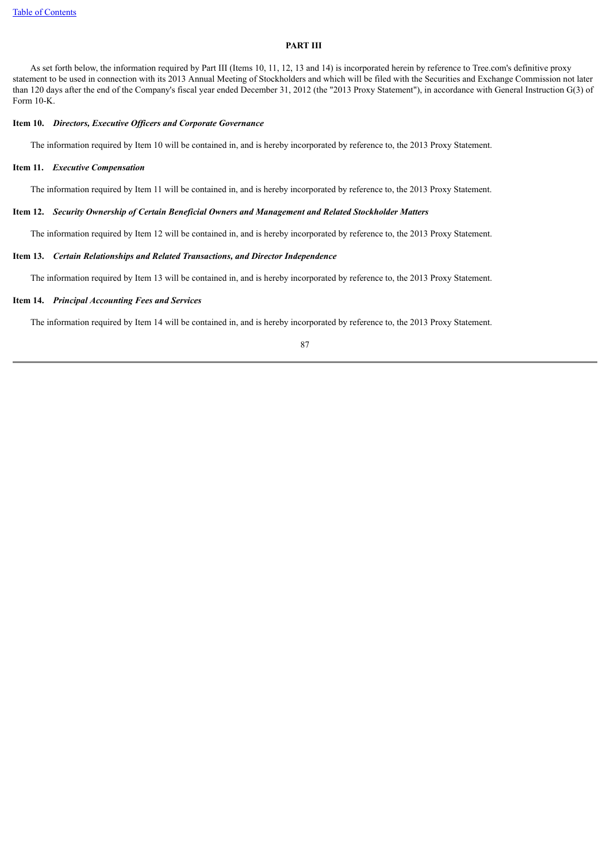# **PART III**

 As set forth below, the information required by Part III (Items 10, 11, 12, 13 and 14) is incorporated herein by reference to Tree.com's definitive proxy statement to be used in connection with its 2013 Annual Meeting of Stockholders and which will be filed with the Securities and Exchange Commission not later than 120 days after the end of the Company's fiscal year ended December 31, 2012 (the "2013 Proxy Statement"), in accordance with General Instruction G(3) of Form 10-K.

#### **Item 10.** *Directors, Executive Officers and Corporate Governance*

The information required by Item 10 will be contained in, and is hereby incorporated by reference to, the 2013 Proxy Statement.

# **Item 11.** *Executive Compensation*

The information required by Item 11 will be contained in, and is hereby incorporated by reference to, the 2013 Proxy Statement.

#### **Item 12.** *Security Ownership of Certain Beneficial Owners and Management and Related Stockholder Matters*

The information required by Item 12 will be contained in, and is hereby incorporated by reference to, the 2013 Proxy Statement.

# **Item 13.** *Certain Relationships and Related Transactions, and Director Independence*

The information required by Item 13 will be contained in, and is hereby incorporated by reference to, the 2013 Proxy Statement.

# **Item 14.** *Principal Accounting Fees and Services*

The information required by Item 14 will be contained in, and is hereby incorporated by reference to, the 2013 Proxy Statement.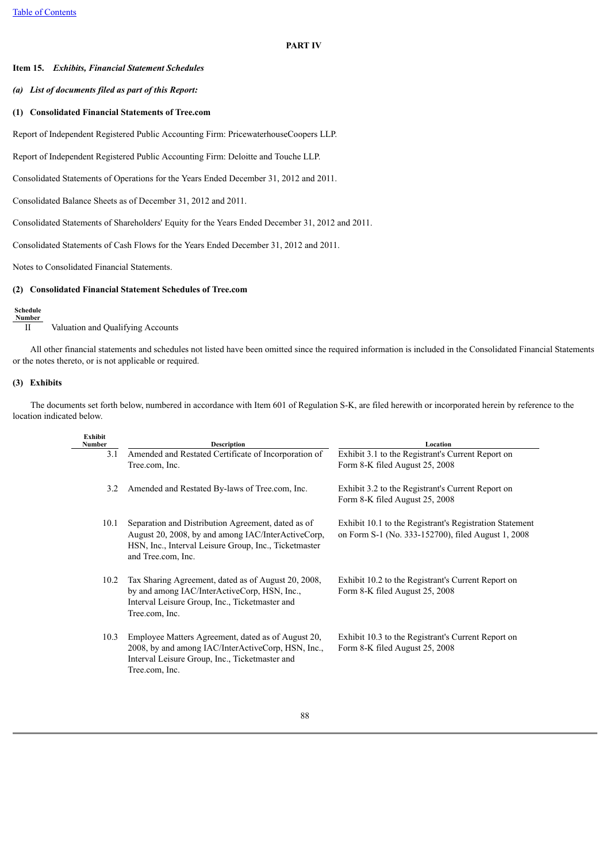### **PART IV**

# **Item 15.** *Exhibits, Financial Statement Schedules*

# *(a) List of documents filed as part of this Report:*

## **(1) Consolidated Financial Statements of Tree.com**

Report of Independent Registered Public Accounting Firm: PricewaterhouseCoopers LLP.

Report of Independent Registered Public Accounting Firm: Deloitte and Touche LLP.

Consolidated Statements of Operations for the Years Ended December 31, 2012 and 2011.

Consolidated Balance Sheets as of December 31, 2012 and 2011.

Consolidated Statements of Shareholders' Equity for the Years Ended December 31, 2012 and 2011.

Consolidated Statements of Cash Flows for the Years Ended December 31, 2012 and 2011.

Notes to Consolidated Financial Statements.

# **(2) Consolidated Financial Statement Schedules of Tree.com**

#### **Schedule Number**

II Valuation and Qualifying Accounts

 All other financial statements and schedules not listed have been omitted since the required information is included in the Consolidated Financial Statements or the notes thereto, or is not applicable or required.

# **(3) Exhibits**

 The documents set forth below, numbered in accordance with Item 601 of Regulation S-K, are filed herewith or incorporated herein by reference to the location indicated below.

| <b>Exhibit</b><br>Number | <b>Description</b>                                                                                                                                                                      | Location                                                                                                      |
|--------------------------|-----------------------------------------------------------------------------------------------------------------------------------------------------------------------------------------|---------------------------------------------------------------------------------------------------------------|
| 3.1                      | Amended and Restated Certificate of Incorporation of<br>Tree.com, Inc.                                                                                                                  | Exhibit 3.1 to the Registrant's Current Report on<br>Form 8-K filed August 25, 2008                           |
| 3.2                      | Amended and Restated By-laws of Tree.com, Inc.                                                                                                                                          | Exhibit 3.2 to the Registrant's Current Report on<br>Form 8-K filed August 25, 2008                           |
| 10.1                     | Separation and Distribution Agreement, dated as of<br>August 20, 2008, by and among IAC/InterActiveCorp,<br>HSN, Inc., Interval Leisure Group, Inc., Ticketmaster<br>and Tree.com, Inc. | Exhibit 10.1 to the Registrant's Registration Statement<br>on Form S-1 (No. 333-152700), filed August 1, 2008 |
| 10.2                     | Tax Sharing Agreement, dated as of August 20, 2008,<br>by and among IAC/InterActiveCorp, HSN, Inc.,<br>Interval Leisure Group, Inc., Ticketmaster and<br>Tree.com, Inc.                 | Exhibit 10.2 to the Registrant's Current Report on<br>Form 8-K filed August 25, 2008                          |
| 10.3                     | Employee Matters Agreement, dated as of August 20,<br>2008, by and among IAC/InterActiveCorp, HSN, Inc.,<br>Interval Leisure Group, Inc., Ticketmaster and<br>Tree.com, Inc.            | Exhibit 10.3 to the Registrant's Current Report on<br>Form 8-K filed August 25, 2008                          |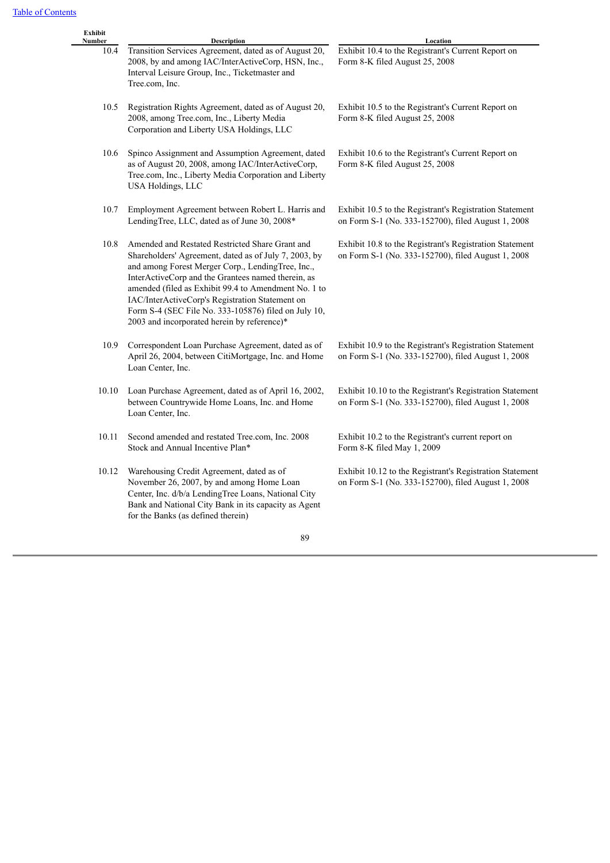| Exhibit<br>Number | Description                                                                                                                                                                                                                                                                                                                                                                                                                           | Location                                                                                                       |
|-------------------|---------------------------------------------------------------------------------------------------------------------------------------------------------------------------------------------------------------------------------------------------------------------------------------------------------------------------------------------------------------------------------------------------------------------------------------|----------------------------------------------------------------------------------------------------------------|
| 10.4              | Transition Services Agreement, dated as of August 20,<br>2008, by and among IAC/InterActiveCorp, HSN, Inc.,<br>Interval Leisure Group, Inc., Ticketmaster and<br>Tree.com, Inc.                                                                                                                                                                                                                                                       | Exhibit 10.4 to the Registrant's Current Report on<br>Form 8-K filed August 25, 2008                           |
| 10.5              | Registration Rights Agreement, dated as of August 20,<br>2008, among Tree.com, Inc., Liberty Media<br>Corporation and Liberty USA Holdings, LLC                                                                                                                                                                                                                                                                                       | Exhibit 10.5 to the Registrant's Current Report on<br>Form 8-K filed August 25, 2008                           |
| 10.6              | Spinco Assignment and Assumption Agreement, dated<br>as of August 20, 2008, among IAC/InterActiveCorp,<br>Tree.com, Inc., Liberty Media Corporation and Liberty<br><b>USA Holdings, LLC</b>                                                                                                                                                                                                                                           | Exhibit 10.6 to the Registrant's Current Report on<br>Form 8-K filed August 25, 2008                           |
| 10.7              | Employment Agreement between Robert L. Harris and<br>LendingTree, LLC, dated as of June 30, 2008*                                                                                                                                                                                                                                                                                                                                     | Exhibit 10.5 to the Registrant's Registration Statement<br>on Form S-1 (No. 333-152700), filed August 1, 2008  |
| 10.8              | Amended and Restated Restricted Share Grant and<br>Shareholders' Agreement, dated as of July 7, 2003, by<br>and among Forest Merger Corp., LendingTree, Inc.,<br>InterActiveCorp and the Grantees named therein, as<br>amended (filed as Exhibit 99.4 to Amendment No. 1 to<br>IAC/InterActiveCorp's Registration Statement on<br>Form S-4 (SEC File No. 333-105876) filed on July 10,<br>2003 and incorporated herein by reference)* | Exhibit 10.8 to the Registrant's Registration Statement<br>on Form S-1 (No. 333-152700), filed August 1, 2008  |
| 10.9              | Correspondent Loan Purchase Agreement, dated as of<br>April 26, 2004, between CitiMortgage, Inc. and Home<br>Loan Center, Inc.                                                                                                                                                                                                                                                                                                        | Exhibit 10.9 to the Registrant's Registration Statement<br>on Form S-1 (No. 333-152700), filed August 1, 2008  |
| 10.10             | Loan Purchase Agreement, dated as of April 16, 2002,<br>between Countrywide Home Loans, Inc. and Home<br>Loan Center, Inc.                                                                                                                                                                                                                                                                                                            | Exhibit 10.10 to the Registrant's Registration Statement<br>on Form S-1 (No. 333-152700), filed August 1, 2008 |
| 10.11             | Second amended and restated Tree.com, Inc. 2008<br>Stock and Annual Incentive Plan*                                                                                                                                                                                                                                                                                                                                                   | Exhibit 10.2 to the Registrant's current report on<br>Form 8-K filed May 1, 2009                               |
| 10.12             | Warehousing Credit Agreement, dated as of<br>November 26, 2007, by and among Home Loan<br>Center, Inc. d/b/a LendingTree Loans, National City<br>Bank and National City Bank in its capacity as Agent<br>for the Banks (as defined therein)                                                                                                                                                                                           | Exhibit 10.12 to the Registrant's Registration Statement<br>on Form S-1 (No. 333-152700), filed August 1, 2008 |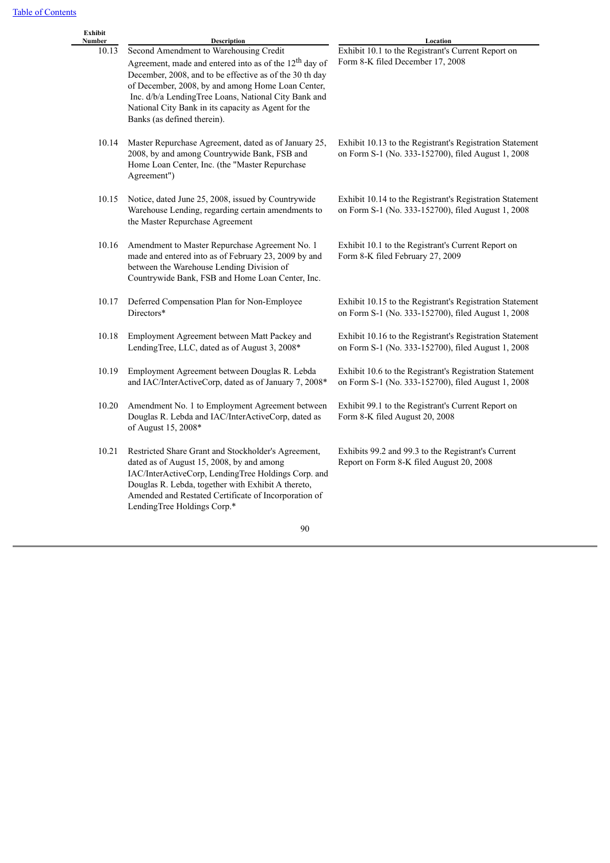L.

| Exhibit<br>Number | Description                                                                                                                                                                                                                                                                                                                                                                | Location                                                                                                       |
|-------------------|----------------------------------------------------------------------------------------------------------------------------------------------------------------------------------------------------------------------------------------------------------------------------------------------------------------------------------------------------------------------------|----------------------------------------------------------------------------------------------------------------|
| 10.13             | Second Amendment to Warehousing Credit<br>Agreement, made and entered into as of the 12 <sup>th</sup> day of<br>December, 2008, and to be effective as of the 30 th day<br>of December, 2008, by and among Home Loan Center,<br>Inc. d/b/a LendingTree Loans, National City Bank and<br>National City Bank in its capacity as Agent for the<br>Banks (as defined therein). | Exhibit 10.1 to the Registrant's Current Report on<br>Form 8-K filed December 17, 2008                         |
| 10.14             | Master Repurchase Agreement, dated as of January 25,<br>2008, by and among Countrywide Bank, FSB and<br>Home Loan Center, Inc. (the "Master Repurchase<br>Agreement")                                                                                                                                                                                                      | Exhibit 10.13 to the Registrant's Registration Statement<br>on Form S-1 (No. 333-152700), filed August 1, 2008 |
| 10.15             | Notice, dated June 25, 2008, issued by Countrywide<br>Warehouse Lending, regarding certain amendments to<br>the Master Repurchase Agreement                                                                                                                                                                                                                                | Exhibit 10.14 to the Registrant's Registration Statement<br>on Form S-1 (No. 333-152700), filed August 1, 2008 |
| 10.16             | Amendment to Master Repurchase Agreement No. 1<br>made and entered into as of February 23, 2009 by and<br>between the Warehouse Lending Division of<br>Countrywide Bank, FSB and Home Loan Center, Inc.                                                                                                                                                                    | Exhibit 10.1 to the Registrant's Current Report on<br>Form 8-K filed February 27, 2009                         |
| 10.17             | Deferred Compensation Plan for Non-Employee<br>Directors*                                                                                                                                                                                                                                                                                                                  | Exhibit 10.15 to the Registrant's Registration Statement<br>on Form S-1 (No. 333-152700), filed August 1, 2008 |
| 10.18             | Employment Agreement between Matt Packey and<br>LendingTree, LLC, dated as of August 3, 2008*                                                                                                                                                                                                                                                                              | Exhibit 10.16 to the Registrant's Registration Statement<br>on Form S-1 (No. 333-152700), filed August 1, 2008 |
| 10.19             | Employment Agreement between Douglas R. Lebda<br>and IAC/InterActiveCorp, dated as of January 7, 2008*                                                                                                                                                                                                                                                                     | Exhibit 10.6 to the Registrant's Registration Statement<br>on Form S-1 (No. 333-152700), filed August 1, 2008  |
| 10.20             | Amendment No. 1 to Employment Agreement between<br>Douglas R. Lebda and IAC/InterActiveCorp, dated as<br>of August 15, 2008*                                                                                                                                                                                                                                               | Exhibit 99.1 to the Registrant's Current Report on<br>Form 8-K filed August 20, 2008                           |
| 10.21             | Restricted Share Grant and Stockholder's Agreement,<br>dated as of August 15, 2008, by and among<br>IAC/InterActiveCorp, LendingTree Holdings Corp. and<br>Douglas R. Lebda, together with Exhibit A thereto,<br>Amended and Restated Certificate of Incorporation of                                                                                                      | Exhibits 99.2 and 99.3 to the Registrant's Current<br>Report on Form 8-K filed August 20, 2008                 |

90

LendingTree Holdings Corp.\*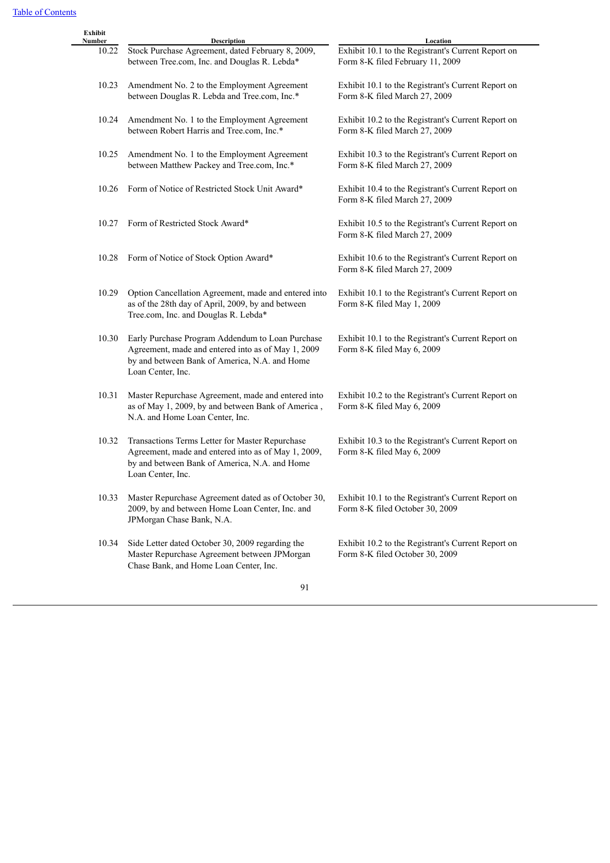| Exhibit<br>Number | <b>Description</b>                                                                                                                                                           | Location                                                                               |
|-------------------|------------------------------------------------------------------------------------------------------------------------------------------------------------------------------|----------------------------------------------------------------------------------------|
| 10.22             | Stock Purchase Agreement, dated February 8, 2009,<br>between Tree.com, Inc. and Douglas R. Lebda*                                                                            | Exhibit 10.1 to the Registrant's Current Report on<br>Form 8-K filed February 11, 2009 |
| 10.23             | Amendment No. 2 to the Employment Agreement<br>between Douglas R. Lebda and Tree.com, Inc.*                                                                                  | Exhibit 10.1 to the Registrant's Current Report on<br>Form 8-K filed March 27, 2009    |
| 10.24             | Amendment No. 1 to the Employment Agreement<br>between Robert Harris and Tree.com, Inc.*                                                                                     | Exhibit 10.2 to the Registrant's Current Report on<br>Form 8-K filed March 27, 2009    |
| 10.25             | Amendment No. 1 to the Employment Agreement<br>between Matthew Packey and Tree.com, Inc.*                                                                                    | Exhibit 10.3 to the Registrant's Current Report on<br>Form 8-K filed March 27, 2009    |
| 10.26             | Form of Notice of Restricted Stock Unit Award*                                                                                                                               | Exhibit 10.4 to the Registrant's Current Report on<br>Form 8-K filed March 27, 2009    |
| 10.27             | Form of Restricted Stock Award*                                                                                                                                              | Exhibit 10.5 to the Registrant's Current Report on<br>Form 8-K filed March 27, 2009    |
| 10.28             | Form of Notice of Stock Option Award*                                                                                                                                        | Exhibit 10.6 to the Registrant's Current Report on<br>Form 8-K filed March 27, 2009    |
| 10.29             | Option Cancellation Agreement, made and entered into<br>as of the 28th day of April, 2009, by and between<br>Tree.com, Inc. and Douglas R. Lebda*                            | Exhibit 10.1 to the Registrant's Current Report on<br>Form 8-K filed May 1, 2009       |
| 10.30             | Early Purchase Program Addendum to Loan Purchase<br>Agreement, made and entered into as of May 1, 2009<br>by and between Bank of America, N.A. and Home<br>Loan Center, Inc. | Exhibit 10.1 to the Registrant's Current Report on<br>Form 8-K filed May 6, 2009       |
| 10.31             | Master Repurchase Agreement, made and entered into<br>as of May 1, 2009, by and between Bank of America,<br>N.A. and Home Loan Center, Inc.                                  | Exhibit 10.2 to the Registrant's Current Report on<br>Form 8-K filed May 6, 2009       |
| 10.32             | Transactions Terms Letter for Master Repurchase<br>Agreement, made and entered into as of May 1, 2009,<br>by and between Bank of America, N.A. and Home<br>Loan Center, Inc. | Exhibit 10.3 to the Registrant's Current Report on<br>Form 8-K filed May 6, 2009       |
| 10.33             | Master Repurchase Agreement dated as of October 30,<br>2009, by and between Home Loan Center, Inc. and<br>JPMorgan Chase Bank, N.A.                                          | Exhibit 10.1 to the Registrant's Current Report on<br>Form 8-K filed October 30, 2009  |
| 10.34             | Side Letter dated October 30, 2009 regarding the<br>Master Repurchase Agreement between JPMorgan<br>Chase Bank, and Home Loan Center, Inc.                                   | Exhibit 10.2 to the Registrant's Current Report on<br>Form 8-K filed October 30, 2009  |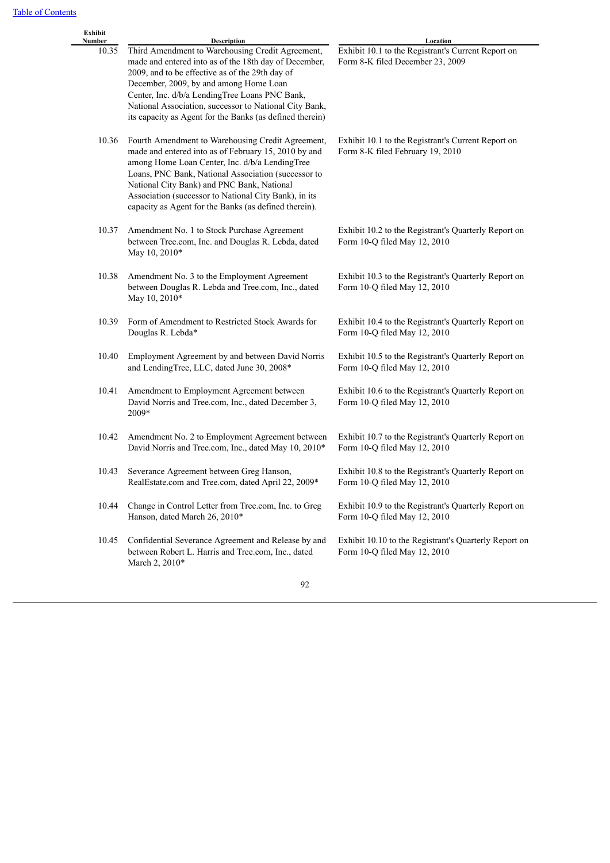| Exhibit<br>Number | Description                                                                                                                                                                                                                                                                                                                                                                        | Location                                                                               |
|-------------------|------------------------------------------------------------------------------------------------------------------------------------------------------------------------------------------------------------------------------------------------------------------------------------------------------------------------------------------------------------------------------------|----------------------------------------------------------------------------------------|
| 10.35             | Third Amendment to Warehousing Credit Agreement,<br>made and entered into as of the 18th day of December,<br>2009, and to be effective as of the 29th day of<br>December, 2009, by and among Home Loan<br>Center, Inc. d/b/a LendingTree Loans PNC Bank,<br>National Association, successor to National City Bank,<br>its capacity as Agent for the Banks (as defined therein)     | Exhibit 10.1 to the Registrant's Current Report on<br>Form 8-K filed December 23, 2009 |
| 10.36             | Fourth Amendment to Warehousing Credit Agreement,<br>made and entered into as of February 15, 2010 by and<br>among Home Loan Center, Inc. d/b/a LendingTree<br>Loans, PNC Bank, National Association (successor to<br>National City Bank) and PNC Bank, National<br>Association (successor to National City Bank), in its<br>capacity as Agent for the Banks (as defined therein). | Exhibit 10.1 to the Registrant's Current Report on<br>Form 8-K filed February 19, 2010 |
| 10.37             | Amendment No. 1 to Stock Purchase Agreement<br>between Tree.com, Inc. and Douglas R. Lebda, dated<br>May 10, 2010*                                                                                                                                                                                                                                                                 | Exhibit 10.2 to the Registrant's Quarterly Report on<br>Form 10-Q filed May 12, 2010   |
| 10.38             | Amendment No. 3 to the Employment Agreement<br>between Douglas R. Lebda and Tree.com, Inc., dated<br>May 10, 2010*                                                                                                                                                                                                                                                                 | Exhibit 10.3 to the Registrant's Quarterly Report on<br>Form 10-Q filed May 12, 2010   |
| 10.39             | Form of Amendment to Restricted Stock Awards for<br>Douglas R. Lebda*                                                                                                                                                                                                                                                                                                              | Exhibit 10.4 to the Registrant's Quarterly Report on<br>Form 10-Q filed May 12, 2010   |
| 10.40             | Employment Agreement by and between David Norris<br>and LendingTree, LLC, dated June 30, 2008*                                                                                                                                                                                                                                                                                     | Exhibit 10.5 to the Registrant's Quarterly Report on<br>Form 10-Q filed May 12, 2010   |
| 10.41             | Amendment to Employment Agreement between<br>David Norris and Tree.com, Inc., dated December 3,<br>2009*                                                                                                                                                                                                                                                                           | Exhibit 10.6 to the Registrant's Quarterly Report on<br>Form 10-Q filed May 12, 2010   |
| 10.42             | Amendment No. 2 to Employment Agreement between<br>David Norris and Tree.com, Inc., dated May 10, 2010*                                                                                                                                                                                                                                                                            | Exhibit 10.7 to the Registrant's Quarterly Report on<br>Form 10-Q filed May 12, 2010   |
| 10.43             | Severance Agreement between Greg Hanson,<br>RealEstate.com and Tree.com, dated April 22, 2009*                                                                                                                                                                                                                                                                                     | Exhibit 10.8 to the Registrant's Quarterly Report on<br>Form 10-Q filed May 12, 2010   |
| 10.44             | Change in Control Letter from Tree.com, Inc. to Greg<br>Hanson, dated March 26, 2010*                                                                                                                                                                                                                                                                                              | Exhibit 10.9 to the Registrant's Quarterly Report on<br>Form 10-Q filed May 12, 2010   |
| 10.45             | Confidential Severance Agreement and Release by and<br>between Robert L. Harris and Tree.com, Inc., dated<br>March 2, 2010*                                                                                                                                                                                                                                                        | Exhibit 10.10 to the Registrant's Quarterly Report on<br>Form 10-Q filed May 12, 2010  |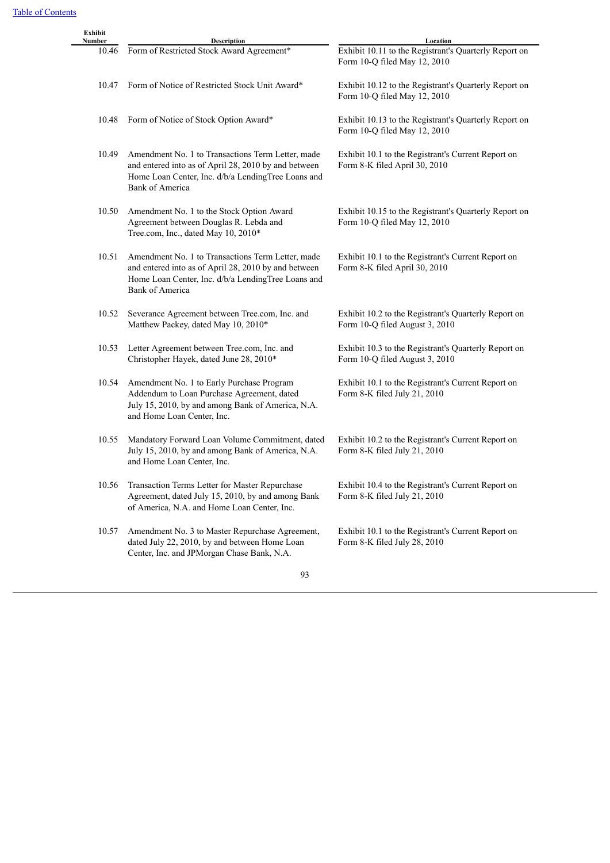| Exhibit<br>Number | <b>Description</b>                                                                                                                                                                        | Location                                                                               |
|-------------------|-------------------------------------------------------------------------------------------------------------------------------------------------------------------------------------------|----------------------------------------------------------------------------------------|
| 10.46             | Form of Restricted Stock Award Agreement*                                                                                                                                                 | Exhibit 10.11 to the Registrant's Quarterly Report on<br>Form 10-Q filed May 12, 2010  |
| 10.47             | Form of Notice of Restricted Stock Unit Award*                                                                                                                                            | Exhibit 10.12 to the Registrant's Quarterly Report on<br>Form 10-Q filed May 12, 2010  |
| 10.48             | Form of Notice of Stock Option Award*                                                                                                                                                     | Exhibit 10.13 to the Registrant's Quarterly Report on<br>Form 10-Q filed May 12, 2010  |
| 10.49             | Amendment No. 1 to Transactions Term Letter, made<br>and entered into as of April 28, 2010 by and between<br>Home Loan Center, Inc. d/b/a LendingTree Loans and<br><b>Bank of America</b> | Exhibit 10.1 to the Registrant's Current Report on<br>Form 8-K filed April 30, 2010    |
| 10.50             | Amendment No. 1 to the Stock Option Award<br>Agreement between Douglas R. Lebda and<br>Tree.com, Inc., dated May 10, 2010*                                                                | Exhibit 10.15 to the Registrant's Quarterly Report on<br>Form 10-Q filed May 12, 2010  |
| 10.51             | Amendment No. 1 to Transactions Term Letter, made<br>and entered into as of April 28, 2010 by and between<br>Home Loan Center, Inc. d/b/a LendingTree Loans and<br><b>Bank of America</b> | Exhibit 10.1 to the Registrant's Current Report on<br>Form 8-K filed April 30, 2010    |
| 10.52             | Severance Agreement between Tree.com, Inc. and<br>Matthew Packey, dated May 10, 2010*                                                                                                     | Exhibit 10.2 to the Registrant's Quarterly Report on<br>Form 10-Q filed August 3, 2010 |
| 10.53             | Letter Agreement between Tree.com, Inc. and<br>Christopher Hayek, dated June 28, 2010*                                                                                                    | Exhibit 10.3 to the Registrant's Quarterly Report on<br>Form 10-Q filed August 3, 2010 |
| 10.54             | Amendment No. 1 to Early Purchase Program<br>Addendum to Loan Purchase Agreement, dated<br>July 15, 2010, by and among Bank of America, N.A.<br>and Home Loan Center, Inc.                | Exhibit 10.1 to the Registrant's Current Report on<br>Form 8-K filed July 21, 2010     |
| 10.55             | Mandatory Forward Loan Volume Commitment, dated<br>July 15, 2010, by and among Bank of America, N.A.<br>and Home Loan Center, Inc.                                                        | Exhibit 10.2 to the Registrant's Current Report on<br>Form 8-K filed July 21, 2010     |
| 10.56             | Transaction Terms Letter for Master Repurchase<br>Agreement, dated July 15, 2010, by and among Bank<br>of America, N.A. and Home Loan Center, Inc.                                        | Exhibit 10.4 to the Registrant's Current Report on<br>Form 8-K filed July 21, 2010     |
| 10.57             | Amendment No. 3 to Master Repurchase Agreement,<br>dated July 22, 2010, by and between Home Loan<br>Center, Inc. and JPMorgan Chase Bank, N.A.                                            | Exhibit 10.1 to the Registrant's Current Report on<br>Form 8-K filed July 28, 2010     |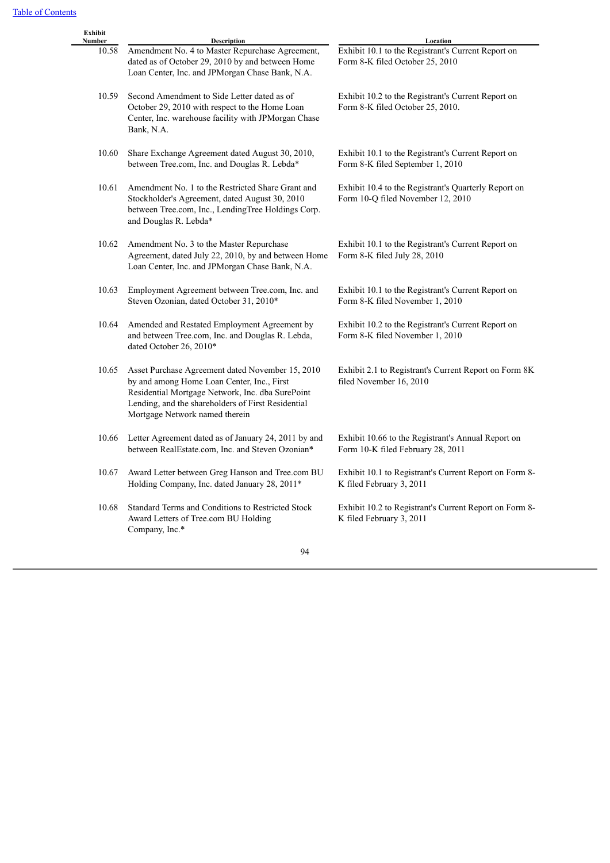| Exhibit<br>Number | Description                                                                                                                                                                                                                                | Location                                                                                  |
|-------------------|--------------------------------------------------------------------------------------------------------------------------------------------------------------------------------------------------------------------------------------------|-------------------------------------------------------------------------------------------|
| 10.58             | Amendment No. 4 to Master Repurchase Agreement,<br>dated as of October 29, 2010 by and between Home<br>Loan Center, Inc. and JPMorgan Chase Bank, N.A.                                                                                     | Exhibit 10.1 to the Registrant's Current Report on<br>Form 8-K filed October 25, 2010     |
| 10.59             | Second Amendment to Side Letter dated as of<br>October 29, 2010 with respect to the Home Loan<br>Center, Inc. warehouse facility with JPMorgan Chase<br>Bank, N.A.                                                                         | Exhibit 10.2 to the Registrant's Current Report on<br>Form 8-K filed October 25, 2010.    |
| 10.60             | Share Exchange Agreement dated August 30, 2010,<br>between Tree.com, Inc. and Douglas R. Lebda*                                                                                                                                            | Exhibit 10.1 to the Registrant's Current Report on<br>Form 8-K filed September 1, 2010    |
| 10.61             | Amendment No. 1 to the Restricted Share Grant and<br>Stockholder's Agreement, dated August 30, 2010<br>between Tree.com, Inc., LendingTree Holdings Corp.<br>and Douglas R. Lebda*                                                         | Exhibit 10.4 to the Registrant's Quarterly Report on<br>Form 10-Q filed November 12, 2010 |
| 10.62             | Amendment No. 3 to the Master Repurchase<br>Agreement, dated July 22, 2010, by and between Home<br>Loan Center, Inc. and JPMorgan Chase Bank, N.A.                                                                                         | Exhibit 10.1 to the Registrant's Current Report on<br>Form 8-K filed July 28, 2010        |
| 10.63             | Employment Agreement between Tree.com, Inc. and<br>Steven Ozonian, dated October 31, 2010*                                                                                                                                                 | Exhibit 10.1 to the Registrant's Current Report on<br>Form 8-K filed November 1, 2010     |
| 10.64             | Amended and Restated Employment Agreement by<br>and between Tree.com, Inc. and Douglas R. Lebda,<br>dated October 26, 2010*                                                                                                                | Exhibit 10.2 to the Registrant's Current Report on<br>Form 8-K filed November 1, 2010     |
| 10.65             | Asset Purchase Agreement dated November 15, 2010<br>by and among Home Loan Center, Inc., First<br>Residential Mortgage Network, Inc. dba SurePoint<br>Lending, and the shareholders of First Residential<br>Mortgage Network named therein | Exhibit 2.1 to Registrant's Current Report on Form 8K<br>filed November 16, 2010          |
| 10.66             | Letter Agreement dated as of January 24, 2011 by and<br>between RealEstate.com, Inc. and Steven Ozonian*                                                                                                                                   | Exhibit 10.66 to the Registrant's Annual Report on<br>Form 10-K filed February 28, 2011   |
| 10.67             | Award Letter between Greg Hanson and Tree.com BU<br>Holding Company, Inc. dated January 28, 2011*                                                                                                                                          | Exhibit 10.1 to Registrant's Current Report on Form 8-<br>K filed February 3, 2011        |
| 10.68             | Standard Terms and Conditions to Restricted Stock<br>Award Letters of Tree.com BU Holding<br>Company, Inc.*                                                                                                                                | Exhibit 10.2 to Registrant's Current Report on Form 8-<br>K filed February 3, 2011        |
|                   | 94                                                                                                                                                                                                                                         |                                                                                           |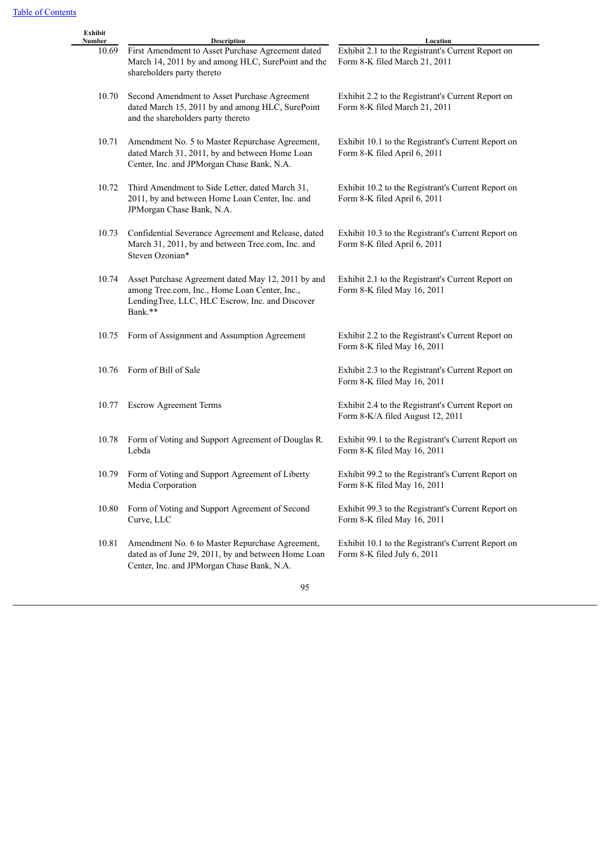| Exhibit<br>Number | <b>Description</b>                                                                                                                                                | Location                                                                              |
|-------------------|-------------------------------------------------------------------------------------------------------------------------------------------------------------------|---------------------------------------------------------------------------------------|
| 10.69             | First Amendment to Asset Purchase Agreement dated<br>March 14, 2011 by and among HLC, SurePoint and the<br>shareholders party thereto                             | Exhibit 2.1 to the Registrant's Current Report on<br>Form 8-K filed March 21, 2011    |
| 10.70             | Second Amendment to Asset Purchase Agreement<br>dated March 15, 2011 by and among HLC, SurePoint<br>and the shareholders party thereto                            | Exhibit 2.2 to the Registrant's Current Report on<br>Form 8-K filed March 21, 2011    |
| 10.71             | Amendment No. 5 to Master Repurchase Agreement,<br>dated March 31, 2011, by and between Home Loan<br>Center, Inc. and JPMorgan Chase Bank, N.A.                   | Exhibit 10.1 to the Registrant's Current Report on<br>Form 8-K filed April 6, 2011    |
| 10.72             | Third Amendment to Side Letter, dated March 31,<br>2011, by and between Home Loan Center, Inc. and<br>JPMorgan Chase Bank, N.A.                                   | Exhibit 10.2 to the Registrant's Current Report on<br>Form 8-K filed April 6, 2011    |
| 10.73             | Confidential Severance Agreement and Release, dated<br>March 31, 2011, by and between Tree.com, Inc. and<br>Steven Ozonian*                                       | Exhibit 10.3 to the Registrant's Current Report on<br>Form 8-K filed April 6, 2011    |
| 10.74             | Asset Purchase Agreement dated May 12, 2011 by and<br>among Tree.com, Inc., Home Loan Center, Inc.,<br>LendingTree, LLC, HLC Escrow, Inc. and Discover<br>Bank.** | Exhibit 2.1 to the Registrant's Current Report on<br>Form 8-K filed May 16, 2011      |
| 10.75             | Form of Assignment and Assumption Agreement                                                                                                                       | Exhibit 2.2 to the Registrant's Current Report on<br>Form 8-K filed May 16, 2011      |
| 10.76             | Form of Bill of Sale                                                                                                                                              | Exhibit 2.3 to the Registrant's Current Report on<br>Form 8-K filed May 16, 2011      |
| 10.77             | <b>Escrow Agreement Terms</b>                                                                                                                                     | Exhibit 2.4 to the Registrant's Current Report on<br>Form 8-K/A filed August 12, 2011 |
| 10.78             | Form of Voting and Support Agreement of Douglas R.<br>Lebda                                                                                                       | Exhibit 99.1 to the Registrant's Current Report on<br>Form 8-K filed May 16, 2011     |
| 10.79             | Form of Voting and Support Agreement of Liberty<br>Media Corporation                                                                                              | Exhibit 99.2 to the Registrant's Current Report on<br>Form 8-K filed May 16, 2011     |
| 10.80             | Form of Voting and Support Agreement of Second<br>Curve, LLC                                                                                                      | Exhibit 99.3 to the Registrant's Current Report on<br>Form 8-K filed May 16, 2011     |
| 10.81             | Amendment No. 6 to Master Repurchase Agreement,<br>dated as of June 29, 2011, by and between Home Loan<br>Center, Inc. and JPMorgan Chase Bank, N.A.              | Exhibit 10.1 to the Registrant's Current Report on<br>Form 8-K filed July 6, 2011     |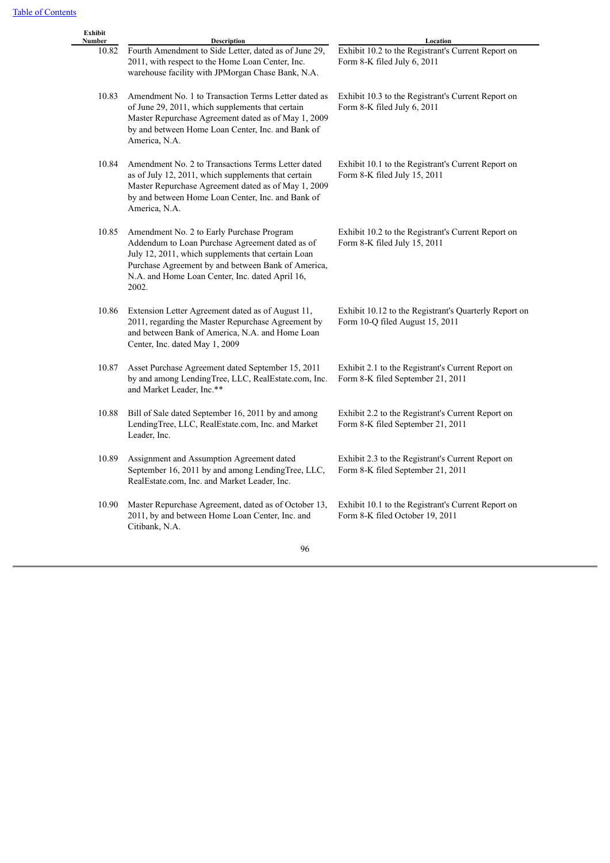| Exhibit<br>Number | <b>Description</b>                                                                                                                                                                                                                                                   | Location                                                                                 |
|-------------------|----------------------------------------------------------------------------------------------------------------------------------------------------------------------------------------------------------------------------------------------------------------------|------------------------------------------------------------------------------------------|
| 10.82             | Fourth Amendment to Side Letter, dated as of June 29,<br>2011, with respect to the Home Loan Center, Inc.<br>warehouse facility with JPMorgan Chase Bank, N.A.                                                                                                       | Exhibit 10.2 to the Registrant's Current Report on<br>Form 8-K filed July 6, 2011        |
| 10.83             | Amendment No. 1 to Transaction Terms Letter dated as<br>of June 29, 2011, which supplements that certain<br>Master Repurchase Agreement dated as of May 1, 2009<br>by and between Home Loan Center, Inc. and Bank of<br>America, N.A.                                | Exhibit 10.3 to the Registrant's Current Report on<br>Form 8-K filed July 6, 2011        |
| 10.84             | Amendment No. 2 to Transactions Terms Letter dated<br>as of July 12, 2011, which supplements that certain<br>Master Repurchase Agreement dated as of May 1, 2009<br>by and between Home Loan Center, Inc. and Bank of<br>America, N.A.                               | Exhibit 10.1 to the Registrant's Current Report on<br>Form 8-K filed July 15, 2011       |
| 10.85             | Amendment No. 2 to Early Purchase Program<br>Addendum to Loan Purchase Agreement dated as of<br>July 12, 2011, which supplements that certain Loan<br>Purchase Agreement by and between Bank of America,<br>N.A. and Home Loan Center, Inc. dated April 16,<br>2002. | Exhibit 10.2 to the Registrant's Current Report on<br>Form 8-K filed July 15, 2011       |
| 10.86             | Extension Letter Agreement dated as of August 11,<br>2011, regarding the Master Repurchase Agreement by<br>and between Bank of America, N.A. and Home Loan<br>Center, Inc. dated May 1, 2009                                                                         | Exhibit 10.12 to the Registrant's Quarterly Report on<br>Form 10-Q filed August 15, 2011 |
| 10.87             | Asset Purchase Agreement dated September 15, 2011<br>by and among LendingTree, LLC, RealEstate.com, Inc.<br>and Market Leader, Inc.**                                                                                                                                | Exhibit 2.1 to the Registrant's Current Report on<br>Form 8-K filed September 21, 2011   |
| 10.88             | Bill of Sale dated September 16, 2011 by and among<br>LendingTree, LLC, RealEstate.com, Inc. and Market<br>Leader, Inc.                                                                                                                                              | Exhibit 2.2 to the Registrant's Current Report on<br>Form 8-K filed September 21, 2011   |
| 10.89             | Assignment and Assumption Agreement dated<br>September 16, 2011 by and among LendingTree, LLC,<br>RealEstate.com, Inc. and Market Leader, Inc.                                                                                                                       | Exhibit 2.3 to the Registrant's Current Report on<br>Form 8-K filed September 21, 2011   |
| 10.90             | Master Repurchase Agreement, dated as of October 13,<br>2011, by and between Home Loan Center, Inc. and<br>Citibank, N.A.                                                                                                                                            | Exhibit 10.1 to the Registrant's Current Report on<br>Form 8-K filed October 19, 2011    |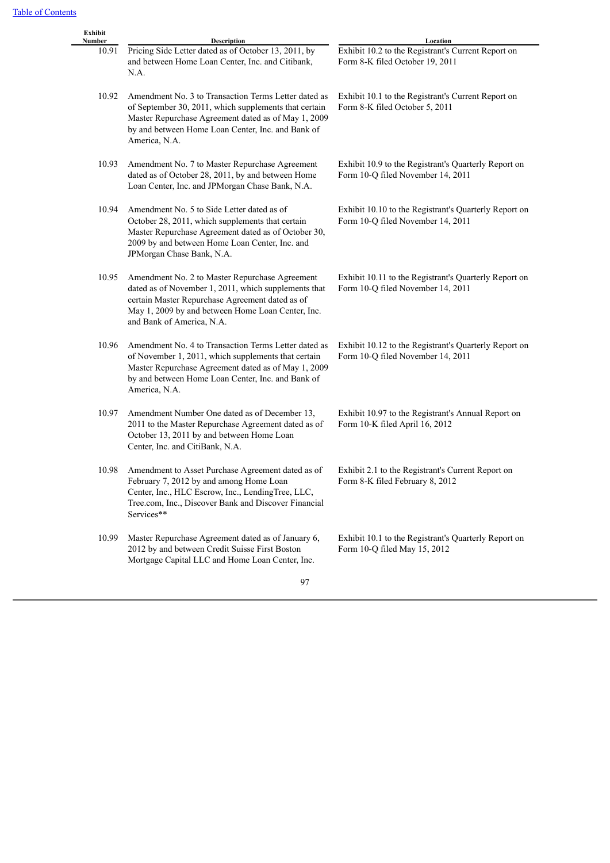| Number | Description                                                                                                                                                                                                                                 | Location                                                                                   |  |  |  |  |
|--------|---------------------------------------------------------------------------------------------------------------------------------------------------------------------------------------------------------------------------------------------|--------------------------------------------------------------------------------------------|--|--|--|--|
| 10.91  | Pricing Side Letter dated as of October 13, 2011, by<br>and between Home Loan Center, Inc. and Citibank,<br>N.A.                                                                                                                            | Exhibit 10.2 to the Registrant's Current Report on<br>Form 8-K filed October 19, 2011      |  |  |  |  |
| 10.92  | Amendment No. 3 to Transaction Terms Letter dated as<br>of September 30, 2011, which supplements that certain<br>Master Repurchase Agreement dated as of May 1, 2009<br>by and between Home Loan Center, Inc. and Bank of<br>America, N.A.  | Exhibit 10.1 to the Registrant's Current Report on<br>Form 8-K filed October 5, 2011       |  |  |  |  |
| 10.93  | Amendment No. 7 to Master Repurchase Agreement<br>dated as of October 28, 2011, by and between Home<br>Loan Center, Inc. and JPMorgan Chase Bank, N.A.                                                                                      | Exhibit 10.9 to the Registrant's Quarterly Report on<br>Form 10-Q filed November 14, 2011  |  |  |  |  |
| 10.94  | Amendment No. 5 to Side Letter dated as of<br>October 28, 2011, which supplements that certain<br>Master Repurchase Agreement dated as of October 30,<br>2009 by and between Home Loan Center, Inc. and<br>JPMorgan Chase Bank, N.A.        | Exhibit 10.10 to the Registrant's Quarterly Report on<br>Form 10-Q filed November 14, 2011 |  |  |  |  |
| 10.95  | Amendment No. 2 to Master Repurchase Agreement<br>dated as of November 1, 2011, which supplements that<br>certain Master Repurchase Agreement dated as of<br>May 1, 2009 by and between Home Loan Center, Inc.<br>and Bank of America, N.A. | Exhibit 10.11 to the Registrant's Quarterly Report on<br>Form 10-Q filed November 14, 2011 |  |  |  |  |
| 10.96  | Amendment No. 4 to Transaction Terms Letter dated as<br>of November 1, 2011, which supplements that certain<br>Master Repurchase Agreement dated as of May 1, 2009<br>by and between Home Loan Center, Inc. and Bank of<br>America, N.A.    | Exhibit 10.12 to the Registrant's Quarterly Report on<br>Form 10-Q filed November 14, 2011 |  |  |  |  |
| 10.97  | Amendment Number One dated as of December 13,<br>2011 to the Master Repurchase Agreement dated as of<br>October 13, 2011 by and between Home Loan<br>Center, Inc. and CitiBank, N.A.                                                        | Exhibit 10.97 to the Registrant's Annual Report on<br>Form 10-K filed April 16, 2012       |  |  |  |  |
| 10.98  | Amendment to Asset Purchase Agreement dated as of<br>February 7, 2012 by and among Home Loan<br>Center, Inc., HLC Escrow, Inc., LendingTree, LLC,<br>Tree.com, Inc., Discover Bank and Discover Financial<br>Services**                     | Exhibit 2.1 to the Registrant's Current Report on<br>Form 8-K filed February 8, 2012       |  |  |  |  |
| 10.99  | Master Repurchase Agreement dated as of January 6,<br>2012 by and between Credit Suisse First Boston<br>Mortgage Capital LLC and Home Loan Center, Inc.                                                                                     | Exhibit 10.1 to the Registrant's Quarterly Report on<br>Form 10-Q filed May 15, 2012       |  |  |  |  |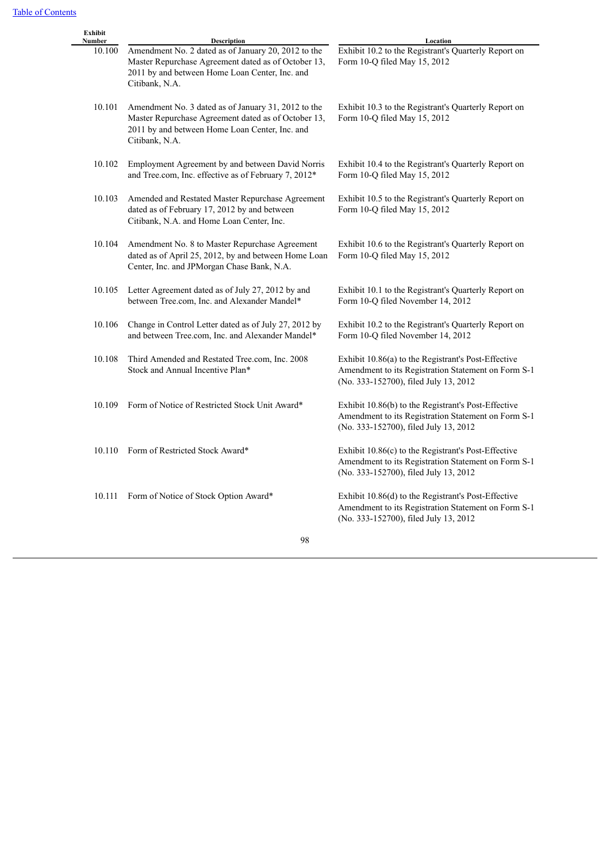| Exhibit<br>Number | Description                                                                                                                                                                    | Location                                                                                                                                            |
|-------------------|--------------------------------------------------------------------------------------------------------------------------------------------------------------------------------|-----------------------------------------------------------------------------------------------------------------------------------------------------|
| 10.100            | Amendment No. 2 dated as of January 20, 2012 to the<br>Master Repurchase Agreement dated as of October 13,<br>2011 by and between Home Loan Center, Inc. and<br>Citibank, N.A. | Exhibit 10.2 to the Registrant's Quarterly Report on<br>Form 10-Q filed May 15, 2012                                                                |
| 10.101            | Amendment No. 3 dated as of January 31, 2012 to the<br>Master Repurchase Agreement dated as of October 13,<br>2011 by and between Home Loan Center, Inc. and<br>Citibank, N.A. | Exhibit 10.3 to the Registrant's Quarterly Report on<br>Form 10-Q filed May 15, 2012                                                                |
| 10.102            | Employment Agreement by and between David Norris<br>and Tree.com, Inc. effective as of February 7, 2012*                                                                       | Exhibit 10.4 to the Registrant's Quarterly Report on<br>Form 10-Q filed May 15, 2012                                                                |
| 10.103            | Amended and Restated Master Repurchase Agreement<br>dated as of February 17, 2012 by and between<br>Citibank, N.A. and Home Loan Center, Inc.                                  | Exhibit 10.5 to the Registrant's Quarterly Report on<br>Form 10-Q filed May 15, 2012                                                                |
| 10.104            | Amendment No. 8 to Master Repurchase Agreement<br>dated as of April 25, 2012, by and between Home Loan<br>Center, Inc. and JPMorgan Chase Bank, N.A.                           | Exhibit 10.6 to the Registrant's Quarterly Report on<br>Form 10-Q filed May 15, 2012                                                                |
| 10.105            | Letter Agreement dated as of July 27, 2012 by and<br>between Tree.com, Inc. and Alexander Mandel*                                                                              | Exhibit 10.1 to the Registrant's Quarterly Report on<br>Form 10-Q filed November 14, 2012                                                           |
| 10.106            | Change in Control Letter dated as of July 27, 2012 by<br>and between Tree.com, Inc. and Alexander Mandel*                                                                      | Exhibit 10.2 to the Registrant's Quarterly Report on<br>Form 10-Q filed November 14, 2012                                                           |
| 10.108            | Third Amended and Restated Tree.com, Inc. 2008<br>Stock and Annual Incentive Plan*                                                                                             | Exhibit 10.86(a) to the Registrant's Post-Effective<br>Amendment to its Registration Statement on Form S-1<br>(No. 333-152700), filed July 13, 2012 |
| 10.109            | Form of Notice of Restricted Stock Unit Award*                                                                                                                                 | Exhibit 10.86(b) to the Registrant's Post-Effective<br>Amendment to its Registration Statement on Form S-1<br>(No. 333-152700), filed July 13, 2012 |
| 10.110            | Form of Restricted Stock Award*                                                                                                                                                | Exhibit 10.86(c) to the Registrant's Post-Effective<br>Amendment to its Registration Statement on Form S-1<br>(No. 333-152700), filed July 13, 2012 |
| 10.111            | Form of Notice of Stock Option Award*                                                                                                                                          | Exhibit 10.86(d) to the Registrant's Post-Effective<br>Amendment to its Registration Statement on Form S-1<br>(No. 333-152700), filed July 13, 2012 |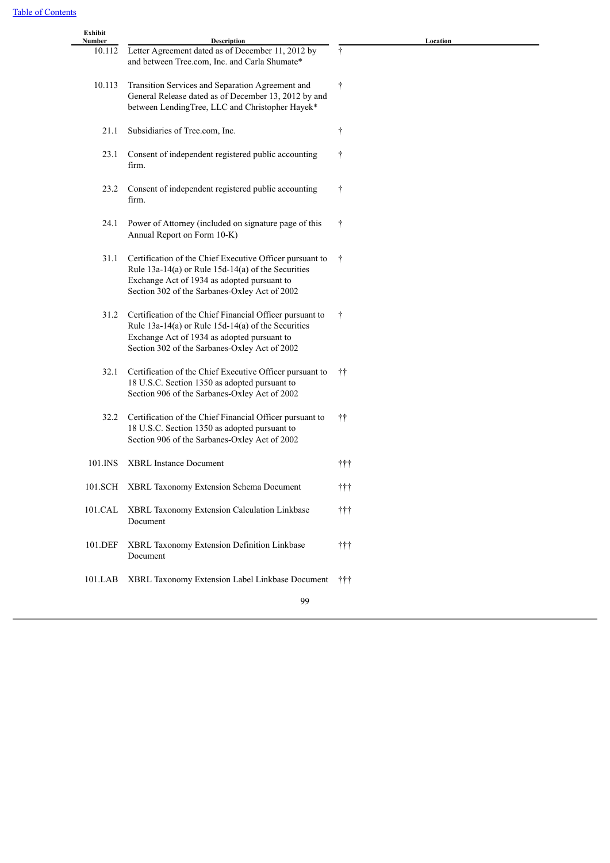| Exhibit<br>Number | Description                                                  | Location                  |
|-------------------|--------------------------------------------------------------|---------------------------|
| 10.112            | Letter Agreement dated as of December 11, 2012 by            | Ť                         |
|                   | and between Tree.com, Inc. and Carla Shumate*                |                           |
| 10.113            | Transition Services and Separation Agreement and             | $\dagger$                 |
|                   | General Release dated as of December 13, 2012 by and         |                           |
|                   | between LendingTree, LLC and Christopher Hayek*              |                           |
| 21.1              | Subsidiaries of Tree.com, Inc.                               | t                         |
| 23.1              | Consent of independent registered public accounting<br>firm. | t                         |
|                   |                                                              |                           |
| 23.2              | Consent of independent registered public accounting          | Ť                         |
|                   | firm.                                                        |                           |
| 24.1              | Power of Attorney (included on signature page of this        | Ť                         |
|                   | Annual Report on Form 10-K)                                  |                           |
|                   |                                                              |                           |
| 31.1              | Certification of the Chief Executive Officer pursuant to     | t                         |
|                   | Rule $13a-14(a)$ or Rule $15d-14(a)$ of the Securities       |                           |
|                   | Exchange Act of 1934 as adopted pursuant to                  |                           |
|                   | Section 302 of the Sarbanes-Oxley Act of 2002                |                           |
| 31.2              | Certification of the Chief Financial Officer pursuant to     | t                         |
|                   | Rule $13a-14(a)$ or Rule $15d-14(a)$ of the Securities       |                           |
|                   | Exchange Act of 1934 as adopted pursuant to                  |                           |
|                   | Section 302 of the Sarbanes-Oxley Act of 2002                |                           |
| 32.1              | Certification of the Chief Executive Officer pursuant to     | ŤŤ                        |
|                   | 18 U.S.C. Section 1350 as adopted pursuant to                |                           |
|                   | Section 906 of the Sarbanes-Oxley Act of 2002                |                           |
|                   |                                                              |                           |
| 32.2              | Certification of the Chief Financial Officer pursuant to     | ŤŤ                        |
|                   | 18 U.S.C. Section 1350 as adopted pursuant to                |                           |
|                   | Section 906 of the Sarbanes-Oxley Act of 2002                |                           |
| 101.INS           | <b>XBRL Instance Document</b>                                | ttt                       |
|                   |                                                              |                           |
| 101.SCH           | XBRL Taxonomy Extension Schema Document                      | †††                       |
| 101.CAL           | XBRL Taxonomy Extension Calculation Linkbase                 | $\dagger \dagger \dagger$ |
|                   | Document                                                     |                           |
|                   |                                                              |                           |
| 101.DEF           | XBRL Taxonomy Extension Definition Linkbase                  | $\dagger\dagger$          |
|                   | Document                                                     |                           |
| 101.LAB           | XBRL Taxonomy Extension Label Linkbase Document              | ttt                       |
|                   |                                                              |                           |
|                   | 99                                                           |                           |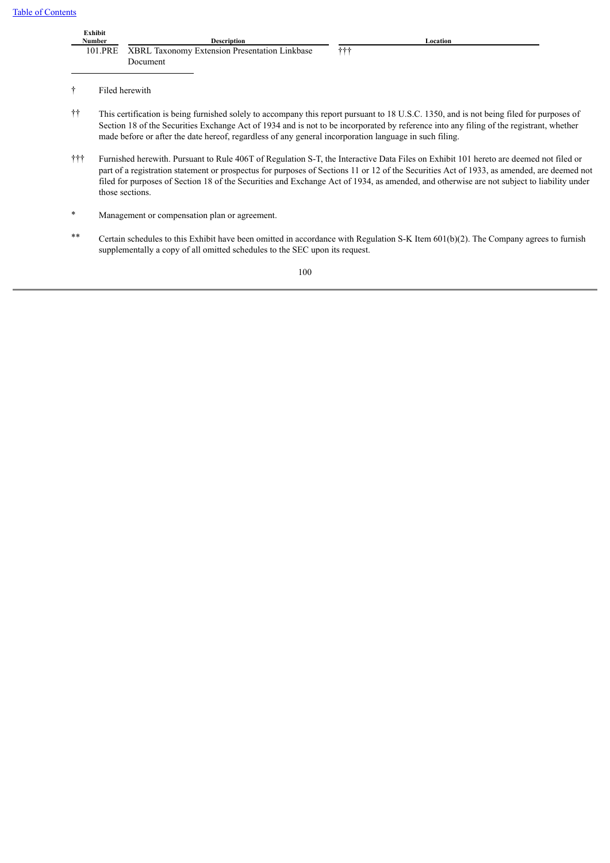|                         | Exhibit<br>Number<br>101.PRE                                                                                                                                                                                                                                                                                                                                                                                                                        | <b>Description</b><br>XBRL Taxonomy Extension Presentation Linkbase<br>Document                        | Location<br>$^{\dagger\dagger\dagger}$                                                                                                                                                                                                                                              |  |  |  |
|-------------------------|-----------------------------------------------------------------------------------------------------------------------------------------------------------------------------------------------------------------------------------------------------------------------------------------------------------------------------------------------------------------------------------------------------------------------------------------------------|--------------------------------------------------------------------------------------------------------|-------------------------------------------------------------------------------------------------------------------------------------------------------------------------------------------------------------------------------------------------------------------------------------|--|--|--|
|                         |                                                                                                                                                                                                                                                                                                                                                                                                                                                     | Filed herewith                                                                                         |                                                                                                                                                                                                                                                                                     |  |  |  |
| ŤŤ                      |                                                                                                                                                                                                                                                                                                                                                                                                                                                     | made before or after the date hereof, regardless of any general incorporation language in such filing. | This certification is being furnished solely to accompany this report pursuant to 18 U.S.C. 1350, and is not being filed for purposes of<br>Section 18 of the Securities Exchange Act of 1934 and is not to be incorporated by reference into any filing of the registrant, whether |  |  |  |
| $\dagger\dagger\dagger$ | Furnished herewith. Pursuant to Rule 406T of Regulation S-T, the Interactive Data Files on Exhibit 101 hereto are deemed not filed or<br>part of a registration statement or prospectus for purposes of Sections 11 or 12 of the Securities Act of 1933, as amended, are deemed not<br>filed for purposes of Section 18 of the Securities and Exchange Act of 1934, as amended, and otherwise are not subject to liability under<br>those sections. |                                                                                                        |                                                                                                                                                                                                                                                                                     |  |  |  |
| $\ast$                  |                                                                                                                                                                                                                                                                                                                                                                                                                                                     | Management or compensation plan or agreement.                                                          |                                                                                                                                                                                                                                                                                     |  |  |  |

\*\* Certain schedules to this Exhibit have been omitted in accordance with Regulation S-K Item 601(b)(2). The Company agrees to furnish supplementally a copy of all omitted schedules to the SEC upon its request.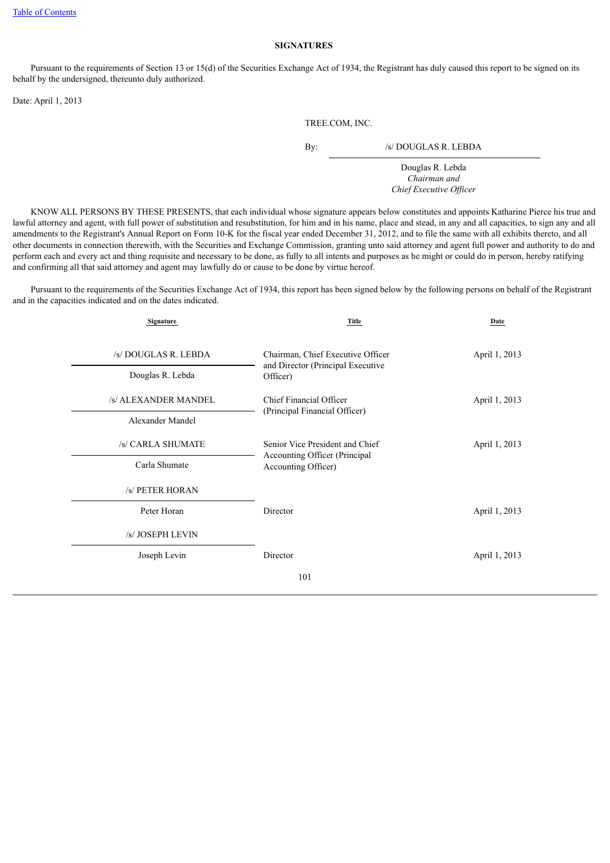#### **SIGNATURES**

 Pursuant to the requirements of Section 13 or 15(d) of the Securities Exchange Act of 1934, the Registrant has duly caused this report to be signed on its behalf by the undersigned, thereunto duly authorized.

Date: April 1, 2013

TREE.COM, INC.

By: /s/ DOUGLAS R. LEBDA

Douglas R. Lebda *Chairman and Chief Executive Officer*

 KNOW ALL PERSONS BY THESE PRESENTS, that each individual whose signature appears below constitutes and appoints Katharine Pierce his true and lawful attorney and agent, with full power of substitution and resubstitution, for him and in his name, place and stead, in any and all capacities, to sign any and all amendments to the Registrant's Annual Report on Form 10-K for the fiscal year ended December 31, 2012, and to file the same with all exhibits thereto, and all other documents in connection therewith, with the Securities and Exchange Commission, granting unto said attorney and agent full power and authority to do and perform each and every act and thing requisite and necessary to be done, as fully to all intents and purposes as he might or could do in person, hereby ratifying and confirming all that said attorney and agent may lawfully do or cause to be done by virtue hereof.

 Pursuant to the requirements of the Securities Exchange Act of 1934, this report has been signed below by the following persons on behalf of the Registrant and in the capacities indicated and on the dates indicated.

| Signature                                | Title                                                                              | Date          |
|------------------------------------------|------------------------------------------------------------------------------------|---------------|
| /s/ DOUGLAS R. LEBDA<br>Douglas R. Lebda | Chairman, Chief Executive Officer<br>and Director (Principal Executive<br>Officer) | April 1, 2013 |
| /s/ ALEXANDER MANDEL                     | Chief Financial Officer                                                            | April 1, 2013 |
| Alexander Mandel                         | (Principal Financial Officer)                                                      |               |
| /s/ CARLA SHUMATE                        | Senior Vice President and Chief<br>Accounting Officer (Principal                   | April 1, 2013 |
| Carla Shumate                            | Accounting Officer)                                                                |               |
| /s/ PETER HORAN                          |                                                                                    |               |
| Peter Horan                              | Director                                                                           | April 1, 2013 |
| /s/ JOSEPH LEVIN                         |                                                                                    |               |
| Joseph Levin                             | Director                                                                           | April 1, 2013 |
|                                          | 101                                                                                |               |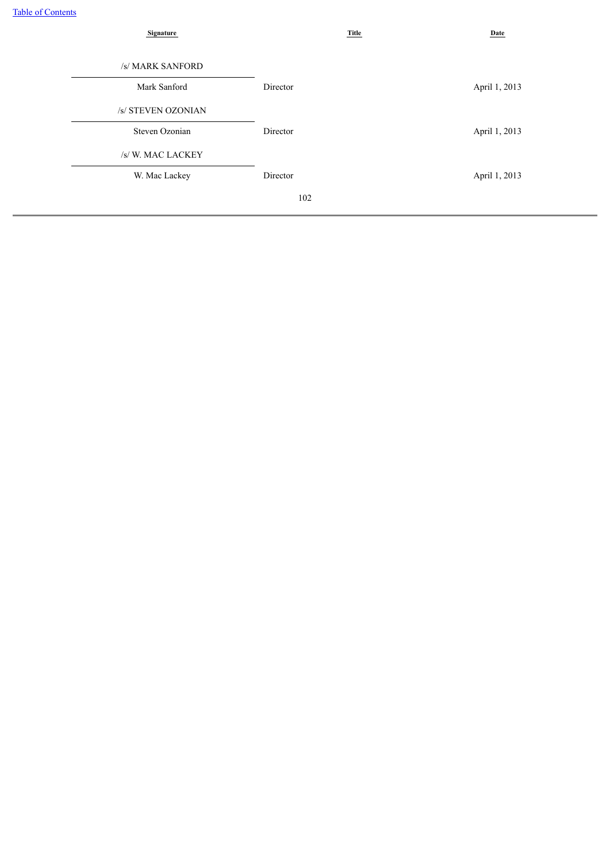| <b>Signature</b>   |          | <b>Title</b> | Date          |  |
|--------------------|----------|--------------|---------------|--|
|                    |          |              |               |  |
| /s/ MARK SANFORD   |          |              |               |  |
| Mark Sanford       | Director |              | April 1, 2013 |  |
| /s/ STEVEN OZONIAN |          |              |               |  |
| Steven Ozonian     | Director |              | April 1, 2013 |  |
| /s/W. MAC LACKEY   |          |              |               |  |
| W. Mac Lackey      | Director |              | April 1, 2013 |  |
|                    | 102      |              |               |  |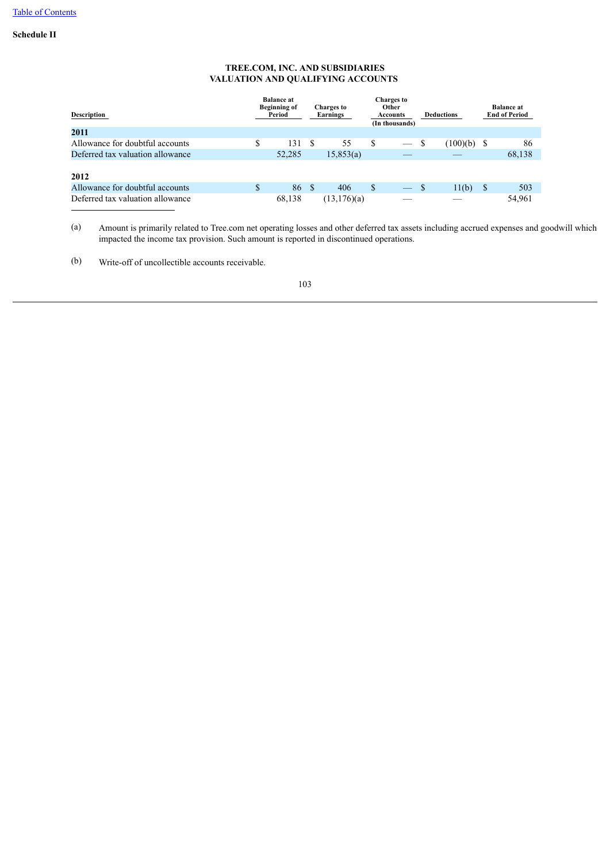# **Schedule II**

# **TREE.COM, INC. AND SUBSIDIARIES VALUATION AND QUALIFYING ACCOUNTS**

| Description                      | <b>Balance at</b><br><b>Beginning of</b><br>Period |    | <b>Charges to</b><br>Earnings | <b>Charges to</b><br><b>Other</b><br><b>Accounts</b><br>(In thousands) |                   |    | <b>Deductions</b> |    | <b>Balance at</b><br><b>End of Period</b> |
|----------------------------------|----------------------------------------------------|----|-------------------------------|------------------------------------------------------------------------|-------------------|----|-------------------|----|-------------------------------------------|
| 2011                             |                                                    |    |                               |                                                                        |                   |    |                   |    |                                           |
| Allowance for doubtful accounts  | \$<br>131                                          | -S | 55                            | S                                                                      |                   | -S | $(100)(b)$ \$     |    | 86                                        |
| Deferred tax valuation allowance | 52,285                                             |    | 15,853(a)                     |                                                                        |                   |    |                   |    | 68,138                                    |
| 2012                             |                                                    |    |                               |                                                                        |                   |    |                   |    |                                           |
| Allowance for doubtful accounts  | \$<br>86                                           | -S | 406                           | S                                                                      | $\hspace{0.05cm}$ | S  | 11(b)             | -S | 503                                       |
| Deferred tax valuation allowance | 68,138                                             |    | (13,176)(a)                   |                                                                        |                   |    |                   |    | 54,961                                    |

(a) Amount is primarily related to Tree.com net operating losses and other deferred tax assets including accrued expenses and goodwill which impacted the income tax provision. Such amount is reported in discontinued operations.

(b) Write-off of uncollectible accounts receivable.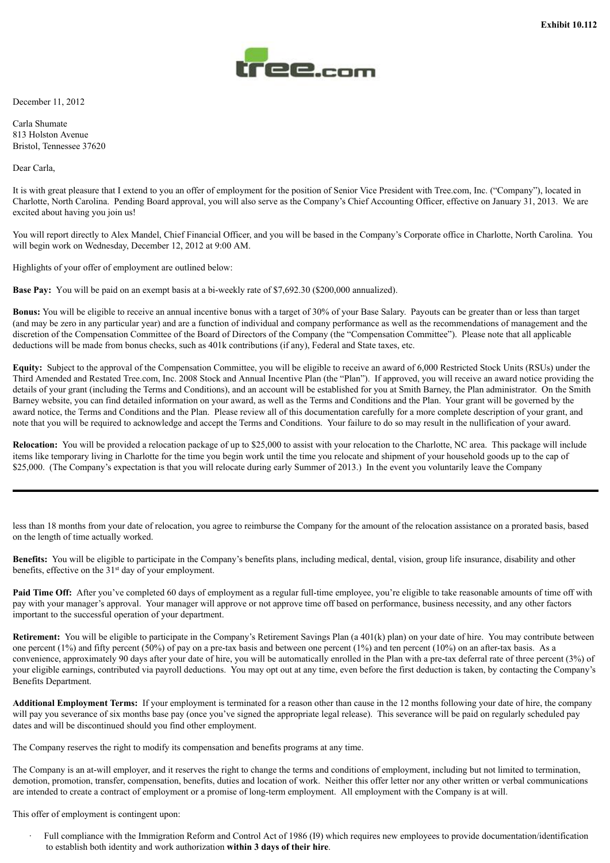

December 11, 2012

Carla Shumate 813 Holston Avenue Bristol, Tennessee 37620

Dear Carla,

It is with great pleasure that I extend to you an offer of employment for the position of Senior Vice President with Tree.com, Inc. ("Company"), located in Charlotte, North Carolina. Pending Board approval, you will also serve as the Company's Chief Accounting Officer, effective on January 31, 2013. We are excited about having you join us!

You will report directly to Alex Mandel, Chief Financial Officer, and you will be based in the Company's Corporate office in Charlotte, North Carolina. You will begin work on Wednesday, December 12, 2012 at 9:00 AM.

Highlights of your offer of employment are outlined below:

**Base Pay:** You will be paid on an exempt basis at a bi-weekly rate of \$7,692.30 (\$200,000 annualized).

**Bonus:** You will be eligible to receive an annual incentive bonus with a target of 30% of your Base Salary. Payouts can be greater than or less than target (and may be zero in any particular year) and are a function of individual and company performance as well as the recommendations of management and the discretion of the Compensation Committee of the Board of Directors of the Company (the "Compensation Committee"). Please note that all applicable deductions will be made from bonus checks, such as 401k contributions (if any), Federal and State taxes, etc.

**Equity:** Subject to the approval of the Compensation Committee, you will be eligible to receive an award of 6,000 Restricted Stock Units (RSUs) under the Third Amended and Restated Tree.com, Inc. 2008 Stock and Annual Incentive Plan (the "Plan"). If approved, you will receive an award notice providing the details of your grant (including the Terms and Conditions), and an account will be established for you at Smith Barney, the Plan administrator. On the Smith Barney website, you can find detailed information on your award, as well as the Terms and Conditions and the Plan. Your grant will be governed by the award notice, the Terms and Conditions and the Plan. Please review all of this documentation carefully for a more complete description of your grant, and note that you will be required to acknowledge and accept the Terms and Conditions. Your failure to do so may result in the nullification of your award.

**Relocation:** You will be provided a relocation package of up to \$25,000 to assist with your relocation to the Charlotte, NC area. This package will include items like temporary living in Charlotte for the time you begin work until the time you relocate and shipment of your household goods up to the cap of \$25,000. (The Company's expectation is that you will relocate during early Summer of 2013.) In the event you voluntarily leave the Company

less than 18 months from your date of relocation, you agree to reimburse the Company for the amount of the relocation assistance on a prorated basis, based on the length of time actually worked.

**Benefits:** You will be eligible to participate in the Company's benefits plans, including medical, dental, vision, group life insurance, disability and other benefits, effective on the 31<sup>st</sup> day of your employment.

**Paid Time Off:** After you've completed 60 days of employment as a regular full-time employee, you're eligible to take reasonable amounts of time off with pay with your manager's approval. Your manager will approve or not approve time off based on performance, business necessity, and any other factors important to the successful operation of your department.

**Retirement:** You will be eligible to participate in the Company's Retirement Savings Plan (a 401(k) plan) on your date of hire. You may contribute between one percent (1%) and fifty percent (50%) of pay on a pre-tax basis and between one percent (1%) and ten percent (10%) on an after-tax basis. As a convenience, approximately 90 days after your date of hire, you will be automatically enrolled in the Plan with a pre-tax deferral rate of three percent (3%) of your eligible earnings, contributed via payroll deductions. You may opt out at any time, even before the first deduction is taken, by contacting the Company's Benefits Department.

**Additional Employment Terms:** If your employment is terminated for a reason other than cause in the 12 months following your date of hire, the company will pay you severance of six months base pay (once you've signed the appropriate legal release). This severance will be paid on regularly scheduled pay dates and will be discontinued should you find other employment.

The Company reserves the right to modify its compensation and benefits programs at any time.

The Company is an at-will employer, and it reserves the right to change the terms and conditions of employment, including but not limited to termination, demotion, promotion, transfer, compensation, benefits, duties and location of work. Neither this offer letter nor any other written or verbal communications are intended to create a contract of employment or a promise of long-term employment. All employment with the Company is at will.

This offer of employment is contingent upon:

· Full compliance with the Immigration Reform and Control Act of 1986 (I9) which requires new employees to provide documentation/identification to establish both identity and work authorization **within 3 days of their hire**.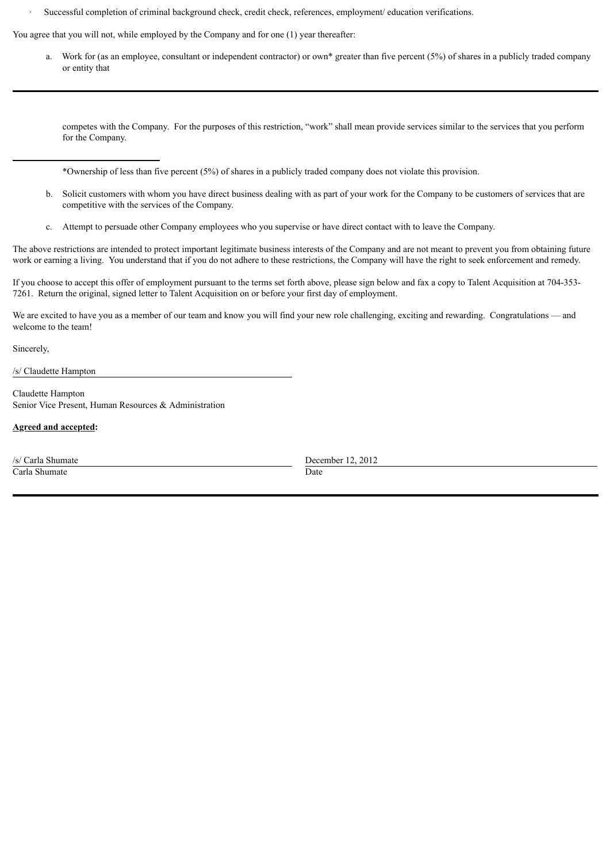· Successful completion of criminal background check, credit check, references, employment/ education verifications.

You agree that you will not, while employed by the Company and for one (1) year thereafter:

a. Work for (as an employee, consultant or independent contractor) or own\* greater than five percent (5%) of shares in a publicly traded company or entity that

competes with the Company. For the purposes of this restriction, "work" shall mean provide services similar to the services that you perform for the Company.

\*Ownership of less than five percent (5%) of shares in a publicly traded company does not violate this provision.

- b. Solicit customers with whom you have direct business dealing with as part of your work for the Company to be customers of services that are competitive with the services of the Company.
- c. Attempt to persuade other Company employees who you supervise or have direct contact with to leave the Company.

The above restrictions are intended to protect important legitimate business interests of the Company and are not meant to prevent you from obtaining future work or earning a living. You understand that if you do not adhere to these restrictions, the Company will have the right to seek enforcement and remedy.

If you choose to accept this offer of employment pursuant to the terms set forth above, please sign below and fax a copy to Talent Acquisition at 704-353- 7261. Return the original, signed letter to Talent Acquisition on or before your first day of employment.

We are excited to have you as a member of our team and know you will find your new role challenging, exciting and rewarding. Congratulations — and welcome to the team!

Sincerely,

/s/ Claudette Hampton

Claudette Hampton Senior Vice Present, Human Resources & Administration

**Agreed and accepted:**

**Carla Shumate** Date

/s/ Carla Shumate December 12, 2012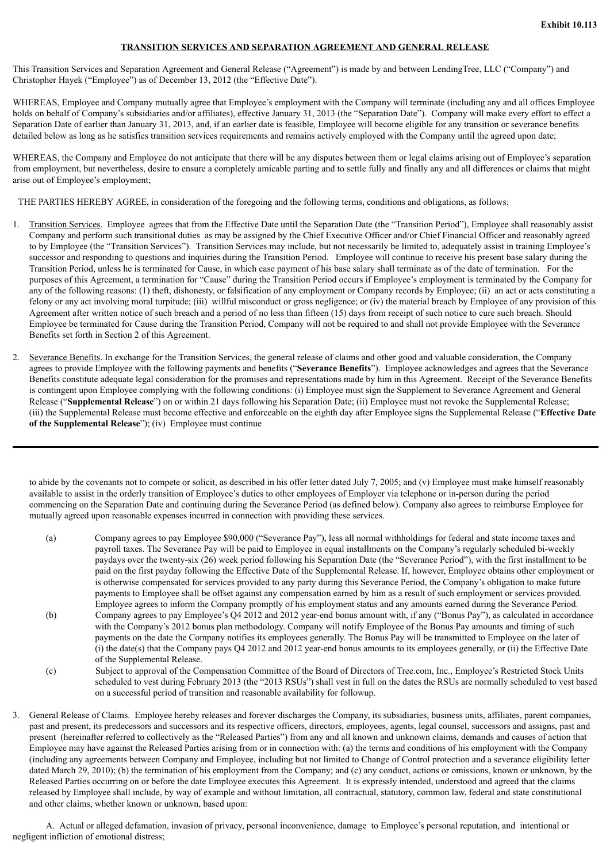## **TRANSITION SERVICES AND SEPARATION AGREEMENT AND GENERAL RELEASE**

This Transition Services and Separation Agreement and General Release ("Agreement") is made by and between LendingTree, LLC ("Company") and Christopher Hayek ("Employee") as of December 13, 2012 (the "Effective Date").

WHEREAS, Employee and Company mutually agree that Employee's employment with the Company will terminate (including any and all offices Employee holds on behalf of Company's subsidiaries and/or affiliates), effective January 31, 2013 (the "Separation Date"). Company will make every effort to effect a Separation Date of earlier than January 31, 2013, and, if an earlier date is feasible, Employee will become eligible for any transition or severance benefits detailed below as long as he satisfies transition services requirements and remains actively employed with the Company until the agreed upon date;

WHEREAS, the Company and Employee do not anticipate that there will be any disputes between them or legal claims arising out of Employee's separation from employment, but nevertheless, desire to ensure a completely amicable parting and to settle fully and finally any and all differences or claims that might arise out of Employee's employment;

THE PARTIES HEREBY AGREE, in consideration of the foregoing and the following terms, conditions and obligations, as follows:

- 1. Transition Services. Employee agrees that from the Effective Date until the Separation Date (the "Transition Period"), Employee shall reasonably assist Company and perform such transitional duties as may be assigned by the Chief Executive Officer and/or Chief Financial Officer and reasonably agreed to by Employee (the "Transition Services"). Transition Services may include, but not necessarily be limited to, adequately assist in training Employee's successor and responding to questions and inquiries during the Transition Period. Employee will continue to receive his present base salary during the Transition Period, unless he is terminated for Cause, in which case payment of his base salary shall terminate as of the date of termination. For the purposes of this Agreement, a termination for "Cause" during the Transition Period occurs if Employee's employment is terminated by the Company for any of the following reasons: (1) theft, dishonesty, or falsification of any employment or Company records by Employee; (ii) an act or acts constituting a felony or any act involving moral turpitude; (iii) willful misconduct or gross negligence; or (iv) the material breach by Employee of any provision of this Agreement after written notice of such breach and a period of no less than fifteen (15) days from receipt of such notice to cure such breach. Should Employee be terminated for Cause during the Transition Period, Company will not be required to and shall not provide Employee with the Severance Benefits set forth in Section 2 of this Agreement.
- 2. Severance Benefits. In exchange for the Transition Services, the general release of claims and other good and valuable consideration, the Company agrees to provide Employee with the following payments and benefits ("**Severance Benefits**"). Employee acknowledges and agrees that the Severance Benefits constitute adequate legal consideration for the promises and representations made by him in this Agreement. Receipt of the Severance Benefits is contingent upon Employee complying with the following conditions: (i) Employee must sign the Supplement to Severance Agreement and General Release ("**Supplemental Release**") on or within 21 days following his Separation Date; (ii) Employee must not revoke the Supplemental Release; (iii) the Supplemental Release must become effective and enforceable on the eighth day after Employee signs the Supplemental Release ("**Effective Date of the Supplemental Release**"); (iv) Employee must continue

to abide by the covenants not to compete or solicit, as described in his offer letter dated July 7, 2005; and (v) Employee must make himself reasonably available to assist in the orderly transition of Employee's duties to other employees of Employer via telephone or in-person during the period commencing on the Separation Date and continuing during the Severance Period (as defined below). Company also agrees to reimburse Employee for mutually agreed upon reasonable expenses incurred in connection with providing these services.

- (a) Company agrees to pay Employee \$90,000 ("Severance Pay"), less all normal withholdings for federal and state income taxes and payroll taxes. The Severance Pay will be paid to Employee in equal installments on the Company's regularly scheduled bi-weekly paydays over the twenty-six (26) week period following his Separation Date (the "Severance Period"), with the first installment to be paid on the first payday following the Effective Date of the Supplemental Release. If, however, Employee obtains other employment or is otherwise compensated for services provided to any party during this Severance Period, the Company's obligation to make future payments to Employee shall be offset against any compensation earned by him as a result of such employment or services provided. Employee agrees to inform the Company promptly of his employment status and any amounts earned during the Severance Period.
- (b) Company agrees to pay Employee's Q4 2012 and 2012 year-end bonus amount with, if any ("Bonus Pay"), as calculated in accordance with the Company's 2012 bonus plan methodology. Company will notify Employee of the Bonus Pay amounts and timing of such payments on the date the Company notifies its employees generally. The Bonus Pay will be transmitted to Employee on the later of (i) the date(s) that the Company pays Q4 2012 and 2012 year-end bonus amounts to its employees generally, or (ii) the Effective Date of the Supplemental Release.
- (c) Subject to approval of the Compensation Committee of the Board of Directors of Tree.com, Inc., Employee's Restricted Stock Units scheduled to vest during February 2013 (the "2013 RSUs") shall vest in full on the dates the RSUs are normally scheduled to vest based on a successful period of transition and reasonable availability for followup.
- 3. General Release of Claims. Employee hereby releases and forever discharges the Company, its subsidiaries, business units, affiliates, parent companies, past and present, its predecessors and successors and its respective officers, directors, employees, agents, legal counsel, successors and assigns, past and present (hereinafter referred to collectively as the "Released Parties") from any and all known and unknown claims, demands and causes of action that Employee may have against the Released Parties arising from or in connection with: (a) the terms and conditions of his employment with the Company (including any agreements between Company and Employee, including but not limited to Change of Control protection and a severance eligibility letter dated March 29, 2010); (b) the termination of his employment from the Company; and (c) any conduct, actions or omissions, known or unknown, by the Released Parties occurring on or before the date Employee executes this Agreement. It is expressly intended, understood and agreed that the claims released by Employee shall include, by way of example and without limitation, all contractual, statutory, common law, federal and state constitutional and other claims, whether known or unknown, based upon:

A. Actual or alleged defamation, invasion of privacy, personal inconvenience, damage to Employee's personal reputation, and intentional or negligent infliction of emotional distress;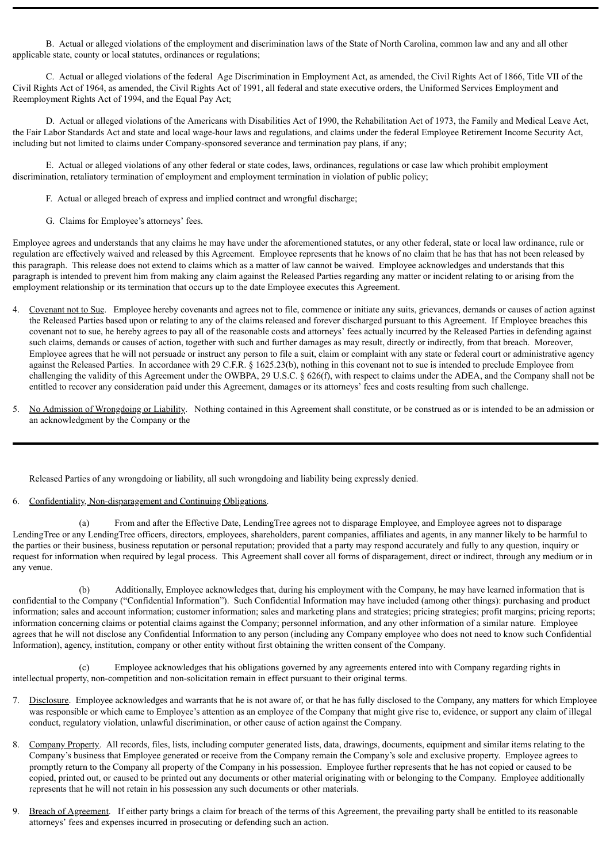B. Actual or alleged violations of the employment and discrimination laws of the State of North Carolina, common law and any and all other applicable state, county or local statutes, ordinances or regulations;

C. Actual or alleged violations of the federal Age Discrimination in Employment Act, as amended, the Civil Rights Act of 1866, Title VII of the Civil Rights Act of 1964, as amended, the Civil Rights Act of 1991, all federal and state executive orders, the Uniformed Services Employment and Reemployment Rights Act of 1994, and the Equal Pay Act;

D. Actual or alleged violations of the Americans with Disabilities Act of 1990, the Rehabilitation Act of 1973, the Family and Medical Leave Act, the Fair Labor Standards Act and state and local wage-hour laws and regulations, and claims under the federal Employee Retirement Income Security Act, including but not limited to claims under Company-sponsored severance and termination pay plans, if any;

E. Actual or alleged violations of any other federal or state codes, laws, ordinances, regulations or case law which prohibit employment discrimination, retaliatory termination of employment and employment termination in violation of public policy;

- F. Actual or alleged breach of express and implied contract and wrongful discharge;
- G. Claims for Employee's attorneys' fees.

Employee agrees and understands that any claims he may have under the aforementioned statutes, or any other federal, state or local law ordinance, rule or regulation are effectively waived and released by this Agreement. Employee represents that he knows of no claim that he has that has not been released by this paragraph. This release does not extend to claims which as a matter of law cannot be waived. Employee acknowledges and understands that this paragraph is intended to prevent him from making any claim against the Released Parties regarding any matter or incident relating to or arising from the employment relationship or its termination that occurs up to the date Employee executes this Agreement.

- 4. Covenant not to Sue. Employee hereby covenants and agrees not to file, commence or initiate any suits, grievances, demands or causes of action against the Released Parties based upon or relating to any of the claims released and forever discharged pursuant to this Agreement. If Employee breaches this covenant not to sue, he hereby agrees to pay all of the reasonable costs and attorneys' fees actually incurred by the Released Parties in defending against such claims, demands or causes of action, together with such and further damages as may result, directly or indirectly, from that breach. Moreover, Employee agrees that he will not persuade or instruct any person to file a suit, claim or complaint with any state or federal court or administrative agency against the Released Parties. In accordance with 29 C.F.R. § 1625.23(b), nothing in this covenant not to sue is intended to preclude Employee from challenging the validity of this Agreement under the OWBPA, 29 U.S.C. § 626(f), with respect to claims under the ADEA, and the Company shall not be entitled to recover any consideration paid under this Agreement, damages or its attorneys' fees and costs resulting from such challenge.
- 5. No Admission of Wrongdoing or Liability. Nothing contained in this Agreement shall constitute, or be construed as or is intended to be an admission or an acknowledgment by the Company or the

Released Parties of any wrongdoing or liability, all such wrongdoing and liability being expressly denied.

6. Confidentiality, Non-disparagement and Continuing Obligations.

(a) From and after the Effective Date, LendingTree agrees not to disparage Employee, and Employee agrees not to disparage LendingTree or any LendingTree officers, directors, employees, shareholders, parent companies, affiliates and agents, in any manner likely to be harmful to the parties or their business, business reputation or personal reputation; provided that a party may respond accurately and fully to any question, inquiry or request for information when required by legal process. This Agreement shall cover all forms of disparagement, direct or indirect, through any medium or in any venue.

(b) Additionally, Employee acknowledges that, during his employment with the Company, he may have learned information that is confidential to the Company ("Confidential Information"). Such Confidential Information may have included (among other things): purchasing and product information; sales and account information; customer information; sales and marketing plans and strategies; pricing strategies; profit margins; pricing reports; information concerning claims or potential claims against the Company; personnel information, and any other information of a similar nature. Employee agrees that he will not disclose any Confidential Information to any person (including any Company employee who does not need to know such Confidential Information), agency, institution, company or other entity without first obtaining the written consent of the Company.

Employee acknowledges that his obligations governed by any agreements entered into with Company regarding rights in intellectual property, non-competition and non-solicitation remain in effect pursuant to their original terms.

- 7. Disclosure. Employee acknowledges and warrants that he is not aware of, or that he has fully disclosed to the Company, any matters for which Employee was responsible or which came to Employee's attention as an employee of the Company that might give rise to, evidence, or support any claim of illegal conduct, regulatory violation, unlawful discrimination, or other cause of action against the Company.
- 8. Company Property. All records, files, lists, including computer generated lists, data, drawings, documents, equipment and similar items relating to the Company's business that Employee generated or receive from the Company remain the Company's sole and exclusive property. Employee agrees to promptly return to the Company all property of the Company in his possession. Employee further represents that he has not copied or caused to be copied, printed out, or caused to be printed out any documents or other material originating with or belonging to the Company. Employee additionally represents that he will not retain in his possession any such documents or other materials.
- 9. Breach of Agreement. If either party brings a claim for breach of the terms of this Agreement, the prevailing party shall be entitled to its reasonable attorneys' fees and expenses incurred in prosecuting or defending such an action.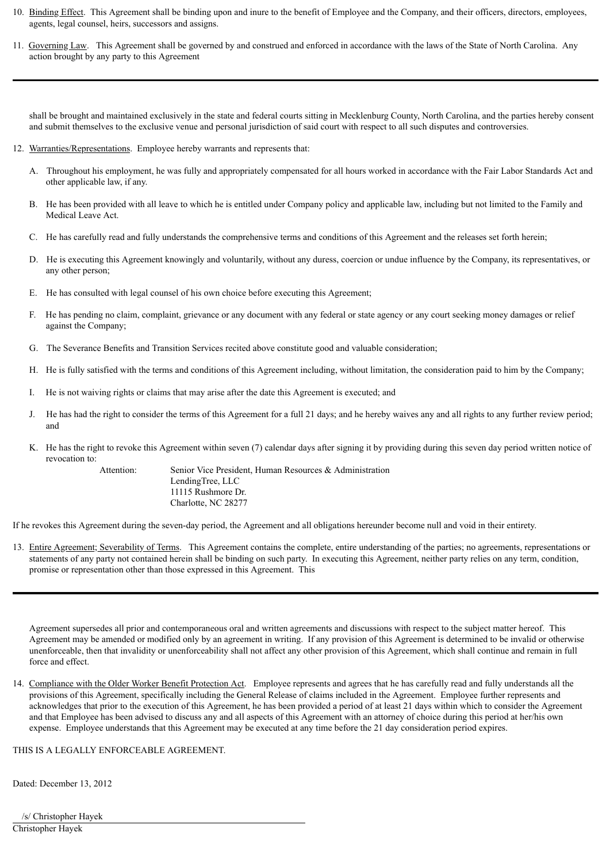- 10. Binding Effect. This Agreement shall be binding upon and inure to the benefit of Employee and the Company, and their officers, directors, employees, agents, legal counsel, heirs, successors and assigns.
- 11. Governing Law. This Agreement shall be governed by and construed and enforced in accordance with the laws of the State of North Carolina. Any action brought by any party to this Agreement

shall be brought and maintained exclusively in the state and federal courts sitting in Mecklenburg County, North Carolina, and the parties hereby consent and submit themselves to the exclusive venue and personal jurisdiction of said court with respect to all such disputes and controversies.

#### 12. Warranties/Representations. Employee hereby warrants and represents that:

- A. Throughout his employment, he was fully and appropriately compensated for all hours worked in accordance with the Fair Labor Standards Act and other applicable law, if any.
- B. He has been provided with all leave to which he is entitled under Company policy and applicable law, including but not limited to the Family and Medical Leave Act.
- C. He has carefully read and fully understands the comprehensive terms and conditions of this Agreement and the releases set forth herein;
- D. He is executing this Agreement knowingly and voluntarily, without any duress, coercion or undue influence by the Company, its representatives, or any other person;
- E. He has consulted with legal counsel of his own choice before executing this Agreement;
- F. He has pending no claim, complaint, grievance or any document with any federal or state agency or any court seeking money damages or relief against the Company;
- G. The Severance Benefits and Transition Services recited above constitute good and valuable consideration;
- H. He is fully satisfied with the terms and conditions of this Agreement including, without limitation, the consideration paid to him by the Company;
- I. He is not waiving rights or claims that may arise after the date this Agreement is executed; and
- J. He has had the right to consider the terms of this Agreement for a full 21 days; and he hereby waives any and all rights to any further review period; and
- K. He has the right to revoke this Agreement within seven (7) calendar days after signing it by providing during this seven day period written notice of revocation to:

Attention: Senior Vice President, Human Resources & Administration LendingTree, LLC 11115 Rushmore Dr. Charlotte, NC 28277

If he revokes this Agreement during the seven-day period, the Agreement and all obligations hereunder become null and void in their entirety.

13. Entire Agreement; Severability of Terms. This Agreement contains the complete, entire understanding of the parties; no agreements, representations or statements of any party not contained herein shall be binding on such party. In executing this Agreement, neither party relies on any term, condition, promise or representation other than those expressed in this Agreement. This

Agreement supersedes all prior and contemporaneous oral and written agreements and discussions with respect to the subject matter hereof. This Agreement may be amended or modified only by an agreement in writing. If any provision of this Agreement is determined to be invalid or otherwise unenforceable, then that invalidity or unenforceability shall not affect any other provision of this Agreement, which shall continue and remain in full force and effect.

14. Compliance with the Older Worker Benefit Protection Act. Employee represents and agrees that he has carefully read and fully understands all the provisions of this Agreement, specifically including the General Release of claims included in the Agreement. Employee further represents and acknowledges that prior to the execution of this Agreement, he has been provided a period of at least 21 days within which to consider the Agreement and that Employee has been advised to discuss any and all aspects of this Agreement with an attorney of choice during this period at her/his own expense. Employee understands that this Agreement may be executed at any time before the 21 day consideration period expires.

THIS IS A LEGALLY ENFORCEABLE AGREEMENT.

Dated: December 13, 2012

/s/ Christopher Hayek Christopher Hayek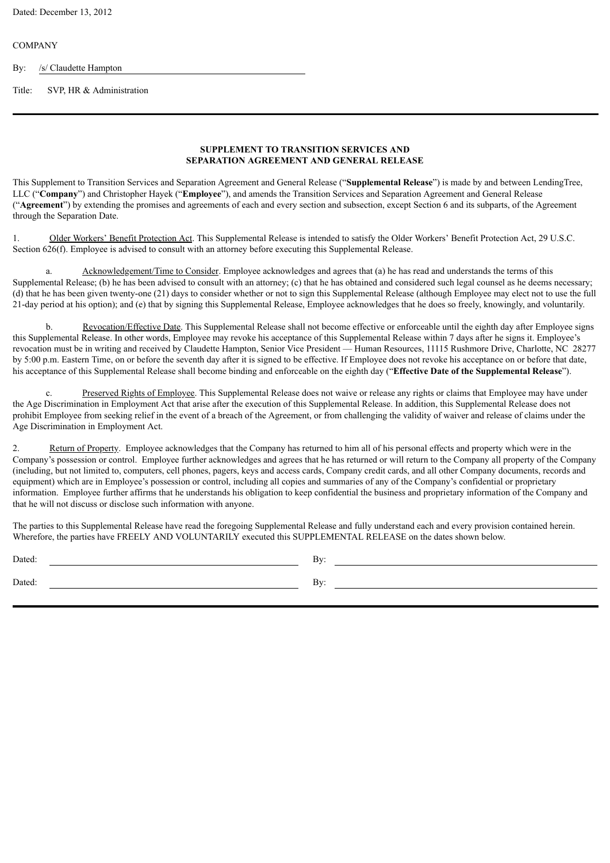#### **COMPANY**

By: /s/ Claudette Hampton

Title: SVP, HR & Administration

#### **SUPPLEMENT TO TRANSITION SERVICES AND SEPARATION AGREEMENT AND GENERAL RELEASE**

This Supplement to Transition Services and Separation Agreement and General Release ("**Supplemental Release**") is made by and between LendingTree, LLC ("**Company**") and Christopher Hayek ("**Employee**"), and amends the Transition Services and Separation Agreement and General Release ("**Agreement**") by extending the promises and agreements of each and every section and subsection, except Section 6 and its subparts, of the Agreement through the Separation Date.

1. Older Workers' Benefit Protection Act. This Supplemental Release is intended to satisfy the Older Workers' Benefit Protection Act, 29 U.S.C. Section 626(f). Employee is advised to consult with an attorney before executing this Supplemental Release.

a. Acknowledgement/Time to Consider. Employee acknowledges and agrees that (a) he has read and understands the terms of this Supplemental Release; (b) he has been advised to consult with an attorney; (c) that he has obtained and considered such legal counsel as he deems necessary; (d) that he has been given twenty-one (21) days to consider whether or not to sign this Supplemental Release (although Employee may elect not to use the full 21-day period at his option); and (e) that by signing this Supplemental Release, Employee acknowledges that he does so freely, knowingly, and voluntarily.

b. Revocation/Effective Date. This Supplemental Release shall not become effective or enforceable until the eighth day after Employee signs this Supplemental Release. In other words, Employee may revoke his acceptance of this Supplemental Release within 7 days after he signs it. Employee's revocation must be in writing and received by Claudette Hampton, Senior Vice President — Human Resources, 11115 Rushmore Drive, Charlotte, NC 28277 by 5:00 p.m. Eastern Time, on or before the seventh day after it is signed to be effective. If Employee does not revoke his acceptance on or before that date, his acceptance of this Supplemental Release shall become binding and enforceable on the eighth day ("**Effective Date of the Supplemental Release**").

c. Preserved Rights of Employee. This Supplemental Release does not waive or release any rights or claims that Employee may have under the Age Discrimination in Employment Act that arise after the execution of this Supplemental Release. In addition, this Supplemental Release does not prohibit Employee from seeking relief in the event of a breach of the Agreement, or from challenging the validity of waiver and release of claims under the Age Discrimination in Employment Act.

2. Return of Property. Employee acknowledges that the Company has returned to him all of his personal effects and property which were in the Company's possession or control. Employee further acknowledges and agrees that he has returned or will return to the Company all property of the Company (including, but not limited to, computers, cell phones, pagers, keys and access cards, Company credit cards, and all other Company documents, records and equipment) which are in Employee's possession or control, including all copies and summaries of any of the Company's confidential or proprietary information. Employee further affirms that he understands his obligation to keep confidential the business and proprietary information of the Company and that he will not discuss or disclose such information with anyone.

The parties to this Supplemental Release have read the foregoing Supplemental Release and fully understand each and every provision contained herein. Wherefore, the parties have FREELY AND VOLUNTARILY executed this SUPPLEMENTAL RELEASE on the dates shown below.

Dated: By:

Dated: By: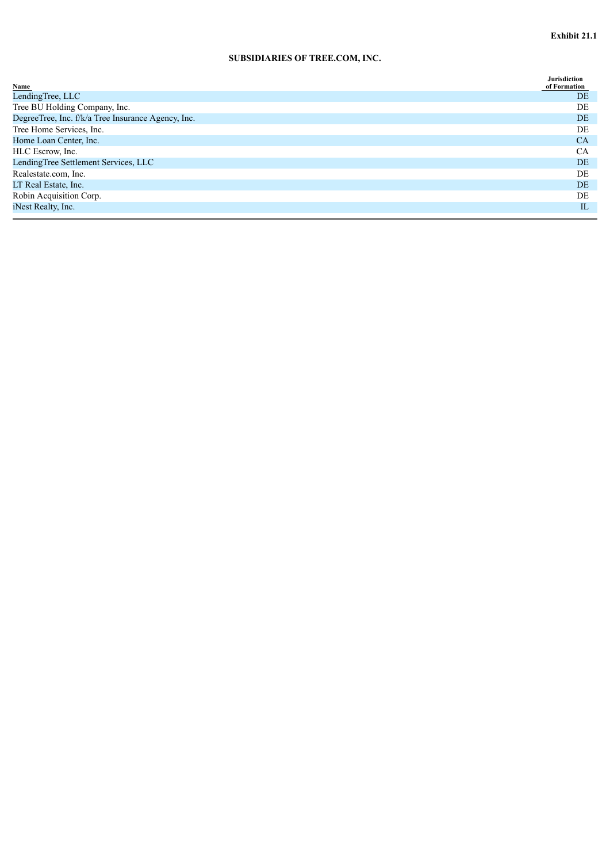# **SUBSIDIARIES OF TREE.COM, INC.**

| Name                                               | <b>Jurisdiction</b><br>of Formation |
|----------------------------------------------------|-------------------------------------|
| LendingTree, LLC                                   | <b>DE</b>                           |
| Tree BU Holding Company, Inc.                      | DE                                  |
| DegreeTree, Inc. f/k/a Tree Insurance Agency, Inc. | DE.                                 |
| Tree Home Services, Inc.                           | DE                                  |
| Home Loan Center, Inc.                             | <b>CA</b>                           |
| HLC Escrow, Inc.                                   | <b>CA</b>                           |
| LendingTree Settlement Services, LLC               | DE.                                 |
| Realestate.com, Inc.                               | DE                                  |
| LT Real Estate, Inc.                               | DE.                                 |
| Robin Acquisition Corp.                            | DE                                  |
| iNest Realty, Inc.                                 | IL                                  |
|                                                    |                                     |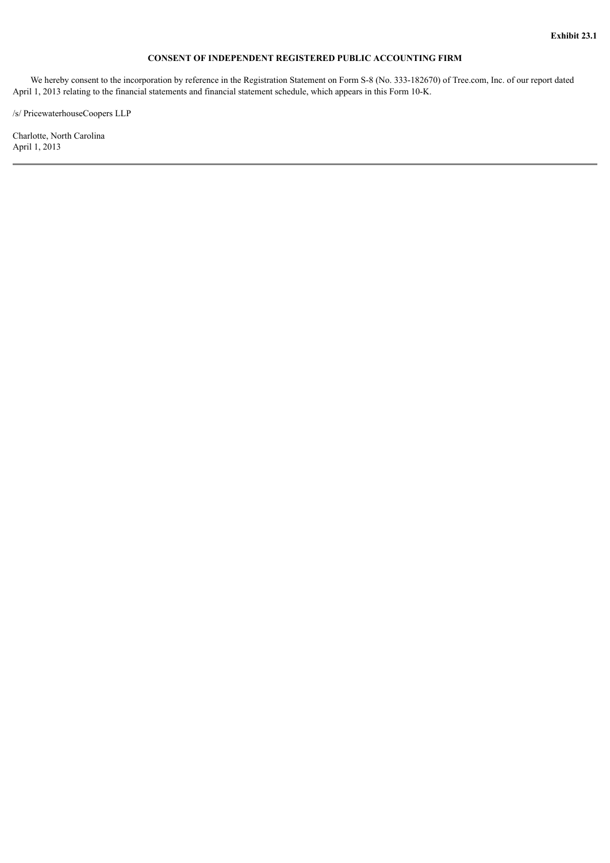#### **CONSENT OF INDEPENDENT REGISTERED PUBLIC ACCOUNTING FIRM**

 We hereby consent to the incorporation by reference in the Registration Statement on Form S-8 (No. 333-182670) of Tree.com, Inc. of our report dated April 1, 2013 relating to the financial statements and financial statement schedule, which appears in this Form 10-K.

/s/ PricewaterhouseCoopers LLP

Charlotte, North Carolina April 1, 2013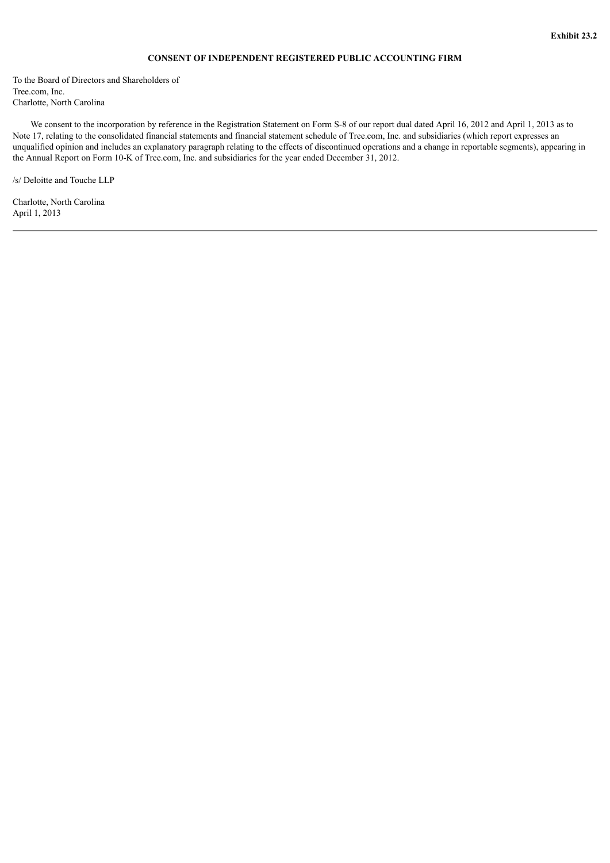#### **CONSENT OF INDEPENDENT REGISTERED PUBLIC ACCOUNTING FIRM**

To the Board of Directors and Shareholders of Tree.com, Inc. Charlotte, North Carolina

 We consent to the incorporation by reference in the Registration Statement on Form S-8 of our report dual dated April 16, 2012 and April 1, 2013 as to Note 17, relating to the consolidated financial statements and financial statement schedule of Tree.com, Inc. and subsidiaries (which report expresses an unqualified opinion and includes an explanatory paragraph relating to the effects of discontinued operations and a change in reportable segments), appearing in the Annual Report on Form 10-K of Tree.com, Inc. and subsidiaries for the year ended December 31, 2012.

/s/ Deloitte and Touche LLP

Charlotte, North Carolina April 1, 2013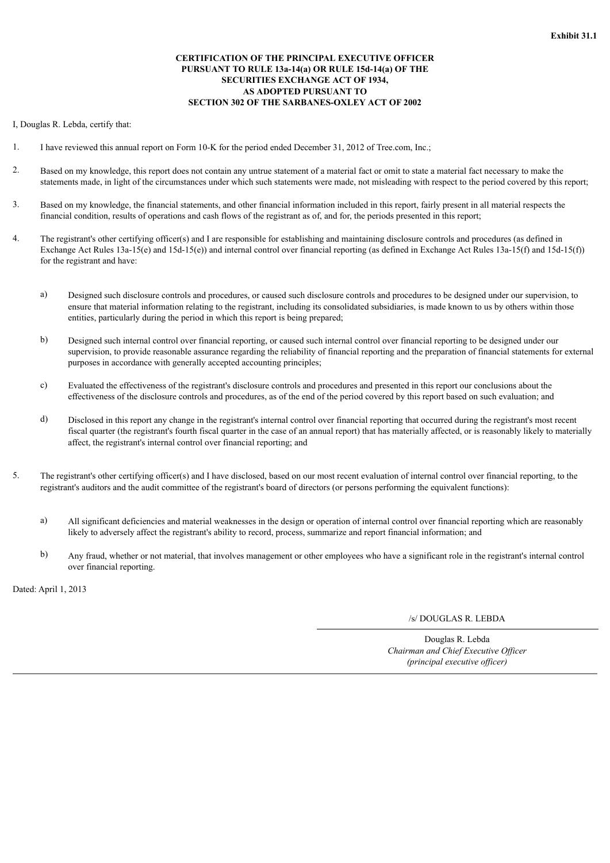#### **CERTIFICATION OF THE PRINCIPAL EXECUTIVE OFFICER PURSUANT TO RULE 13a-14(a) OR RULE 15d-14(a) OF THE SECURITIES EXCHANGE ACT OF 1934, AS ADOPTED PURSUANT TO SECTION 302 OF THE SARBANES-OXLEY ACT OF 2002**

I, Douglas R. Lebda, certify that:

- 1. I have reviewed this annual report on Form 10-K for the period ended December 31, 2012 of Tree.com, Inc.;
- 2. Based on my knowledge, this report does not contain any untrue statement of a material fact or omit to state a material fact necessary to make the statements made, in light of the circumstances under which such statements were made, not misleading with respect to the period covered by this report;
- 3. Based on my knowledge, the financial statements, and other financial information included in this report, fairly present in all material respects the financial condition, results of operations and cash flows of the registrant as of, and for, the periods presented in this report;
- 4. The registrant's other certifying officer(s) and I are responsible for establishing and maintaining disclosure controls and procedures (as defined in Exchange Act Rules 13a-15(e) and 15d-15(e)) and internal control over financial reporting (as defined in Exchange Act Rules 13a-15(f) and 15d-15(f)) for the registrant and have:
	- a) Designed such disclosure controls and procedures, or caused such disclosure controls and procedures to be designed under our supervision, to ensure that material information relating to the registrant, including its consolidated subsidiaries, is made known to us by others within those entities, particularly during the period in which this report is being prepared;
	- b) Designed such internal control over financial reporting, or caused such internal control over financial reporting to be designed under our supervision, to provide reasonable assurance regarding the reliability of financial reporting and the preparation of financial statements for external purposes in accordance with generally accepted accounting principles;
	- c) Evaluated the effectiveness of the registrant's disclosure controls and procedures and presented in this report our conclusions about the effectiveness of the disclosure controls and procedures, as of the end of the period covered by this report based on such evaluation; and
	- d) Disclosed in this report any change in the registrant's internal control over financial reporting that occurred during the registrant's most recent fiscal quarter (the registrant's fourth fiscal quarter in the case of an annual report) that has materially affected, or is reasonably likely to materially affect, the registrant's internal control over financial reporting; and
- 5. The registrant's other certifying officer(s) and I have disclosed, based on our most recent evaluation of internal control over financial reporting, to the registrant's auditors and the audit committee of the registrant's board of directors (or persons performing the equivalent functions):
	- a) All significant deficiencies and material weaknesses in the design or operation of internal control over financial reporting which are reasonably likely to adversely affect the registrant's ability to record, process, summarize and report financial information; and
	- b) Any fraud, whether or not material, that involves management or other employees who have a significant role in the registrant's internal control over financial reporting.

Dated: April 1, 2013

/s/ DOUGLAS R. LEBDA

Douglas R. Lebda *Chairman and Chief Executive Officer (principal executive officer)*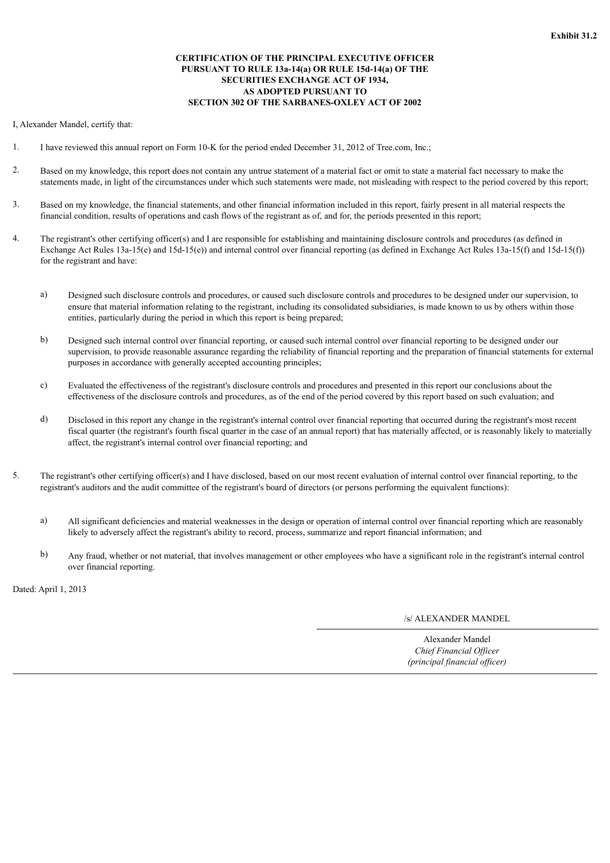#### **CERTIFICATION OF THE PRINCIPAL EXECUTIVE OFFICER PURSUANT TO RULE 13a-14(a) OR RULE 15d-14(a) OF THE SECURITIES EXCHANGE ACT OF 1934, AS ADOPTED PURSUANT TO SECTION 302 OF THE SARBANES-OXLEY ACT OF 2002**

I, Alexander Mandel, certify that:

- 1. I have reviewed this annual report on Form 10-K for the period ended December 31, 2012 of Tree.com, Inc.;
- 2. Based on my knowledge, this report does not contain any untrue statement of a material fact or omit to state a material fact necessary to make the statements made, in light of the circumstances under which such statements were made, not misleading with respect to the period covered by this report;
- 3. Based on my knowledge, the financial statements, and other financial information included in this report, fairly present in all material respects the financial condition, results of operations and cash flows of the registrant as of, and for, the periods presented in this report;
- 4. The registrant's other certifying officer(s) and I are responsible for establishing and maintaining disclosure controls and procedures (as defined in Exchange Act Rules 13a-15(e) and 15d-15(e)) and internal control over financial reporting (as defined in Exchange Act Rules 13a-15(f) and 15d-15(f)) for the registrant and have:
	- a) Designed such disclosure controls and procedures, or caused such disclosure controls and procedures to be designed under our supervision, to ensure that material information relating to the registrant, including its consolidated subsidiaries, is made known to us by others within those entities, particularly during the period in which this report is being prepared;
	- b) Designed such internal control over financial reporting, or caused such internal control over financial reporting to be designed under our supervision, to provide reasonable assurance regarding the reliability of financial reporting and the preparation of financial statements for external purposes in accordance with generally accepted accounting principles;
	- c) Evaluated the effectiveness of the registrant's disclosure controls and procedures and presented in this report our conclusions about the effectiveness of the disclosure controls and procedures, as of the end of the period covered by this report based on such evaluation; and
	- d) Disclosed in this report any change in the registrant's internal control over financial reporting that occurred during the registrant's most recent fiscal quarter (the registrant's fourth fiscal quarter in the case of an annual report) that has materially affected, or is reasonably likely to materially affect, the registrant's internal control over financial reporting; and
- 5. The registrant's other certifying officer(s) and I have disclosed, based on our most recent evaluation of internal control over financial reporting, to the registrant's auditors and the audit committee of the registrant's board of directors (or persons performing the equivalent functions):
	- a) All significant deficiencies and material weaknesses in the design or operation of internal control over financial reporting which are reasonably likely to adversely affect the registrant's ability to record, process, summarize and report financial information; and
	- b) Any fraud, whether or not material, that involves management or other employees who have a significant role in the registrant's internal control over financial reporting.

Dated: April 1, 2013

## /s/ ALEXANDER MANDEL

Alexander Mandel *Chief Financial Officer (principal financial officer)*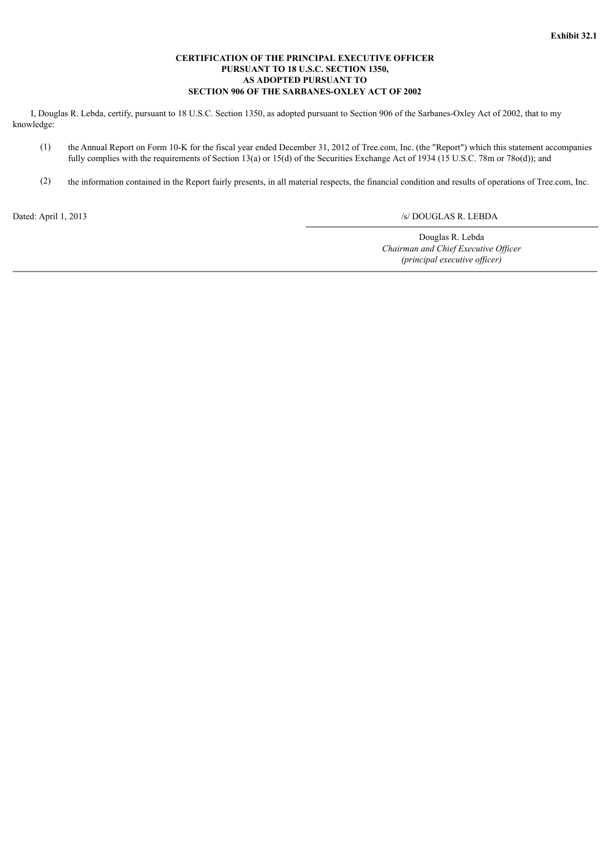### **CERTIFICATION OF THE PRINCIPAL EXECUTIVE OFFICER PURSUANT TO 18 U.S.C. SECTION 1350, AS ADOPTED PURSUANT TO SECTION 906 OF THE SARBANES-OXLEY ACT OF 2002**

 I, Douglas R. Lebda, certify, pursuant to 18 U.S.C. Section 1350, as adopted pursuant to Section 906 of the Sarbanes-Oxley Act of 2002, that to my knowledge:

- (1) the Annual Report on Form 10-K for the fiscal year ended December 31, 2012 of Tree.com, Inc. (the "Report") which this statement accompanies fully complies with the requirements of Section 13(a) or 15(d) of the Securities Exchange Act of 1934 (15 U.S.C. 78m or 78o(d)); and
- (2) the information contained in the Report fairly presents, in all material respects, the financial condition and results of operations of Tree.com, Inc.

## Dated: April 1, 2013 /s/ DOUGLAS R. LEBDA

Douglas R. Lebda *Chairman and Chief Executive Officer (principal executive officer)*